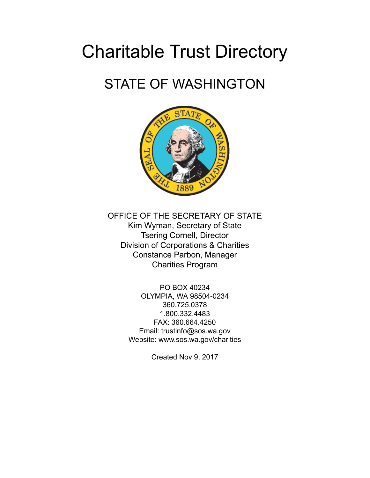# Charitable Trust Directory

## STATE OF WASHINGTON



OFFICE OF THE SECRETARY OF STATE Kim Wyman, Secretary of State Tsering Cornell, Director Division of Corporations & Charities Constance Parbon, Manager Charities Program

> PO BOX 40234 OLYMPIA, WA 98504-0234 360.725.0378 1.800.332.4483 FAX: 360.664.4250 Email: trustinfo@sos.wa.gov Website: www.sos.wa.gov/charities

> > Created Nov 9, 2017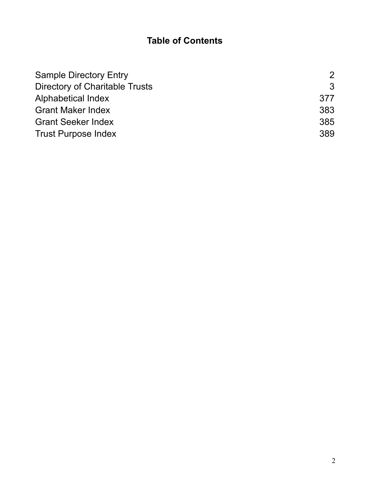## **Table of Contents**

| <b>Sample Directory Entry</b>         | 2   |
|---------------------------------------|-----|
| <b>Directory of Charitable Trusts</b> | 3   |
| Alphabetical Index                    | 377 |
| <b>Grant Maker Index</b>              | 383 |
| <b>Grant Seeker Index</b>             | 385 |
| <b>Trust Purpose Index</b>            | 389 |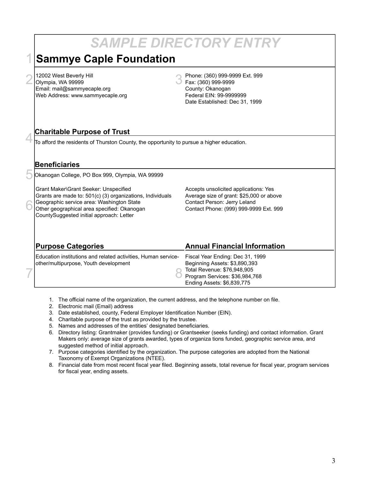#### *SAMPLE DIRECTORY ENTRY* **Sammye Caple Foundation**  $2|$ 12002 West Beverly Hill<br> $2|$ Olympia, WA 99999 Olympia, WA 99999 Email: mail@sammyecaple.org Web Address: www.sammyecaple.org Phone: (360) 999-9999 Ext. 999 Fax: (360) 999-9999 County: Okanogan Federal EIN: 99-9999999 Date Established: Dec 31, 1999 **Charitable Purpose of Trust** To afford the residents of Thurston County, the opportunity to pursue a higher education. **Beneficiaries** Okanogan College, PO Box 999, Olympia, WA 99999 Grant Maker\Grant Seeker: Unspecified Grants are made to: 501(c) (3) organizations, Individuals Geographic service area: Washington State Other geographical area specified: Okanogan CountySuggested initial approach: Letter Accepts unsolicited applications: Yes Average size of grant: \$25,000 or above Contact Person: Jerry Leland Contact Phone: (999) 999-9999 Ext. 999 **Purpose Categories** Education institutions and related activities, Human serviceother/multipurpose, Youth development **Annual Financial Information** Fiscal Year Ending: Dec 31, 1999 Beginning Assets: \$3,890,393 Total Revenue: \$76,948,905 Program Services: \$36,984,768 Ending Assets: \$6,839,775 1 4 5 6 7 8

- 1. The official name of the organization, the current address, and the telephone number on file.
- 2. Electronic mail (Email) address
- 3. Date established, county, Federal Employer Identification Number (EIN).
- 4. Charitable purpose of the trust as provided by the trustee.
- 5. Names and addresses of the entities' designated beneficiaries.
- 6. Directory listing: Grantmaker (provides funding) or Grantseeker (seeks funding) and contact information. Grant Makers only: average size of grants awarded, types of organiza tions funded, geographic service area, and suggested method of initial approach.
- 7. Purpose categories identified by the organization. The purpose categories are adopted from the National Taxonomy of Exempt Organizations (NTEE).
- 8. Financial date from most recent fiscal year filed. Beginning assets, total revenue for fiscal year, program services for fiscal year, ending assets.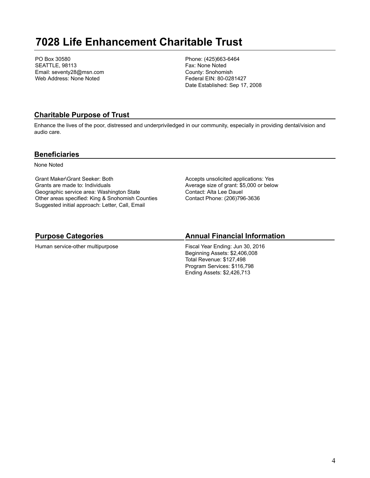## **7028 Life Enhancement Charitable Trust**

PO Box 30580 SEATTLE, 98113 Email: seventy28@msn.com Web Address: None Noted

Phone: (425)663-6464 Fax: None Noted County: Snohomish Federal EIN: 80-0281427 Date Established: Sep 17, 2008

## **Charitable Purpose of Trust**

Enhance the lives of the poor, distressed and underpriviledged in our community, especially in providing dental/vision and audio care.

### **Beneficiaries**

None Noted

Grant Maker\Grant Seeker: Both Grants are made to: Individuals Geographic service area: Washington State Other areas specified: King & Snohomish Counties Suggested initial approach: Letter, Call, Email

Accepts unsolicited applications: Yes Average size of grant: \$5,000 or below Contact: Alta Lee Dauel Contact Phone: (206)796-3636

## **Purpose Categories**

Human service-other multipurpose

## **Annual Financial Information**

Fiscal Year Ending: Jun 30, 2016 Beginning Assets: \$2,406,008 Total Revenue: \$127,498 Program Services: \$116,798 Ending Assets: \$2,426,713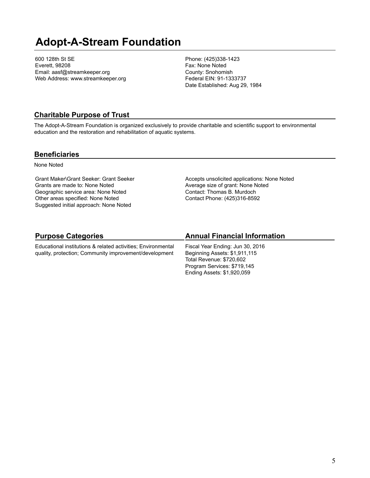## **Adopt-A-Stream Foundation**

600 128th St SE Everett, 98208 Email: aasf@streamkeeper.org Web Address: www.streamkeeper.org Phone: (425)338-1423 Fax: None Noted County: Snohomish Federal EIN: 91-1333737 Date Established: Aug 29, 1984

#### **Charitable Purpose of Trust**

The Adopt-A-Stream Foundation is organized exclusively to provide charitable and scientific support to environmental education and the restoration and rehabilitation of aquatic systems.

#### **Beneficiaries**

None Noted

Grant Maker\Grant Seeker: Grant Seeker Grants are made to: None Noted Geographic service area: None Noted Other areas specified: None Noted Suggested initial approach: None Noted

Accepts unsolicited applications: None Noted Average size of grant: None Noted Contact: Thomas B. Murdoch Contact Phone: (425)316-8592

## **Purpose Categories**

Educational institutions & related activities; Environmental quality, protection; Community improvement/development

## **Annual Financial Information**

Fiscal Year Ending: Jun 30, 2016 Beginning Assets: \$1,911,115 Total Revenue: \$720,602 Program Services: \$719,145 Ending Assets: \$1,920,059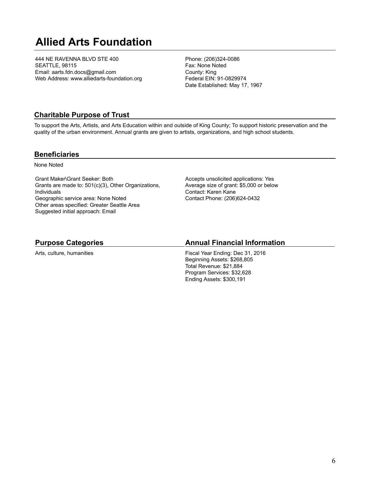## **Allied Arts Foundation**

444 NE RAVENNA BLVD STE 400 SEATTLE, 98115 Email: aarts.fdn.docs@gmail.com Web Address: www.alliedarts-foundation.org Phone: (206)324-0086 Fax: None Noted County: King Federal EIN: 91-0829974 Date Established: May 17, 1967

### **Charitable Purpose of Trust**

To support the Arts, Artists, and Arts Education within and outside of King County; To support historic preservation and the quality of the urban environment. Annual grants are given to artists, organizations, and high school students.

#### **Beneficiaries**

None Noted

Grant Maker\Grant Seeker: Both Grants are made to: 501(c)(3), Other Organizations, Individuals Geographic service area: None Noted Other areas specified: Greater Seattle Area Suggested initial approach: Email

Accepts unsolicited applications: Yes Average size of grant: \$5,000 or below Contact: Karen Kane Contact Phone: (206)624-0432

#### **Purpose Categories**

Arts, culture, humanities

### **Annual Financial Information**

Fiscal Year Ending: Dec 31, 2016 Beginning Assets: \$268,805 Total Revenue: \$21,884 Program Services: \$32,628 Ending Assets: \$300,191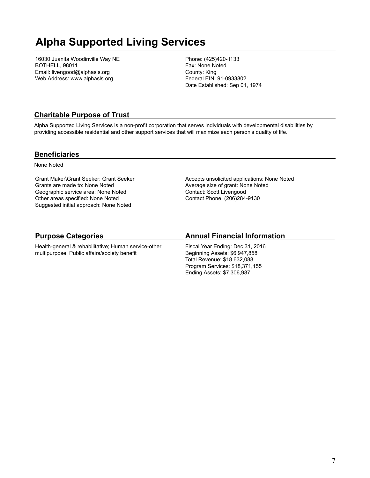## **Alpha Supported Living Services**

16030 Juanita Woodinville Way NE BOTHELL, 98011 Email: livengood@alphasls.org Web Address: www.alphasls.org

Phone: (425)420-1133 Fax: None Noted County: King Federal EIN: 91-0933802 Date Established: Sep 01, 1974

## **Charitable Purpose of Trust**

Alpha Supported Living Services is a non-profit corporation that serves individuals with developmental disabilities by providing accessible residential and other support services that will maximize each person's quality of life.

#### **Beneficiaries**

None Noted

Grant Maker\Grant Seeker: Grant Seeker Grants are made to: None Noted Geographic service area: None Noted Other areas specified: None Noted Suggested initial approach: None Noted

Accepts unsolicited applications: None Noted Average size of grant: None Noted Contact: Scott Livengood Contact Phone: (206)284-9130

## **Purpose Categories**

Health-general & rehabilitative; Human service-other multipurpose; Public affairs/society benefit

## **Annual Financial Information**

Fiscal Year Ending: Dec 31, 2016 Beginning Assets: \$6,947,858 Total Revenue: \$18,632,088 Program Services: \$18,371,155 Ending Assets: \$7,306,987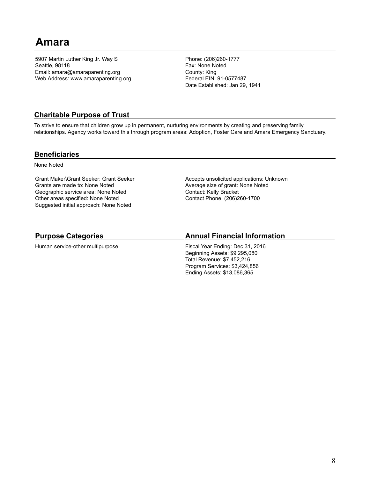## **Amara**

5907 Martin Luther King Jr. Way S Seattle, 98118 Email: amara@amaraparenting.org Web Address: www.amaraparenting.org Phone: (206)260-1777 Fax: None Noted County: King Federal EIN: 91-0577487 Date Established: Jan 29, 1941

#### **Charitable Purpose of Trust**

To strive to ensure that children grow up in permanent, nurturing environments by creating and preserving family relationships. Agency works toward this through program areas: Adoption, Foster Care and Amara Emergency Sanctuary.

#### **Beneficiaries**

None Noted

Grant Maker\Grant Seeker: Grant Seeker Grants are made to: None Noted Geographic service area: None Noted Other areas specified: None Noted Suggested initial approach: None Noted

Accepts unsolicited applications: Unknown Average size of grant: None Noted Contact: Kelly Bracket Contact Phone: (206)260-1700

## **Purpose Categories**

Human service-other multipurpose

## **Annual Financial Information**

Fiscal Year Ending: Dec 31, 2016 Beginning Assets: \$9,295,080 Total Revenue: \$7,452,216 Program Services: \$3,424,856 Ending Assets: \$13,086,365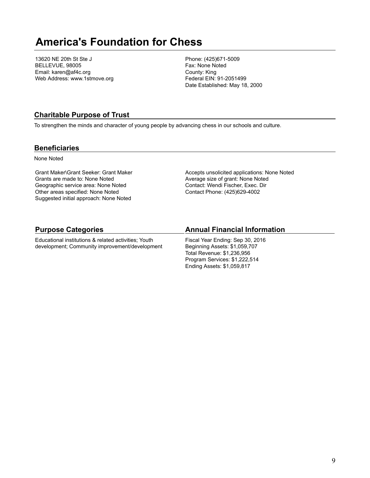## **America's Foundation for Chess**

13620 NE 20th St Ste J BELLEVUE, 98005 Email: karen@af4c.org Web Address: www.1stmove.org Phone: (425)671-5009 Fax: None Noted County: King Federal EIN: 91-2051499 Date Established: May 18, 2000

### **Charitable Purpose of Trust**

To strengthen the minds and character of young people by advancing chess in our schools and culture.

#### **Beneficiaries**

None Noted

Grant Maker\Grant Seeker: Grant Maker Grants are made to: None Noted Geographic service area: None Noted Other areas specified: None Noted Suggested initial approach: None Noted Accepts unsolicited applications: None Noted Average size of grant: None Noted Contact: Wendi Fischer, Exec. Dir Contact Phone: (425)629-4002

#### **Purpose Categories**

Educational institutions & related activities; Youth development; Community improvement/development

#### **Annual Financial Information**

Fiscal Year Ending: Sep 30, 2016 Beginning Assets: \$1,059,707 Total Revenue: \$1,236,956 Program Services: \$1,222,514 Ending Assets: \$1,059,817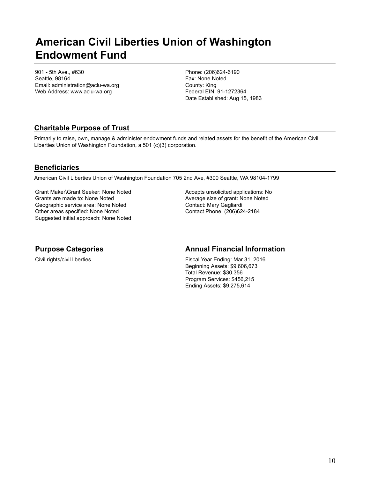## **American Civil Liberties Union of Washington Endowment Fund**

901 - 5th Ave., #630 Seattle, 98164 Email: administration@aclu-wa.org Web Address: www.aclu-wa.org

Phone: (206)624-6190 Fax: None Noted County: King Federal EIN: 91-1272364 Date Established: Aug 15, 1983

## **Charitable Purpose of Trust**

Primarily to raise, own, manage & administer endowment funds and related assets for the benefit of the American Civil Liberties Union of Washington Foundation, a 501 (c)(3) corporation.

## **Beneficiaries**

American Civil Liberties Union of Washington Foundation 705 2nd Ave, #300 Seattle, WA 98104-1799

Grant Maker\Grant Seeker: None Noted Grants are made to: None Noted Geographic service area: None Noted Other areas specified: None Noted Suggested initial approach: None Noted Accepts unsolicited applications: No Average size of grant: None Noted Contact: Mary Gagliardi Contact Phone: (206)624-2184

#### **Purpose Categories**

Civil rights/civil liberties

#### **Annual Financial Information**

Fiscal Year Ending: Mar 31, 2016 Beginning Assets: \$9,606,673 Total Revenue: \$30,356 Program Services: \$456,215 Ending Assets: \$9,275,614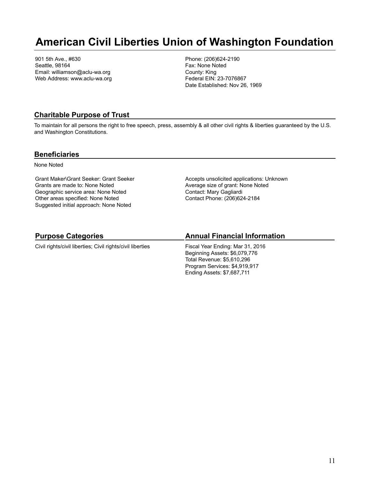## **American Civil Liberties Union of Washington Foundation**

901 5th Ave., #630 Seattle, 98164 Email: williamson@aclu-wa.org Web Address: www.aclu-wa.org Phone: (206)624-2190 Fax: None Noted County: King Federal EIN: 23-7076867 Date Established: Nov 26, 1969

### **Charitable Purpose of Trust**

To maintain for all persons the right to free speech, press, assembly & all other civil rights & liberties guaranteed by the U.S. and Washington Constitutions.

#### **Beneficiaries**

None Noted

Grant Maker\Grant Seeker: Grant Seeker Grants are made to: None Noted Geographic service area: None Noted Other areas specified: None Noted Suggested initial approach: None Noted

Accepts unsolicited applications: Unknown Average size of grant: None Noted Contact: Mary Gagliardi Contact Phone: (206)624-2184

## **Purpose Categories**

Civil rights/civil liberties; Civil rights/civil liberties

## **Annual Financial Information**

Fiscal Year Ending: Mar 31, 2016 Beginning Assets: \$6,079,776 Total Revenue: \$5,610,296 Program Services: \$4,919,917 Ending Assets: \$7,687,711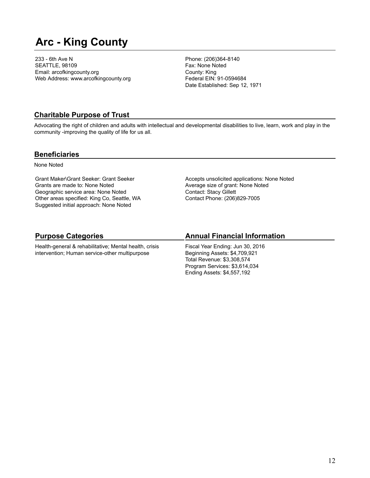## **Arc - King County**

233 - 6th Ave N SEATTLE, 98109 Email: arcofkingcounty.org Web Address: www.arcofkingcounty.org Phone: (206)364-8140 Fax: None Noted County: King Federal EIN: 91-0594684 Date Established: Sep 12, 1971

### **Charitable Purpose of Trust**

Advocating the right of children and adults with intellectual and developmental disabilities to live, learn, work and play in the community -improving the quality of life for us all.

#### **Beneficiaries**

None Noted

Grant Maker\Grant Seeker: Grant Seeker Grants are made to: None Noted Geographic service area: None Noted Other areas specified: King Co, Seattle, WA Suggested initial approach: None Noted

Accepts unsolicited applications: None Noted Average size of grant: None Noted Contact: Stacy Gillett Contact Phone: (206)829-7005

## **Purpose Categories**

Health-general & rehabilitative; Mental health, crisis intervention; Human service-other multipurpose

## **Annual Financial Information**

Fiscal Year Ending: Jun 30, 2016 Beginning Assets: \$4,709,921 Total Revenue: \$3,308,574 Program Services: \$3,614,034 Ending Assets: \$4,557,192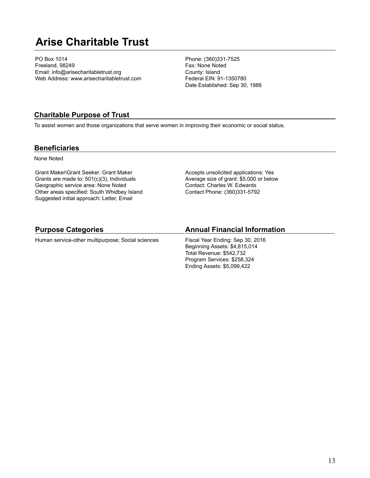## **Arise Charitable Trust**

PO Box 1014 Freeland, 98249 Email: info@arisecharitabletrust.org Web Address: www.arisecharitabletrust.com Phone: (360)331-7525 Fax: None Noted County: Island Federal EIN: 91-1350780 Date Established: Sep 30, 1986

#### **Charitable Purpose of Trust**

To assist women and those organizations that serve women in improving their economic or social status.

#### **Beneficiaries**

None Noted

Grant Maker\Grant Seeker: Grant Maker Grants are made to: 501(c)(3), Individuals Geographic service area: None Noted Other areas specified: South Whidbey Island Suggested initial approach: Letter, Email

Accepts unsolicited applications: Yes Average size of grant: \$5,000 or below Contact: Charles W. Edwards Contact Phone: (360)331-5792

#### **Purpose Categories**

Human service-other multipurpose; Social sciences

#### **Annual Financial Information**

Fiscal Year Ending: Sep 30, 2016 Beginning Assets: \$4,815,014 Total Revenue: \$542,732 Program Services: \$258,324 Ending Assets: \$5,099,422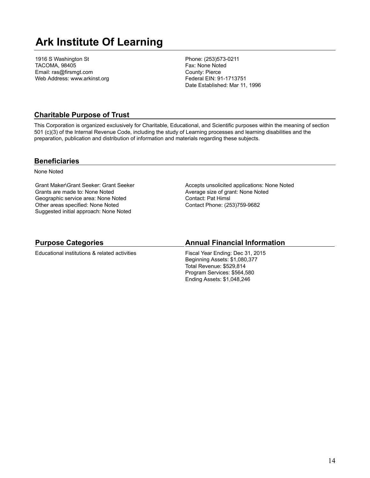## **Ark Institute Of Learning**

1916 S Washington St TACOMA, 98405 Email: ras@firsmgt.com Web Address: www.arkinst.org Phone: (253)573-0211 Fax: None Noted County: Pierce Federal EIN: 91-1713751 Date Established: Mar 11, 1996

### **Charitable Purpose of Trust**

This Corporation is organized exclusively for Charitable, Educational, and Scientific purposes within the meaning of section 501 (c)(3) of the Internal Revenue Code, including the study of Learning processes and learning disabilities and the preparation, publication and distribution of information and materials regarding these subjects.

#### **Beneficiaries**

None Noted

Grant Maker\Grant Seeker: Grant Seeker Grants are made to: None Noted Geographic service area: None Noted Other areas specified: None Noted Suggested initial approach: None Noted

Accepts unsolicited applications: None Noted Average size of grant: None Noted Contact: Pat Himsl Contact Phone: (253)759-9682

### **Purpose Categories**

Educational institutions & related activities

#### **Annual Financial Information**

Fiscal Year Ending: Dec 31, 2015 Beginning Assets: \$1,080,377 Total Revenue: \$529,814 Program Services: \$564,580 Ending Assets: \$1,048,246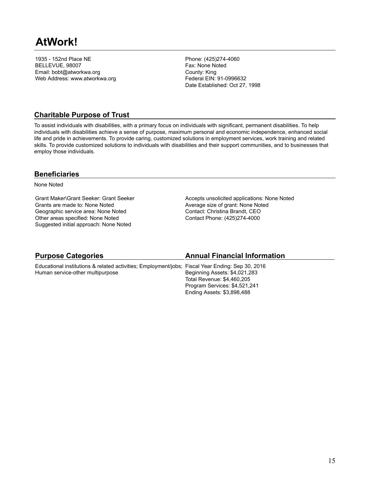1935 - 152nd Place NE BELLEVUE, 98007 Email: bobt@atworkwa.org Web Address: www.atworkwa.org Phone: (425)274-4060 Fax: None Noted County: King Federal EIN: 91-0996632 Date Established: Oct 27, 1998

## **Charitable Purpose of Trust**

To assist individuals with disabilities, with a primary focus on individuals with significant, permanent disabilities. To help individuals with disabilities achieve a sense of purpose, maximum personal and economic independence, enhanced social life and pride in achievements. To provide caring, customized solutions in employment services, work training and related skills. To provide customized solutions to individuals with disabilities and their support communities, and to businesses that employ those individuals.

## **Beneficiaries**

None Noted

Grant Maker\Grant Seeker: Grant Seeker Grants are made to: None Noted Geographic service area: None Noted Other areas specified: None Noted Suggested initial approach: None Noted

Accepts unsolicited applications: None Noted Average size of grant: None Noted Contact: Christina Brandt, CEO Contact Phone: (425)274-4000

| <b>Purpose Categories</b>                                                                        | <b>Annual Financial Information</b> |
|--------------------------------------------------------------------------------------------------|-------------------------------------|
| Educational institutions & related activities; Employment/jobs; Fiscal Year Ending: Sep 30, 2016 |                                     |
| Human service-other multipurpose                                                                 | Beginning Assets: \$4,021,283       |
|                                                                                                  | Total Revenue: \$4,460,205          |
|                                                                                                  | Program Services: \$4,521,241       |
|                                                                                                  | Ending Assets: \$3,898,488          |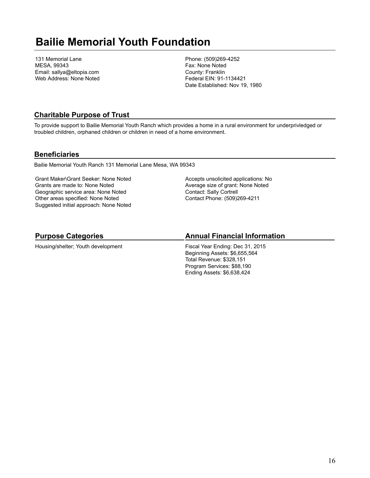## **Bailie Memorial Youth Foundation**

131 Memorial Lane MESA, 99343 Email: sallya@eltopia.com Web Address: None Noted Phone: (509)269-4252 Fax: None Noted County: Franklin Federal EIN: 91-1134421 Date Established: Nov 19, 1980

### **Charitable Purpose of Trust**

To provide support to Bailie Memorial Youth Ranch which provides a home in a rural environment for underprivledged or troubled children, orphaned children or children in need of a home environment.

#### **Beneficiaries**

Bailie Memorial Youth Ranch 131 Memorial Lane Mesa, WA 99343

Grant Maker\Grant Seeker: None Noted Grants are made to: None Noted Geographic service area: None Noted Other areas specified: None Noted Suggested initial approach: None Noted Accepts unsolicited applications: No Average size of grant: None Noted Contact: Sally Cortrell Contact Phone: (509)269-4211

## **Purpose Categories**

Housing/shelter; Youth development

### **Annual Financial Information**

Fiscal Year Ending: Dec 31, 2015 Beginning Assets: \$6,655,564 Total Revenue: \$328,151 Program Services: \$88,190 Ending Assets: \$6,638,424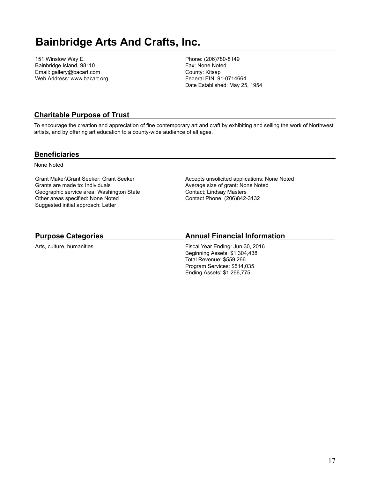## **Bainbridge Arts And Crafts, Inc.**

151 Winslow Way E. Bainbridge Island, 98110 Email: gallery@bacart.com Web Address: www.bacart.org Phone: (206)780-8149 Fax: None Noted County: Kitsap Federal EIN: 91-0714664 Date Established: May 25, 1954

### **Charitable Purpose of Trust**

To encourage the creation and appreciation of fine contemporary art and craft by exhibiting and selling the work of Northwest artists, and by offering art education to a county-wide audience of all ages.

#### **Beneficiaries**

None Noted

Grant Maker\Grant Seeker: Grant Seeker Grants are made to: Individuals Geographic service area: Washington State Other areas specified: None Noted Suggested initial approach: Letter

Accepts unsolicited applications: None Noted Average size of grant: None Noted Contact: Lindsay Masters Contact Phone: (206)842-3132

## **Purpose Categories**

Arts, culture, humanities

### **Annual Financial Information**

Fiscal Year Ending: Jun 30, 2016 Beginning Assets: \$1,304,438 Total Revenue: \$559,266 Program Services: \$514,035 Ending Assets: \$1,266,775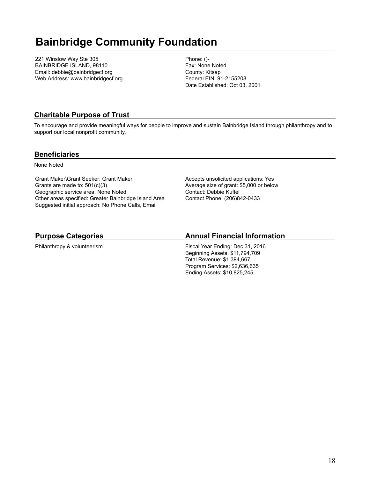## **Bainbridge Community Foundation**

221 Winslow Way Ste 305 BAINBRIDGE ISLAND, 98110 Email: debbie@bainbridgecf.org Web Address: www.bainbridgecf.org Phone: ()- Fax: None Noted County: Kitsap Federal EIN: 91-2155208 Date Established: Oct 03, 2001

## **Charitable Purpose of Trust**

To encourage and provide meaningful ways for people to improve and sustain Bainbridge Island through philanthropy and to support our local nonprofit community.

#### **Beneficiaries**

None Noted

Grant Maker\Grant Seeker: Grant Maker Grants are made to: 501(c)(3) Geographic service area: None Noted Other areas specified: Greater Bainbridge Island Area Suggested initial approach: No Phone Calls, Email

Accepts unsolicited applications: Yes Average size of grant: \$5,000 or below Contact: Debbie Kuffel Contact Phone: (206)842-0433

## **Purpose Categories**

Philanthropy & volunteerism

### **Annual Financial Information**

Fiscal Year Ending: Dec 31, 2016 Beginning Assets: \$11,794,709 Total Revenue: \$1,394,667 Program Services: \$2,636,635 Ending Assets: \$10,825,245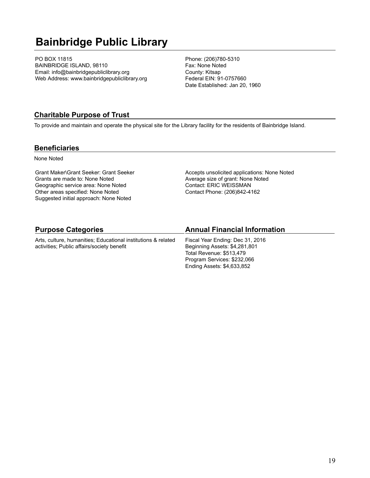## **Bainbridge Public Library**

PO BOX 11815 BAINBRIDGE ISLAND, 98110 Email: info@bainbridgepubliclibrary.org Web Address: www.bainbridgepubliclibrary.org Phone: (206)780-5310 Fax: None Noted County: Kitsap Federal EIN: 91-0757660 Date Established: Jan 20, 1960

#### **Charitable Purpose of Trust**

To provide and maintain and operate the physical site for the Library facility for the residents of Bainbridge Island.

#### **Beneficiaries**

None Noted

Grant Maker\Grant Seeker: Grant Seeker Grants are made to: None Noted Geographic service area: None Noted Other areas specified: None Noted Suggested initial approach: None Noted

Accepts unsolicited applications: None Noted Average size of grant: None Noted Contact: ERIC WEISSMAN Contact Phone: (206)842-4162

| <b>Purpose Categories</b>                                     | <b>Annual Financial Information</b> |
|---------------------------------------------------------------|-------------------------------------|
| Arts, culture, humanities; Educational institutions & related | Fiscal Year Ending: Dec 31, 2016    |
| activities; Public affairs/society benefit                    | Beginning Assets: \$4,281,801       |
|                                                               | Total Revenue: \$513,479            |
|                                                               | Program Services: \$232,066         |
|                                                               | Ending Assets: \$4,633,852          |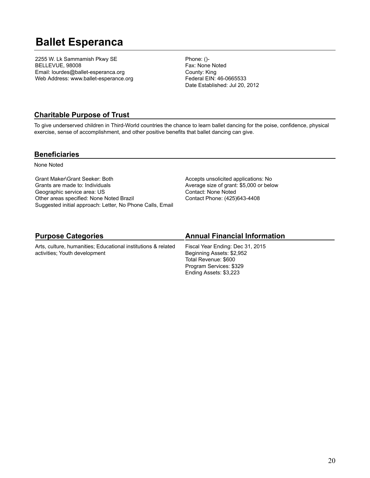## **Ballet Esperanca**

2255 W. Lk Sammamish Pkwy SE BELLEVUE, 98008 Email: lourdes@ballet-esperanca.org Web Address: www.ballet-esperance.org Phone: ()- Fax: None Noted County: King Federal EIN: 46-0665533 Date Established: Jul 20, 2012

## **Charitable Purpose of Trust**

To give underserved children in Third-World countries the chance to learn ballet dancing for the poise, confidence, physical exercise, sense of accomplishment, and other positive benefits that ballet dancing can give.

#### **Beneficiaries**

None Noted

Grant Maker\Grant Seeker: Both Grants are made to: Individuals Geographic service area: US Other areas specified: None Noted Brazil Suggested initial approach: Letter, No Phone Calls, Email Accepts unsolicited applications: No Average size of grant: \$5,000 or below Contact: None Noted Contact Phone: (425)643-4408

## **Purpose Categories**

Arts, culture, humanities; Educational institutions & related activities; Youth development

## **Annual Financial Information**

Fiscal Year Ending: Dec 31, 2015 Beginning Assets: \$2,952 Total Revenue: \$600 Program Services: \$329 Ending Assets: \$3,223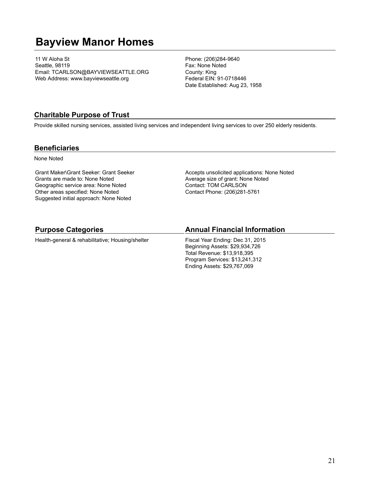## **Bayview Manor Homes**

11 W Aloha St Seattle, 98119 Email: TCARLSON@BAYVIEWSEATTLE.ORG Web Address: www.bayviewseattle.org

Phone: (206)284-9640 Fax: None Noted County: King Federal EIN: 91-0718446 Date Established: Aug 23, 1958

### **Charitable Purpose of Trust**

Provide skilled nursing services, assisted living services and independent living services to over 250 elderly residents.

#### **Beneficiaries**

None Noted

Grant Maker\Grant Seeker: Grant Seeker Grants are made to: None Noted Geographic service area: None Noted Other areas specified: None Noted Suggested initial approach: None Noted

Accepts unsolicited applications: None Noted Average size of grant: None Noted Contact: TOM CARLSON Contact Phone: (206)281-5761

#### **Purpose Categories**

Health-general & rehabilitative; Housing/shelter

#### **Annual Financial Information**

Fiscal Year Ending: Dec 31, 2015 Beginning Assets: \$29,934,726 Total Revenue: \$13,918,395 Program Services: \$13,241,312 Ending Assets: \$29,767,069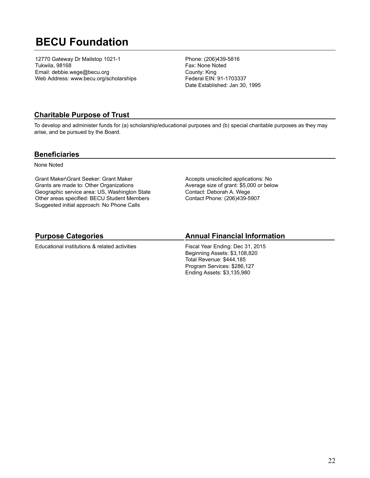## **BECU Foundation**

12770 Gateway Dr Mailstop 1021-1 Tukwila, 98168 Email: debbie.wege@becu.org Web Address: www.becu.org/scholarships Phone: (206)439-5816 Fax: None Noted County: King Federal EIN: 91-1703337 Date Established: Jan 30, 1995

## **Charitable Purpose of Trust**

To develop and administer funds for (a) scholarship/educational purposes and (b) special charitable purposes as they may arise, and be pursued by the Board.

#### **Beneficiaries**

None Noted

Grant Maker\Grant Seeker: Grant Maker Grants are made to: Other Organizations Geographic service area: US, Washington State Other areas specified: BECU Student Members Suggested initial approach: No Phone Calls

Accepts unsolicited applications: No Average size of grant: \$5,000 or below Contact: Deborah A. Wege Contact Phone: (206)439-5907

## **Purpose Categories**

Educational institutions & related activities

## **Annual Financial Information**

Fiscal Year Ending: Dec 31, 2015 Beginning Assets: \$3,108,820 Total Revenue: \$444,185 Program Services: \$286,127 Ending Assets: \$3,135,980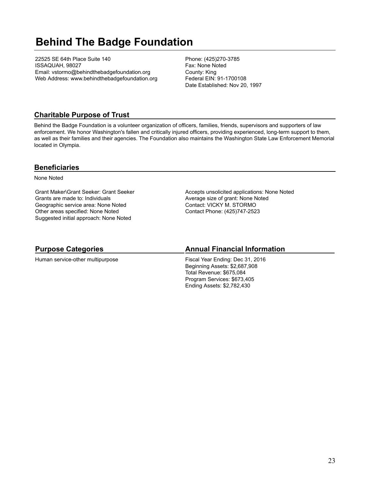## **Behind The Badge Foundation**

22525 SE 64th Place Suite 140 ISSAQUAH, 98027 Email: vstormo@behindthebadgefoundation.org Web Address: www.behindthebadgefoundation.org Phone: (425)270-3785 Fax: None Noted County: King Federal EIN: 91-1700108 Date Established: Nov 20, 1997

### **Charitable Purpose of Trust**

Behind the Badge Foundation is a volunteer organization of officers, families, friends, supervisors and supporters of law enforcement. We honor Washington's fallen and critically injured officers, providing experienced, long-term support to them, as well as their families and their agencies. The Foundation also maintains the Washington State Law Enforcement Memorial located in Olympia.

#### **Beneficiaries**

None Noted

Grant Maker\Grant Seeker: Grant Seeker Grants are made to: Individuals Geographic service area: None Noted Other areas specified: None Noted Suggested initial approach: None Noted

Accepts unsolicited applications: None Noted Average size of grant: None Noted Contact: VICKY M. STORMO Contact Phone: (425)747-2523

## **Purpose Categories**

Human service-other multipurpose

#### **Annual Financial Information**

Fiscal Year Ending: Dec 31, 2016 Beginning Assets: \$2,687,908 Total Revenue: \$675,084 Program Services: \$673,405 Ending Assets: \$2,782,430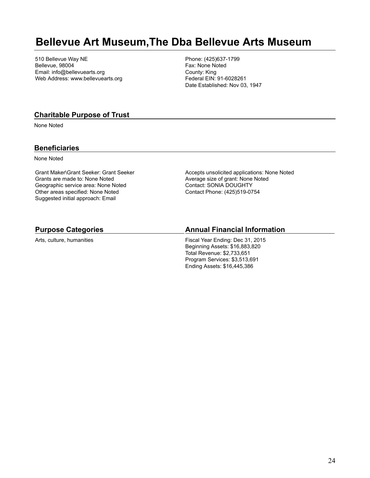## **Bellevue Art Museum,The Dba Bellevue Arts Museum**

510 Bellevue Way NE Bellevue, 98004 Email: info@bellevuearts.org Web Address: www.bellevuearts.org Phone: (425)637-1799 Fax: None Noted County: King Federal EIN: 91-6028261 Date Established: Nov 03, 1947

#### **Charitable Purpose of Trust**

None Noted

#### **Beneficiaries**

None Noted

Grant Maker\Grant Seeker: Grant Seeker Grants are made to: None Noted Geographic service area: None Noted Other areas specified: None Noted Suggested initial approach: Email

Accepts unsolicited applications: None Noted Average size of grant: None Noted Contact: SONIA DOUGHTY Contact Phone: (425)519-0754

#### **Purpose Categories**

Arts, culture, humanities

#### **Annual Financial Information**

Fiscal Year Ending: Dec 31, 2015 Beginning Assets: \$16,883,820 Total Revenue: \$2,733,651 Program Services: \$3,513,691 Ending Assets: \$16,445,386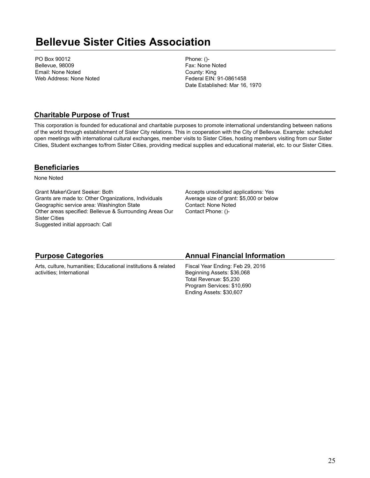## **Bellevue Sister Cities Association**

PO Box 90012 Bellevue, 98009 Email: None Noted Web Address: None Noted Phone: ()- Fax: None Noted County: King Federal EIN: 91-0861458 Date Established: Mar 16, 1970

### **Charitable Purpose of Trust**

This corporation is founded for educational and charitable purposes to promote international understanding between nations of the world through establishment of Sister City relations. This in cooperation with the City of Bellevue. Example: scheduled open meetings with international cultural exchanges, member visits to Sister Cities, hosting members visiting from our Sister Cities, Student exchanges to/from Sister Cities, providing medical supplies and educational material, etc. to our Sister Cities.

### **Beneficiaries**

None Noted

Grant Maker\Grant Seeker: Both Grants are made to: Other Organizations, Individuals Geographic service area: Washington State Other areas specified: Bellevue & Surrounding Areas Our Sister Cities Suggested initial approach: Call

Accepts unsolicited applications: Yes Average size of grant: \$5,000 or below Contact: None Noted Contact Phone: ()-

| <b>Purpose Categories</b>                                     | <b>Annual Financial Information</b> |
|---------------------------------------------------------------|-------------------------------------|
| Arts, culture, humanities; Educational institutions & related | Fiscal Year Ending: Feb 29, 2016    |
| activities; International                                     | Beginning Assets: \$36,068          |
|                                                               | Total Revenue: \$5,230              |
|                                                               | Program Services: \$10,690          |
|                                                               | Ending Assets: \$30,607             |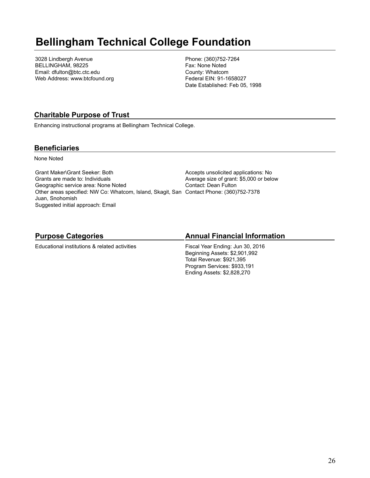## **Bellingham Technical College Foundation**

3028 Lindbergh Avenue BELLINGHAM, 98225 Email: dfulton@btc.ctc.edu Web Address: www.btcfound.org Phone: (360)752-7264 Fax: None Noted County: Whatcom Federal EIN: 91-1658027 Date Established: Feb 05, 1998

## **Charitable Purpose of Trust**

Enhancing instructional programs at Bellingham Technical College.

### **Beneficiaries**

None Noted

Grant Maker\Grant Seeker: Both Grants are made to: Individuals Geographic service area: None Noted Other areas specified: NW Co: Whatcom, Island, Skagit, San Contact Phone: (360)752-7378 Juan, Snohomish Suggested initial approach: Email

Accepts unsolicited applications: No Average size of grant: \$5,000 or below Contact: Dean Fulton

## **Purpose Categories**

Educational institutions & related activities

## **Annual Financial Information**

Fiscal Year Ending: Jun 30, 2016 Beginning Assets: \$2,901,992 Total Revenue: \$921,395 Program Services: \$933,191 Ending Assets: \$2,828,270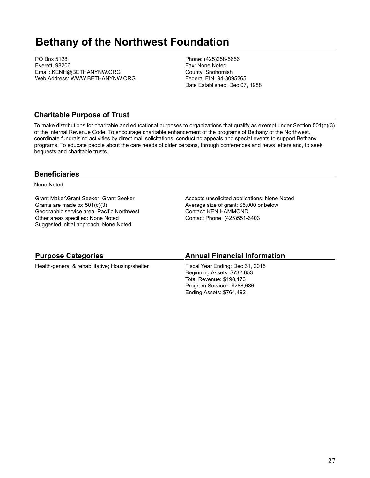## **Bethany of the Northwest Foundation**

PO Box 5128 Everett, 98206 Email: KENH@BETHANYNW.ORG Web Address: WWW.BETHANYNW.ORG Phone: (425)258-5656 Fax: None Noted County: Snohomish Federal EIN: 94-3095265 Date Established: Dec 07, 1988

### **Charitable Purpose of Trust**

To make distributions for charitable and educational purposes to organizations that qualify as exempt under Section 501(c)(3) of the Internal Revenue Code. To encourage charitable enhancement of the programs of Bethany of the Northwest, coordinate fundraising activities by direct mail solicitations, conducting appeals and special events to support Bethany programs. To educate people about the care needs of older persons, through conferences and news letters and, to seek bequests and charitable trusts.

### **Beneficiaries**

None Noted

Grant Maker\Grant Seeker: Grant Seeker Grants are made to: 501(c)(3) Geographic service area: Pacific Northwest Other areas specified: None Noted Suggested initial approach: None Noted

Accepts unsolicited applications: None Noted Average size of grant: \$5,000 or below Contact: KEN HAMMOND Contact Phone: (425)551-6403

| <b>Purpose Categories</b>                        | <b>Annual Financial Information</b>                                                                                        |
|--------------------------------------------------|----------------------------------------------------------------------------------------------------------------------------|
| Health-general & rehabilitative; Housing/shelter | Fiscal Year Ending: Dec 31, 2015<br>Beginning Assets: \$732,653<br>Total Revenue: \$198,173<br>Program Services: \$288,686 |
|                                                  | Ending Assets: \$764,492                                                                                                   |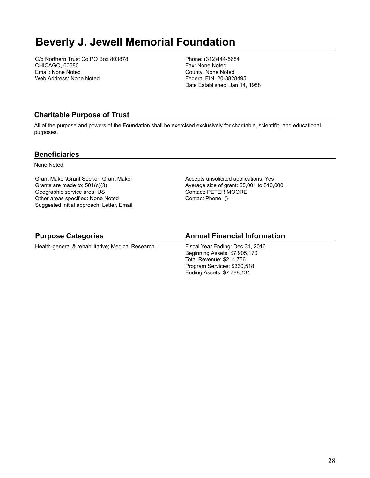## **Beverly J. Jewell Memorial Foundation**

C/o Northern Trust Co PO Box 803878 CHICAGO, 60680 Email: None Noted Web Address: None Noted

Phone: (312)444-5684 Fax: None Noted County: None Noted Federal EIN: 20-8828495 Date Established: Jan 14, 1988

## **Charitable Purpose of Trust**

All of the purpose and powers of the Foundation shall be exercised exclusively for charitable, scientific, and educational purposes.

### **Beneficiaries**

None Noted

Grant Maker\Grant Seeker: Grant Maker Grants are made to: 501(c)(3) Geographic service area: US Other areas specified: None Noted Suggested initial approach: Letter, Email Accepts unsolicited applications: Yes Average size of grant: \$5,001 to \$10,000 Contact: PETER MOORE Contact Phone: ()-

## **Purpose Categories**

Health-general & rehabilitative; Medical Research

## **Annual Financial Information**

Fiscal Year Ending: Dec 31, 2016 Beginning Assets: \$7,905,170 Total Revenue: \$214,756 Program Services: \$330,518 Ending Assets: \$7,788,134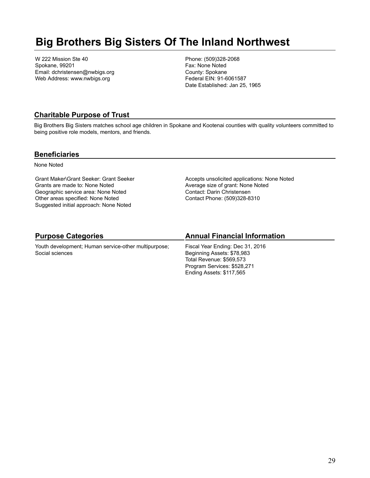## **Big Brothers Big Sisters Of The Inland Northwest**

W 222 Mission Ste 40 Spokane, 99201 Email: dchristensen@nwbigs.org Web Address: www.nwbigs.org

Phone: (509)328-2068 Fax: None Noted County: Spokane Federal EIN: 91-6061587 Date Established: Jan 25, 1965

## **Charitable Purpose of Trust**

Big Brothers Big Sisters matches school age children in Spokane and Kootenai counties with quality volunteers committed to being positive role models, mentors, and friends.

### **Beneficiaries**

None Noted

Grant Maker\Grant Seeker: Grant Seeker Grants are made to: None Noted Geographic service area: None Noted Other areas specified: None Noted Suggested initial approach: None Noted

Accepts unsolicited applications: None Noted Average size of grant: None Noted Contact: Darin Christensen Contact Phone: (509)328-8310

## **Purpose Categories**

Youth development; Human service-other multipurpose; Social sciences

## **Annual Financial Information**

Fiscal Year Ending: Dec 31, 2016 Beginning Assets: \$78,983 Total Revenue: \$569,573 Program Services: \$528,271 Ending Assets: \$117,565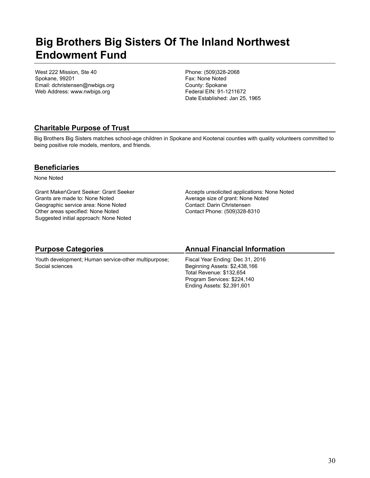## **Big Brothers Big Sisters Of The Inland Northwest Endowment Fund**

West 222 Mission, Ste 40 Spokane, 99201 Email: dchristensen@nwbigs.org Web Address: www.nwbigs.org

Phone: (509)328-2068 Fax: None Noted County: Spokane Federal EIN: 91-1211672 Date Established: Jan 25, 1965

## **Charitable Purpose of Trust**

Big Brothers Big Sisters matches school-age children in Spokane and Kootenai counties with quality volunteers committed to being positive role models, mentors, and friends.

### **Beneficiaries**

None Noted

Grant Maker\Grant Seeker: Grant Seeker Grants are made to: None Noted Geographic service area: None Noted Other areas specified: None Noted Suggested initial approach: None Noted

Accepts unsolicited applications: None Noted Average size of grant: None Noted Contact: Darin Christensen Contact Phone: (509)328-8310

| <b>Purpose Categories</b>                                               | <b>Annual Financial Information</b>                                                                                                                        |
|-------------------------------------------------------------------------|------------------------------------------------------------------------------------------------------------------------------------------------------------|
| Youth development; Human service-other multipurpose;<br>Social sciences | Fiscal Year Ending: Dec 31, 2016<br>Beginning Assets: \$2,438,166<br>Total Revenue: \$132,654<br>Program Services: \$224,140<br>Ending Assets: \$2,391,601 |
|                                                                         |                                                                                                                                                            |

#### 30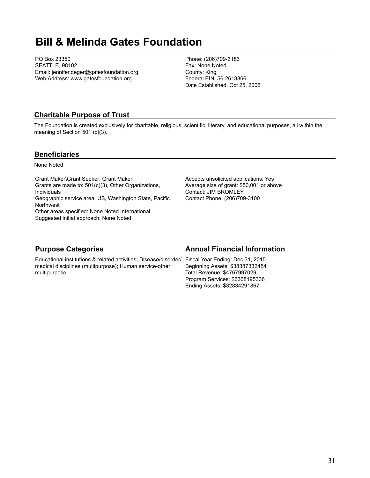## **Bill & Melinda Gates Foundation**

PO Box 23350 SEATTLE, 98102 Email: jennifer.deger@gatesfoundation.org Web Address: www.gatesfoundation.org

Phone: (206)709-3186 Fax: None Noted County: King Federal EIN: 56-2618866 Date Established: Oct 25, 2006

### **Charitable Purpose of Trust**

The Foundation is created exclusively for charitable, religious, scientific, literary, and educational purposes, all within the meaning of Section 501 (c)(3).

#### **Beneficiaries**

None Noted

Grant Maker\Grant Seeker: Grant Maker Grants are made to: 501(c)(3), Other Organizations, Individuals Geographic service area: US, Washington State, Pacific Northwest Other areas specified: None Noted International Suggested initial approach: None Noted

Accepts unsolicited applications: Yes Average size of grant: \$50,001 or above Contact: JIM BROMLEY Contact Phone: (206)709-3100

Program Services: \$6368195336 Ending Assets: \$32834291867

| <b>Purpose Categories</b>                                                                         | <b>Annual Financial Information</b> |
|---------------------------------------------------------------------------------------------------|-------------------------------------|
| Educational institutions & related activities; Disease/disorder/ Fiscal Year Ending: Dec 31, 2015 |                                     |
| medical disciplines (multipurpose); Human service-other                                           | Beginning Assets: \$38387332454     |
| multipurpose                                                                                      | Total Revenue: \$4767997029         |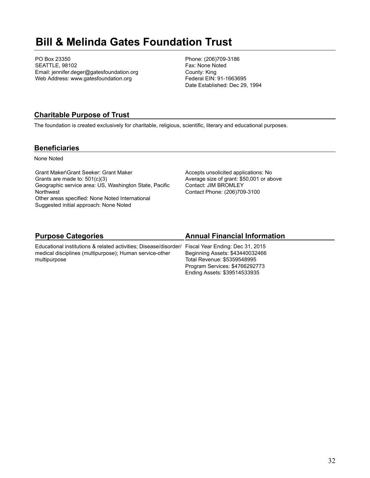## **Bill & Melinda Gates Foundation Trust**

PO Box 23350 SEATTLE, 98102 Email: jennifer.deger@gatesfoundation.org Web Address: www.gatesfoundation.org

Phone: (206)709-3186 Fax: None Noted County: King Federal EIN: 91-1663695 Date Established: Dec 29, 1994

## **Charitable Purpose of Trust**

The foundation is created exclusively for charitable, religious, scientific, literary and educational purposes.

### **Beneficiaries**

None Noted

Grant Maker\Grant Seeker: Grant Maker Grants are made to: 501(c)(3) Geographic service area: US, Washington State, Pacific Northwest Other areas specified: None Noted International Suggested initial approach: None Noted

Accepts unsolicited applications: No Average size of grant: \$50,001 or above Contact: JIM BROMLEY Contact Phone: (206)709-3100

Ending Assets: \$39514533935

| <b>Purpose Categories</b>                                                                         | <b>Annual Financial Information</b> |
|---------------------------------------------------------------------------------------------------|-------------------------------------|
| Educational institutions & related activities; Disease/disorder/ Fiscal Year Ending: Dec 31, 2015 |                                     |
| medical disciplines (multipurpose); Human service-other                                           | Beginning Assets: \$43440032466     |
| multipurpose                                                                                      | Total Revenue: \$5359548995         |
|                                                                                                   | Program Services: \$4766292773      |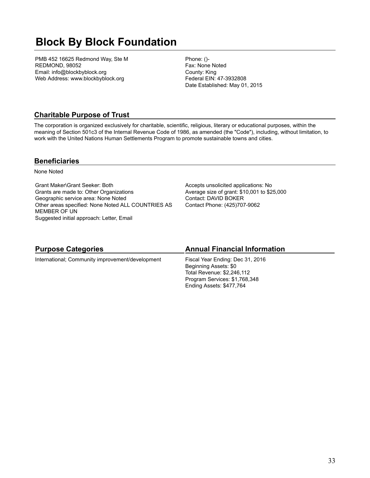## **Block By Block Foundation**

PMB 452 16625 Redmond Way, Ste M REDMOND, 98052 Email: info@blockbyblock.org Web Address: www.blockbyblock.org

Phone: ()- Fax: None Noted County: King Federal EIN: 47-3932808 Date Established: May 01, 2015

## **Charitable Purpose of Trust**

The corporation is organized exclusively for charitable, scientific, religious, literary or educational purposes, within the meaning of Section 501c3 of the Internal Revenue Code of 1986, as amended (the "Code"), including, without limitation, to work with the United Nations Human Settlements Program to promote sustainable towns and cities.

### **Beneficiaries**

None Noted

Grant Maker\Grant Seeker: Both Grants are made to: Other Organizations Geographic service area: None Noted Other areas specified: None Noted ALL COUNTRIES AS MEMBER OF UN Suggested initial approach: Letter, Email

Accepts unsolicited applications: No Average size of grant: \$10,001 to \$25,000 Contact: DAVID BOKER Contact Phone: (425)707-9062

Ending Assets: \$477,764

| <b>Purpose Categories</b>                        | <b>Annual Financial Information</b> |
|--------------------------------------------------|-------------------------------------|
| International; Community improvement/development | Fiscal Year Ending: Dec 31, 2016    |
|                                                  | Beginning Assets: \$0               |
|                                                  | Total Revenue: \$2,246,112          |
|                                                  | Program Services: \$1,768,348       |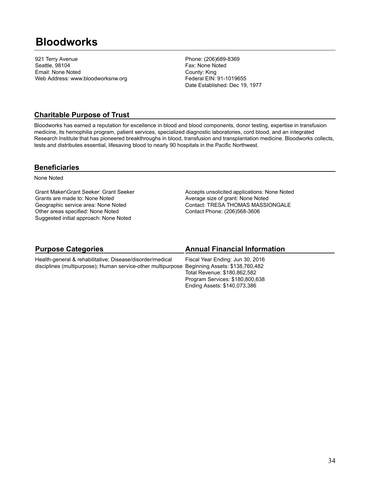## **Bloodworks**

921 Terry Avenue Seattle, 98104 Email: None Noted Web Address: www.bloodworksnw.org Phone: (206)689-8369 Fax: None Noted County: King Federal EIN: 91-1019655 Date Established: Dec 19, 1977

### **Charitable Purpose of Trust**

Bloodworks has earned a reputation for excellence in blood and blood components, donor testing, expertise in transfusion medicine, its hemophilia program, patient services, specialized diagnostic laboratories, cord blood, and an integrated Research Institute that has pioneered breakthroughs in blood, transfusion and transplantation medicine. Bloodworks collects, tests and distributes essential, lifesaving blood to nearly 90 hospitals in the Pacific Northwest.

#### **Beneficiaries**

None Noted

Grant Maker\Grant Seeker: Grant Seeker Grants are made to: None Noted Geographic service area: None Noted Other areas specified: None Noted Suggested initial approach: None Noted

Accepts unsolicited applications: None Noted Average size of grant: None Noted Contact: TRESA THOMAS MASSIONGALE Contact Phone: (206)568-3606

| <b>Purpose Categories</b>                                                                    | <b>Annual Financial Information</b> |
|----------------------------------------------------------------------------------------------|-------------------------------------|
| Health-general & rehabilitative; Disease/disorder/medical                                    | Fiscal Year Ending: Jun 30, 2016    |
| disciplines (multipurpose); Human service-other multipurpose Beginning Assets: \$138,760,482 |                                     |
|                                                                                              | Total Revenue: \$180,862,582        |
|                                                                                              | Program Services: \$180,800,638     |
|                                                                                              | Ending Assets: \$140,073,386        |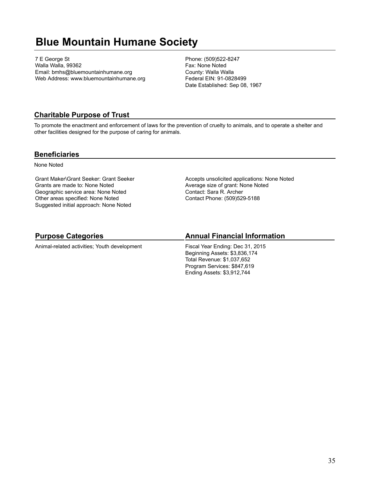## **Blue Mountain Humane Society**

7 E George St Walla Walla, 99362 Email: bmhs@bluemountainhumane.org Web Address: www.bluemountainhumane.org Phone: (509)522-8247 Fax: None Noted County: Walla Walla Federal EIN: 91-0828499 Date Established: Sep 08, 1967

### **Charitable Purpose of Trust**

To promote the enactment and enforcement of laws for the prevention of cruelty to animals, and to operate a shelter and other facilities designed for the purpose of caring for animals.

#### **Beneficiaries**

None Noted

Grant Maker\Grant Seeker: Grant Seeker Grants are made to: None Noted Geographic service area: None Noted Other areas specified: None Noted Suggested initial approach: None Noted

Accepts unsolicited applications: None Noted Average size of grant: None Noted Contact: Sara R. Archer Contact Phone: (509)529-5188

## **Purpose Categories**

Animal-related activities; Youth development

### **Annual Financial Information**

Fiscal Year Ending: Dec 31, 2015 Beginning Assets: \$3,836,174 Total Revenue: \$1,037,652 Program Services: \$847,619 Ending Assets: \$3,912,744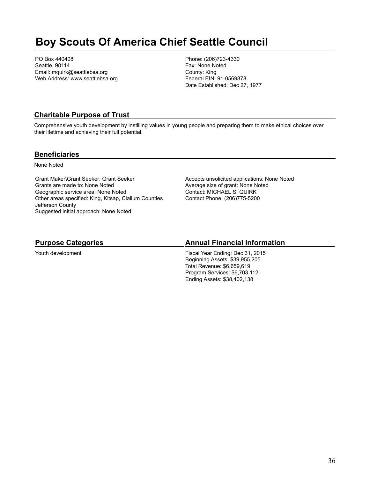## **Boy Scouts Of America Chief Seattle Council**

PO Box 440408 Seattle, 98114 Email: mquirk@seattlebsa.org Web Address: www.seattlebsa.org Phone: (206)723-4330 Fax: None Noted County: King Federal EIN: 91-0569878 Date Established: Dec 27, 1977

## **Charitable Purpose of Trust**

Comprehensive youth development by instilling values in young people and preparing them to make ethical choices over their lifetime and achieving their full potential.

### **Beneficiaries**

None Noted

Grant Maker\Grant Seeker: Grant Seeker Grants are made to: None Noted Geographic service area: None Noted Other areas specified: King, Kitsap, Clallum Counties Jefferson County Suggested initial approach: None Noted

Accepts unsolicited applications: None Noted Average size of grant: None Noted Contact: MICHAEL S. QUIRK Contact Phone: (206)775-5200

### **Purpose Categories**

Youth development

### **Annual Financial Information**

Fiscal Year Ending: Dec 31, 2015 Beginning Assets: \$39,955,205 Total Revenue: \$6,659,619 Program Services: \$6,703,112 Ending Assets: \$38,402,138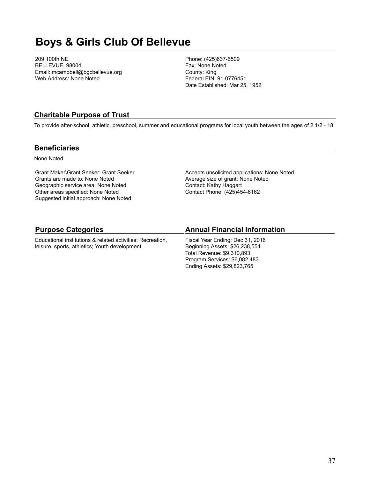# **Boys & Girls Club Of Bellevue**

209 100th NE BELLEVUE, 98004 Email: mcampbell@bgcbellevue.org Web Address: None Noted

Phone: (425)637-6509 Fax: None Noted County: King Federal EIN: 91-0776451 Date Established: Mar 25, 1952

### **Charitable Purpose of Trust**

To provide after-school, athletic, preschool, summer and educational programs for local youth between the ages of 2 1/2 - 18.

#### **Beneficiaries**

None Noted

Grant Maker\Grant Seeker: Grant Seeker Grants are made to: None Noted Geographic service area: None Noted Other areas specified: None Noted Suggested initial approach: None Noted

Accepts unsolicited applications: None Noted Average size of grant: None Noted Contact: Kathy Haggart Contact Phone: (425)454-6162

#### **Purpose Categories**

Educational institutions & related activities; Recreation, leisure, sports, athletics; Youth development

#### **Annual Financial Information**

Fiscal Year Ending: Dec 31, 2016 Beginning Assets: \$26,238,554 Total Revenue: \$9,310,893 Program Services: \$6,082,483 Ending Assets: \$29,823,765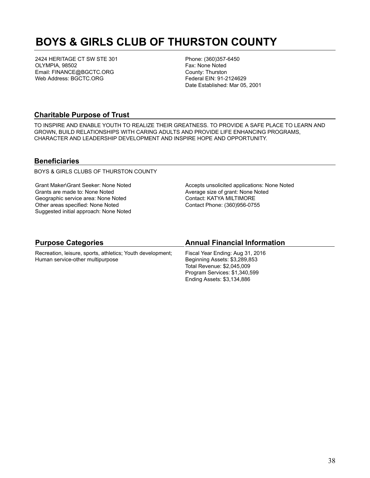# **BOYS & GIRLS CLUB OF THURSTON COUNTY**

2424 HERITAGE CT SW STE 301 OLYMPIA, 98502 Email: FINANCE@BGCTC.ORG Web Address: BGCTC.ORG

Phone: (360)357-6450 Fax: None Noted County: Thurston Federal EIN: 91-2124629 Date Established: Mar 05, 2001

#### **Charitable Purpose of Trust**

TO INSPIRE AND ENABLE YOUTH TO REALIZE THEIR GREATNESS. TO PROVIDE A SAFE PLACE TO LEARN AND GROWN, BUILD RELATIONSHIPS WITH CARING ADULTS AND PROVIDE LIFE ENHANCING PROGRAMS, CHARACTER AND LEADERSHIP DEVELOPMENT AND INSPIRE HOPE AND OPPORTUNITY.

#### **Beneficiaries**

BOYS & GIRLS CLUBS OF THURSTON COUNTY

Grant Maker\Grant Seeker: None Noted Grants are made to: None Noted Geographic service area: None Noted Other areas specified: None Noted Suggested initial approach: None Noted Accepts unsolicited applications: None Noted Average size of grant: None Noted Contact: KATYA MILTIMORE Contact Phone: (360)956-0755

#### **Purpose Categories**

Recreation, leisure, sports, athletics; Youth development; Human service-other multipurpose

#### **Annual Financial Information**

Fiscal Year Ending: Aug 31, 2016 Beginning Assets: \$3,289,853 Total Revenue: \$2,045,009 Program Services: \$1,340,599 Ending Assets: \$3,134,886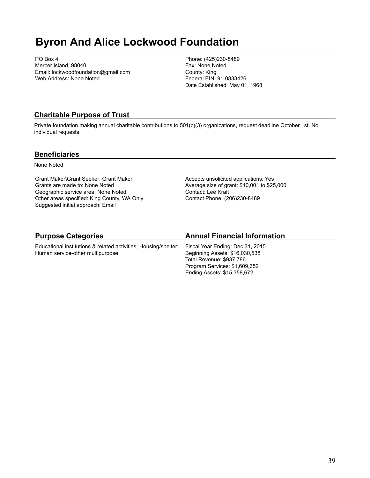# **Byron And Alice Lockwood Foundation**

PO Box 4 Mercer Island, 98040 Email: lockwoodfoundation@gmail.com Web Address: None Noted

Phone: (425)230-8489 Fax: None Noted County: King Federal EIN: 91-0833426 Date Established: May 01, 1968

# **Charitable Purpose of Trust**

Private foundation making annual charitable contributions to 501(c)(3) organizations, request deadline October 1st. No individual requests.

#### **Beneficiaries**

None Noted

Grant Maker\Grant Seeker: Grant Maker Grants are made to: None Noted Geographic service area: None Noted Other areas specified: King County, WA Only Suggested initial approach: Email

Accepts unsolicited applications: Yes Average size of grant: \$10,001 to \$25,000 Contact: Lee Kraft Contact Phone: (206)230-8489

# **Purpose Categories**

Educational institutions & related activities; Housing/shelter; Human service-other multipurpose

# **Annual Financial Information**

Fiscal Year Ending: Dec 31, 2015 Beginning Assets: \$16,030,538 Total Revenue: \$937,786 Program Services: \$1,609,652 Ending Assets: \$15,358,672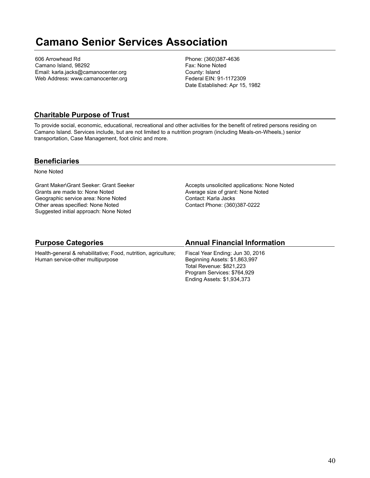# **Camano Senior Services Association**

606 Arrowhead Rd Camano Island, 98292 Email: karla.jacks@camanocenter.org Web Address: www.camanocenter.org Phone: (360)387-4636 Fax: None Noted County: Island Federal EIN: 91-1172309 Date Established: Apr 15, 1982

#### **Charitable Purpose of Trust**

To provide social, economic, educational, recreational and other activities for the benefit of retired persons residing on Camano Island. Services include, but are not limited to a nutrition program (including Meals-on-Wheels,) senior transportation, Case Management, foot clinic and more.

#### **Beneficiaries**

None Noted

Grant Maker\Grant Seeker: Grant Seeker Grants are made to: None Noted Geographic service area: None Noted Other areas specified: None Noted Suggested initial approach: None Noted

Accepts unsolicited applications: None Noted Average size of grant: None Noted Contact: Karla Jacks Contact Phone: (360)387-0222

#### **Purpose Categories**

Health-general & rehabilitative; Food, nutrition, agriculture; Human service-other multipurpose

#### **Annual Financial Information**

Fiscal Year Ending: Jun 30, 2016 Beginning Assets: \$1,863,997 Total Revenue: \$821,223 Program Services: \$764,929 Ending Assets: \$1,934,373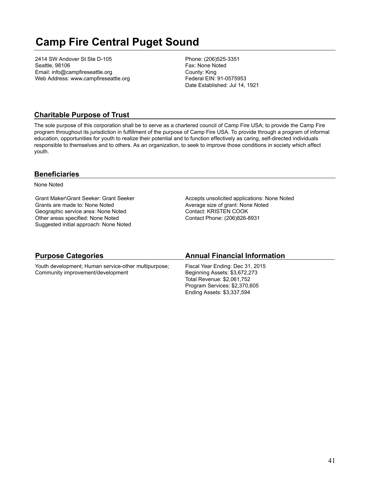# **Camp Fire Central Puget Sound**

2414 SW Andover St Ste D-105 Seattle, 98106 Email: info@campfireseattle.org Web Address: www.campfireseattle.org Phone: (206)525-3351 Fax: None Noted County: King Federal EIN: 91-0575953 Date Established: Jul 14, 1921

### **Charitable Purpose of Trust**

The sole purpose of this corporation shall be to serve as a chartered council of Camp Fire USA; to provide the Camp Fire program throughout its jurisdiction in fulfillment of the purpose of Camp Fire USA. To provide through a program of informal education, opportunities for youth to realize their potential and to function effectively as caring, self-directed individuals responsible to themselves and to others. As an organization, to seek to improve those conditions in society which affect youth.

#### **Beneficiaries**

None Noted

Grant Maker\Grant Seeker: Grant Seeker Grants are made to: None Noted Geographic service area: None Noted Other areas specified: None Noted Suggested initial approach: None Noted

Accepts unsolicited applications: None Noted Average size of grant: None Noted Contact: KRISTEN COOK Contact Phone: (206)826-8931

| <b>Purpose Categories</b>                            | <b>Annual Financial Information</b> |
|------------------------------------------------------|-------------------------------------|
| Youth development; Human service-other multipurpose; | Fiscal Year Ending: Dec 31, 2015    |
| Community improvement/development                    | Beginning Assets: \$3,672,273       |
|                                                      | Total Revenue: \$2,061,752          |
|                                                      | Program Services: \$2,370,605       |
|                                                      | Ending Assets: \$3,337,594          |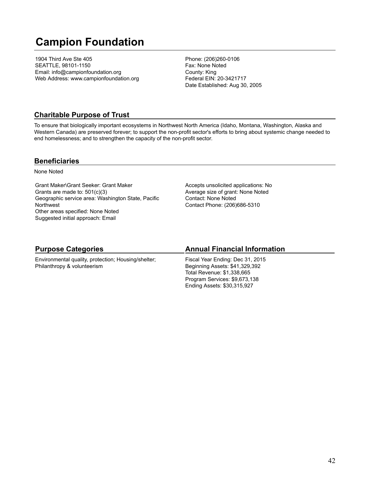# **Campion Foundation**

1904 Third Ave Ste 405 SEATTLE, 98101-1150 Email: info@campionfoundation.org Web Address: www.campionfoundation.org Phone: (206)260-0106 Fax: None Noted County: King Federal EIN: 20-3421717 Date Established: Aug 30, 2005

#### **Charitable Purpose of Trust**

To ensure that biologically important ecosystems in Northwest North America (Idaho, Montana, Washington, Alaska and Western Canada) are preserved forever; to support the non-profit sector's efforts to bring about systemic change needed to end homelessness; and to strengthen the capacity of the non-profit sector.

#### **Beneficiaries**

None Noted

Grant Maker\Grant Seeker: Grant Maker Grants are made to: 501(c)(3) Geographic service area: Washington State, Pacific **Northwest** Other areas specified: None Noted Suggested initial approach: Email

Accepts unsolicited applications: No Average size of grant: None Noted Contact: None Noted Contact Phone: (206)686-5310

### **Purpose Categories**

Environmental quality, protection; Housing/shelter; Philanthropy & volunteerism

#### **Annual Financial Information**

Fiscal Year Ending: Dec 31, 2015 Beginning Assets: \$41,329,392 Total Revenue: \$1,338,665 Program Services: \$9,673,138 Ending Assets: \$30,315,927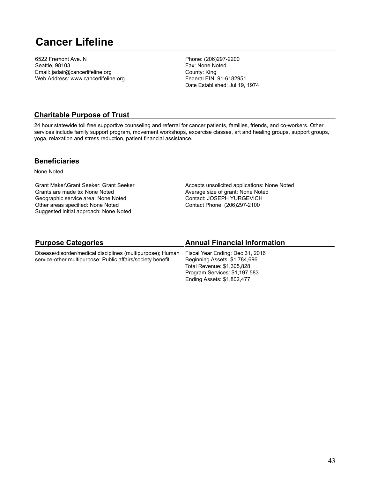# **Cancer Lifeline**

6522 Fremont Ave. N Seattle, 98103 Email: jadair@cancerlifeline.org Web Address: www.cancerlifeline.org Phone: (206)297-2200 Fax: None Noted County: King Federal EIN: 91-6182951 Date Established: Jul 19, 1974

### **Charitable Purpose of Trust**

24 hour statewide toll free supportive counseling and referral for cancer patients, families, friends, and co-workers. Other services include family support program, movement workshops, excercise classes, art and healing groups, support groups, yoga, relaxation and stress reduction, patient financial assistance.

#### **Beneficiaries**

None Noted

Grant Maker\Grant Seeker: Grant Seeker Grants are made to: None Noted Geographic service area: None Noted Other areas specified: None Noted Suggested initial approach: None Noted

Accepts unsolicited applications: None Noted Average size of grant: None Noted Contact: JOSEPH YURGEVICH Contact Phone: (206)297-2100

### **Purpose Categories**

Disease/disorder/medical disciplines (multipurpose); Human service-other multipurpose; Public affairs/society benefit

### **Annual Financial Information**

Fiscal Year Ending: Dec 31, 2016 Beginning Assets: \$1,784,696 Total Revenue: \$1,305,828 Program Services: \$1,197,583 Ending Assets: \$1,802,477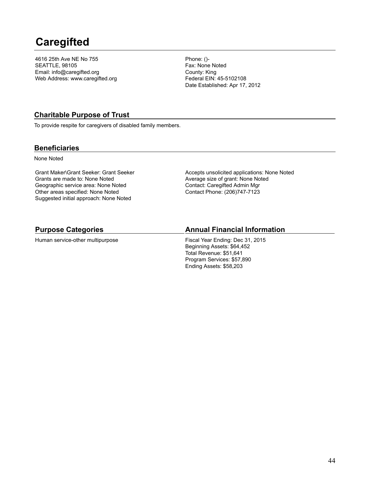# **Caregifted**

4616 25th Ave NE No 755 SEATTLE, 98105 Email: info@caregifted.org Web Address: www.caregifted.org Phone: ()- Fax: None Noted County: King Federal EIN: 45-5102108 Date Established: Apr 17, 2012

### **Charitable Purpose of Trust**

To provide respite for caregivers of disabled family members.

#### **Beneficiaries**

None Noted

Grant Maker\Grant Seeker: Grant Seeker Grants are made to: None Noted Geographic service area: None Noted Other areas specified: None Noted Suggested initial approach: None Noted

Accepts unsolicited applications: None Noted Average size of grant: None Noted Contact: Caregifted Admin Mgr Contact Phone: (206)747-7123

#### **Purpose Categories**

Human service-other multipurpose

#### **Annual Financial Information**

Fiscal Year Ending: Dec 31, 2015 Beginning Assets: \$64,452 Total Revenue: \$51,641 Program Services: \$57,890 Ending Assets: \$58,203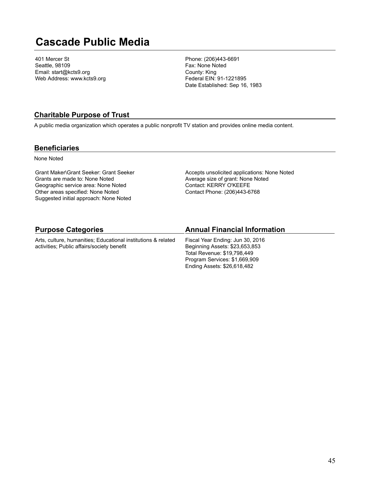# **Cascade Public Media**

401 Mercer St Seattle, 98109 Email: start@kcts9.org Web Address: www.kcts9.org

Phone: (206)443-6691 Fax: None Noted County: King Federal EIN: 91-1221895 Date Established: Sep 16, 1983

#### **Charitable Purpose of Trust**

A public media organization which operates a public nonprofit TV station and provides online media content.

#### **Beneficiaries**

None Noted

Grant Maker\Grant Seeker: Grant Seeker Grants are made to: None Noted Geographic service area: None Noted Other areas specified: None Noted Suggested initial approach: None Noted

Accepts unsolicited applications: None Noted Average size of grant: None Noted Contact: KERRY O'KEEFE Contact Phone: (206)443-6768

| <b>Purpose Categories</b>                                     | <b>Annual Financial Information</b> |
|---------------------------------------------------------------|-------------------------------------|
| Arts, culture, humanities; Educational institutions & related | Fiscal Year Ending: Jun 30, 2016    |
| activities; Public affairs/society benefit                    | Beginning Assets: \$23,653,853      |
|                                                               | Total Revenue: \$19,798,449         |
|                                                               | Program Services: \$1,669,909       |
|                                                               | Ending Assets: \$26,618,482         |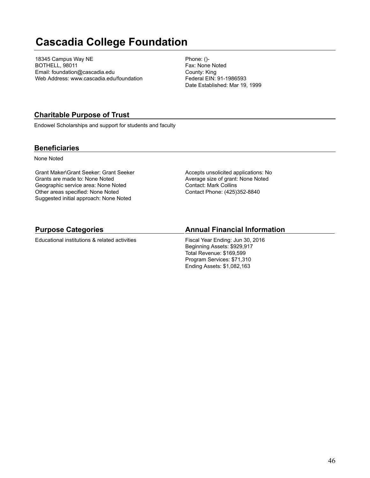# **Cascadia College Foundation**

18345 Campus Way NE BOTHELL, 98011 Email: foundation@cascadia.edu Web Address: www.cascadia.edu/foundation Phone: ()- Fax: None Noted County: King Federal EIN: 91-1986593 Date Established: Mar 19, 1999

### **Charitable Purpose of Trust**

Endowel Scholarships and support for students and faculty

### **Beneficiaries**

None Noted

Grant Maker\Grant Seeker: Grant Seeker Grants are made to: None Noted Geographic service area: None Noted Other areas specified: None Noted Suggested initial approach: None Noted

Accepts unsolicited applications: No Average size of grant: None Noted Contact: Mark Collins Contact Phone: (425)352-8840

### **Purpose Categories**

Educational institutions & related activities

### **Annual Financial Information**

Fiscal Year Ending: Jun 30, 2016 Beginning Assets: \$929,917 Total Revenue: \$169,599 Program Services: \$71,310 Ending Assets: \$1,082,163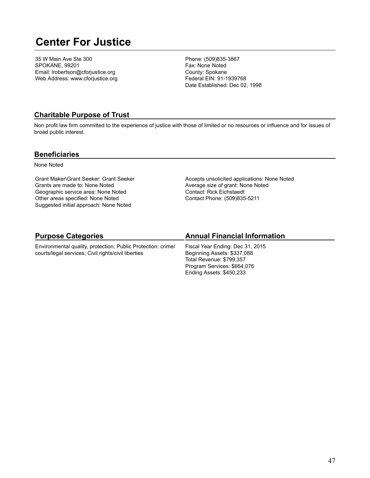# **Center For Justice**

35 W Main Ave Ste 300 SPOKANE, 99201 Email: lrobertson@cforjustice.org Web Address: www.cforjustice.org Phone: (509)835-3867 Fax: None Noted County: Spokane Federal EIN: 91-1939768 Date Established: Dec 02, 1998

#### **Charitable Purpose of Trust**

Non profit law firm committed to the experience of justice with those of limited or no resources or influence and for issues of broad public interest.

#### **Beneficiaries**

None Noted

Grant Maker\Grant Seeker: Grant Seeker Grants are made to: None Noted Geographic service area: None Noted Other areas specified: None Noted Suggested initial approach: None Noted

Accepts unsolicited applications: None Noted Average size of grant: None Noted Contact: Rick Eichstaedt Contact Phone: (509)835-5211

# **Purpose Categories**

Environmental quality, protection; Public Protection: crime/ courts/legal services; Civil rights/civil liberties

### **Annual Financial Information**

Fiscal Year Ending: Dec 31, 2015 Beginning Assets: \$337,088 Total Revenue: \$799,357 Program Services: \$664,076 Ending Assets: \$450,233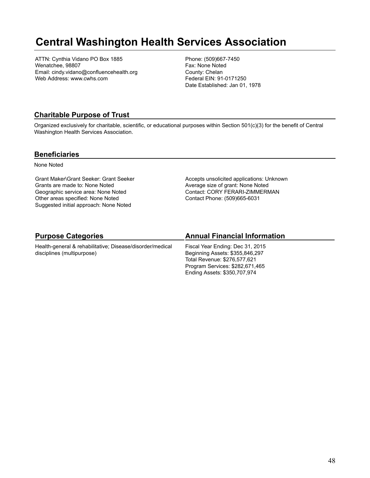# **Central Washington Health Services Association**

ATTN: Cynthia Vidano PO Box 1885 Wenatchee, 98807 Email: cindy.vidano@confluencehealth.org Web Address: www.cwhs.com

Phone: (509)667-7450 Fax: None Noted County: Chelan Federal EIN: 91-0171250 Date Established: Jan 01, 1978

#### **Charitable Purpose of Trust**

Organized exclusively for charitable, scientific, or educational purposes within Section 501(c)(3) for the benefit of Central Washington Health Services Association.

#### **Beneficiaries**

None Noted

Grant Maker\Grant Seeker: Grant Seeker Grants are made to: None Noted Geographic service area: None Noted Other areas specified: None Noted Suggested initial approach: None Noted

Accepts unsolicited applications: Unknown Average size of grant: None Noted Contact: CORY FERARI-ZIMMERMAN Contact Phone: (509)665-6031

# **Purpose Categories**

Health-general & rehabilitative; Disease/disorder/medical disciplines (multipurpose)

### **Annual Financial Information**

Fiscal Year Ending: Dec 31, 2015 Beginning Assets: \$355,846,297 Total Revenue: \$276,577,621 Program Services: \$282,671,465 Ending Assets: \$350,707,974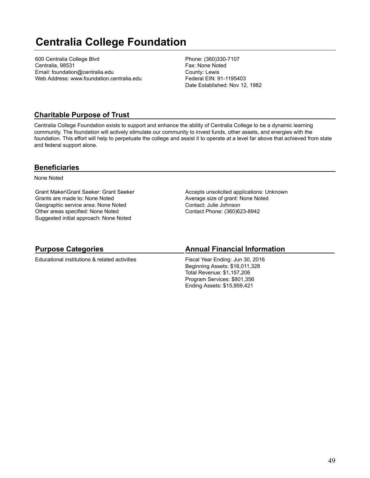# **Centralia College Foundation**

600 Centralia College Blvd Centralia, 98531 Email: foundation@centralia.edu Web Address: www.foundation.centralia.edu Phone: (360)330-7107 Fax: None Noted County: Lewis Federal EIN: 91-1195403 Date Established: Nov 12, 1982

### **Charitable Purpose of Trust**

Centralia College Foundation exists to support and enhance the ability of Centralia College to be a dynamic learning community. The foundation will actively stimulate our community to invest funds, other assets, and energies with the foundation. This effort will help to perpetuate the college and assist it to operate at a level far above that achieved from state and federal support alone.

#### **Beneficiaries**

None Noted

Grant Maker\Grant Seeker: Grant Seeker Grants are made to: None Noted Geographic service area: None Noted Other areas specified: None Noted Suggested initial approach: None Noted

Accepts unsolicited applications: Unknown Average size of grant: None Noted Contact: Julie Johnson Contact Phone: (360)623-8942

#### **Purpose Categories** Educational institutions & related activities **Annual Financial Information** Fiscal Year Ending: Jun 30, 2016 Beginning Assets: \$16,011,328 Total Revenue: \$1,157,206 Program Services: \$801,356 Ending Assets: \$15,959,421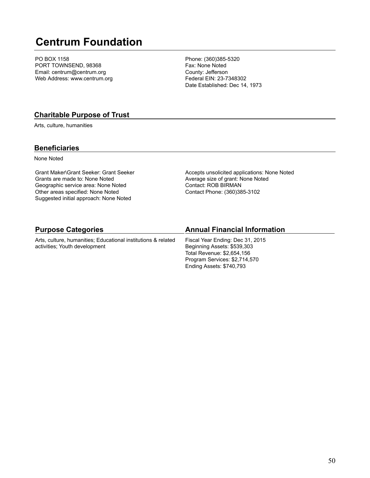# **Centrum Foundation**

PO BOX 1158 PORT TOWNSEND, 98368 Email: centrum@centrum.org Web Address: www.centrum.org

Phone: (360)385-5320 Fax: None Noted County: Jefferson Federal EIN: 23-7348302 Date Established: Dec 14, 1973

#### **Charitable Purpose of Trust**

Arts, culture, humanities

#### **Beneficiaries**

None Noted

Grant Maker\Grant Seeker: Grant Seeker Grants are made to: None Noted Geographic service area: None Noted Other areas specified: None Noted Suggested initial approach: None Noted

Accepts unsolicited applications: None Noted Average size of grant: None Noted Contact: ROB BIRMAN Contact Phone: (360)385-3102

Program Services: \$2,714,570 Ending Assets: \$740,793

| <b>Purpose Categories</b>                                                                      | <b>Annual Financial Information</b>                                                           |
|------------------------------------------------------------------------------------------------|-----------------------------------------------------------------------------------------------|
| Arts, culture, humanities; Educational institutions & related<br>activities; Youth development | Fiscal Year Ending: Dec 31, 2015<br>Beginning Assets: \$539,303<br>Total Revenue: \$2,654,156 |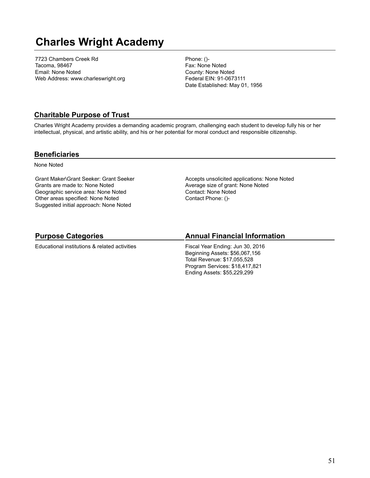# **Charles Wright Academy**

7723 Chambers Creek Rd Tacoma, 98467 Email: None Noted Web Address: www.charleswright.org Phone: ()- Fax: None Noted County: None Noted Federal EIN: 91-0673111 Date Established: May 01, 1956

### **Charitable Purpose of Trust**

Charles Wright Academy provides a demanding academic program, challenging each student to develop fully his or her intellectual, physical, and artistic ability, and his or her potential for moral conduct and responsible citizenship.

#### **Beneficiaries**

None Noted

Grant Maker\Grant Seeker: Grant Seeker Grants are made to: None Noted Geographic service area: None Noted Other areas specified: None Noted Suggested initial approach: None Noted

Accepts unsolicited applications: None Noted Average size of grant: None Noted Contact: None Noted Contact Phone: ()-

# **Purpose Categories**

Educational institutions & related activities

#### **Annual Financial Information**

Fiscal Year Ending: Jun 30, 2016 Beginning Assets: \$56,067,156 Total Revenue: \$17,055,528 Program Services: \$18,417,821 Ending Assets: \$55,229,299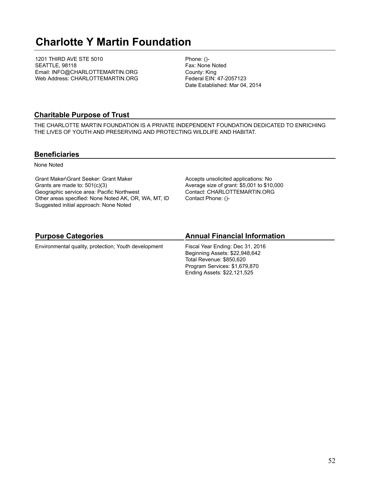# **Charlotte Y Martin Foundation**

1201 THIRD AVE STE 5010 SEATTLE, 98118 Email: INFO@CHARLOTTEMARTIN.ORG Web Address: CHARLOTTEMARTIN.ORG Phone: ()- Fax: None Noted County: King Federal EIN: 47-2057123 Date Established: Mar 04, 2014

### **Charitable Purpose of Trust**

THE CHARLOTTE MARTIN FOUNDATION IS A PRIVATE INDEPENDENT FOUNDATION DEDICATED TO ENRICHING THE LIVES OF YOUTH AND PRESERVING AND PROTECTING WILDLIFE AND HABITAT.

#### **Beneficiaries**

None Noted

Grant Maker\Grant Seeker: Grant Maker Grants are made to: 501(c)(3) Geographic service area: Pacific Northwest Other areas specified: None Noted AK, OR, WA, MT, ID Suggested initial approach: None Noted

Accepts unsolicited applications: No Average size of grant: \$5,001 to \$10,000 Contact: CHARLOTTEMARTIN.ORG Contact Phone: ()-

# **Purpose Categories**

Environmental quality, protection; Youth development

### **Annual Financial Information**

Fiscal Year Ending: Dec 31, 2016 Beginning Assets: \$22,948,642 Total Revenue: \$850,620 Program Services: \$1,679,870 Ending Assets: \$22,121,525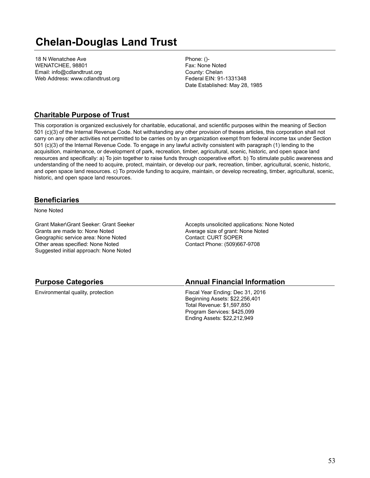# **Chelan-Douglas Land Trust**

18 N Wenatchee Ave WENATCHEE, 98801 Email: info@cdlandtrust.org Web Address: www.cdlandtrust.org Phone: ()- Fax: None Noted County: Chelan Federal EIN: 91-1331348 Date Established: May 28, 1985

### **Charitable Purpose of Trust**

This corporation is organized exclusively for charitable, educational, and scientific purposes within the meaning of Section 501 (c)(3) of the Internal Revenue Code. Not withstanding any other provision of theses articles, this corporation shall not carry on any other activities not permitted to be carries on by an organization exempt from federal income tax under Section 501 (c)(3) of the Internal Revenue Code. To engage in any lawful activity consistent with paragraph (1) lending to the acquisition, maintenance, or development of park, recreation, timber, agricultural, scenic, historic, and open space land resources and specifically: a) To join together to raise funds through cooperative effort. b) To stimulate public awareness and understanding of the need to acquire, protect, maintain, or develop our park, recreation, timber, agricultural, scenic, historic, and open space land resources. c) To provide funding to acquire, maintain, or develop recreating, timber, agricultural, scenic, historic, and open space land resources.

#### **Beneficiaries**

None Noted

Grant Maker\Grant Seeker: Grant Seeker Grants are made to: None Noted Geographic service area: None Noted Other areas specified: None Noted Suggested initial approach: None Noted

Accepts unsolicited applications: None Noted Average size of grant: None Noted Contact: CURT SOPER Contact Phone: (509)667-9708

#### **Purpose Categories**

Environmental quality, protection

#### **Annual Financial Information**

Fiscal Year Ending: Dec 31, 2016 Beginning Assets: \$22,256,401 Total Revenue: \$1,597,850 Program Services: \$425,099 Ending Assets: \$22,212,949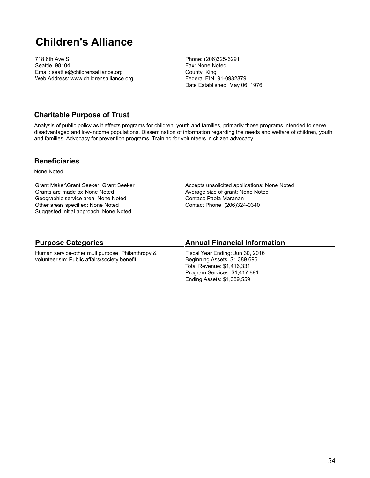# **Children's Alliance**

718 6th Ave S Seattle, 98104 Email: seattle@childrensalliance.org Web Address: www.childrensalliance.org Phone: (206)325-6291 Fax: None Noted County: King Federal EIN: 91-0982879 Date Established: May 06, 1976

### **Charitable Purpose of Trust**

Analysis of public policy as it effects programs for children, youth and families, primarily those programs intended to serve disadvantaged and low-income populations. Dissemination of information regarding the needs and welfare of children, youth and families. Advocacy for prevention programs. Training for volunteers in citizen advocacy.

#### **Beneficiaries**

None Noted

Grant Maker\Grant Seeker: Grant Seeker Grants are made to: None Noted Geographic service area: None Noted Other areas specified: None Noted Suggested initial approach: None Noted

Accepts unsolicited applications: None Noted Average size of grant: None Noted Contact: Paola Maranan Contact Phone: (206)324-0340

### **Purpose Categories**

Human service-other multipurpose; Philanthropy & volunteerism; Public affairs/society benefit

### **Annual Financial Information**

Fiscal Year Ending: Jun 30, 2016 Beginning Assets: \$1,389,696 Total Revenue: \$1,416,331 Program Services: \$1,417,891 Ending Assets: \$1,389,559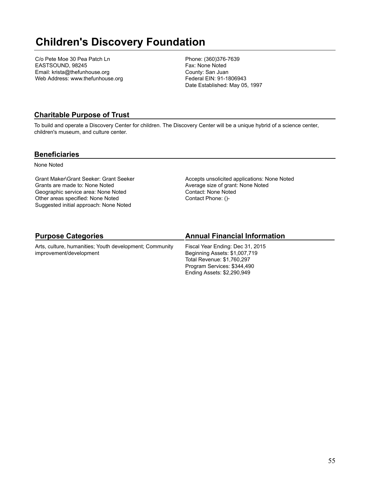# **Children's Discovery Foundation**

C/o Pete Moe 30 Pea Patch Ln EASTSOUND, 98245 Email: krista@thefunhouse.org Web Address: www.thefunhouse.org Phone: (360)376-7639 Fax: None Noted County: San Juan Federal EIN: 91-1806943 Date Established: May 05, 1997

### **Charitable Purpose of Trust**

To build and operate a Discovery Center for children. The Discovery Center will be a unique hybrid of a science center, children's museum, and culture center.

#### **Beneficiaries**

None Noted

Grant Maker\Grant Seeker: Grant Seeker Grants are made to: None Noted Geographic service area: None Noted Other areas specified: None Noted Suggested initial approach: None Noted

Accepts unsolicited applications: None Noted Average size of grant: None Noted Contact: None Noted Contact Phone: ()-

# **Purpose Categories**

Arts, culture, humanities; Youth development; Community improvement/development

### **Annual Financial Information**

Fiscal Year Ending: Dec 31, 2015 Beginning Assets: \$1,007,719 Total Revenue: \$1,760,297 Program Services: \$344,490 Ending Assets: \$2,290,949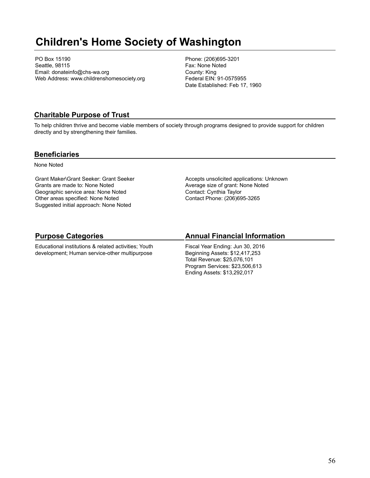# **Children's Home Society of Washington**

PO Box 15190 Seattle, 98115 Email: donateinfo@chs-wa.org Web Address: www.childrenshomesociety.org Phone: (206)695-3201 Fax: None Noted County: King Federal EIN: 91-0575955 Date Established: Feb 17, 1960

### **Charitable Purpose of Trust**

To help children thrive and become viable members of society through programs designed to provide support for children directly and by strengthening their families.

#### **Beneficiaries**

None Noted

Grant Maker\Grant Seeker: Grant Seeker Grants are made to: None Noted Geographic service area: None Noted Other areas specified: None Noted Suggested initial approach: None Noted

Accepts unsolicited applications: Unknown Average size of grant: None Noted Contact: Cynthia Taylor Contact Phone: (206)695-3265

# **Purpose Categories**

Educational institutions & related activities; Youth development; Human service-other multipurpose

### **Annual Financial Information**

Fiscal Year Ending: Jun 30, 2016 Beginning Assets: \$12,417,253 Total Revenue: \$25,076,101 Program Services: \$23,506,613 Ending Assets: \$13,292,017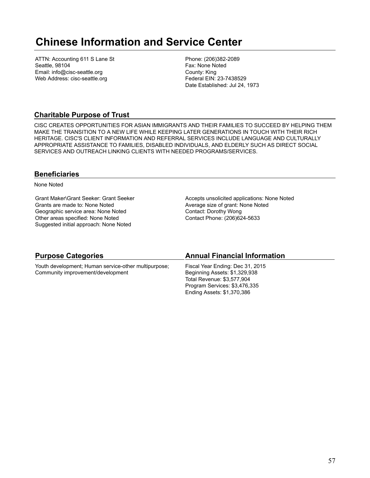# **Chinese Information and Service Center**

ATTN: Accounting 611 S Lane St Seattle, 98104 Email: info@cisc-seattle.org Web Address: cisc-seattle.org

Phone: (206)382-2089 Fax: None Noted County: King Federal EIN: 23-7438529 Date Established: Jul 24, 1973

### **Charitable Purpose of Trust**

CISC CREATES OPPORTUNITIES FOR ASIAN IMMIGRANTS AND THEIR FAMILIES TO SUCCEED BY HELPING THEM MAKE THE TRANSITION TO A NEW LIFE WHILE KEEPING LATER GENERATIONS IN TOUCH WITH THEIR RICH HERITAGE. CISC'S CLIENT INFORMATION AND REFERRAL SERVICES INCLUDE LANGUAGE AND CULTURALLY APPROPRIATE ASSISTANCE TO FAMILIES, DISABLED INDIVIDUALS, AND ELDERLY SUCH AS DIRECT SOCIAL SERVICES AND OUTREACH LINKING CLIENTS WITH NEEDED PROGRAMS/SERVICES.

#### **Beneficiaries**

None Noted

Grant Maker\Grant Seeker: Grant Seeker Grants are made to: None Noted Geographic service area: None Noted Other areas specified: None Noted Suggested initial approach: None Noted

Accepts unsolicited applications: None Noted Average size of grant: None Noted Contact: Dorothy Wong Contact Phone: (206)624-5633

| <b>Purpose Categories</b>                            | <b>Annual Financial Information</b> |
|------------------------------------------------------|-------------------------------------|
| Youth development; Human service-other multipurpose; | Fiscal Year Ending: Dec 31, 2015    |
| Community improvement/development                    | Beginning Assets: \$1,329,938       |
|                                                      | Total Revenue: \$3,577,904          |
|                                                      | Program Services: \$3,476,335       |
|                                                      | Ending Assets: \$1,370,386          |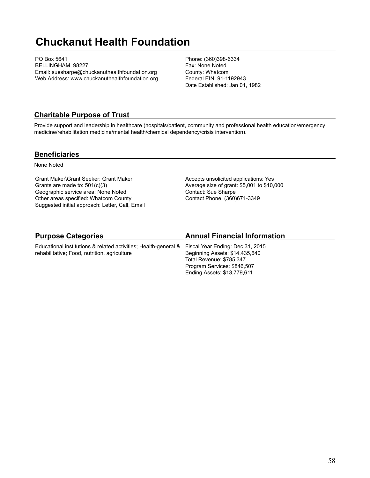# **Chuckanut Health Foundation**

PO Box 5641 BELLINGHAM, 98227 Email: suesharpe@chuckanuthealthfoundation.org Web Address: www.chuckanuthealthfoundation.org Phone: (360)398-6334 Fax: None Noted County: Whatcom Federal EIN: 91-1192943 Date Established: Jan 01, 1982

### **Charitable Purpose of Trust**

Provide support and leadership in healthcare (hospitals/patient, community and professional health education/emergency medicine/rehabilitation medicine/mental health/chemical dependency/crisis intervention).

#### **Beneficiaries**

None Noted

Grant Maker\Grant Seeker: Grant Maker Grants are made to: 501(c)(3) Geographic service area: None Noted Other areas specified: Whatcom County Suggested initial approach: Letter, Call, Email Accepts unsolicited applications: Yes Average size of grant: \$5,001 to \$10,000 Contact: Sue Sharpe Contact Phone: (360)671-3349

# **Purpose Categories**

Educational institutions & related activities; Health-general & rehabilitative; Food, nutrition, agriculture

### **Annual Financial Information**

Fiscal Year Ending: Dec 31, 2015 Beginning Assets: \$14,435,640 Total Revenue: \$785,347 Program Services: \$846,507 Ending Assets: \$13,779,611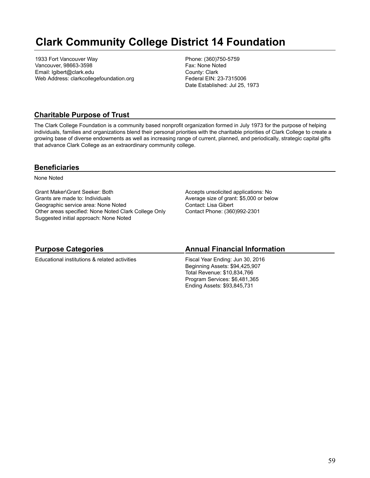# **Clark Community College District 14 Foundation**

1933 Fort Vancouver Way Vancouver, 98663-3598 Email: lgibert@clark.edu Web Address: clarkcollegefoundation.org Phone: (360)750-5759 Fax: None Noted County: Clark Federal EIN: 23-7315006 Date Established: Jul 25, 1973

### **Charitable Purpose of Trust**

The Clark College Foundation is a community based nonprofit organization formed in July 1973 for the purpose of helping individuals, families and organizations blend their personal priorities with the charitable priorities of Clark College to create a growing base of diverse endowments as well as increasing range of current, planned, and periodically, strategic capital gifts that advance Clark College as an extraordinary community college.

#### **Beneficiaries**

None Noted

Grant Maker\Grant Seeker: Both Grants are made to: Individuals Geographic service area: None Noted Other areas specified: None Noted Clark College Only Suggested initial approach: None Noted

Accepts unsolicited applications: No Average size of grant: \$5,000 or below Contact: Lisa Gibert Contact Phone: (360)992-2301

### **Purpose Categories**

Educational institutions & related activities

#### **Annual Financial Information**

Fiscal Year Ending: Jun 30, 2016 Beginning Assets: \$94,425,907 Total Revenue: \$10,834,766 Program Services: \$6,481,365 Ending Assets: \$93,845,731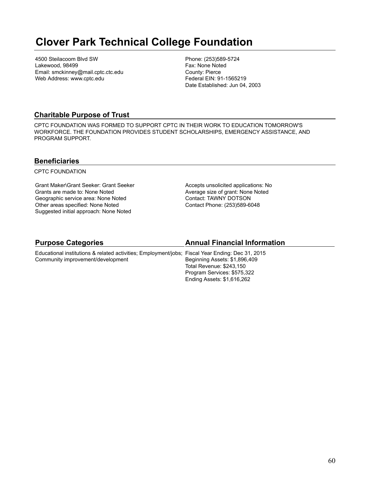# **Clover Park Technical College Foundation**

4500 Steilacoom Blvd SW Lakewood, 98499 Email: smckinney@mail.cptc.ctc.edu Web Address: www.cptc.edu

Phone: (253)589-5724 Fax: None Noted County: Pierce Federal EIN: 91-1565219 Date Established: Jun 04, 2003

### **Charitable Purpose of Trust**

CPTC FOUNDATION WAS FORMED TO SUPPORT CPTC IN THEIR WORK TO EDUCATION TOMORROW'S WORKFORCE. THE FOUNDATION PROVIDES STUDENT SCHOLARSHIPS, EMERGENCY ASSISTANCE, AND PROGRAM SUPPORT.

#### **Beneficiaries**

CPTC FOUNDATION

Grant Maker\Grant Seeker: Grant Seeker Grants are made to: None Noted Geographic service area: None Noted Other areas specified: None Noted Suggested initial approach: None Noted

Accepts unsolicited applications: No Average size of grant: None Noted Contact: TAWNY DOTSON Contact Phone: (253)589-6048

#### **Purpose Categories**

#### **Annual Financial Information**

Educational institutions & related activities; Employment/jobs; Fiscal Year Ending: Dec 31, 2015 Community improvement/development Beginning Assets: \$1,896,409 Total Revenue: \$243,150 Program Services: \$575,322 Ending Assets: \$1,616,262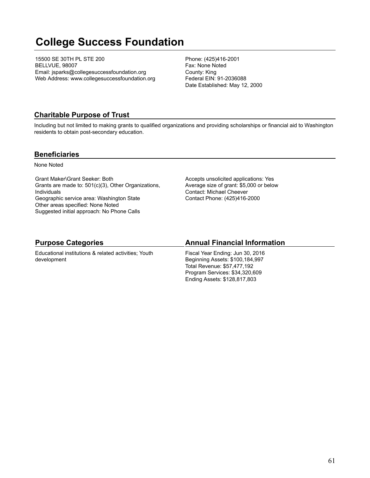# **College Success Foundation**

15500 SE 30TH PL STE 200 BELLVUE, 98007 Email: jsparks@collegesuccessfoundation.org Web Address: www.collegesuccessfoundation.org Phone: (425)416-2001 Fax: None Noted County: King Federal EIN: 91-2036088 Date Established: May 12, 2000

### **Charitable Purpose of Trust**

Including but not limited to making grants to qualified organizations and providing scholarships or financial aid to Washington residents to obtain post-secondary education.

#### **Beneficiaries**

None Noted

Grant Maker\Grant Seeker: Both Grants are made to: 501(c)(3), Other Organizations, Individuals Geographic service area: Washington State Other areas specified: None Noted Suggested initial approach: No Phone Calls

Accepts unsolicited applications: Yes Average size of grant: \$5,000 or below Contact: Michael Cheever Contact Phone: (425)416-2000

#### **Purpose Categories**

Educational institutions & related activities; Youth development

#### **Annual Financial Information**

Fiscal Year Ending: Jun 30, 2016 Beginning Assets: \$100,184,997 Total Revenue: \$57,477,192 Program Services: \$34,320,609 Ending Assets: \$128,817,803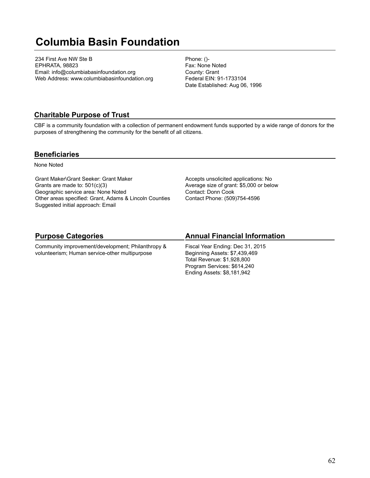# **Columbia Basin Foundation**

234 First Ave NW Ste B EPHRATA, 98823 Email: info@columbiabasinfoundation.org Web Address: www.columbiabasinfoundation.org Phone: ()- Fax: None Noted County: Grant Federal EIN: 91-1733104 Date Established: Aug 06, 1996

#### **Charitable Purpose of Trust**

CBF is a community foundation with a collection of permanent endowment funds supported by a wide range of donors for the purposes of strengthening the community for the benefit of all citizens.

#### **Beneficiaries**

None Noted

Grant Maker\Grant Seeker: Grant Maker Grants are made to: 501(c)(3) Geographic service area: None Noted Other areas specified: Grant, Adams & Lincoln Counties Suggested initial approach: Email

Accepts unsolicited applications: No Average size of grant: \$5,000 or below Contact: Donn Cook Contact Phone: (509)754-4596

# **Purpose Categories**

Community improvement/development; Philanthropy & volunteerism; Human service-other multipurpose

# **Annual Financial Information**

Fiscal Year Ending: Dec 31, 2015 Beginning Assets: \$7,439,469 Total Revenue: \$1,928,800 Program Services: \$614,240 Ending Assets: \$8,181,942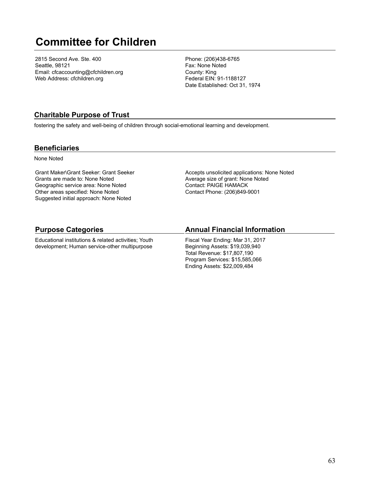# **Committee for Children**

2815 Second Ave. Ste. 400 Seattle, 98121 Email: cfcaccounting@cfchildren.org Web Address: cfchildren.org

Phone: (206)438-6765 Fax: None Noted County: King Federal EIN: 91-1188127 Date Established: Oct 31, 1974

### **Charitable Purpose of Trust**

fostering the safety and well-being of children through social-emotional learning and development.

#### **Beneficiaries**

None Noted

Grant Maker\Grant Seeker: Grant Seeker Grants are made to: None Noted Geographic service area: None Noted Other areas specified: None Noted Suggested initial approach: None Noted

Accepts unsolicited applications: None Noted Average size of grant: None Noted Contact: PAIGE HAMACK Contact Phone: (206)849-9001

#### **Purpose Categories**

Educational institutions & related activities; Youth development; Human service-other multipurpose

#### **Annual Financial Information**

Fiscal Year Ending: Mar 31, 2017 Beginning Assets: \$19,039,940 Total Revenue: \$17,807,190 Program Services: \$15,585,066 Ending Assets: \$22,009,484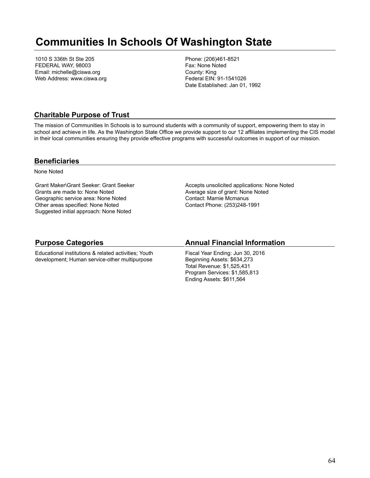# **Communities In Schools Of Washington State**

1010 S 336th St Ste 205 FEDERAL WAY, 98003 Email: michelle@ciswa.org Web Address: www.ciswa.org Phone: (206)461-8521 Fax: None Noted County: King Federal EIN: 91-1541026 Date Established: Jan 01, 1992

### **Charitable Purpose of Trust**

The mission of Communities In Schools is to surround students with a community of support, empowering them to stay in school and achieve in life. As the Washington State Office we provide support to our 12 affiliates implementing the CIS model in their local communities ensuring they provide effective programs with successful outcomes in support of our mission.

#### **Beneficiaries**

None Noted

Grant Maker\Grant Seeker: Grant Seeker Grants are made to: None Noted Geographic service area: None Noted Other areas specified: None Noted Suggested initial approach: None Noted

Accepts unsolicited applications: None Noted Average size of grant: None Noted Contact: Marnie Mcmanus Contact Phone: (253)248-1991

### **Purpose Categories**

Educational institutions & related activities; Youth development; Human service-other multipurpose

#### **Annual Financial Information**

Fiscal Year Ending: Jun 30, 2016 Beginning Assets: \$634,273 Total Revenue: \$1,525,431 Program Services: \$1,585,813 Ending Assets: \$611,564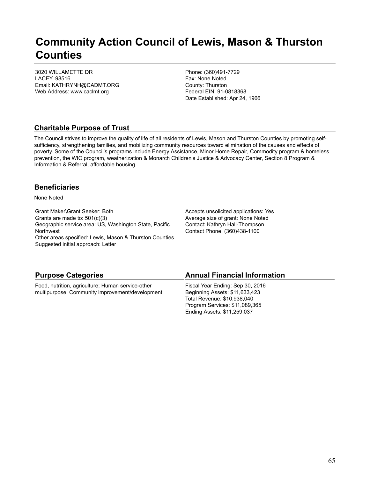# **Community Action Council of Lewis, Mason & Thurston Counties**

3020 WILLAMETTE DR LACEY, 98516 Email: KATHRYNH@CADMT.ORG Web Address: www.caclmt.org

Phone: (360)491-7729 Fax: None Noted County: Thurston Federal EIN: 91-0818368 Date Established: Apr 24, 1966

# **Charitable Purpose of Trust**

The Council strives to improve the quality of life of all residents of Lewis, Mason and Thurston Counties by promoting selfsufficiency, strengthening families, and mobilizing community resources toward elimination of the causes and effects of poverty. Some of the Council's programs include Energy Assistance, Minor Home Repair, Commodity program & homeless prevention, the WIC program, weatherization & Monarch Children's Justice & Advocacy Center, Section 8 Program & Information & Referral, affordable housing.

#### **Beneficiaries**

None Noted

Grant Maker\Grant Seeker: Both Grants are made to: 501(c)(3) Geographic service area: US, Washington State, Pacific Northwest Other areas specified: Lewis, Mason & Thurston Counties Suggested initial approach: Letter

Accepts unsolicited applications: Yes Average size of grant: None Noted Contact: Kathryn Hall-Thompson Contact Phone: (360)438-1100

# **Purpose Categories**

Food, nutrition, agriculture; Human service-other multipurpose; Community improvement/development

# **Annual Financial Information**

Fiscal Year Ending: Sep 30, 2016 Beginning Assets: \$11,633,423 Total Revenue: \$10,938,040 Program Services: \$11,089,365 Ending Assets: \$11,259,037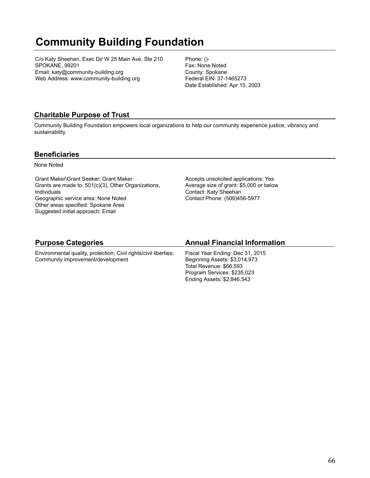# **Community Building Foundation**

C/o Katy Sheehan, Exec Dir W 25 Main Ave, Ste 210 SPOKANE, 99201 Email: katy@community-building.org Web Address: www.community-building.org

Phone: ()- Fax: None Noted County: Spokane Federal EIN: 37-1465273 Date Established: Apr 15, 2003

# **Charitable Purpose of Trust**

Community Building Foundation empowers local organizations to help our community experience justice, vibrancy and sustainability.

#### **Beneficiaries**

None Noted

Grant Maker\Grant Seeker: Grant Maker Grants are made to: 501(c)(3), Other Organizations, Individuals Geographic service area: None Noted Other areas specified: Spokane Area Suggested initial approach: Email

Accepts unsolicited applications: Yes Average size of grant: \$5,000 or below Contact: Katy Sheehan Contact Phone: (509)456-5977

### **Purpose Categories**

Environmental quality, protection; Civil rights/civil liberties; Community improvement/development

### **Annual Financial Information**

Fiscal Year Ending: Dec 31, 2015 Beginning Assets: \$3,014,973 Total Revenue: \$66,593 Program Services: \$235,023 Ending Assets: \$2,846,543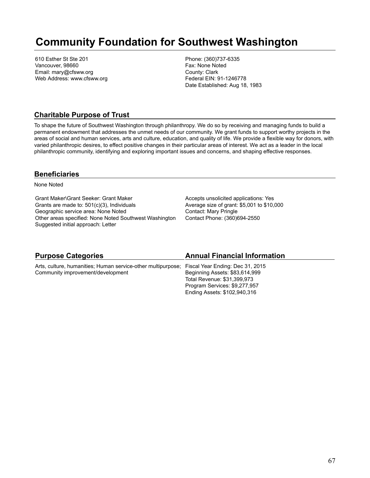# **Community Foundation for Southwest Washington**

610 Esther St Ste 201 Vancouver, 98660 Email: mary@cfsww.org Web Address: www.cfsww.org Phone: (360)737-6335 Fax: None Noted County: Clark Federal EIN: 91-1246778 Date Established: Aug 18, 1983

#### **Charitable Purpose of Trust**

To shape the future of Southwest Washington through philanthropy. We do so by receiving and managing funds to build a permanent endowment that addresses the unmet needs of our community. We grant funds to support worthy projects in the areas of social and human services, arts and culture, education, and quality of life. We provide a flexible way for donors, with varied philanthropic desires, to effect positive changes in their particular areas of interest. We act as a leader in the local philanthropic community, identifying and exploring important issues and concerns, and shaping effective responses.

#### **Beneficiaries**

None Noted

Grant Maker\Grant Seeker: Grant Maker Grants are made to: 501(c)(3), Individuals Geographic service area: None Noted Other areas specified: None Noted Southwest Washington Suggested initial approach: Letter

Accepts unsolicited applications: Yes Average size of grant: \$5,001 to \$10,000 Contact: Mary Pringle Contact Phone: (360)694-2550

| <b>Purpose Categories</b>                                                                     | <b>Annual Financial Information</b> |
|-----------------------------------------------------------------------------------------------|-------------------------------------|
| Arts, culture, humanities; Human service-other multipurpose; Fiscal Year Ending: Dec 31, 2015 |                                     |
| Community improvement/development                                                             | Beginning Assets: \$83,614,999      |
|                                                                                               | Total Revenue: \$31,399,973         |
|                                                                                               | Program Services: \$9,277,957       |
|                                                                                               | Ending Assets: \$102,940,316        |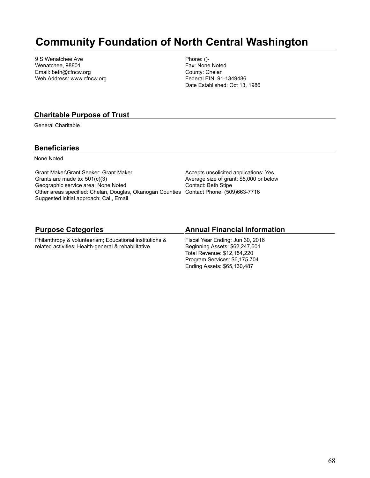# **Community Foundation of North Central Washington**

9 S Wenatchee Ave Wenatchee, 98801 Email: beth@cfncw.org Web Address: www.cfncw.org Phone: ()- Fax: None Noted County: Chelan Federal EIN: 91-1349486 Date Established: Oct 13, 1986

#### **Charitable Purpose of Trust**

General Charitable

#### **Beneficiaries**

None Noted

Grant Maker\Grant Seeker: Grant Maker Grants are made to: 501(c)(3) Geographic service area: None Noted Other areas specified: Chelan, Douglas, Okanogan Counties Contact Phone: (509)663-7716 Suggested initial approach: Call, Email

Accepts unsolicited applications: Yes Average size of grant: \$5,000 or below Contact: Beth Stipe

#### **Purpose Categories**

Philanthropy & volunteerism; Educational institutions & related activities; Health-general & rehabilitative

#### **Annual Financial Information**

Fiscal Year Ending: Jun 30, 2016 Beginning Assets: \$62,247,601 Total Revenue: \$12,154,220 Program Services: \$6,175,704 Ending Assets: \$65,130,487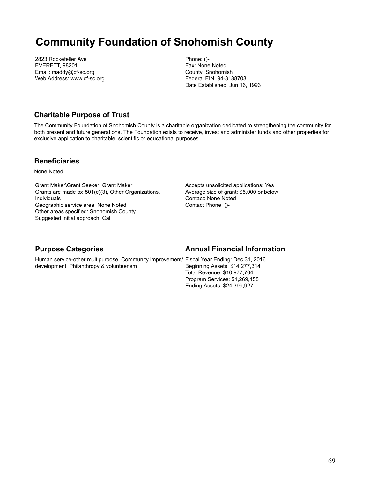# **Community Foundation of Snohomish County**

2823 Rockefeller Ave EVERETT, 98201 Email: maddy@cf-sc.org Web Address: www.cf-sc.org Phone: ()- Fax: None Noted County: Snohomish Federal EIN: 94-3188703 Date Established: Jun 16, 1993

### **Charitable Purpose of Trust**

The Community Foundation of Snohomish County is a charitable organization dedicated to strengthening the community for both present and future generations. The Foundation exists to receive, invest and administer funds and other properties for exclusive application to charitable, scientific or educational purposes.

#### **Beneficiaries**

None Noted

Grant Maker\Grant Seeker: Grant Maker Grants are made to: 501(c)(3), Other Organizations, Individuals Geographic service area: None Noted Other areas specified: Snohomish County Suggested initial approach: Call

Accepts unsolicited applications: Yes Average size of grant: \$5,000 or below Contact: None Noted Contact Phone: ()-

| <b>Purpose Categories</b>                                                                                                             | <b>Annual Financial Information</b>                           |
|---------------------------------------------------------------------------------------------------------------------------------------|---------------------------------------------------------------|
| Human service-other multipurpose; Community improvement/ Fiscal Year Ending: Dec 31, 2016<br>development; Philanthropy & volunteerism | Beginning Assets: \$14,277,314<br>Total Revenue: \$10,977,704 |
|                                                                                                                                       | Program Services: \$1,269,158<br>Ending Assets: \$24,399,927  |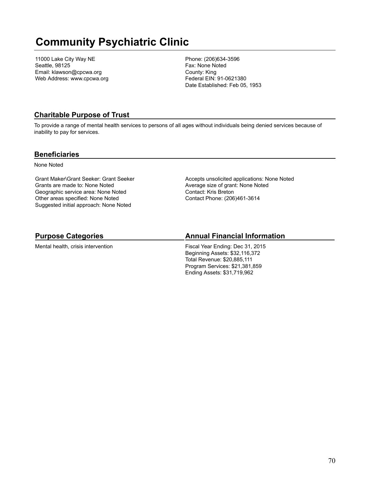# **Community Psychiatric Clinic**

11000 Lake City Way NE Seattle, 98125 Email: klawson@cpcwa.org Web Address: www.cpcwa.org Phone: (206)634-3596 Fax: None Noted County: King Federal EIN: 91-0621380 Date Established: Feb 05, 1953

# **Charitable Purpose of Trust**

To provide a range of mental health services to persons of all ages without individuals being denied services because of inability to pay for services.

#### **Beneficiaries**

None Noted

Grant Maker\Grant Seeker: Grant Seeker Grants are made to: None Noted Geographic service area: None Noted Other areas specified: None Noted Suggested initial approach: None Noted

Accepts unsolicited applications: None Noted Average size of grant: None Noted Contact: Kris Breton Contact Phone: (206)461-3614

# **Purpose Categories**

Mental health, crisis intervention

# **Annual Financial Information**

Fiscal Year Ending: Dec 31, 2015 Beginning Assets: \$32,116,372 Total Revenue: \$20,885,111 Program Services: \$21,381,859 Ending Assets: \$31,719,962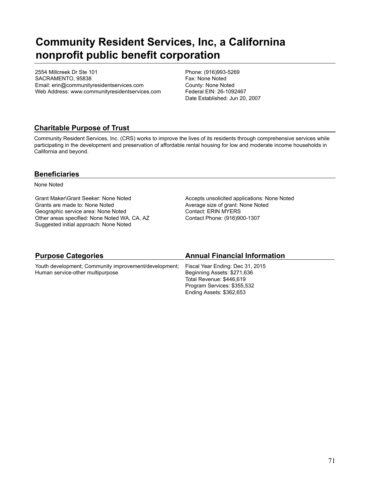# **Community Resident Services, Inc, a Californina nonprofit public benefit corporation**

2554 Millcreek Dr Ste 101 SACRAMENTO, 95838 Email: erin@communityresidentservices.com Web Address: www.communityresidentservices.com Phone: (916)993-5269 Fax: None Noted County: None Noted Federal EIN: 26-1092467 Date Established: Jun 20, 2007

# **Charitable Purpose of Trust**

Community Resident Services, Inc. (CRS) works to improve the lives of its residents through comprehensive services while participating in the development and preservation of affordable rental housing for low and moderate income households in California and beyond.

### **Beneficiaries**

None Noted

Grant Maker\Grant Seeker: None Noted Grants are made to: None Noted Geographic service area: None Noted Other areas specified: None Noted WA, CA, AZ Suggested initial approach: None Noted

Accepts unsolicited applications: None Noted Average size of grant: None Noted Contact: ERIN MYERS Contact Phone: (916)900-1307

| <b>Purpose Categories</b>                             | <b>Annual Financial Information</b> |
|-------------------------------------------------------|-------------------------------------|
| Youth development; Community improvement/development; | Fiscal Year Ending: Dec 31, 2015    |
| Human service-other multipurpose                      | Beginning Assets: \$271,636         |
|                                                       | Total Revenue: \$446,619            |
|                                                       | Program Services: \$355,532         |
|                                                       | Ending Assets: \$362,653            |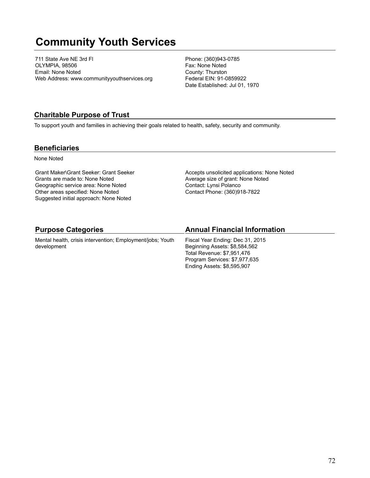# **Community Youth Services**

711 State Ave NE 3rd Fl OLYMPIA, 98506 Email: None Noted Web Address: www.communityyouthservices.org Phone: (360)943-0785 Fax: None Noted County: Thurston Federal EIN: 91-0859922 Date Established: Jul 01, 1970

#### **Charitable Purpose of Trust**

To support youth and families in achieving their goals related to health, safety, security and community.

#### **Beneficiaries**

None Noted

Grant Maker\Grant Seeker: Grant Seeker Grants are made to: None Noted Geographic service area: None Noted Other areas specified: None Noted Suggested initial approach: None Noted

Accepts unsolicited applications: None Noted Average size of grant: None Noted Contact: Lynsi Polanco Contact Phone: (360)918-7822

| <b>Purpose Categories</b>                                                 | <b>Annual Financial Information</b>                                                             |
|---------------------------------------------------------------------------|-------------------------------------------------------------------------------------------------|
| Mental health, crisis intervention; Employment/jobs; Youth<br>development | Fiscal Year Ending: Dec 31, 2015<br>Beginning Assets: \$8,584,562<br>Total Revenue: \$7,951,476 |
|                                                                           | Program Services: \$7,977,635<br>Ending Assets: \$8,595,907                                     |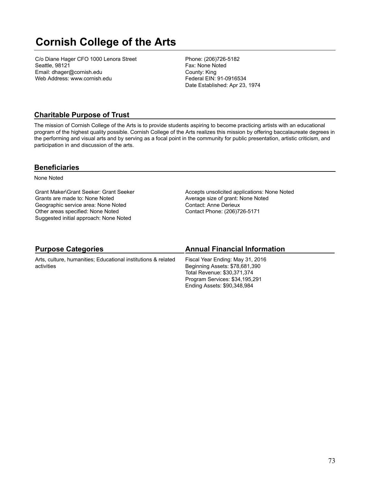# **Cornish College of the Arts**

C/o Diane Hager CFO 1000 Lenora Street Seattle, 98121 Email: dhager@cornish.edu Web Address: www.cornish.edu

Phone: (206)726-5182 Fax: None Noted County: King Federal EIN: 91-0916534 Date Established: Apr 23, 1974

# **Charitable Purpose of Trust**

The mission of Cornish College of the Arts is to provide students aspiring to become practicing artists with an educational program of the highest quality possible. Cornish College of the Arts realizes this mission by offering baccalaureate degrees in the performing and visual arts and by serving as a focal point in the community for public presentation, artistic criticism, and participation in and discussion of the arts.

### **Beneficiaries**

None Noted

Grant Maker\Grant Seeker: Grant Seeker Grants are made to: None Noted Geographic service area: None Noted Other areas specified: None Noted Suggested initial approach: None Noted

Accepts unsolicited applications: None Noted Average size of grant: None Noted Contact: Anne Derieux Contact Phone: (206)726-5171

| <b>Purpose Categories</b>                                                   | <b>Annual Financial Information</b>                                                                                                                                |
|-----------------------------------------------------------------------------|--------------------------------------------------------------------------------------------------------------------------------------------------------------------|
| Arts, culture, humanities; Educational institutions & related<br>activities | Fiscal Year Ending: May 31, 2016<br>Beginning Assets: \$78,681,390<br>Total Revenue: \$30,371,374<br>Program Services: \$34,195,291<br>Ending Assets: \$90,348,984 |
|                                                                             |                                                                                                                                                                    |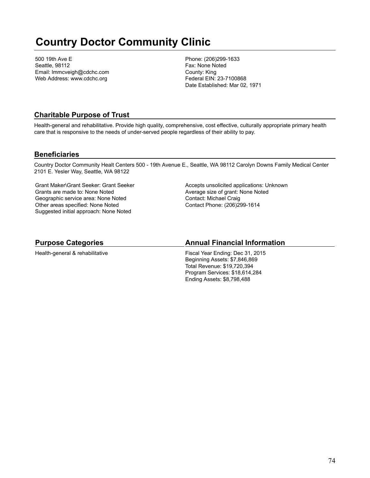# **Country Doctor Community Clinic**

500 19th Ave E Seattle, 98112 Email: lmmcveigh@cdchc.com Web Address: www.cdchc.org

Phone: (206)299-1633 Fax: None Noted County: King Federal EIN: 23-7100868 Date Established: Mar 02, 1971

### **Charitable Purpose of Trust**

Health-general and rehabilitative. Provide high quality, comprehensive, cost effective, culturally appropriate primary health care that is responsive to the needs of under-served people regardless of their ability to pay.

### **Beneficiaries**

Country Doctor Community Healt Centers 500 - 19th Avenue E., Seattle, WA 98112 Carolyn Downs Family Medical Center 2101 E. Yesler Way, Seattle, WA 98122

Grant Maker\Grant Seeker: Grant Seeker Grants are made to: None Noted Geographic service area: None Noted Other areas specified: None Noted Suggested initial approach: None Noted

Accepts unsolicited applications: Unknown Average size of grant: None Noted Contact: Michael Craig Contact Phone: (206)299-1614

### **Purpose Categories**

Health-general & rehabilitative

#### **Annual Financial Information**

Fiscal Year Ending: Dec 31, 2015 Beginning Assets: \$7,846,869 Total Revenue: \$19,720,394 Program Services: \$18,614,284 Ending Assets: \$8,798,488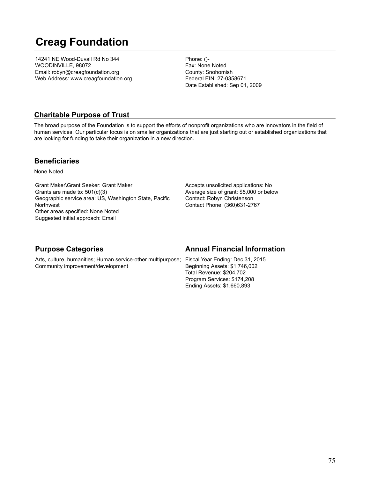# **Creag Foundation**

14241 NE Wood-Duvall Rd No 344 WOODINVILLE, 98072 Email: robyn@creagfoundation.org Web Address: www.creagfoundation.org Phone: ()- Fax: None Noted County: Snohomish Federal EIN: 27-0358671 Date Established: Sep 01, 2009

## **Charitable Purpose of Trust**

The broad purpose of the Foundation is to support the efforts of nonprofit organizations who are innovators in the field of human services. Our particular focus is on smaller organizations that are just starting out or established organizations that are looking for funding to take their organization in a new direction.

### **Beneficiaries**

None Noted

Grant Maker\Grant Seeker: Grant Maker Grants are made to: 501(c)(3) Geographic service area: US, Washington State, Pacific Northwest Other areas specified: None Noted Suggested initial approach: Email

Accepts unsolicited applications: No Average size of grant: \$5,000 or below Contact: Robyn Christenson Contact Phone: (360)631-2767

| <b>Purpose Categories</b>                                                                                                          | <b>Annual Financial Information</b>                                                                                    |
|------------------------------------------------------------------------------------------------------------------------------------|------------------------------------------------------------------------------------------------------------------------|
| Arts, culture, humanities; Human service-other multipurpose; Fiscal Year Ending: Dec 31, 2015<br>Community improvement/development | Beginning Assets: \$1,746,002<br>Total Revenue: \$204,702<br>Program Services: \$174,208<br>Ending Assets: \$1,660,893 |
|                                                                                                                                    |                                                                                                                        |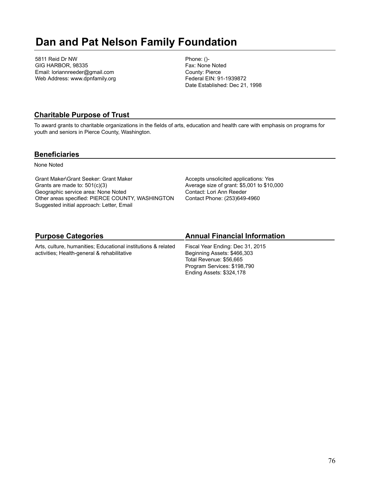# **Dan and Pat Nelson Family Foundation**

5811 Reid Dr NW GIG HARBOR, 98335 Email: loriannreeder@gmail.com Web Address: www.dpnfamily.org Phone: ()- Fax: None Noted County: Pierce Federal EIN: 91-1939872 Date Established: Dec 21, 1998

# **Charitable Purpose of Trust**

To award grants to charitable organizations in the fields of arts, education and health care with emphasis on programs for youth and seniors in Pierce County, Washington.

### **Beneficiaries**

None Noted

Grant Maker\Grant Seeker: Grant Maker Grants are made to: 501(c)(3) Geographic service area: None Noted Other areas specified: PIERCE COUNTY, WASHINGTON Suggested initial approach: Letter, Email

Accepts unsolicited applications: Yes Average size of grant: \$5,001 to \$10,000 Contact: Lori Ann Reeder Contact Phone: (253)649-4960

# **Purpose Categories**

Arts, culture, humanities; Educational institutions & related activities; Health-general & rehabilitative

# **Annual Financial Information**

Fiscal Year Ending: Dec 31, 2015 Beginning Assets: \$466,303 Total Revenue: \$56,665 Program Services: \$198,790 Ending Assets: \$324,178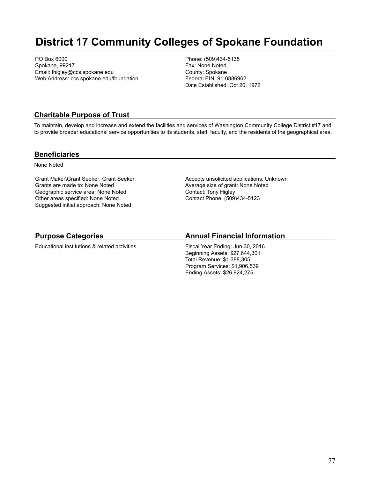# **District 17 Community Colleges of Spokane Foundation**

PO Box 6000 Spokane, 99217 Email: thigley@ccs.spokane.edu Web Address: ccs.spokane.edu/foundation Phone: (509)434-5135 Fax: None Noted County: Spokane Federal EIN: 91-0886962 Date Established: Oct 20, 1972

### **Charitable Purpose of Trust**

To maintain, develop and increase and extend the facilities and services of Washington Community College District #17 and to provide broader educational service opportunities to its students, staff, faculty, and the residents of the geographical area.

#### **Beneficiaries**

None Noted

Grant Maker\Grant Seeker: Grant Seeker Grants are made to: None Noted Geographic service area: None Noted Other areas specified: None Noted Suggested initial approach: None Noted

Accepts unsolicited applications: Unknown Average size of grant: None Noted Contact: Tony Higley Contact Phone: (509)434-5123

# **Purpose Categories**

Educational institutions & related activities

### **Annual Financial Information**

Fiscal Year Ending: Jun 30, 2016 Beginning Assets: \$27,644,301 Total Revenue: \$1,388,305 Program Services: \$1,906,539 Ending Assets: \$26,924,275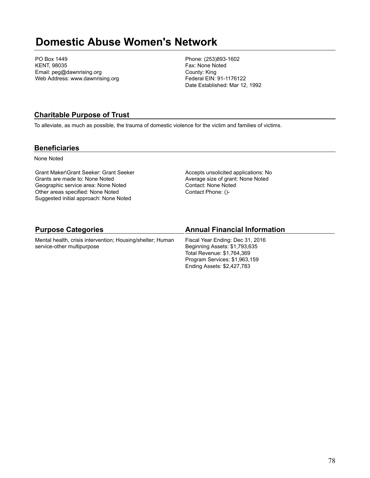# **Domestic Abuse Women's Network**

PO Box 1449 KENT, 98035 Email: peg@dawnrising.org Web Address: www.dawnrising.org Phone: (253)893-1602 Fax: None Noted County: King Federal EIN: 91-1176122 Date Established: Mar 12, 1992

## **Charitable Purpose of Trust**

To alleviate, as much as possible, the trauma of domestic violence for the victim and families of victims.

### **Beneficiaries**

None Noted

Grant Maker\Grant Seeker: Grant Seeker Grants are made to: None Noted Geographic service area: None Noted Other areas specified: None Noted Suggested initial approach: None Noted

Accepts unsolicited applications: No Average size of grant: None Noted Contact: None Noted Contact Phone: ()-

Program Services: \$1,963,159 Ending Assets: \$2,427,783

| <b>Purpose Categories</b>                                                                | <b>Annual Financial Information</b>                                                             |
|------------------------------------------------------------------------------------------|-------------------------------------------------------------------------------------------------|
| Mental health, crisis intervention; Housing/shelter; Human<br>service-other multipurpose | Fiscal Year Ending: Dec 31, 2016<br>Beginning Assets: \$1,793,635<br>Total Revenue: \$1.764.369 |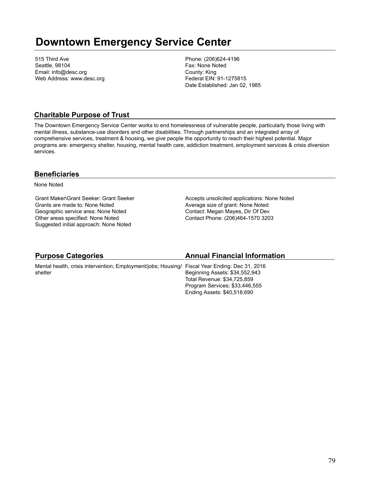# **Downtown Emergency Service Center**

515 Third Ave Seattle, 98104 Email: info@desc.org Web Address: www.desc.org Phone: (206)624-4196 Fax: None Noted County: King Federal EIN: 91-1275815 Date Established: Jan 02, 1985

### **Charitable Purpose of Trust**

The Downtown Emergency Service Center works to end homelessness of vulnerable people, particularly those living with mental illness, substance-use disorders and other disabilities. Through partnerships and an integrated array of comprehensive services, treatment & housing, we give people the opportunity to reach their highest potential. Major programs are: emergency shelter, housing, mental health care, addiction treatment, employment services & crisis diversion services.

### **Beneficiaries**

None Noted

Grant Maker\Grant Seeker: Grant Seeker Grants are made to: None Noted Geographic service area: None Noted Other areas specified: None Noted Suggested initial approach: None Noted

Accepts unsolicited applications: None Noted Average size of grant: None Noted Contact: Megan Mayes, Dir Of Dev Contact Phone: (206)464-1570 3203

| <b>Purpose Categories</b>                                                                      | <b>Annual Financial Information</b> |
|------------------------------------------------------------------------------------------------|-------------------------------------|
| Mental health, crisis intervention; Employment/jobs; Housing/ Fiscal Year Ending: Dec 31, 2016 |                                     |
| shelter                                                                                        | Beginning Assets: \$34,552,943      |
|                                                                                                | Total Revenue: \$34,725,859         |
|                                                                                                | Program Services: \$33,446,555      |
|                                                                                                | Ending Assets: \$40,518,690         |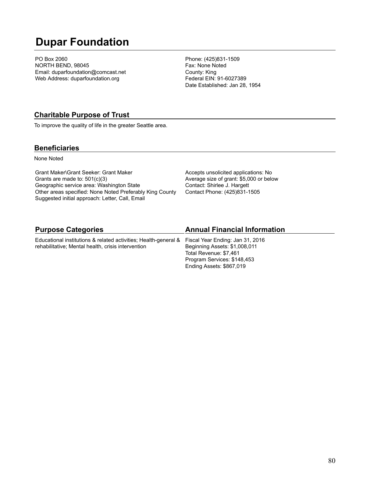# **Dupar Foundation**

PO Box 2060 NORTH BEND, 98045 Email: duparfoundation@comcast.net Web Address: duparfoundation.org

Phone: (425)831-1509 Fax: None Noted County: King Federal EIN: 91-6027389 Date Established: Jan 28, 1954

### **Charitable Purpose of Trust**

To improve the quality of life in the greater Seattle area.

### **Beneficiaries**

None Noted

Grant Maker\Grant Seeker: Grant Maker Grants are made to: 501(c)(3) Geographic service area: Washington State Other areas specified: None Noted Preferably King County Suggested initial approach: Letter, Call, Email

Accepts unsolicited applications: No Average size of grant: \$5,000 or below Contact: Shirlee J. Hargett Contact Phone: (425)831-1505

| <b>Purpose Categories</b>                                                                        | <b>Annual Financial Information</b> |
|--------------------------------------------------------------------------------------------------|-------------------------------------|
| Educational institutions & related activities; Health-general & Fiscal Year Ending: Jan 31, 2016 |                                     |
| rehabilitative; Mental health, crisis intervention                                               | Beginning Assets: \$1,008,011       |
|                                                                                                  | Total Revenue: \$7,461              |
|                                                                                                  | Program Services: \$148,453         |
|                                                                                                  | Ending Assets: \$867,019            |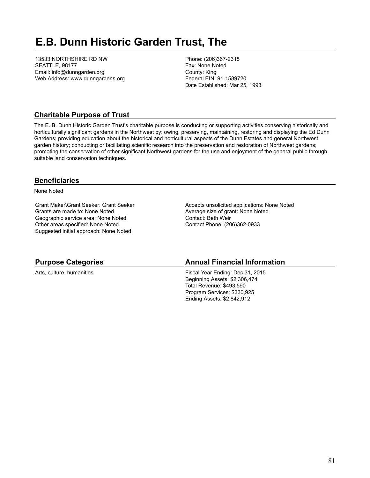# **E.B. Dunn Historic Garden Trust, The**

13533 NORTHSHIRE RD NW SEATTLE, 98177 Email: info@dunngarden.org Web Address: www.dunngardens.org Phone: (206)367-2318 Fax: None Noted County: King Federal EIN: 91-1589720 Date Established: Mar 25, 1993

## **Charitable Purpose of Trust**

The E. B. Dunn Historic Garden Trust's charitable purpose is conducting or supporting activities conserving historically and horticulturally significant gardens in the Northwest by: owing, preserving, maintaining, restoring and displaying the Ed Dunn Gardens; providing education about the historical and horticultural aspects of the Dunn Estates and general Northwest garden history; conducting or facilitating scienific research into the preservation and restoration of Northwest gardens; promoting the conservation of other significant Northwest gardens for the use and enjoyment of the general public through suitable land conservation techniques.

## **Beneficiaries**

None Noted

Grant Maker\Grant Seeker: Grant Seeker Grants are made to: None Noted Geographic service area: None Noted Other areas specified: None Noted Suggested initial approach: None Noted

Accepts unsolicited applications: None Noted Average size of grant: None Noted Contact: Beth Weir Contact Phone: (206)362-0933

## **Purpose Categories**

Arts, culture, humanities

### **Annual Financial Information**

Fiscal Year Ending: Dec 31, 2015 Beginning Assets: \$2,306,474 Total Revenue: \$493,590 Program Services: \$330,925 Ending Assets: \$2,842,912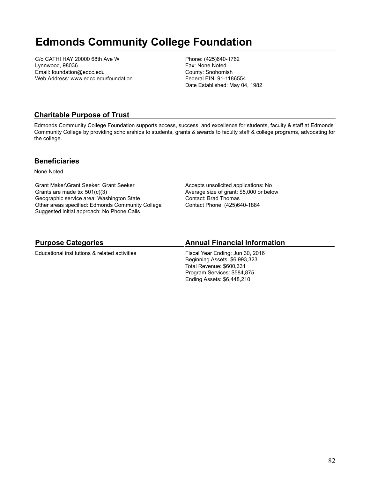# **Edmonds Community College Foundation**

C/o CATHI HAY 20000 68th Ave W Lynnwood, 98036 Email: foundation@edcc.edu Web Address: www.edcc.edu/foundation Phone: (425)640-1762 Fax: None Noted County: Snohomish Federal EIN: 91-1186554 Date Established: May 04, 1982

# **Charitable Purpose of Trust**

Edmonds Community College Foundation supports access, success, and excellence for students, faculty & staff at Edmonds Community College by providing scholarships to students, grants & awards to faculty staff & college programs, advocating for the college.

### **Beneficiaries**

None Noted

Grant Maker\Grant Seeker: Grant Seeker Grants are made to: 501(c)(3) Geographic service area: Washington State Other areas specified: Edmonds Community College Suggested initial approach: No Phone Calls

Accepts unsolicited applications: No Average size of grant: \$5,000 or below Contact: Brad Thomas Contact Phone: (425)640-1884

## **Purpose Categories**

Educational institutions & related activities

## **Annual Financial Information**

Fiscal Year Ending: Jun 30, 2016 Beginning Assets: \$6,993,323 Total Revenue: \$600,331 Program Services: \$584,875 Ending Assets: \$6,448,210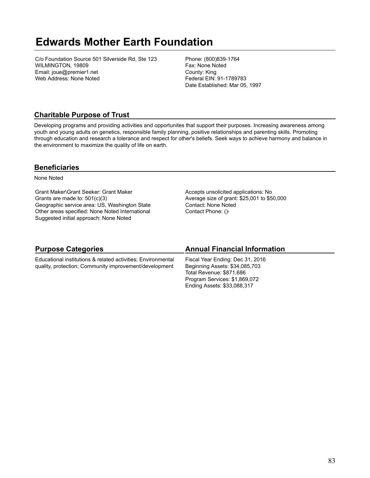# **Edwards Mother Earth Foundation**

C/o Foundation Source 501 Silverside Rd, Ste 123 WILMINGTON, 19809 Email: joue@premier1.net Web Address: None Noted

Phone: (800)839-1764 Fax: None Noted County: King Federal EIN: 91-1789783 Date Established: Mar 05, 1997

# **Charitable Purpose of Trust**

Developing programs and providing activities and opportunites that support their purposes. Increasing awareness among youth and young adults on genetics, responsible family planning, positive relationships and parenting skills. Promoting through education and research a tolerance and respect for other's beliefs. Seek ways to achieve harmony and balance in the environment to maximize the quality of life on earth.

## **Beneficiaries**

None Noted

Grant Maker\Grant Seeker: Grant Maker Grants are made to: 501(c)(3) Geographic service area: US, Washington State Other areas specified: None Noted International Suggested initial approach: None Noted

Accepts unsolicited applications: No Average size of grant: \$25,001 to \$50,000 Contact: None Noted Contact Phone: ()-

Ending Assets: \$33,088,317

| <b>Purpose Categories</b>                                    | <b>Annual Financial Information</b> |
|--------------------------------------------------------------|-------------------------------------|
| Educational institutions & related activities; Environmental | Fiscal Year Ending: Dec 31, 2016    |
| quality, protection; Community improvement/development       | Beginning Assets: \$34,085,703      |
|                                                              | Total Revenue: \$871.686            |
|                                                              | Program Services: \$1,869,072       |

### 83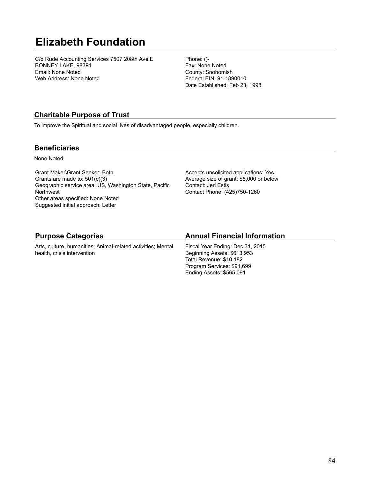# **Elizabeth Foundation**

C/o Rude Accounting Services 7507 208th Ave E BONNEY LAKE, 98391 Email: None Noted Web Address: None Noted

Phone: ()- Fax: None Noted County: Snohomish Federal EIN: 91-1890010 Date Established: Feb 23, 1998

# **Charitable Purpose of Trust**

To improve the Spiritual and social lives of disadvantaged people, especially children.

### **Beneficiaries**

None Noted

Grant Maker\Grant Seeker: Both Grants are made to: 501(c)(3) Geographic service area: US, Washington State, Pacific **Northwest** Other areas specified: None Noted Suggested initial approach: Letter

Accepts unsolicited applications: Yes Average size of grant: \$5,000 or below Contact: Jeri Estis Contact Phone: (425)750-1260

# **Purpose Categories**

Arts, culture, humanities; Animal-related activities; Mental health, crisis intervention

# **Annual Financial Information**

Fiscal Year Ending: Dec 31, 2015 Beginning Assets: \$613,953 Total Revenue: \$10,182 Program Services: \$91,699 Ending Assets: \$565,091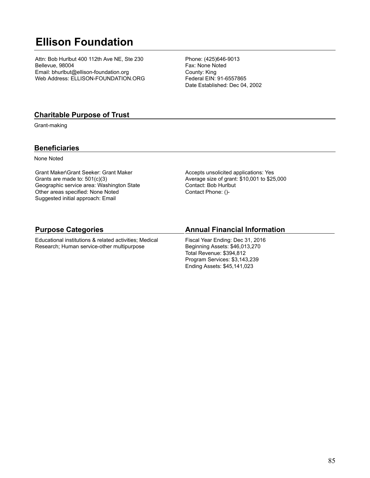# **Ellison Foundation**

Attn: Bob Hurlbut 400 112th Ave NE, Ste 230 Bellevue, 98004 Email: bhurlbut@ellison-foundation.org Web Address: ELLISON-FOUNDATION.ORG Phone: (425)646-9013 Fax: None Noted County: King Federal EIN: 91-6557865 Date Established: Dec 04, 2002

### **Charitable Purpose of Trust**

Grant-making

### **Beneficiaries**

None Noted

Grant Maker\Grant Seeker: Grant Maker Grants are made to: 501(c)(3) Geographic service area: Washington State Other areas specified: None Noted Suggested initial approach: Email

Accepts unsolicited applications: Yes Average size of grant: \$10,001 to \$25,000 Contact: Bob Hurlbut Contact Phone: ()-

### **Purpose Categories**

Educational institutions & related activities; Medical Research; Human service-other multipurpose

### **Annual Financial Information**

Fiscal Year Ending: Dec 31, 2016 Beginning Assets: \$46,013,270 Total Revenue: \$394,812 Program Services: \$3,143,239 Ending Assets: \$45,141,023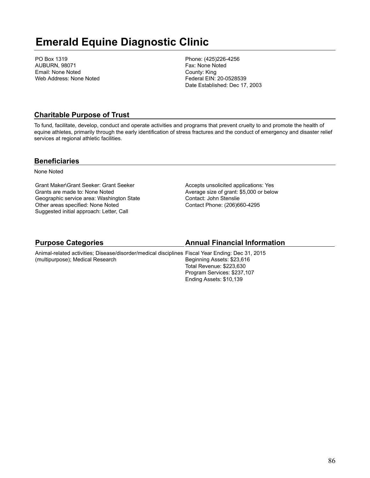# **Emerald Equine Diagnostic Clinic**

PO Box 1319 AUBURN, 98071 Email: None Noted Web Address: None Noted Phone: (425)226-4256 Fax: None Noted County: King Federal EIN: 20-0528539 Date Established: Dec 17, 2003

### **Charitable Purpose of Trust**

To fund, facilitate, develop, conduct and operate activities and programs that prevent cruelty to and promote the health of equine athletes, primarily through the early identification of stress fractures and the conduct of emergency and disaster relief services at regional athletic facilities.

### **Beneficiaries**

None Noted

Grant Maker\Grant Seeker: Grant Seeker Grants are made to: None Noted Geographic service area: Washington State Other areas specified: None Noted Suggested initial approach: Letter, Call

Accepts unsolicited applications: Yes Average size of grant: \$5,000 or below Contact: John Stenslie Contact Phone: (206)660-4295

### **Purpose Categories**

### **Annual Financial Information**

Ending Assets: \$10,139

Animal-related activities; Disease/disorder/medical disciplines Fiscal Year Ending: Dec 31, 2015 (multipurpose); Medical Research Beginning Assets: \$23,616 Total Revenue: \$223,630 Program Services: \$237,107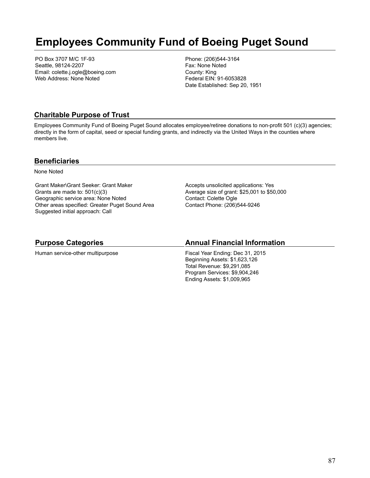# **Employees Community Fund of Boeing Puget Sound**

PO Box 3707 M/C 1F-93 Seattle, 98124-2207 Email: colette.j.ogle@boeing.com Web Address: None Noted

Phone: (206)544-3164 Fax: None Noted County: King Federal EIN: 91-6053828 Date Established: Sep 20, 1951

## **Charitable Purpose of Trust**

Employees Community Fund of Boeing Puget Sound allocates employee/retiree donations to non-profit 501 (c)(3) agencies; directly in the form of capital, seed or special funding grants, and indirectly via the United Ways in the counties where members live.

#### **Beneficiaries**

None Noted

Grant Maker\Grant Seeker: Grant Maker Grants are made to: 501(c)(3) Geographic service area: None Noted Other areas specified: Greater Puget Sound Area Suggested initial approach: Call

Accepts unsolicited applications: Yes Average size of grant: \$25,001 to \$50,000 Contact: Colette Ogle Contact Phone: (206)544-9246

### **Purpose Categories**

Human service-other multipurpose

### **Annual Financial Information**

Fiscal Year Ending: Dec 31, 2015 Beginning Assets: \$1,623,126 Total Revenue: \$9,291,085 Program Services: \$9,904,246 Ending Assets: \$1,009,965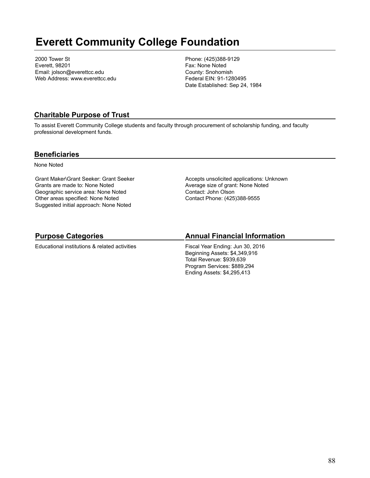# **Everett Community College Foundation**

2000 Tower St Everett, 98201 Email: jolson@everettcc.edu Web Address: www.everettcc.edu Phone: (425)388-9129 Fax: None Noted County: Snohomish Federal EIN: 91-1280495 Date Established: Sep 24, 1984

## **Charitable Purpose of Trust**

To assist Everett Community College students and faculty through procurement of scholarship funding, and faculty professional development funds.

### **Beneficiaries**

None Noted

Grant Maker\Grant Seeker: Grant Seeker Grants are made to: None Noted Geographic service area: None Noted Other areas specified: None Noted Suggested initial approach: None Noted

Accepts unsolicited applications: Unknown Average size of grant: None Noted Contact: John Olson Contact Phone: (425)388-9555

# **Purpose Categories**

Educational institutions & related activities

# **Annual Financial Information**

Fiscal Year Ending: Jun 30, 2016 Beginning Assets: \$4,349,916 Total Revenue: \$939,639 Program Services: \$889,294 Ending Assets: \$4,295,413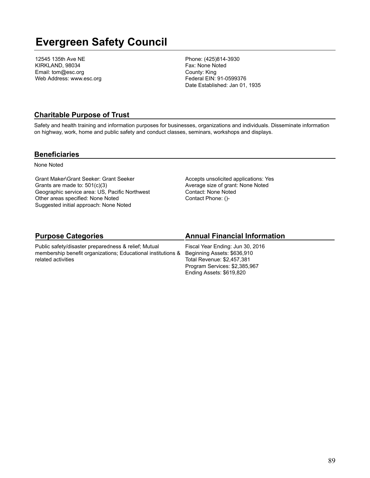# **Evergreen Safety Council**

12545 135th Ave NE KIRKLAND, 98034 Email: tom@esc.org Web Address: www.esc.org Phone: (425)814-3930 Fax: None Noted County: King Federal EIN: 91-0599376 Date Established: Jan 01, 1935

### **Charitable Purpose of Trust**

Safety and health training and information purposes for businesses, organizations and individuals. Disseminate information on highway, work, home and public safety and conduct classes, seminars, workshops and displays.

#### **Beneficiaries**

None Noted

Grant Maker\Grant Seeker: Grant Seeker Grants are made to: 501(c)(3) Geographic service area: US, Pacific Northwest Other areas specified: None Noted Suggested initial approach: None Noted

Accepts unsolicited applications: Yes Average size of grant: None Noted Contact: None Noted Contact Phone: ()-

# **Purpose Categories**

Public safety/disaster preparedness & relief; Mutual membership benefit organizations; Educational institutions & related activities

### **Annual Financial Information**

Fiscal Year Ending: Jun 30, 2016 Beginning Assets: \$636,910 Total Revenue: \$2,457,381 Program Services: \$2,385,967 Ending Assets: \$619,820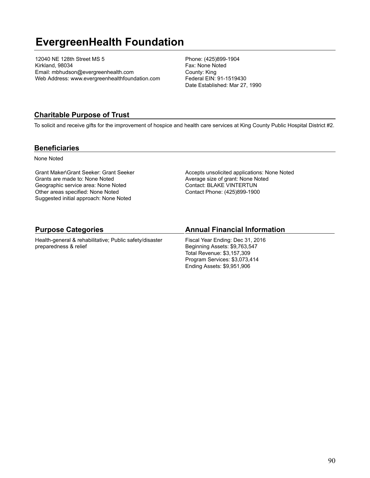# **EvergreenHealth Foundation**

12040 NE 128th Street MS 5 Kirkland, 98034 Email: mbhudson@evergreenhealth.com Web Address: www.evergreenhealthfoundation.com Phone: (425)899-1904 Fax: None Noted County: King Federal EIN: 91-1519430 Date Established: Mar 27, 1990

### **Charitable Purpose of Trust**

To solicit and receive gifts for the improvement of hospice and health care services at King County Public Hospital District #2.

### **Beneficiaries**

None Noted

Grant Maker\Grant Seeker: Grant Seeker Grants are made to: None Noted Geographic service area: None Noted Other areas specified: None Noted Suggested initial approach: None Noted

Accepts unsolicited applications: None Noted Average size of grant: None Noted Contact: BLAKE VINTERTUN Contact Phone: (425)899-1900

### **Purpose Categories**

Health-general & rehabilitative; Public safety/disaster preparedness & relief

#### **Annual Financial Information**

Fiscal Year Ending: Dec 31, 2016 Beginning Assets: \$9,763,547 Total Revenue: \$3,157,309 Program Services: \$3,073,414 Ending Assets: \$9,951,906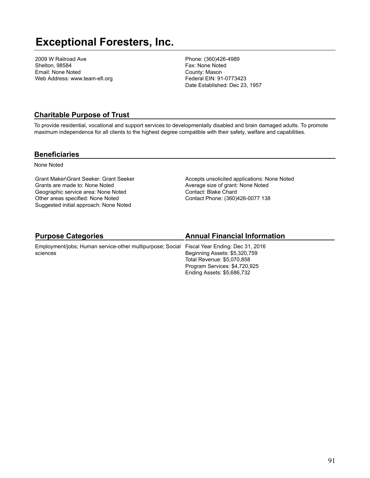# **Exceptional Foresters, Inc.**

2009 W Railroad Ave Shelton, 98584 Email: None Noted Web Address: www.team-efi.org Phone: (360)426-4989 Fax: None Noted County: Mason Federal EIN: 91-0773423 Date Established: Dec 23, 1957

### **Charitable Purpose of Trust**

To provide residential, vocational and support services to developmentally disabled and brain damaged adults. To promote maximum independence for all clients to the highest degree compatible with their safety, welfare and capabilities.

#### **Beneficiaries**

None Noted

Grant Maker\Grant Seeker: Grant Seeker Grants are made to: None Noted Geographic service area: None Noted Other areas specified: None Noted Suggested initial approach: None Noted

Accepts unsolicited applications: None Noted Average size of grant: None Noted Contact: Blake Chard Contact Phone: (360)426-0077 138

# **Purpose Categories**

Employment/jobs; Human service-other multipurpose; Social sciences

### **Annual Financial Information**

Fiscal Year Ending: Dec 31, 2016 Beginning Assets: \$5,320,759 Total Revenue: \$5,070,858 Program Services: \$4,720,925 Ending Assets: \$5,686,732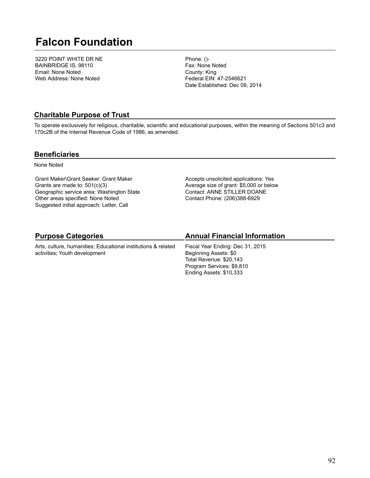# **Falcon Foundation**

3220 POINT WHITE DR NE BAINBRIDGE IS, 98110 Email: None Noted Web Address: None Noted

Phone: ()- Fax: None Noted County: King Federal EIN: 47-2546621 Date Established: Dec 09, 2014

### **Charitable Purpose of Trust**

To operate exclusively for religious, charitable, scientific and educational purposes, within the meaning of Sections 501c3 and 170c2B of the Internal Revenue Code of 1986, as amended.

#### **Beneficiaries**

None Noted

Grant Maker\Grant Seeker: Grant Maker Grants are made to: 501(c)(3) Geographic service area: Washington State Other areas specified: None Noted Suggested initial approach: Letter, Call

Accepts unsolicited applications: Yes Average size of grant: \$5,000 or below Contact: ANNE STILLER DOANE Contact Phone: (206)388-6929

# **Purpose Categories**

Arts, culture, humanities; Educational institutions & related activities; Youth development

# **Annual Financial Information**

Fiscal Year Ending: Dec 31, 2015 Beginning Assets: \$0 Total Revenue: \$20,143 Program Services: \$9,810 Ending Assets: \$10,333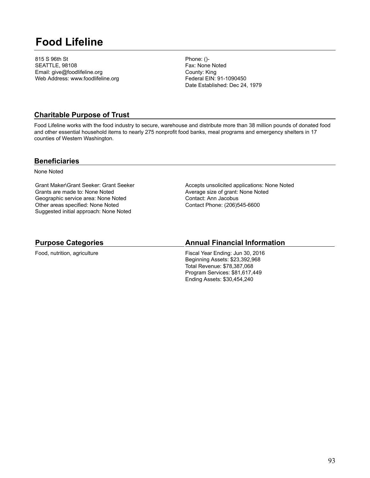# **Food Lifeline**

815 S 96th St SEATTLE, 98108 Email: give@foodlifeline.org Web Address: www.foodlifeline.org Phone: ()- Fax: None Noted County: King Federal EIN: 91-1090450 Date Established: Dec 24, 1979

### **Charitable Purpose of Trust**

Food Lifeline works with the food industry to secure, warehouse and distribute more than 38 million pounds of donated food and other essential household items to nearly 275 nonprofit food banks, meal programs and emergency shelters in 17 counties of Western Washington.

#### **Beneficiaries**

None Noted

Grant Maker\Grant Seeker: Grant Seeker Grants are made to: None Noted Geographic service area: None Noted Other areas specified: None Noted Suggested initial approach: None Noted

Accepts unsolicited applications: None Noted Average size of grant: None Noted Contact: Ann Jacobus Contact Phone: (206)545-6600

### **Purpose Categories**

Food, nutrition, agriculture

### **Annual Financial Information**

Fiscal Year Ending: Jun 30, 2016 Beginning Assets: \$23,392,968 Total Revenue: \$78,387,068 Program Services: \$81,617,449 Ending Assets: \$30,454,240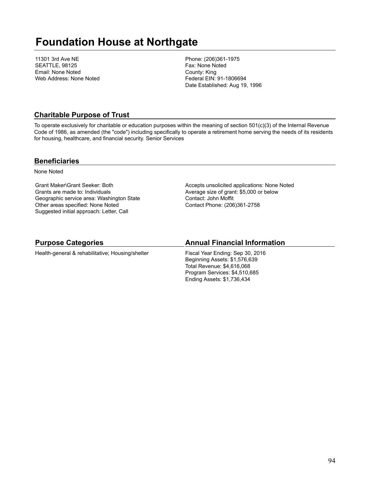# **Foundation House at Northgate**

11301 3rd Ave NE SEATTLE, 98125 Email: None Noted Web Address: None Noted Phone: (206)361-1975 Fax: None Noted County: King Federal EIN: 91-1806694 Date Established: Aug 19, 1996

### **Charitable Purpose of Trust**

To operate exclusively for charitable or education purposes within the meaning of section 501(c)(3) of the Internal Revenue Code of 1986, as amended (the "code") including specifically to operate a retirement home serving the needs of its residents for housing, healthcare, and financial security. Senior Services

#### **Beneficiaries**

None Noted

Grant Maker\Grant Seeker: Both Grants are made to: Individuals Geographic service area: Washington State Other areas specified: None Noted Suggested initial approach: Letter, Call

Accepts unsolicited applications: None Noted Average size of grant: \$5,000 or below Contact: John Moffit Contact Phone: (206)361-2758

### **Purpose Categories**

Health-general & rehabilitative; Housing/shelter

### **Annual Financial Information**

Fiscal Year Ending: Sep 30, 2016 Beginning Assets: \$1,576,639 Total Revenue: \$4,616,068 Program Services: \$4,510,685 Ending Assets: \$1,736,434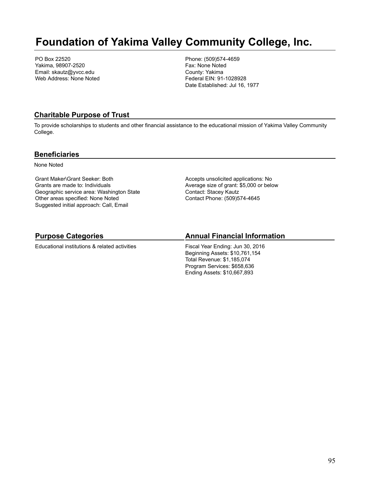# **Foundation of Yakima Valley Community College, Inc.**

PO Box 22520 Yakima, 98907-2520 Email: skautz@yvcc.edu Web Address: None Noted Phone: (509)574-4659 Fax: None Noted County: Yakima Federal EIN: 91-1028928 Date Established: Jul 16, 1977

### **Charitable Purpose of Trust**

To provide scholarships to students and other financial assistance to the educational mission of Yakima Valley Community College.

#### **Beneficiaries**

None Noted

Grant Maker\Grant Seeker: Both Grants are made to: Individuals Geographic service area: Washington State Other areas specified: None Noted Suggested initial approach: Call, Email

Accepts unsolicited applications: No Average size of grant: \$5,000 or below Contact: Stacey Kautz Contact Phone: (509)574-4645

# **Purpose Categories**

Educational institutions & related activities

### **Annual Financial Information**

Fiscal Year Ending: Jun 30, 2016 Beginning Assets: \$10,761,154 Total Revenue: \$1,185,074 Program Services: \$658,636 Ending Assets: \$10,667,893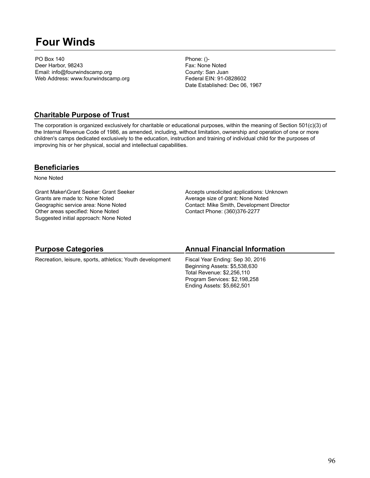# **Four Winds**

PO Box 140 Deer Harbor, 98243 Email: info@fourwindscamp.org Web Address: www.fourwindscamp.org Phone: ()- Fax: None Noted County: San Juan Federal EIN: 91-0828602 Date Established: Dec 06, 1967

### **Charitable Purpose of Trust**

The corporation is organized exclusively for charitable or educational purposes, within the meaning of Section 501(c)(3) of the Internal Revenue Code of 1986, as amended, including, without limitation, ownership and operation of one or more children's camps dedicated exclusively to the education, instruction and training of individual child for the purposes of improving his or her physical, social and intellectual capabilities.

### **Beneficiaries**

None Noted

Grant Maker\Grant Seeker: Grant Seeker Grants are made to: None Noted Geographic service area: None Noted Other areas specified: None Noted Suggested initial approach: None Noted

Accepts unsolicited applications: Unknown Average size of grant: None Noted Contact: Mike Smith, Development Director Contact Phone: (360)376-2277

| <b>Purpose Categories</b>                                 | <b>Annual Financial Information</b>                                                                                                                            |
|-----------------------------------------------------------|----------------------------------------------------------------------------------------------------------------------------------------------------------------|
| Recreation, leisure, sports, athletics; Youth development | Fiscal Year Ending: Sep 30, 2016<br>Beginning Assets: \$5,538,630<br>Total Revenue: \$2,256,110<br>Program Services: \$2,198,258<br>Ending Assets: \$5,662,501 |
|                                                           |                                                                                                                                                                |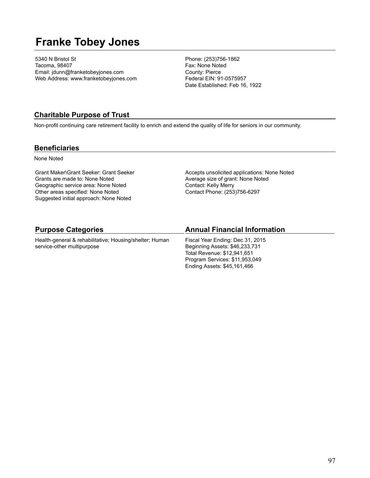# **Franke Tobey Jones**

5340 N Bristol St Tacoma, 98407 Email: jdunn@franketobeyjones.com Web Address: www.franketobeyjones.com

Phone: (253)756-1862 Fax: None Noted County: Pierce Federal EIN: 91-0575957 Date Established: Feb 16, 1922

### **Charitable Purpose of Trust**

Non-profit continuing care retirement facility to enrich and extend the quality of life for seniors in our community.

### **Beneficiaries**

None Noted

Grant Maker\Grant Seeker: Grant Seeker Grants are made to: None Noted Geographic service area: None Noted Other areas specified: None Noted Suggested initial approach: None Noted

Accepts unsolicited applications: None Noted Average size of grant: None Noted Contact: Kelly Merry Contact Phone: (253)756-6297

Ending Assets: \$45,161,466

| <b>Purpose Categories</b>                               | <b>Annual Financial Information</b> |
|---------------------------------------------------------|-------------------------------------|
| Health-general & rehabilitative; Housing/shelter; Human | Fiscal Year Ending: Dec 31, 2015    |
| service-other multipurpose                              | Beginning Assets: \$46,233,731      |
|                                                         | Total Revenue: \$12,941,651         |
|                                                         | Program Services: \$11,953,049      |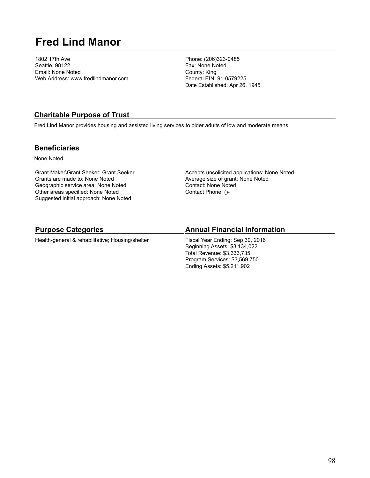# **Fred Lind Manor**

1802 17th Ave Seattle, 98122 Email: None Noted Web Address: www.fredlindmanor.com Phone: (206)323-0485 Fax: None Noted County: King Federal EIN: 91-0579225 Date Established: Apr 26, 1945

### **Charitable Purpose of Trust**

Fred Lind Manor provides housing and assisted living services to older adults of low and moderate means.

### **Beneficiaries**

None Noted

Grant Maker\Grant Seeker: Grant Seeker Grants are made to: None Noted Geographic service area: None Noted Other areas specified: None Noted Suggested initial approach: None Noted

Accepts unsolicited applications: None Noted Average size of grant: None Noted Contact: None Noted Contact Phone: ()-

### **Purpose Categories**

Health-general & rehabilitative; Housing/shelter

#### **Annual Financial Information**

Fiscal Year Ending: Sep 30, 2016 Beginning Assets: \$3,134,022 Total Revenue: \$3,333,735 Program Services: \$3,569,750 Ending Assets: \$5,211,902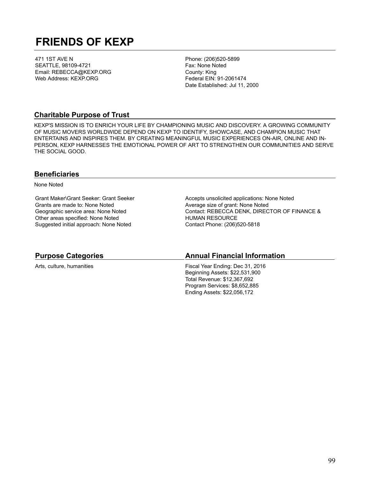# **FRIENDS OF KEXP**

471 1ST AVE N SEATTLE, 98109-4721 Email: REBECCA@KEXP.ORG Web Address: KEXP.ORG

Phone: (206)520-5899 Fax: None Noted County: King Federal EIN: 91-2061474 Date Established: Jul 11, 2000

### **Charitable Purpose of Trust**

KEXP'S MISSION IS TO ENRICH YOUR LIFE BY CHAMPIONING MUSIC AND DISCOVERY. A GROWING COMMUNITY OF MUSIC MOVERS WORLDWIDE DEPEND ON KEXP TO IDENTIFY, SHOWCASE, AND CHAMPION MUSIC THAT ENTERTAINS AND INSPIRES THEM. BY CREATING MEANINGFUL MUSIC EXPERIENCES ON-AIR, ONLINE AND IN-PERSON, KEXP HARNESSES THE EMOTIONAL POWER OF ART TO STRENGTHEN OUR COMMUNITIES AND SERVE THE SOCIAL GOOD.

#### **Beneficiaries**

None Noted

Grant Maker\Grant Seeker: Grant Seeker Grants are made to: None Noted Geographic service area: None Noted Other areas specified: None Noted Suggested initial approach: None Noted

Accepts unsolicited applications: None Noted Average size of grant: None Noted Contact: REBECCA DENK, DIRECTOR OF FINANCE & HUMAN RESOURCE Contact Phone: (206)520-5818

# **Purpose Categories** Arts, culture, humanities

## **Annual Financial Information**

Fiscal Year Ending: Dec 31, 2016 Beginning Assets: \$22,531,900 Total Revenue: \$12,367,692 Program Services: \$8,652,885 Ending Assets: \$22,056,172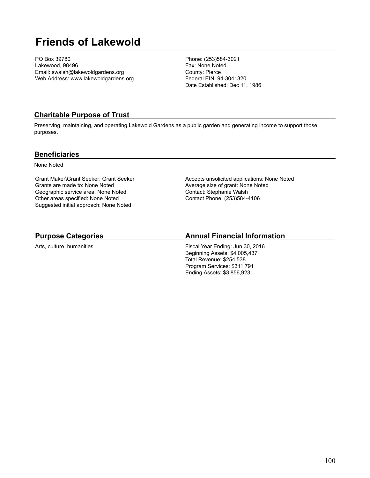# **Friends of Lakewold**

PO Box 39780 Lakewood, 98496 Email: swalsh@lakewoldgardens.org Web Address: www.lakewoldgardens.org Phone: (253)584-3021 Fax: None Noted County: Pierce Federal EIN: 94-3041320 Date Established: Dec 11, 1986

### **Charitable Purpose of Trust**

Preserving, maintaining, and operating Lakewold Gardens as a public garden and generating income to support those purposes.

#### **Beneficiaries**

None Noted

Grant Maker\Grant Seeker: Grant Seeker Grants are made to: None Noted Geographic service area: None Noted Other areas specified: None Noted Suggested initial approach: None Noted

Accepts unsolicited applications: None Noted Average size of grant: None Noted Contact: Stephanie Walsh Contact Phone: (253)584-4106

# **Purpose Categories**

Arts, culture, humanities

### **Annual Financial Information**

Fiscal Year Ending: Jun 30, 2016 Beginning Assets: \$4,005,437 Total Revenue: \$254,538 Program Services: \$311,791 Ending Assets: \$3,856,923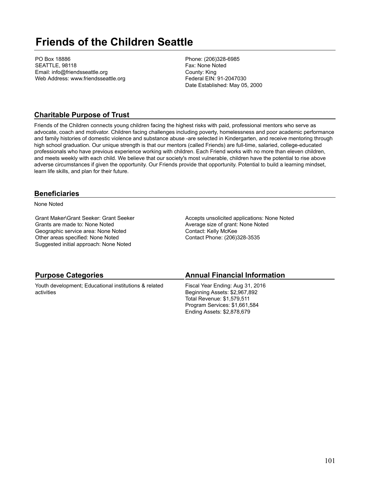# **Friends of the Children Seattle**

PO Box 18886 SEATTLE, 98118 Email: info@friendsseattle.org Web Address: www.friendsseattle.org Phone: (206)328-6985 Fax: None Noted County: King Federal EIN: 91-2047030 Date Established: May 05, 2000

### **Charitable Purpose of Trust**

Friends of the Children connects young children facing the highest risks with paid, professional mentors who serve as advocate, coach and motivator. Children facing challenges including poverty, homelessness and poor academic performance and family histories of domestic violence and substance abuse -are selected in Kindergarten, and receive mentoring through high school graduation. Our unique strength is that our mentors (called Friends) are full-time, salaried, college-educated professionals who have previous experience working with children. Each Friend works with no more than eleven children, and meets weekly with each child. We believe that our society's most vulnerable, children have the potential to rise above adverse circumstances if given the opportunity. Our Friends provide that opportunity. Potential to build a learning mindset, learn life skills, and plan for their future.

### **Beneficiaries**

None Noted

Grant Maker\Grant Seeker: Grant Seeker Grants are made to: None Noted Geographic service area: None Noted Other areas specified: None Noted Suggested initial approach: None Noted

Accepts unsolicited applications: None Noted Average size of grant: None Noted Contact: Kelly McKee Contact Phone: (206)328-3535

Ending Assets: \$2,878,679

| <b>Purpose Categories</b>                             | <b>Annual Financial Information</b> |
|-------------------------------------------------------|-------------------------------------|
| Youth development; Educational institutions & related | Fiscal Year Ending: Aug 31, 2016    |
| activities                                            | Beginning Assets: \$2,967,892       |
|                                                       | Total Revenue: \$1,579,511          |
|                                                       | Program Services: \$1,661,584       |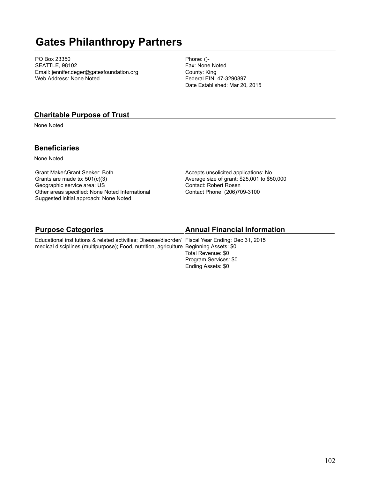# **Gates Philanthropy Partners**

PO Box 23350 SEATTLE, 98102 Email: jennifer.deger@gatesfoundation.org Web Address: None Noted

Phone: ()- Fax: None Noted County: King Federal EIN: 47-3290897 Date Established: Mar 20, 2015

### **Charitable Purpose of Trust**

None Noted

## **Beneficiaries**

None Noted

Grant Maker\Grant Seeker: Both Grants are made to: 501(c)(3) Geographic service area: US Other areas specified: None Noted International Suggested initial approach: None Noted

Accepts unsolicited applications: No Average size of grant: \$25,001 to \$50,000 Contact: Robert Rosen Contact Phone: (206)709-3100

### **Purpose Categories**

Educational institutions & related activities; Disease/disorder/ Fiscal Year Ending: Dec 31, 2015 medical disciplines (multipurpose); Food, nutrition, agriculture Beginning Assets: \$0

### **Annual Financial Information**

Total Revenue: \$0 Program Services: \$0 Ending Assets: \$0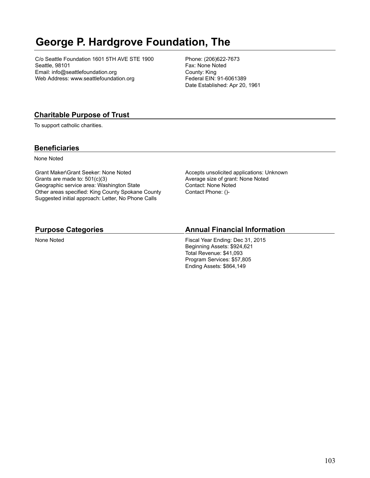# **George P. Hardgrove Foundation, The**

C/o Seattle Foundation 1601 5TH AVE STE 1900 Seattle, 98101 Email: info@seattlefoundation.org Web Address: www.seattlefoundation.org

Phone: (206)622-7673 Fax: None Noted County: King Federal EIN: 91-6061389 Date Established: Apr 20, 1961

# **Charitable Purpose of Trust**

To support catholic charities.

## **Beneficiaries**

None Noted

Grant Maker\Grant Seeker: None Noted Grants are made to: 501(c)(3) Geographic service area: Washington State Other areas specified: King County Spokane County Suggested initial approach: Letter, No Phone Calls

Accepts unsolicited applications: Unknown Average size of grant: None Noted Contact: None Noted Contact Phone: ()-

### **Purpose Categories**

None Noted

### **Annual Financial Information**

Fiscal Year Ending: Dec 31, 2015 Beginning Assets: \$924,621 Total Revenue: \$41,093 Program Services: \$57,805 Ending Assets: \$864,149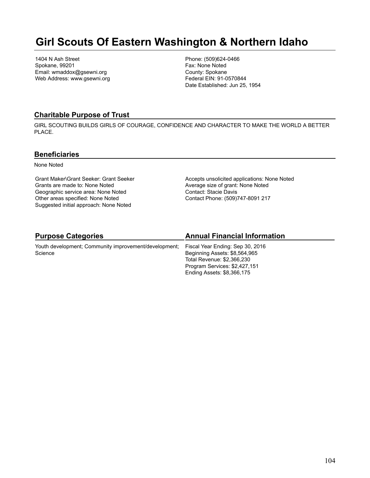# **Girl Scouts Of Eastern Washington & Northern Idaho**

1404 N Ash Street Spokane, 99201 Email: wmaddox@gsewni.org Web Address: www.gsewni.org Phone: (509)624-0466 Fax: None Noted County: Spokane Federal EIN: 91-0570844 Date Established: Jun 25, 1954

### **Charitable Purpose of Trust**

GIRL SCOUTING BUILDS GIRLS OF COURAGE, CONFIDENCE AND CHARACTER TO MAKE THE WORLD A BETTER PLACE.

### **Beneficiaries**

None Noted

Grant Maker\Grant Seeker: Grant Seeker Grants are made to: None Noted Geographic service area: None Noted Other areas specified: None Noted Suggested initial approach: None Noted

Accepts unsolicited applications: None Noted Average size of grant: None Noted Contact: Stacie Davis Contact Phone: (509)747-8091 217

# **Purpose Categories**

Youth development; Community improvement/development; **Science** 

## **Annual Financial Information**

Fiscal Year Ending: Sep 30, 2016 Beginning Assets: \$8,564,965 Total Revenue: \$2,366,230 Program Services: \$2,427,151 Ending Assets: \$8,366,175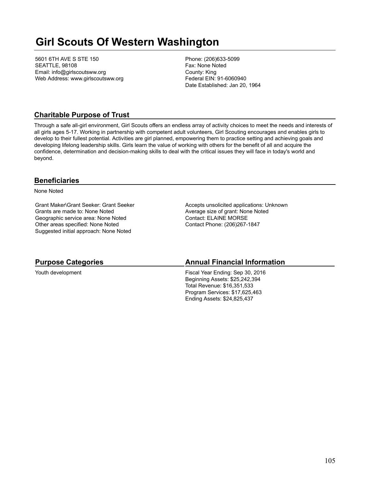# **Girl Scouts Of Western Washington**

5601 6TH AVE S STE 150 SEATTLE, 98108 Email: info@girlscoutsww.org Web Address: www.girlscoutsww.org Phone: (206)633-5099 Fax: None Noted County: King Federal EIN: 91-6060940 Date Established: Jan 20, 1964

### **Charitable Purpose of Trust**

Through a safe all-girl environment, Girl Scouts offers an endless array of activity choices to meet the needs and interests of all girls ages 5-17. Working in partnership with competent adult volunteers, Girl Scouting encourages and enables girls to develop to their fullest potential. Activities are girl planned, empowering them to practice setting and achieving goals and developing lifelong leadership skills. Girls learn the value of working with others for the benefit of all and acquire the confidence, determination and decision-making skills to deal with the critical issues they will face in today's world and beyond.

### **Beneficiaries**

None Noted

Grant Maker\Grant Seeker: Grant Seeker Grants are made to: None Noted Geographic service area: None Noted Other areas specified: None Noted Suggested initial approach: None Noted

Accepts unsolicited applications: Unknown Average size of grant: None Noted Contact: ELAINE MORSE Contact Phone: (206)267-1847

### **Purpose Categories**

Youth development

#### **Annual Financial Information**

Fiscal Year Ending: Sep 30, 2016 Beginning Assets: \$25,242,394 Total Revenue: \$16,351,533 Program Services: \$17,625,463 Ending Assets: \$24,825,437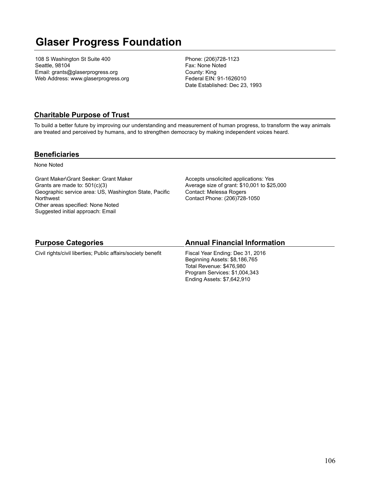# **Glaser Progress Foundation**

108 S Washington St Suite 400 Seattle, 98104 Email: grants@glaserprogress.org Web Address: www.glaserprogress.org Phone: (206)728-1123 Fax: None Noted County: King Federal EIN: 91-1626010 Date Established: Dec 23, 1993

# **Charitable Purpose of Trust**

To build a better future by improving our understanding and measurement of human progress, to transform the way animals are treated and perceived by humans, and to strengthen democracy by making independent voices heard.

### **Beneficiaries**

None Noted

Grant Maker\Grant Seeker: Grant Maker Grants are made to: 501(c)(3) Geographic service area: US, Washington State, Pacific Northwest Other areas specified: None Noted Suggested initial approach: Email

Accepts unsolicited applications: Yes Average size of grant: \$10,001 to \$25,000 Contact: Melessa Rogers Contact Phone: (206)728-1050

### **Purpose Categories**

Civil rights/civil liberties; Public affairs/society benefit

### **Annual Financial Information**

Fiscal Year Ending: Dec 31, 2016 Beginning Assets: \$8,186,765 Total Revenue: \$476,980 Program Services: \$1,004,343 Ending Assets: \$7,642,910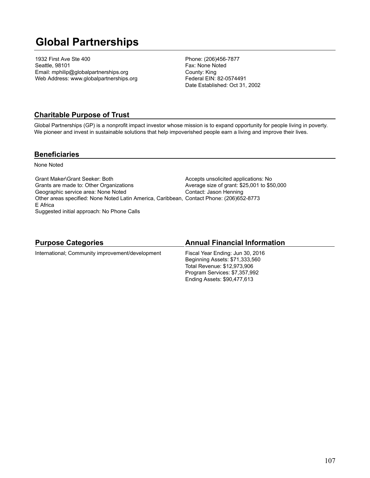# **Global Partnerships**

1932 First Ave Ste 400 Seattle, 98101 Email: mphilip@globalpartnerships.org Web Address: www.globalpartnerships.org Phone: (206)456-7877 Fax: None Noted County: King Federal EIN: 82-0574491 Date Established: Oct 31, 2002

## **Charitable Purpose of Trust**

Global Partnerships (GP) is a nonprofit impact investor whose mission is to expand opportunity for people living in poverty. We pioneer and invest in sustainable solutions that help impoverished people earn a living and improve their lives.

#### **Beneficiaries**

None Noted

Grant Maker\Grant Seeker: Both Grants are made to: Other Organizations Geographic service area: None Noted Other areas specified: None Noted Latin America, Caribbean, Contact Phone: (206)652-8773 E Africa Suggested initial approach: No Phone Calls Accepts unsolicited applications: No Average size of grant: \$25,001 to \$50,000 Contact: Jason Henning

### **Purpose Categories**

#### **Annual Financial Information**

International; Community improvement/development

Fiscal Year Ending: Jun 30, 2016 Beginning Assets: \$71,333,560 Total Revenue: \$12,973,906 Program Services: \$7,357,992 Ending Assets: \$90,477,613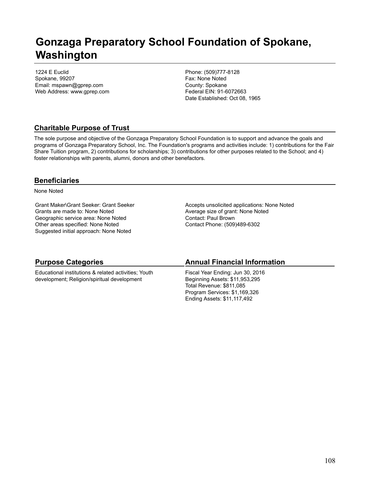# **Gonzaga Preparatory School Foundation of Spokane, Washington**

1224 E Euclid Spokane, 99207 Email: mspawn@gprep.com Web Address: www.gprep.com Phone: (509)777-8128 Fax: None Noted County: Spokane Federal EIN: 91-6072663 Date Established: Oct 08, 1965

# **Charitable Purpose of Trust**

The sole purpose and objective of the Gonzaga Preparatory School Foundation is to support and advance the goals and programs of Gonzaga Preparatory School, Inc. The Foundation's programs and activities include: 1) contributions for the Fair Share Tuition program, 2) contributions for scholarships; 3) contributions for other purposes related to the School; and 4) foster relationships with parents, alumni, donors and other benefactors.

## **Beneficiaries**

None Noted

Grant Maker\Grant Seeker: Grant Seeker Grants are made to: None Noted Geographic service area: None Noted Other areas specified: None Noted Suggested initial approach: None Noted

Accepts unsolicited applications: None Noted Average size of grant: None Noted Contact: Paul Brown Contact Phone: (509)489-6302

### **Purpose Categories**

Educational institutions & related activities; Youth development; Religion/spiritual development

### **Annual Financial Information**

Fiscal Year Ending: Jun 30, 2016 Beginning Assets: \$11,953,295 Total Revenue: \$811,085 Program Services: \$1,169,326 Ending Assets: \$11,117,492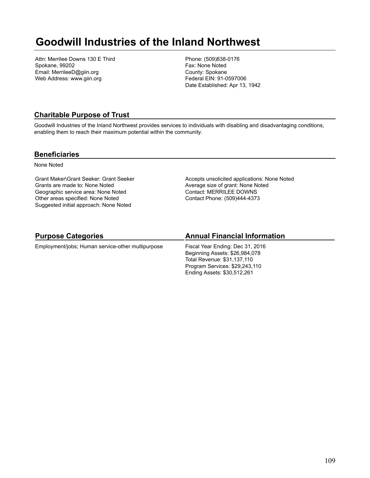## **Goodwill Industries of the Inland Northwest**

Attn: Merrilee Downs 130 E Third Spokane, 99202 Email: MerrileeD@giin.org Web Address: www.giin.org

Phone: (509)838-0176 Fax: None Noted County: Spokane Federal EIN: 91-0597006 Date Established: Apr 13, 1942

### **Charitable Purpose of Trust**

Goodwill Industries of the Inland Northwest provides services to individuals with disabling and disadvantaging conditions, enabling them to reach their maximum potential within the community.

#### **Beneficiaries**

None Noted

Grant Maker\Grant Seeker: Grant Seeker Grants are made to: None Noted Geographic service area: None Noted Other areas specified: None Noted Suggested initial approach: None Noted

Accepts unsolicited applications: None Noted Average size of grant: None Noted Contact: MERRILEE DOWNS Contact Phone: (509)444-4373

## **Purpose Categories**

Employment/jobs; Human service-other multipurpose

### **Annual Financial Information**

Fiscal Year Ending: Dec 31, 2016 Beginning Assets: \$26,984,078 Total Revenue: \$31,137,110 Program Services: \$29,243,110 Ending Assets: \$30,512,261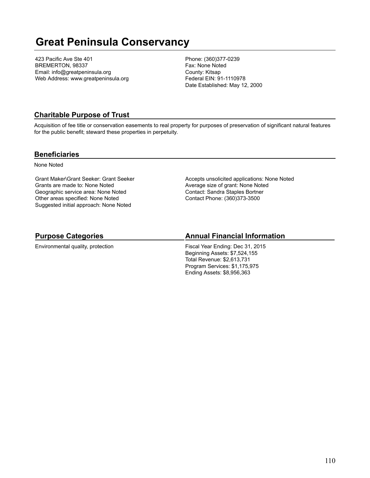## **Great Peninsula Conservancy**

423 Pacific Ave Ste 401 BREMERTON, 98337 Email: info@greatpeninsula.org Web Address: www.greatpeninsula.org Phone: (360)377-0239 Fax: None Noted County: Kitsap Federal EIN: 91-1110978 Date Established: May 12, 2000

### **Charitable Purpose of Trust**

Acquisition of fee title or conservation easements to real property for purposes of preservation of significant natural features for the public benefit; steward these properties in perpetuity.

#### **Beneficiaries**

None Noted

Grant Maker\Grant Seeker: Grant Seeker Grants are made to: None Noted Geographic service area: None Noted Other areas specified: None Noted Suggested initial approach: None Noted

Accepts unsolicited applications: None Noted Average size of grant: None Noted Contact: Sandra Staples Bortner Contact Phone: (360)373-3500

## **Purpose Categories**

Environmental quality, protection

### **Annual Financial Information**

Fiscal Year Ending: Dec 31, 2015 Beginning Assets: \$7,524,155 Total Revenue: \$2,613,731 Program Services: \$1,175,975 Ending Assets: \$8,956,363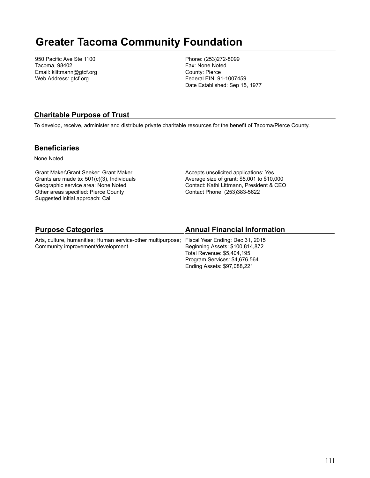## **Greater Tacoma Community Foundation**

950 Pacific Ave Ste 1100 Tacoma, 98402 Email: klittmann@gtcf.org Web Address: gtcf.org

Phone: (253)272-8099 Fax: None Noted County: Pierce Federal EIN: 91-1007459 Date Established: Sep 15, 1977

### **Charitable Purpose of Trust**

To develop, receive, administer and distribute private charitable resources for the benefit of Tacoma/Pierce County.

#### **Beneficiaries**

None Noted

Grant Maker\Grant Seeker: Grant Maker Grants are made to: 501(c)(3), Individuals Geographic service area: None Noted Other areas specified: Pierce County Suggested initial approach: Call

Accepts unsolicited applications: Yes Average size of grant: \$5,001 to \$10,000 Contact: Kathi Littmann, President & CEO Contact Phone: (253)383-5622

Ending Assets: \$97,088,221

| <b>Purpose Categories</b>                                                                     | <b>Annual Financial Information</b> |
|-----------------------------------------------------------------------------------------------|-------------------------------------|
| Arts, culture, humanities; Human service-other multipurpose; Fiscal Year Ending: Dec 31, 2015 |                                     |
| Community improvement/development                                                             | Beginning Assets: \$100,814,872     |
|                                                                                               | Total Revenue: \$5,404,195          |
|                                                                                               | Program Services: \$4,676,564       |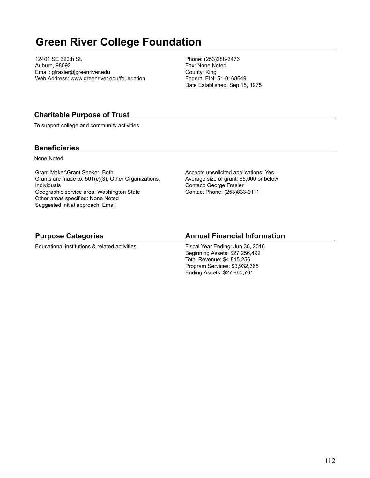## **Green River College Foundation**

12401 SE 320th St. Auburn, 98092 Email: gfrasier@greenriver.edu Web Address: www.greenriver.edu/foundation Phone: (253)288-3476 Fax: None Noted County: King Federal EIN: 51-0168649 Date Established: Sep 15, 1975

## **Charitable Purpose of Trust**

To support college and community activities.

### **Beneficiaries**

None Noted

Grant Maker\Grant Seeker: Both Grants are made to: 501(c)(3), Other Organizations, Individuals Geographic service area: Washington State Other areas specified: None Noted Suggested initial approach: Email

Accepts unsolicited applications: Yes Average size of grant: \$5,000 or below Contact: George Frasier Contact Phone: (253)833-9111

## **Purpose Categories**

Educational institutions & related activities

## **Annual Financial Information**

Fiscal Year Ending: Jun 30, 2016 Beginning Assets: \$27,256,492 Total Revenue: \$4,815,256 Program Services: \$3,932,365 Ending Assets: \$27,865,761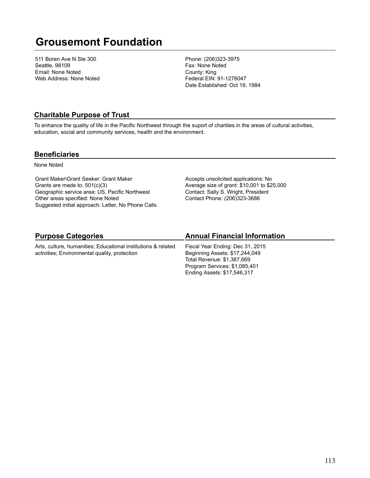## **Grousemont Foundation**

511 Boren Ave N Ste 300 Seattle, 98109 Email: None Noted Web Address: None Noted Phone: (206)323-3975 Fax: None Noted County: King Federal EIN: 91-1276047 Date Established: Oct 19, 1984

#### **Charitable Purpose of Trust**

To enhance the quality of life in the Pacific Northwest through the suport of charities in the areas of cultural activities, education, social and community services, health and the environment.

#### **Beneficiaries**

None Noted

Grant Maker\Grant Seeker: Grant Maker Grants are made to: 501(c)(3) Geographic service area: US, Pacific Northwest Other areas specified: None Noted Suggested initial approach: Letter, No Phone Calls Accepts unsolicited applications: No Average size of grant: \$10,001 to \$25,000 Contact: Sally S. Wright, President Contact Phone: (206)323-3686

## **Purpose Categories**

Arts, culture, humanities; Educational institutions & related activities; Environmental quality, protection

### **Annual Financial Information**

Fiscal Year Ending: Dec 31, 2015 Beginning Assets: \$17,244,049 Total Revenue: \$1,387,669 Program Services: \$1,085,401 Ending Assets: \$17,546,317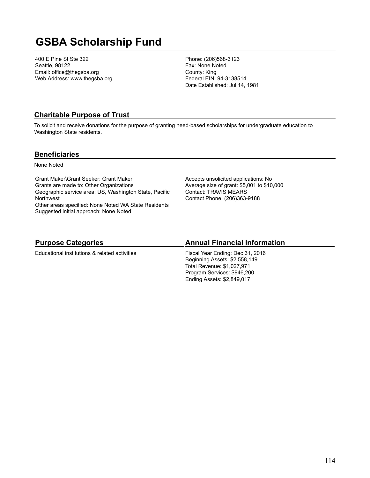## **GSBA Scholarship Fund**

400 E Pine St Ste 322 Seattle, 98122 Email: office@thegsba.org Web Address: www.thegsba.org Phone: (206)568-3123 Fax: None Noted County: King Federal EIN: 94-3138514 Date Established: Jul 14, 1981

### **Charitable Purpose of Trust**

To solicit and receive donations for the purpose of granting need-based scholarships for undergraduate education to Washington State residents.

#### **Beneficiaries**

None Noted

Grant Maker\Grant Seeker: Grant Maker Grants are made to: Other Organizations Geographic service area: US, Washington State, Pacific **Northwest** Other areas specified: None Noted WA State Residents Suggested initial approach: None Noted

Accepts unsolicited applications: No Average size of grant: \$5,001 to \$10,000 Contact: TRAVIS MEARS Contact Phone: (206)363-9188

#### **Purpose Categories**

Educational institutions & related activities

#### **Annual Financial Information**

Fiscal Year Ending: Dec 31, 2016 Beginning Assets: \$2,558,149 Total Revenue: \$1,027,971 Program Services: \$946,200 Ending Assets: \$2,849,017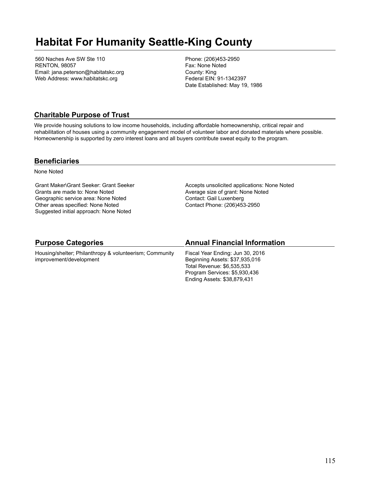## **Habitat For Humanity Seattle-King County**

560 Naches Ave SW Ste 110 RENTON, 98057 Email: jana.peterson@habitatskc.org Web Address: www.habitatskc.org

Phone: (206)453-2950 Fax: None Noted County: King Federal EIN: 91-1342397 Date Established: May 19, 1986

### **Charitable Purpose of Trust**

We provide housing solutions to low income households, including affordable homeownership, critical repair and rehabilitation of houses using a community engagement model of volunteer labor and donated materials where possible. Homeownership is supported by zero interest loans and all buyers contribute sweat equity to the program.

#### **Beneficiaries**

None Noted

Grant Maker\Grant Seeker: Grant Seeker Grants are made to: None Noted Geographic service area: None Noted Other areas specified: None Noted Suggested initial approach: None Noted

improvement/development

Accepts unsolicited applications: None Noted Average size of grant: None Noted Contact: Gail Luxenberg Contact Phone: (206)453-2950

| <b>Purpose Categories</b>                               |  |
|---------------------------------------------------------|--|
| Housing/shelter; Philanthropy & volunteerism; Community |  |

#### **Annual Financial Information**

Fiscal Year Ending: Jun 30, 2016 Beginning Assets: \$37,935,016 Total Revenue: \$6,535,533 Program Services: \$5,930,436 Ending Assets: \$38,879,431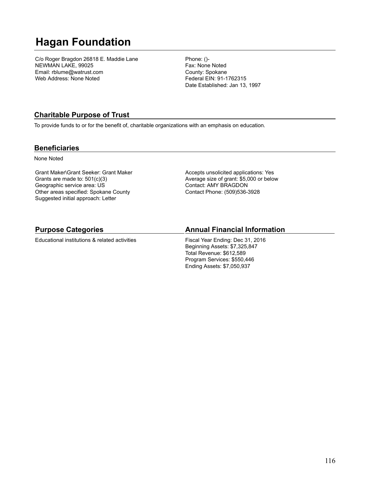## **Hagan Foundation**

C/o Roger Bragdon 26818 E. Maddie Lane NEWMAN LAKE, 99025 Email: rblume@watrust.com Web Address: None Noted

Phone: ()- Fax: None Noted County: Spokane Federal EIN: 91-1762315 Date Established: Jan 13, 1997

## **Charitable Purpose of Trust**

To provide funds to or for the benefit of, charitable organizations with an emphasis on education.

#### **Beneficiaries**

None Noted

Grant Maker\Grant Seeker: Grant Maker Grants are made to: 501(c)(3) Geographic service area: US Other areas specified: Spokane County Suggested initial approach: Letter

Accepts unsolicited applications: Yes Average size of grant: \$5,000 or below Contact: AMY BRAGDON Contact Phone: (509)536-3928

### **Purpose Categories**

Educational institutions & related activities

### **Annual Financial Information**

Fiscal Year Ending: Dec 31, 2016 Beginning Assets: \$7,325,847 Total Revenue: \$612,589 Program Services: \$550,446 Ending Assets: \$7,050,937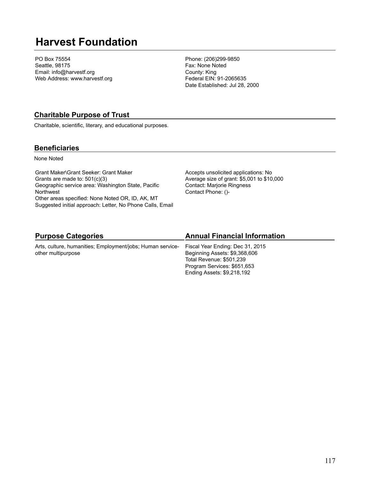## **Harvest Foundation**

PO Box 75554 Seattle, 98175 Email: info@harvestf.org Web Address: www.harvestf.org Phone: (206)299-9850 Fax: None Noted County: King Federal EIN: 91-2065635 Date Established: Jul 28, 2000

### **Charitable Purpose of Trust**

Charitable, scientific, literary, and educational purposes.

#### **Beneficiaries**

None Noted

Grant Maker\Grant Seeker: Grant Maker Grants are made to: 501(c)(3) Geographic service area: Washington State, Pacific **Northwest** Other areas specified: None Noted OR, ID, AK, MT Suggested initial approach: Letter, No Phone Calls, Email Accepts unsolicited applications: No Average size of grant: \$5,001 to \$10,000 Contact: Marjorie Ringness Contact Phone: ()-

## **Purpose Categories**

Arts, culture, humanities; Employment/jobs; Human serviceother multipurpose

## **Annual Financial Information**

Fiscal Year Ending: Dec 31, 2015 Beginning Assets: \$9,368,606 Total Revenue: \$501,239 Program Services: \$651,653 Ending Assets: \$9,218,192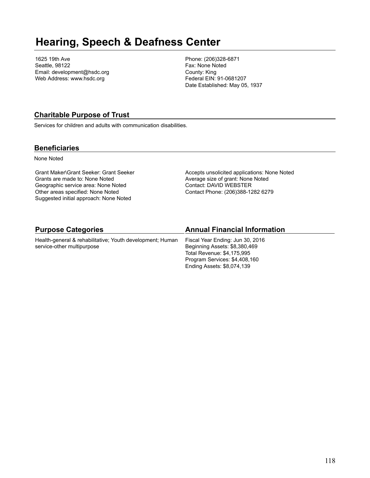## **Hearing, Speech & Deafness Center**

1625 19th Ave Seattle, 98122 Email: development@hsdc.org Web Address: www.hsdc.org

Phone: (206)328-6871 Fax: None Noted County: King Federal EIN: 91-0681207 Date Established: May 05, 1937

### **Charitable Purpose of Trust**

Services for children and adults with communication disabilities.

#### **Beneficiaries**

None Noted

Grant Maker\Grant Seeker: Grant Seeker Grants are made to: None Noted Geographic service area: None Noted Other areas specified: None Noted Suggested initial approach: None Noted

Accepts unsolicited applications: None Noted Average size of grant: None Noted Contact: DAVID WEBSTER Contact Phone: (206)388-1282 6279

| <b>Purpose Categories</b>                                 | <b>Annual Financial Information</b> |
|-----------------------------------------------------------|-------------------------------------|
| Health-general & rehabilitative; Youth development; Human | Fiscal Year Ending: Jun 30, 2016    |
| service-other multipurpose                                | Beginning Assets: \$8,380,469       |
|                                                           | Total Revenue: \$4,175,995          |
|                                                           | Program Services: \$4,408,160       |
|                                                           | Ending Assets: \$8,074,139          |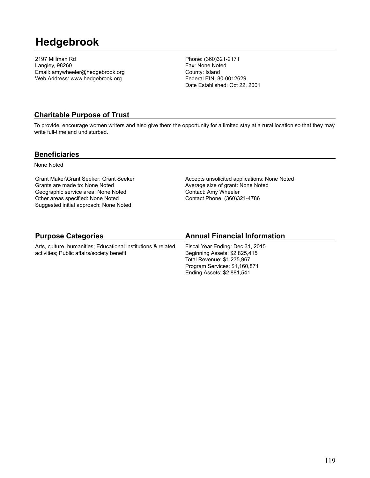## **Hedgebrook**

2197 Millman Rd Langley, 98260 Email: amywheeler@hedgebrook.org Web Address: www.hedgebrook.org

Phone: (360)321-2171 Fax: None Noted County: Island Federal EIN: 80-0012629 Date Established: Oct 22, 2001

#### **Charitable Purpose of Trust**

To provide, encourage women writers and also give them the opportunity for a limited stay at a rural location so that they may write full-time and undisturbed.

#### **Beneficiaries**

None Noted

Grant Maker\Grant Seeker: Grant Seeker Grants are made to: None Noted Geographic service area: None Noted Other areas specified: None Noted Suggested initial approach: None Noted

Accepts unsolicited applications: None Noted Average size of grant: None Noted Contact: Amy Wheeler Contact Phone: (360)321-4786

## **Purpose Categories**

Arts, culture, humanities; Educational institutions & related activities; Public affairs/society benefit

## **Annual Financial Information**

Fiscal Year Ending: Dec 31, 2015 Beginning Assets: \$2,825,415 Total Revenue: \$1,235,967 Program Services: \$1,160,871 Ending Assets: \$2,881,541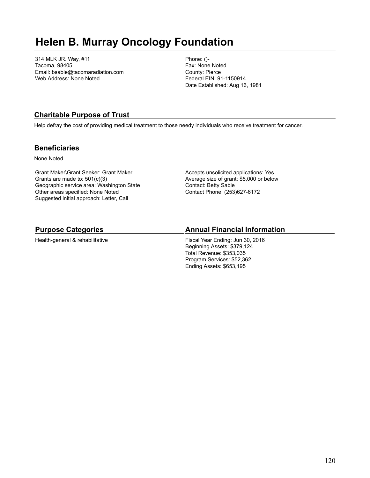## **Helen B. Murray Oncology Foundation**

314 MLK JR. Way, #11 Tacoma, 98405 Email: bsable@tacomaradiation.com Web Address: None Noted

Phone: ()- Fax: None Noted County: Pierce Federal EIN: 91-1150914 Date Established: Aug 16, 1981

### **Charitable Purpose of Trust**

Help defray the cost of providing medical treatment to those needy individuals who receive treatment for cancer.

#### **Beneficiaries**

None Noted

Grant Maker\Grant Seeker: Grant Maker Grants are made to: 501(c)(3) Geographic service area: Washington State Other areas specified: None Noted Suggested initial approach: Letter, Call

Accepts unsolicited applications: Yes Average size of grant: \$5,000 or below Contact: Betty Sable Contact Phone: (253)627-6172

#### **Purpose Categories**

Health-general & rehabilitative

#### **Annual Financial Information**

Fiscal Year Ending: Jun 30, 2016 Beginning Assets: \$379,124 Total Revenue: \$353,035 Program Services: \$52,362 Ending Assets: \$653,195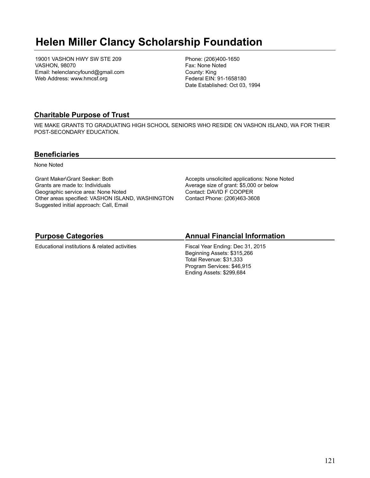## **Helen Miller Clancy Scholarship Foundation**

19001 VASHON HWY SW STE 209 VASHON, 98070 Email: helenclancyfound@gmail.com Web Address: www.hmcsf.org

Phone: (206)400-1650 Fax: None Noted County: King Federal EIN: 91-1658180 Date Established: Oct 03, 1994

### **Charitable Purpose of Trust**

WE MAKE GRANTS TO GRADUATING HIGH SCHOOL SENIORS WHO RESIDE ON VASHON ISLAND, WA FOR THEIR POST-SECONDARY EDUCATION.

#### **Beneficiaries**

None Noted

Grant Maker\Grant Seeker: Both Grants are made to: Individuals Geographic service area: None Noted Other areas specified: VASHON ISLAND, WASHINGTON Suggested initial approach: Call, Email

Accepts unsolicited applications: None Noted Average size of grant: \$5,000 or below Contact: DAVID F COOPER Contact Phone: (206)463-3608

## **Purpose Categories**

Educational institutions & related activities

### **Annual Financial Information**

Fiscal Year Ending: Dec 31, 2015 Beginning Assets: \$315,266 Total Revenue: \$31,333 Program Services: \$46,915 Ending Assets: \$299,684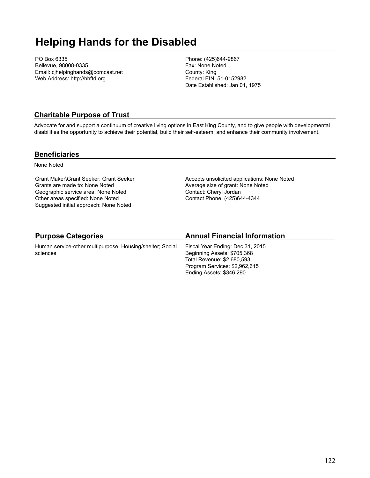## **Helping Hands for the Disabled**

PO Box 6335 Bellevue, 98008-0335 Email: cjhelpinghands@comcast.net Web Address: http://hhftd.org

Phone: (425)644-9867 Fax: None Noted County: King Federal EIN: 51-0152982 Date Established: Jan 01, 1975

## **Charitable Purpose of Trust**

Advocate for and support a continuum of creative living options in East King County, and to give people with developmental disabilities the opportunity to achieve their potential, build their self-esteem, and enhance their community involvement.

#### **Beneficiaries**

None Noted

Grant Maker\Grant Seeker: Grant Seeker Grants are made to: None Noted Geographic service area: None Noted Other areas specified: None Noted Suggested initial approach: None Noted

Accepts unsolicited applications: None Noted Average size of grant: None Noted Contact: Cheryl Jordan Contact Phone: (425)644-4344

## **Purpose Categories**

Human service-other multipurpose; Housing/shelter; Social sciences

## **Annual Financial Information**

Fiscal Year Ending: Dec 31, 2015 Beginning Assets: \$705,368 Total Revenue: \$2,680,593 Program Services: \$2,962,615 Ending Assets: \$346,290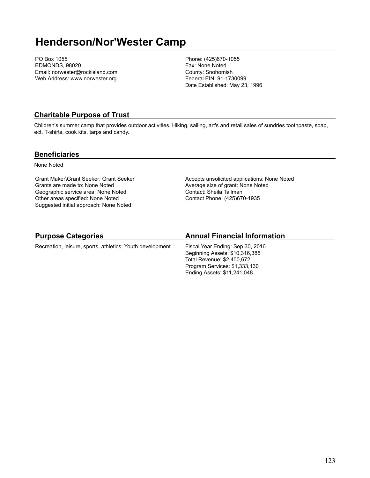## **Henderson/Nor'Wester Camp**

PO Box 1055 EDMONDS, 98020 Email: norwester@rockisland.com Web Address: www.norwester.org

Phone: (425)670-1055 Fax: None Noted County: Snohomish Federal EIN: 91-1730099 Date Established: May 23, 1996

#### **Charitable Purpose of Trust**

Children's summer camp that provides outdoor activities. Hiking, sailing, art's and retail sales of sundries toothpaste, soap, ect. T-shirts, cook kits, tarps and candy.

#### **Beneficiaries**

None Noted

Grant Maker\Grant Seeker: Grant Seeker Grants are made to: None Noted Geographic service area: None Noted Other areas specified: None Noted Suggested initial approach: None Noted

Accepts unsolicited applications: None Noted Average size of grant: None Noted Contact: Sheila Tallman Contact Phone: (425)670-1935

### **Purpose Categories**

Recreation, leisure, sports, athletics; Youth development

### **Annual Financial Information**

Fiscal Year Ending: Sep 30, 2016 Beginning Assets: \$10,316,385 Total Revenue: \$2,400,672 Program Services: \$1,333,130 Ending Assets: \$11,241,048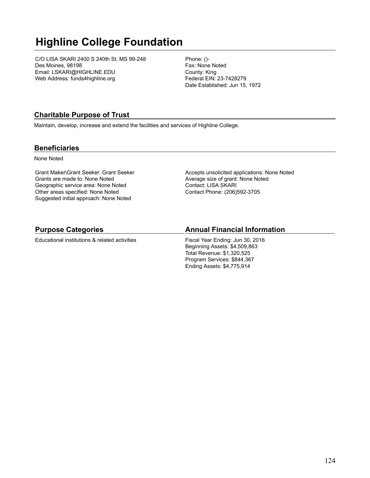# **Highline College Foundation**

C/O LISA SKARI 2400 S 240th St, MS 99-248 Des Moines, 98198 Email: LSKARI@HIGHLINE.EDU Web Address: funds4highline.org

Phone: ()- Fax: None Noted County: King Federal EIN: 23-7428279 Date Established: Jun 15, 1972

## **Charitable Purpose of Trust**

Maintain, develop, increase and extend the facilities and services of Highline College.

#### **Beneficiaries**

None Noted

Grant Maker\Grant Seeker: Grant Seeker Grants are made to: None Noted Geographic service area: None Noted Other areas specified: None Noted Suggested initial approach: None Noted

Accepts unsolicited applications: None Noted Average size of grant: None Noted Contact: LISA SKARI Contact Phone: (206)592-3705

### **Purpose Categories**

Educational institutions & related activities

### **Annual Financial Information**

Fiscal Year Ending: Jun 30, 2016 Beginning Assets: \$4,509,863 Total Revenue: \$1,320,525 Program Services: \$844,367 Ending Assets: \$4,775,914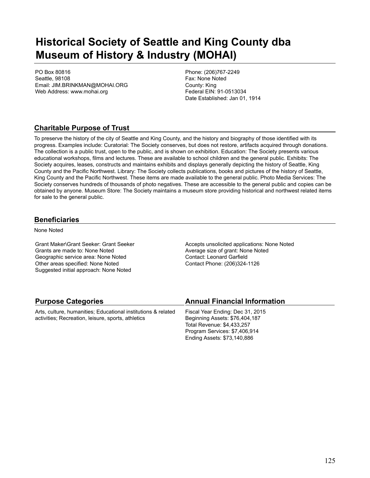## **Historical Society of Seattle and King County dba Museum of History & Industry (MOHAI)**

PO Box 80816 Seattle, 98108 Email: JIM.BRINKMAN@MOHAI.ORG Web Address: www.mohai.org

Phone: (206)767-2249 Fax: None Noted County: King Federal EIN: 91-0513034 Date Established: Jan 01, 1914

## **Charitable Purpose of Trust**

To preserve the history of the city of Seattle and King County, and the history and biography of those identified with its progress. Examples include: Curatorial: The Society conserves, but does not restore, artifacts acquired through donations. The collection is a public trust, open to the public, and is shown on exhibition. Education: The Society presents various educational workshops, films and lectures. These are available to school children and the general public. Exhibits: The Society acquires, leases, constructs and maintains exhibits and displays generally depicting the history of Seattle, King County and the Pacific Northwest. Library: The Society collects publications, books and pictures of the history of Seattle, King County and the Pacific Northwest. These items are made available to the general public. Photo Media Services: The Society conserves hundreds of thousands of photo negatives. These are accessible to the general public and copies can be obtained by anyone. Museum Store: The Society maintains a museum store providing historical and northwest related items for sale to the general public.

#### **Beneficiaries**

None Noted

Grant Maker\Grant Seeker: Grant Seeker Grants are made to: None Noted Geographic service area: None Noted Other areas specified: None Noted Suggested initial approach: None Noted

Accepts unsolicited applications: None Noted Average size of grant: None Noted Contact: Leonard Garfield Contact Phone: (206)324-1126

### **Purpose Categories**

Arts, culture, humanities; Educational institutions & related activities; Recreation, leisure, sports, athletics

#### **Annual Financial Information**

Fiscal Year Ending: Dec 31, 2015 Beginning Assets: \$76,404,187 Total Revenue: \$4,433,257 Program Services: \$7,406,914 Ending Assets: \$73,140,886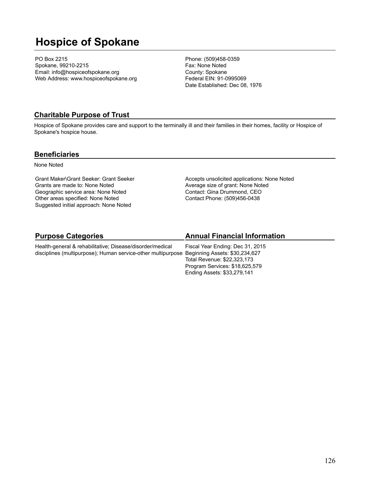## **Hospice of Spokane**

PO Box 2215 Spokane, 99210-2215 Email: info@hospiceofspokane.org Web Address: www.hospiceofspokane.org Phone: (509)458-0359 Fax: None Noted County: Spokane Federal EIN: 91-0995069 Date Established: Dec 08, 1976

### **Charitable Purpose of Trust**

Hospice of Spokane provides care and support to the terminally ill and their families in their homes, facility or Hospice of Spokane's hospice house.

#### **Beneficiaries**

None Noted

Grant Maker\Grant Seeker: Grant Seeker Grants are made to: None Noted Geographic service area: None Noted Other areas specified: None Noted Suggested initial approach: None Noted

Accepts unsolicited applications: None Noted Average size of grant: None Noted Contact: Gina Drummond, CEO Contact Phone: (509)456-0438

#### **Purpose Categories** Health-general & rehabilitative; Disease/disorder/medical disciplines (multipurpose); Human service-other multipurpose Beginning Assets: \$30,234,627 **Annual Financial Information** Fiscal Year Ending: Dec 31, 2015

Total Revenue: \$22,323,173 Program Services: \$18,625,579 Ending Assets: \$33,279,141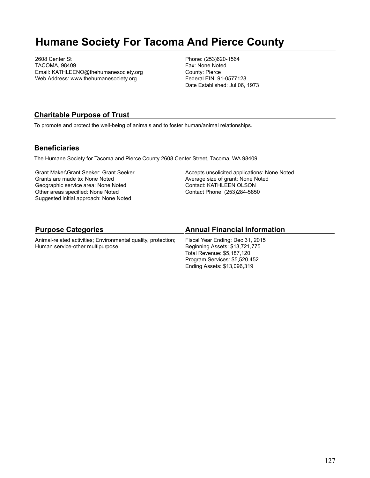## **Humane Society For Tacoma And Pierce County**

2608 Center St TACOMA, 98409 Email: KATHLEENO@thehumanesociety.org Web Address: www.thehumanesociety.org

Phone: (253)620-1564 Fax: None Noted County: Pierce Federal EIN: 91-0577128 Date Established: Jul 06, 1973

### **Charitable Purpose of Trust**

To promote and protect the well-being of animals and to foster human/animal relationships.

#### **Beneficiaries**

The Humane Society for Tacoma and Pierce County 2608 Center Street, Tacoma, WA 98409

Grant Maker\Grant Seeker: Grant Seeker Grants are made to: None Noted Geographic service area: None Noted Other areas specified: None Noted Suggested initial approach: None Noted

Accepts unsolicited applications: None Noted Average size of grant: None Noted Contact: KATHLEEN OLSON Contact Phone: (253)284-5850

Ending Assets: \$13,096,319

| <b>Purpose Categories</b>                                     | <b>Annual Financial Information</b> |
|---------------------------------------------------------------|-------------------------------------|
| Animal-related activities; Environmental quality, protection; | Fiscal Year Ending: Dec 31, 2015    |
| Human service-other multipurpose                              | Beginning Assets: \$13,721,775      |
|                                                               | Total Revenue: \$5.187.120          |
|                                                               | Program Services: \$5,520,452       |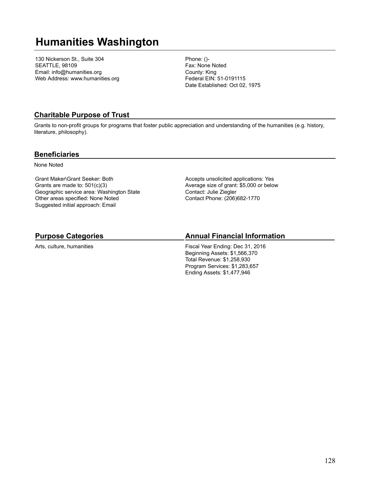## **Humanities Washington**

130 Nickerson St., Suite 304 SEATTLE, 98109 Email: info@humanities.org Web Address: www.humanities.org Phone: ()- Fax: None Noted County: King Federal EIN: 51-0191115 Date Established: Oct 02, 1975

### **Charitable Purpose of Trust**

Grants to non-profit groups for programs that foster public appreciation and understanding of the humanities (e.g. history, literature, philosophy).

#### **Beneficiaries**

None Noted

Grant Maker\Grant Seeker: Both Grants are made to: 501(c)(3) Geographic service area: Washington State Other areas specified: None Noted Suggested initial approach: Email

Accepts unsolicited applications: Yes Average size of grant: \$5,000 or below Contact: Julie Ziegler Contact Phone: (206)682-1770

## **Purpose Categories**

Arts, culture, humanities

### **Annual Financial Information**

Fiscal Year Ending: Dec 31, 2016 Beginning Assets: \$1,566,370 Total Revenue: \$1,258,930 Program Services: \$1,283,657 Ending Assets: \$1,477,946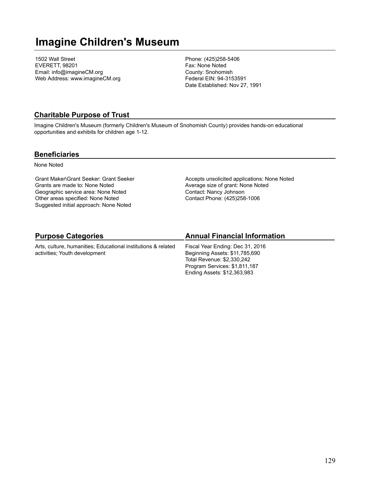## **Imagine Children's Museum**

1502 Wall Street EVERETT, 98201 Email: info@imagineCM.org Web Address: www.imagineCM.org Phone: (425)258-5406 Fax: None Noted County: Snohomish Federal EIN: 94-3153591 Date Established: Nov 27, 1991

#### **Charitable Purpose of Trust**

Imagine Children's Museum (formerly Children's Museum of Snohomish County) provides hands-on educational opportunities and exhibits for children age 1-12.

#### **Beneficiaries**

None Noted

Grant Maker\Grant Seeker: Grant Seeker Grants are made to: None Noted Geographic service area: None Noted Other areas specified: None Noted Suggested initial approach: None Noted

Accepts unsolicited applications: None Noted Average size of grant: None Noted Contact: Nancy Johnson Contact Phone: (425)258-1006

## **Purpose Categories**

Arts, culture, humanities; Educational institutions & related activities; Youth development

## **Annual Financial Information**

Fiscal Year Ending: Dec 31, 2016 Beginning Assets: \$11,785,690 Total Revenue: \$2,330,242 Program Services: \$1,811,187 Ending Assets: \$12,363,983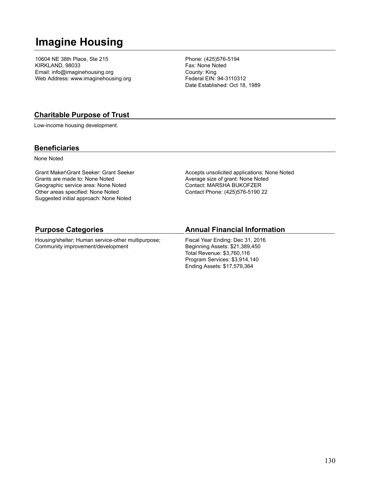## **Imagine Housing**

10604 NE 38th Place, Ste 215 KIRKLAND, 98033 Email: info@imaginehousing.org Web Address: www.imaginehousing.org Phone: (425)576-5194 Fax: None Noted County: King Federal EIN: 94-3110312 Date Established: Oct 18, 1989

### **Charitable Purpose of Trust**

Low-income housing development.

#### **Beneficiaries**

None Noted

Grant Maker\Grant Seeker: Grant Seeker Grants are made to: None Noted Geographic service area: None Noted Other areas specified: None Noted Suggested initial approach: None Noted

Accepts unsolicited applications: None Noted Average size of grant: None Noted Contact: MARSHA BUKOFZER Contact Phone: (425)576-5190 22

#### **Purpose Categories**

Housing/shelter; Human service-other multipurpose; Community improvement/development

#### **Annual Financial Information**

Fiscal Year Ending: Dec 31, 2016 Beginning Assets: \$21,389,450 Total Revenue: \$3,760,116 Program Services: \$3,914,140 Ending Assets: \$17,579,364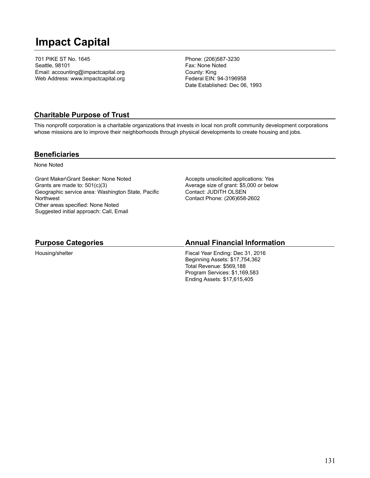## **Impact Capital**

701 PIKE ST No. 1645 Seattle, 98101 Email: accounting@impactcapital.org Web Address: www.impactcapital.org Phone: (206)587-3230 Fax: None Noted County: King Federal EIN: 94-3196958 Date Established: Dec 06, 1993

## **Charitable Purpose of Trust**

This nonprofit corporation is a charitable organizations that invests in local non profit community development corporations whose missions are to improve their neighborhoods through physical developments to create housing and jobs.

#### **Beneficiaries**

None Noted

Grant Maker\Grant Seeker: None Noted Grants are made to: 501(c)(3) Geographic service area: Washington State, Pacific **Northwest** Other areas specified: None Noted Suggested initial approach: Call, Email

Accepts unsolicited applications: Yes Average size of grant: \$5,000 or below Contact: JUDITH OLSEN Contact Phone: (206)658-2602

### **Purpose Categories**

Housing/shelter

### **Annual Financial Information**

Fiscal Year Ending: Dec 31, 2016 Beginning Assets: \$17,754,362 Total Revenue: \$569,188 Program Services: \$1,169,583 Ending Assets: \$17,615,405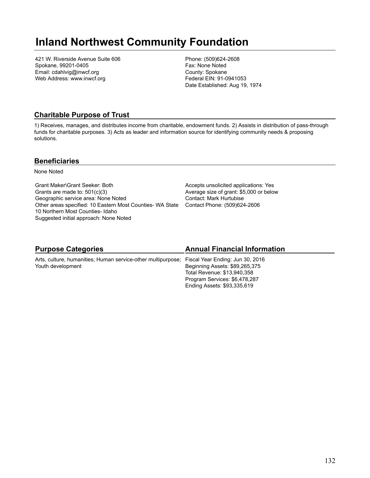## **Inland Northwest Community Foundation**

421 W. Riverside Avenue Suite 606 Spokane, 99201-0405 Email: cdahlvig@inwcf.org Web Address: www.inwcf.org

Phone: (509)624-2608 Fax: None Noted County: Spokane Federal EIN: 91-0941053 Date Established: Aug 19, 1974

### **Charitable Purpose of Trust**

1) Receives, manages, and distributes income from charitable, endowment funds. 2) Assists in distribution of pass-through funds for charitable purposes. 3) Acts as leader and information source for identifying community needs & proposing solutions.

#### **Beneficiaries**

None Noted

Grant Maker\Grant Seeker: Both Grants are made to: 501(c)(3) Geographic service area: None Noted Other areas specified: 10 Eastern Most Counties- WA State 10 Northern Most Counties- Idaho Suggested initial approach: None Noted

Accepts unsolicited applications: Yes Average size of grant: \$5,000 or below Contact: Mark Hurtubise Contact Phone: (509)624-2606

| <b>Purpose Categories</b>                                                                                          | <b>Annual Financial Information</b>                                                                                           |
|--------------------------------------------------------------------------------------------------------------------|-------------------------------------------------------------------------------------------------------------------------------|
| Arts, culture, humanities; Human service-other multipurpose; Fiscal Year Ending: Jun 30, 2016<br>Youth development | Beginning Assets: \$89,265,375<br>Total Revenue: \$13,940,358<br>Program Services: \$6,478,287<br>Ending Assets: \$93,335,619 |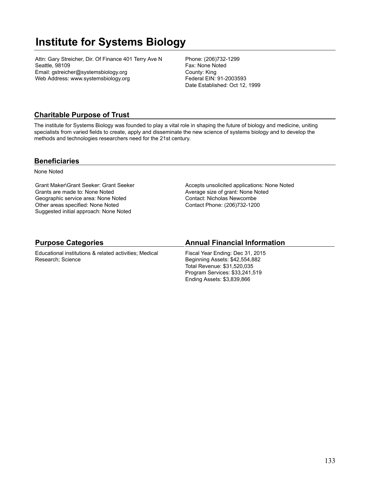## **Institute for Systems Biology**

Attn: Gary Streicher, Dir. Of Finance 401 Terry Ave N Seattle, 98109 Email: gstreicher@systemsbiology.org Web Address: www.systemsbiology.org

Phone: (206)732-1299 Fax: None Noted County: King Federal EIN: 91-2003593 Date Established: Oct 12, 1999

## **Charitable Purpose of Trust**

The institute for Systems Biology was founded to play a vital role in shaping the future of biology and medicine, uniting specialists from varied fields to create, apply and disseminate the new science of systems biology and to develop the methods and technologies researchers need for the 21st century.

#### **Beneficiaries**

None Noted

Grant Maker\Grant Seeker: Grant Seeker Grants are made to: None Noted Geographic service area: None Noted Other areas specified: None Noted Suggested initial approach: None Noted

Accepts unsolicited applications: None Noted Average size of grant: None Noted Contact: Nicholas Newcombe Contact Phone: (206)732-1200

## **Purpose Categories**

Educational institutions & related activities; Medical Research; Science

### **Annual Financial Information**

Fiscal Year Ending: Dec 31, 2015 Beginning Assets: \$42,554,882 Total Revenue: \$31,520,035 Program Services: \$33,241,519 Ending Assets: \$3,839,866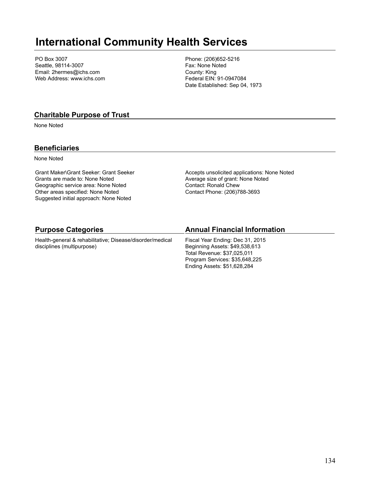## **International Community Health Services**

PO Box 3007 Seattle, 98114-3007 Email: 2hermes@ichs.com Web Address: www.ichs.com Phone: (206)652-5216 Fax: None Noted County: King Federal EIN: 91-0947084 Date Established: Sep 04, 1973

#### **Charitable Purpose of Trust**

None Noted

#### **Beneficiaries**

None Noted

Grant Maker\Grant Seeker: Grant Seeker Grants are made to: None Noted Geographic service area: None Noted Other areas specified: None Noted Suggested initial approach: None Noted

Accepts unsolicited applications: None Noted Average size of grant: None Noted Contact: Ronald Chew Contact Phone: (206)788-3693

#### **Purpose Categories**

Health-general & rehabilitative; Disease/disorder/medical disciplines (multipurpose)

#### **Annual Financial Information**

Fiscal Year Ending: Dec 31, 2015 Beginning Assets: \$49,538,613 Total Revenue: \$37,025,011 Program Services: \$35,648,225 Ending Assets: \$51,628,284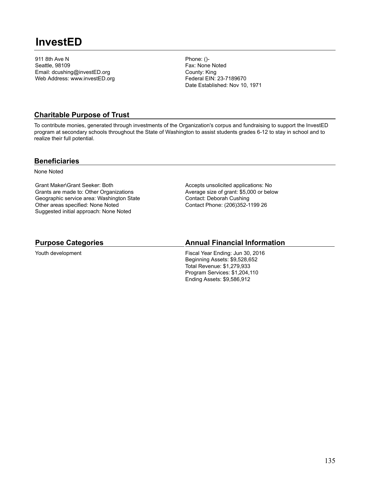## **InvestED**

911 8th Ave N Seattle, 98109 Email: dcushing@investED.org Web Address: www.investED.org Phone: ()- Fax: None Noted County: King Federal EIN: 23-7189670 Date Established: Nov 10, 1971

### **Charitable Purpose of Trust**

To contribute monies, generated through investments of the Organization's corpus and fundraising to support the InvestED program at secondary schools throughout the State of Washington to assist students grades 6-12 to stay in school and to realize their full potential.

#### **Beneficiaries**

None Noted

Grant Maker\Grant Seeker: Both Grants are made to: Other Organizations Geographic service area: Washington State Other areas specified: None Noted Suggested initial approach: None Noted

Accepts unsolicited applications: No Average size of grant: \$5,000 or below Contact: Deborah Cushing Contact Phone: (206)352-1199 26

#### **Purpose Categories**

Youth development

### **Annual Financial Information**

Fiscal Year Ending: Jun 30, 2016 Beginning Assets: \$9,528,652 Total Revenue: \$1,279,933 Program Services: \$1,204,110 Ending Assets: \$9,586,912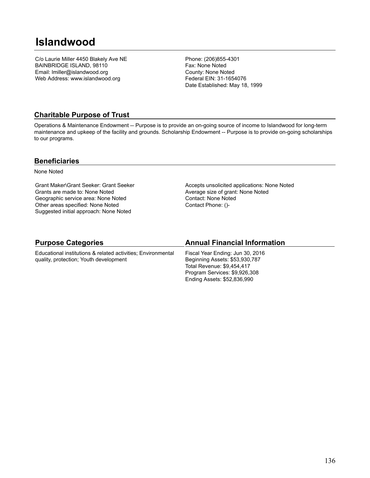## **Islandwood**

C/o Laurie Miller 4450 Blakely Ave NE BAINBRIDGE ISLAND, 98110 Email: lmiller@islandwood.org Web Address: www.islandwood.org

Phone: (206)855-4301 Fax: None Noted County: None Noted Federal EIN: 31-1654076 Date Established: May 18, 1999

### **Charitable Purpose of Trust**

Operations & Maintenance Endowment -- Purpose is to provide an on-going source of income to Islandwood for long-term maintenance and upkeep of the facility and grounds. Scholarship Endowment -- Purpose is to provide on-going scholarships to our programs.

#### **Beneficiaries**

None Noted

Grant Maker\Grant Seeker: Grant Seeker Grants are made to: None Noted Geographic service area: None Noted Other areas specified: None Noted Suggested initial approach: None Noted

Accepts unsolicited applications: None Noted Average size of grant: None Noted Contact: None Noted Contact Phone: ()-

#### **Purpose Categories**

Educational institutions & related activities; Environmental quality, protection; Youth development

#### **Annual Financial Information**

Fiscal Year Ending: Jun 30, 2016 Beginning Assets: \$53,930,787 Total Revenue: \$9,454,417 Program Services: \$9,926,308 Ending Assets: \$52,836,990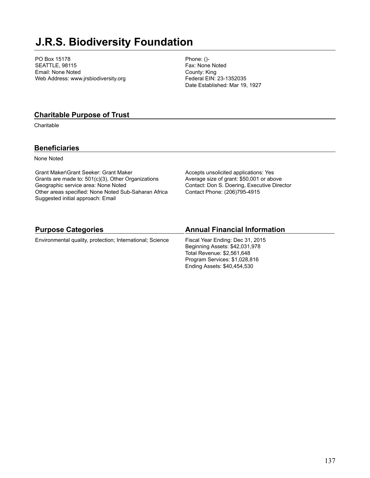## **J.R.S. Biodiversity Foundation**

PO Box 15178 SEATTLE, 98115 Email: None Noted Web Address: www.jrsbiodiversity.org Phone: ()- Fax: None Noted County: King Federal EIN: 23-1352035 Date Established: Mar 19, 1927

#### **Charitable Purpose of Trust**

**Charitable** 

### **Beneficiaries**

None Noted

Grant Maker\Grant Seeker: Grant Maker Grants are made to: 501(c)(3), Other Organizations Geographic service area: None Noted Other areas specified: None Noted Sub-Saharan Africa Suggested initial approach: Email

Accepts unsolicited applications: Yes Average size of grant: \$50,001 or above Contact: Don S. Doering, Executive Director Contact Phone: (206)795-4915

Ending Assets: \$40,454,530

| <b>Purpose Categories</b>                                 | <b>Annual Financial Information</b> |
|-----------------------------------------------------------|-------------------------------------|
| Environmental quality, protection; International; Science | Fiscal Year Ending: Dec 31, 2015    |
|                                                           | Beginning Assets: \$42,031,978      |
|                                                           | Total Revenue: \$2,561,648          |
|                                                           | Program Services: \$1,028,816       |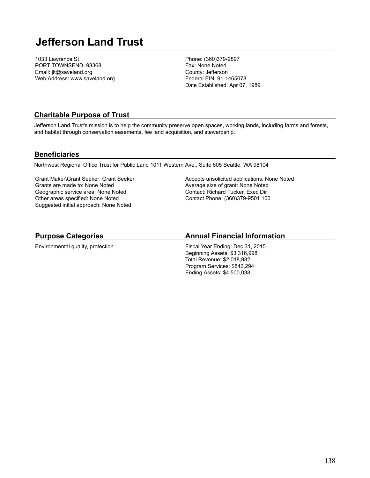## **Jefferson Land Trust**

1033 Lawrence St PORT TOWNSEND, 98368 Email: jlt@saveland.org Web Address: www.saveland.org Phone: (360)379-9897 Fax: None Noted County: Jefferson Federal EIN: 91-1465078 Date Established: Apr 07, 1989

### **Charitable Purpose of Trust**

Jefferson Land Trust's mission is to help the community preserve open spaces, working lands, including farms and forests, and habitat through conservation easements, fee land acquisition, and stewardship.

#### **Beneficiaries**

Northwest Regional Office Trust for Public Land 1011 Western Ave., Suite 605 Seattle, WA 98104

Grant Maker\Grant Seeker: Grant Seeker Grants are made to: None Noted Geographic service area: None Noted Other areas specified: None Noted Suggested initial approach: None Noted

Accepts unsolicited applications: None Noted Average size of grant: None Noted Contact: Richard Tucker, Exec Dir Contact Phone: (360)379-9501 100

## **Purpose Categories**

Environmental quality, protection

#### **Annual Financial Information**

Fiscal Year Ending: Dec 31, 2015 Beginning Assets: \$3,316,998 Total Revenue: \$2,018,982 Program Services: \$842,294 Ending Assets: \$4,500,038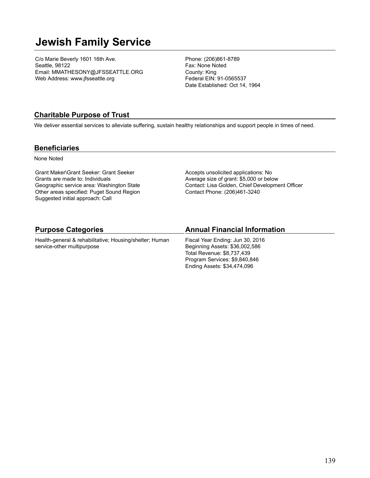## **Jewish Family Service**

C/o Marie Beverly 1601 16th Ave. Seattle, 98122 Email: MMATHESONY@JFSSEATTLE.ORG Web Address: www.jfsseattle.org

Phone: (206)861-8789 Fax: None Noted County: King Federal EIN: 91-0565537 Date Established: Oct 14, 1964

### **Charitable Purpose of Trust**

We deliver essential services to alleviate suffering, sustain healthy relationships and support people in times of need.

#### **Beneficiaries**

None Noted

Grant Maker\Grant Seeker: Grant Seeker Grants are made to: Individuals Geographic service area: Washington State Other areas specified: Puget Sound Region Suggested initial approach: Call

Accepts unsolicited applications: No Average size of grant: \$5,000 or below Contact: Lisa Golden, Chief Development Officer Contact Phone: (206)461-3240

| <b>Purpose Categories</b>                               | <b>Annual Financial Information</b> |
|---------------------------------------------------------|-------------------------------------|
| Health-general & rehabilitative; Housing/shelter; Human | Fiscal Year Ending: Jun 30, 2016    |
| service-other multipurpose                              | Beginning Assets: \$36,002,586      |
|                                                         | Total Revenue: \$8,737,439          |
|                                                         | Program Services: \$9,840,846       |
|                                                         | Ending Assets: \$34,474,096         |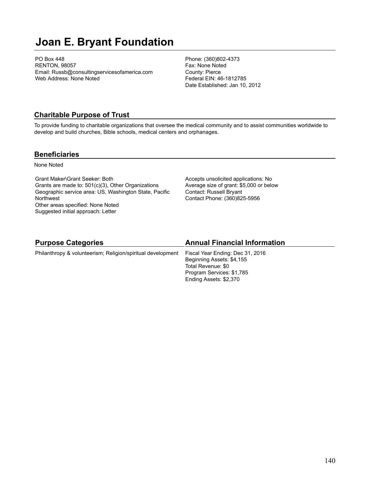## **Joan E. Bryant Foundation**

PO Box 448 RENTON, 98057 Email: Russb@consultingservicesofamerica.com Web Address: None Noted

Phone: (360)802-4373 Fax: None Noted County: Pierce Federal EIN: 46-1812785 Date Established: Jan 10, 2012

#### **Charitable Purpose of Trust**

To provide funding to charitable organizations that oversee the medical community and to assist communities worldwide to develop and build churches, Bible schools, medical centers and orphanages.

#### **Beneficiaries**

None Noted

Grant Maker\Grant Seeker: Both Grants are made to: 501(c)(3), Other Organizations Geographic service area: US, Washington State, Pacific **Northwest** Other areas specified: None Noted Suggested initial approach: Letter

Accepts unsolicited applications: No Average size of grant: \$5,000 or below Contact: Russell Bryant Contact Phone: (360)825-5956

| <b>Purpose Categories</b>                                                                    | <b>Annual Financial Information</b> |
|----------------------------------------------------------------------------------------------|-------------------------------------|
| Philanthropy & volunteerism; Religion/spiritual development Fiscal Year Ending: Dec 31, 2016 |                                     |

Beginning Assets: \$4,155 Total Revenue: \$0 Program Services: \$1,785 Ending Assets: \$2,370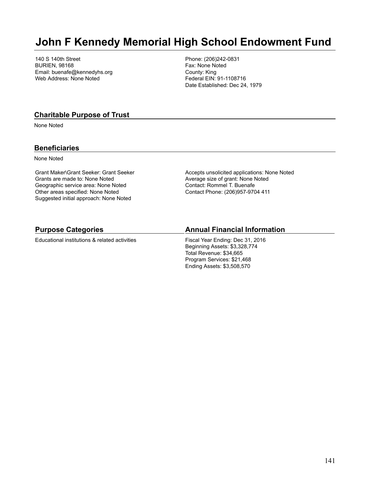## **John F Kennedy Memorial High School Endowment Fund**

140 S 140th Street BURIEN, 98168 Email: buenafe@kennedyhs.org Web Address: None Noted

Phone: (206)242-0831 Fax: None Noted County: King Federal EIN: 91-1108716 Date Established: Dec 24, 1979

#### **Charitable Purpose of Trust**

None Noted

#### **Beneficiaries**

None Noted

Grant Maker\Grant Seeker: Grant Seeker Grants are made to: None Noted Geographic service area: None Noted Other areas specified: None Noted Suggested initial approach: None Noted

Accepts unsolicited applications: None Noted Average size of grant: None Noted Contact: Rommel T. Buenafe Contact Phone: (206)957-9704 411

#### **Purpose Categories**

Educational institutions & related activities

#### **Annual Financial Information**

Fiscal Year Ending: Dec 31, 2016 Beginning Assets: \$3,328,774 Total Revenue: \$34,665 Program Services: \$21,468 Ending Assets: \$3,508,570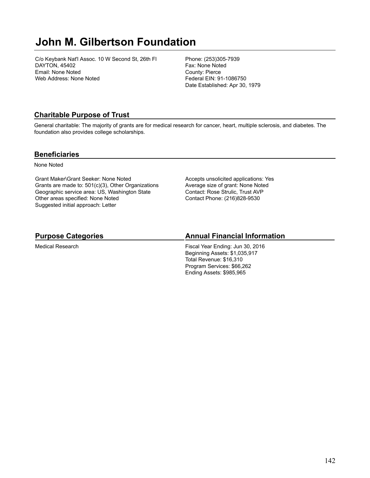## **John M. Gilbertson Foundation**

C/o Keybank Nat'l Assoc. 10 W Second St, 26th Fl DAYTON, 45402 Email: None Noted Web Address: None Noted

Phone: (253)305-7939 Fax: None Noted County: Pierce Federal EIN: 91-1086750 Date Established: Apr 30, 1979

## **Charitable Purpose of Trust**

General charitable: The majority of grants are for medical research for cancer, heart, multiple sclerosis, and diabetes. The foundation also provides college scholarships.

#### **Beneficiaries**

None Noted

Grant Maker\Grant Seeker: None Noted Grants are made to: 501(c)(3), Other Organizations Geographic service area: US, Washington State Other areas specified: None Noted Suggested initial approach: Letter

Accepts unsolicited applications: Yes Average size of grant: None Noted Contact: Rose Strulic, Trust AVP Contact Phone: (216)828-9530

## **Purpose Categories**

Medical Research

## **Annual Financial Information**

Fiscal Year Ending: Jun 30, 2016 Beginning Assets: \$1,035,917 Total Revenue: \$16,310 Program Services: \$66,262 Ending Assets: \$985,965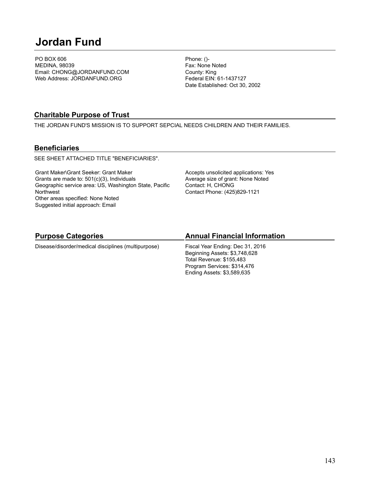# **Jordan Fund**

PO BOX 606 MEDINA, 98039 Email: CHONG@JORDANFUND.COM Web Address: JORDANFUND.ORG

Phone: ()- Fax: None Noted County: King Federal EIN: 61-1437127 Date Established: Oct 30, 2002

### **Charitable Purpose of Trust**

THE JORDAN FUND'S MISSION IS TO SUPPORT SEPCIAL NEEDS CHILDREN AND THEIR FAMILIES.

#### **Beneficiaries**

SEE SHEET ATTACHED TITLE "BENEFICIARIES".

Grant Maker\Grant Seeker: Grant Maker Grants are made to: 501(c)(3), Individuals Geographic service area: US, Washington State, Pacific **Northwest** Other areas specified: None Noted Suggested initial approach: Email

Accepts unsolicited applications: Yes Average size of grant: None Noted Contact: H, CHONG Contact Phone: (425)829-1121

## **Purpose Categories**

Disease/disorder/medical disciplines (multipurpose)

### **Annual Financial Information**

Fiscal Year Ending: Dec 31, 2016 Beginning Assets: \$3,748,628 Total Revenue: \$155,483 Program Services: \$314,476 Ending Assets: \$3,589,635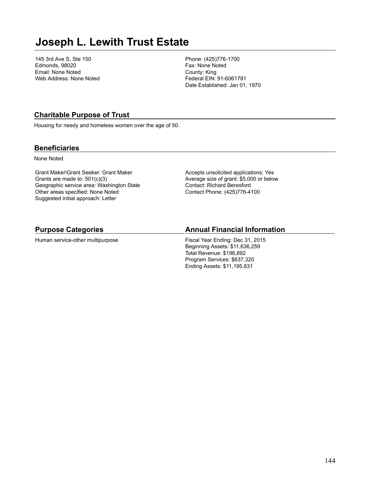## **Joseph L. Lewith Trust Estate**

145 3rd Ave S, Ste 150 Edmonds, 98020 Email: None Noted Web Address: None Noted Phone: (425)776-1700 Fax: None Noted County: King Federal EIN: 91-6061781 Date Established: Jan 01, 1970

### **Charitable Purpose of Trust**

Housing for needy and homeless women over the age of 50.

#### **Beneficiaries**

None Noted

Grant Maker\Grant Seeker: Grant Maker Grants are made to: 501(c)(3) Geographic service area: Washington State Other areas specified: None Noted Suggested initial approach: Letter

Accepts unsolicited applications: Yes Average size of grant: \$5,000 or below Contact: Richard Beresford Contact Phone: (425)776-4100

#### **Purpose Categories**

Human service-other multipurpose

#### **Annual Financial Information**

Fiscal Year Ending: Dec 31, 2015 Beginning Assets: \$11,636,259 Total Revenue: \$196,892 Program Services: \$637,320 Ending Assets: \$11,195,831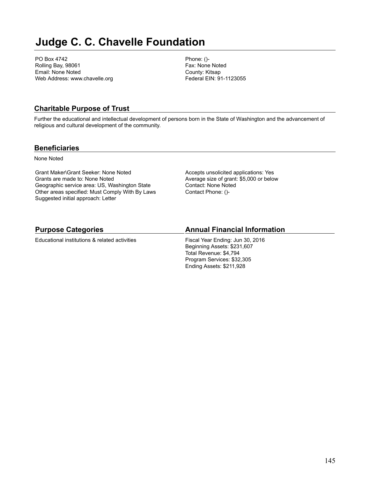# **Judge C. C. Chavelle Foundation**

PO Box 4742 Rolling Bay, 98061 Email: None Noted Web Address: www.chavelle.org Phone: ()- Fax: None Noted County: Kitsap Federal EIN: 91-1123055

## **Charitable Purpose of Trust**

Further the educational and intellectual development of persons born in the State of Washington and the advancement of religious and cultural development of the community.

### **Beneficiaries**

None Noted

Grant Maker\Grant Seeker: None Noted Grants are made to: None Noted Geographic service area: US, Washington State Other areas specified: Must Comply With By Laws Suggested initial approach: Letter

Accepts unsolicited applications: Yes Average size of grant: \$5,000 or below Contact: None Noted Contact Phone: ()-

## **Purpose Categories**

Educational institutions & related activities

### **Annual Financial Information**

Fiscal Year Ending: Jun 30, 2016 Beginning Assets: \$231,607 Total Revenue: \$4,794 Program Services: \$32,305 Ending Assets: \$211,928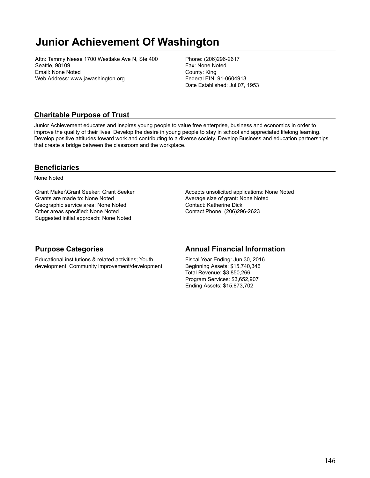# **Junior Achievement Of Washington**

Attn: Tammy Neese 1700 Westlake Ave N, Ste 400 Seattle, 98109 Email: None Noted Web Address: www.jawashington.org

Phone: (206)296-2617 Fax: None Noted County: King Federal EIN: 91-0604913 Date Established: Jul 07, 1953

### **Charitable Purpose of Trust**

Junior Achievement educates and inspires young people to value free enterprise, business and economics in order to improve the quality of their lives. Develop the desire in young people to stay in school and appreciated lifelong learning. Develop positive attitudes toward work and contributing to a diverse society. Develop Business and education partnerships that create a bridge between the classroom and the workplace.

### **Beneficiaries**

None Noted

Grant Maker\Grant Seeker: Grant Seeker Grants are made to: None Noted Geographic service area: None Noted Other areas specified: None Noted Suggested initial approach: None Noted

Accepts unsolicited applications: None Noted Average size of grant: None Noted Contact: Katherine Dick Contact Phone: (206)296-2623

## **Purpose Categories**

Educational institutions & related activities; Youth development; Community improvement/development

### **Annual Financial Information**

Fiscal Year Ending: Jun 30, 2016 Beginning Assets: \$15,740,346 Total Revenue: \$3,850,266 Program Services: \$3,652,907 Ending Assets: \$15,873,702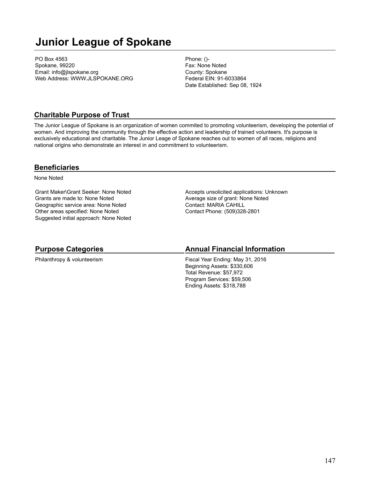# **Junior League of Spokane**

PO Box 4563 Spokane, 99220 Email: info@jlspokane.org Web Address: WWW.JLSPOKANE.ORG Phone: ()- Fax: None Noted County: Spokane Federal EIN: 91-6033864 Date Established: Sep 08, 1924

### **Charitable Purpose of Trust**

The Junior League of Spokane is an organization of women commited to promoting volunteerism, developing the potential of women. And improving the community through the effective action and leadership of trained volunteers. It's purpose is exclusively educational and charitable. The Junior Leage of Spokane reaches out to women of all races, religions and national origins who demonstrate an interest in and commitment to volunteerism.

#### **Beneficiaries**

None Noted

Grant Maker\Grant Seeker: None Noted Grants are made to: None Noted Geographic service area: None Noted Other areas specified: None Noted Suggested initial approach: None Noted Accepts unsolicited applications: Unknown Average size of grant: None Noted Contact: MARIA CAHILL Contact Phone: (509)328-2801

### **Purpose Categories**

Philanthropy & volunteerism

### **Annual Financial Information**

Fiscal Year Ending: May 31, 2016 Beginning Assets: \$330,606 Total Revenue: \$57,972 Program Services: \$59,506 Ending Assets: \$318,788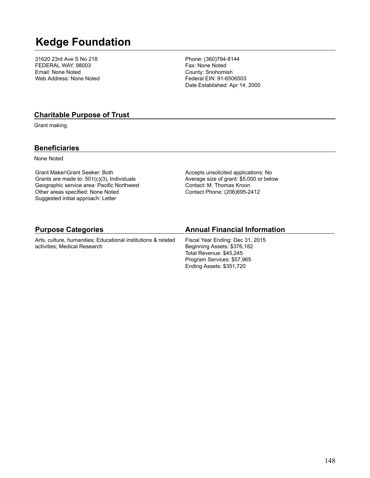# **Kedge Foundation**

31620 23rd Ave S No 218 FEDERAL WAY, 98003 Email: None Noted Web Address: None Noted Phone: (360)794-8144 Fax: None Noted County: Snohomish Federal EIN: 91-6506503 Date Established: Apr 14, 2000

### **Charitable Purpose of Trust**

Grant making.

### **Beneficiaries**

None Noted

Grant Maker\Grant Seeker: Both Grants are made to: 501(c)(3), Individuals Geographic service area: Pacific Northwest Other areas specified: None Noted Suggested initial approach: Letter

activities; Medical Research

Accepts unsolicited applications: No Average size of grant: \$5,000 or below Contact: M. Thomas Kroon Contact Phone: (206)695-2412

| <b>Purpose Categories</b>                                     | <b>Annual Financial Information</b> |
|---------------------------------------------------------------|-------------------------------------|
| Arts, culture, humanities: Educational institutions & related | Fiscal Year Ending: Dec 31, 2015    |

Fiscal Year Ending: Dec 31, 2015 Beginning Assets: \$376,182 Total Revenue: \$45,245 Program Services: \$57,965 Ending Assets: \$351,720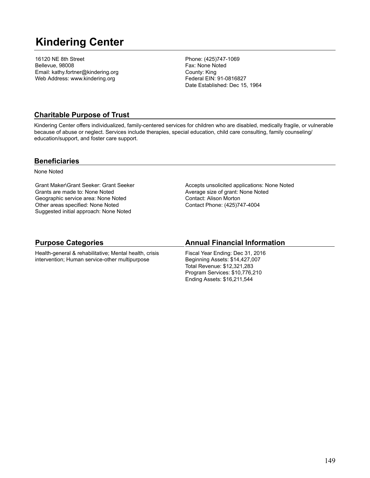# **Kindering Center**

16120 NE 8th Street Bellevue, 98008 Email: kathy.fortner@kindering.org Web Address: www.kindering.org

Phone: (425)747-1069 Fax: None Noted County: King Federal EIN: 91-0816827 Date Established: Dec 15, 1964

## **Charitable Purpose of Trust**

Kindering Center offers individualized, family-centered services for children who are disabled, medically fragile, or vulnerable because of abuse or neglect. Services include therapies, special education, child care consulting, family counseling/ education/support, and foster care support.

### **Beneficiaries**

None Noted

Grant Maker\Grant Seeker: Grant Seeker Grants are made to: None Noted Geographic service area: None Noted Other areas specified: None Noted Suggested initial approach: None Noted

Accepts unsolicited applications: None Noted Average size of grant: None Noted Contact: Alison Morton Contact Phone: (425)747-4004

## **Purpose Categories**

Health-general & rehabilitative; Mental health, crisis intervention; Human service-other multipurpose

## **Annual Financial Information**

Fiscal Year Ending: Dec 31, 2016 Beginning Assets: \$14,427,007 Total Revenue: \$12,321,283 Program Services: \$10,776,210 Ending Assets: \$16,211,544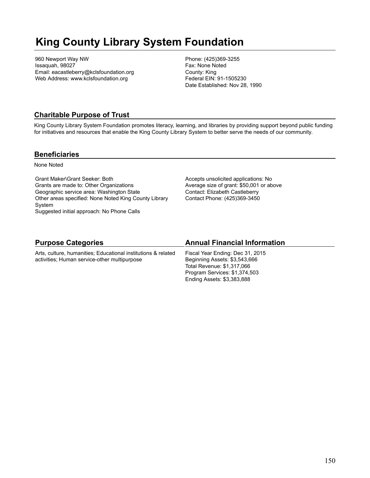# **King County Library System Foundation**

960 Newport Way NW Issaquah, 98027 Email: eacastleberry@kclsfoundation.org Web Address: www.kclsfoundation.org

Phone: (425)369-3255 Fax: None Noted County: King Federal EIN: 91-1505230 Date Established: Nov 28, 1990

## **Charitable Purpose of Trust**

King County Library System Foundation promotes literacy, learning, and libraries by providing support beyond public funding for initiatives and resources that enable the King County Library System to better serve the needs of our community.

### **Beneficiaries**

None Noted

Grant Maker\Grant Seeker: Both Grants are made to: Other Organizations Geographic service area: Washington State Other areas specified: None Noted King County Library System Suggested initial approach: No Phone Calls

Accepts unsolicited applications: No Average size of grant: \$50,001 or above Contact: Elizabeth Castleberry Contact Phone: (425)369-3450

### **Purpose Categories**

Arts, culture, humanities; Educational institutions & related activities; Human service-other multipurpose

### **Annual Financial Information**

Fiscal Year Ending: Dec 31, 2015 Beginning Assets: \$3,543,666 Total Revenue: \$1,317,066 Program Services: \$1,374,503 Ending Assets: \$3,383,888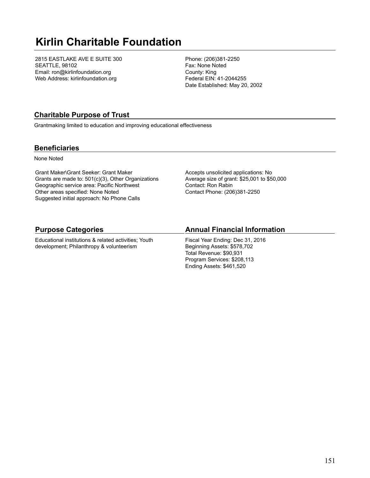# **Kirlin Charitable Foundation**

2815 EASTLAKE AVE E SUITE 300 SEATTLE, 98102 Email: ron@kirlinfoundation.org Web Address: kirlinfoundation.org

Phone: (206)381-2250 Fax: None Noted County: King Federal EIN: 41-2044255 Date Established: May 20, 2002

## **Charitable Purpose of Trust**

Grantmaking limited to education and improving educational effectiveness

### **Beneficiaries**

None Noted

Grant Maker\Grant Seeker: Grant Maker Grants are made to: 501(c)(3), Other Organizations Geographic service area: Pacific Northwest Other areas specified: None Noted Suggested initial approach: No Phone Calls

Accepts unsolicited applications: No Average size of grant: \$25,001 to \$50,000 Contact: Ron Rabin Contact Phone: (206)381-2250

### **Purpose Categories**

Educational institutions & related activities; Youth development; Philanthropy & volunteerism

## **Annual Financial Information**

Fiscal Year Ending: Dec 31, 2016 Beginning Assets: \$578,702 Total Revenue: \$90,931 Program Services: \$208,113 Ending Assets: \$461,520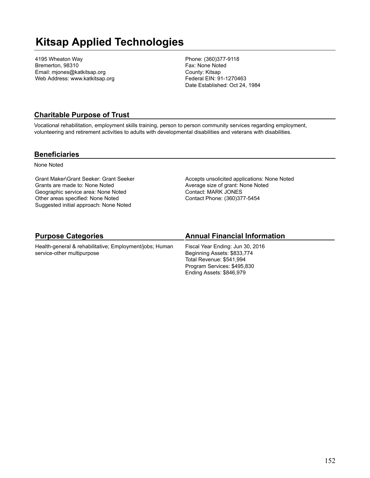# **Kitsap Applied Technologies**

4195 Wheaton Way Bremerton, 98310 Email: mjones@katkitsap.org Web Address: www.katkitsap.org Phone: (360)377-9118 Fax: None Noted County: Kitsap Federal EIN: 91-1270463 Date Established: Oct 24, 1984

### **Charitable Purpose of Trust**

Vocational rehabilitation, employment skills training, person to person community services regarding employment, volunteering and retirement activities to adults with developmental disabilities and veterans with disabilities.

#### **Beneficiaries**

None Noted

Grant Maker\Grant Seeker: Grant Seeker Grants are made to: None Noted Geographic service area: None Noted Other areas specified: None Noted Suggested initial approach: None Noted

Accepts unsolicited applications: None Noted Average size of grant: None Noted Contact: MARK JONES Contact Phone: (360)377-5454

## **Purpose Categories**

Health-general & rehabilitative; Employment/jobs; Human service-other multipurpose

## **Annual Financial Information**

Fiscal Year Ending: Jun 30, 2016 Beginning Assets: \$833,774 Total Revenue: \$541,994 Program Services: \$495,830 Ending Assets: \$846,979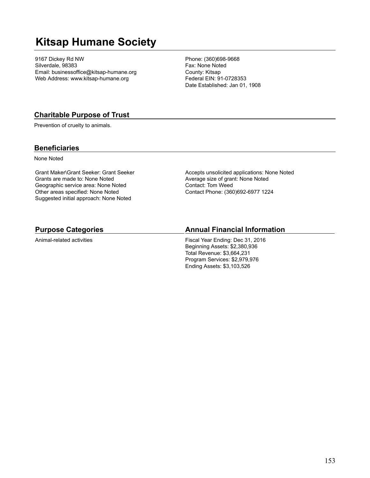# **Kitsap Humane Society**

9167 Dickey Rd NW Silverdale, 98383 Email: businessoffice@kitsap-humane.org Web Address: www.kitsap-humane.org

Phone: (360)698-9668 Fax: None Noted County: Kitsap Federal EIN: 91-0728353 Date Established: Jan 01, 1908

### **Charitable Purpose of Trust**

Prevention of cruelty to animals.

### **Beneficiaries**

None Noted

Grant Maker\Grant Seeker: Grant Seeker Grants are made to: None Noted Geographic service area: None Noted Other areas specified: None Noted Suggested initial approach: None Noted

Accepts unsolicited applications: None Noted Average size of grant: None Noted Contact: Tom Weed Contact Phone: (360)692-6977 1224

#### **Purpose Categories**

Animal-related activities

#### **Annual Financial Information**

Fiscal Year Ending: Dec 31, 2016 Beginning Assets: \$2,380,936 Total Revenue: \$3,664,231 Program Services: \$2,979,976 Ending Assets: \$3,103,526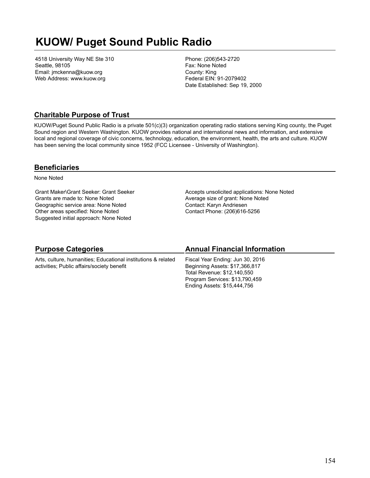# **KUOW/ Puget Sound Public Radio**

4518 University Way NE Ste 310 Seattle, 98105 Email: jmckenna@kuow.org Web Address: www.kuow.org

Phone: (206)543-2720 Fax: None Noted County: King Federal EIN: 91-2079402 Date Established: Sep 19, 2000

## **Charitable Purpose of Trust**

KUOW/Puget Sound Public Radio is a private 501(c)(3) organization operating radio stations serving King county, the Puget Sound region and Western Washington. KUOW provides national and international news and information, and extensive local and regional coverage of civic concerns, technology, education, the environment, health, the arts and culture. KUOW has been serving the local community since 1952 (FCC Licensee - University of Washington).

### **Beneficiaries**

None Noted

Grant Maker\Grant Seeker: Grant Seeker Grants are made to: None Noted Geographic service area: None Noted Other areas specified: None Noted Suggested initial approach: None Noted

Accepts unsolicited applications: None Noted Average size of grant: None Noted Contact: Karyn Andriesen Contact Phone: (206)616-5256

| <b>Purpose Categories</b>                                                                                   | <b>Annual Financial Information</b>                                                                                                                                |
|-------------------------------------------------------------------------------------------------------------|--------------------------------------------------------------------------------------------------------------------------------------------------------------------|
| Arts, culture, humanities; Educational institutions & related<br>activities; Public affairs/society benefit | Fiscal Year Ending: Jun 30, 2016<br>Beginning Assets: \$17,366,817<br>Total Revenue: \$12,140,550<br>Program Services: \$13,790,459<br>Ending Assets: \$15,444,756 |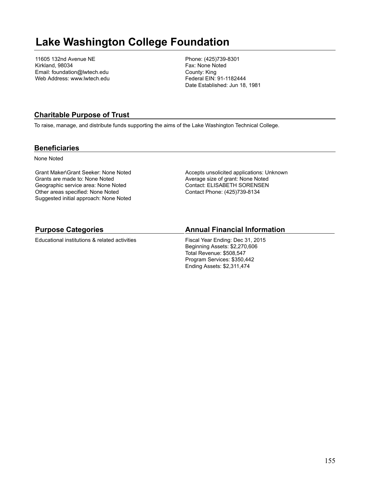# **Lake Washington College Foundation**

11605 132nd Avenue NE Kirkland, 98034 Email: foundation@lwtech.edu Web Address: www.lwtech.edu Phone: (425)739-8301 Fax: None Noted County: King Federal EIN: 91-1182444 Date Established: Jun 18, 1981

### **Charitable Purpose of Trust**

To raise, manage, and distribute funds supporting the aims of the Lake Washington Technical College.

#### **Beneficiaries**

None Noted

Grant Maker\Grant Seeker: None Noted Grants are made to: None Noted Geographic service area: None Noted Other areas specified: None Noted Suggested initial approach: None Noted Accepts unsolicited applications: Unknown Average size of grant: None Noted Contact: ELISABETH SORENSEN Contact Phone: (425)739-8134

### **Purpose Categories**

Educational institutions & related activities

### **Annual Financial Information**

Fiscal Year Ending: Dec 31, 2015 Beginning Assets: \$2,270,606 Total Revenue: \$508,547 Program Services: \$350,442 Ending Assets: \$2,311,474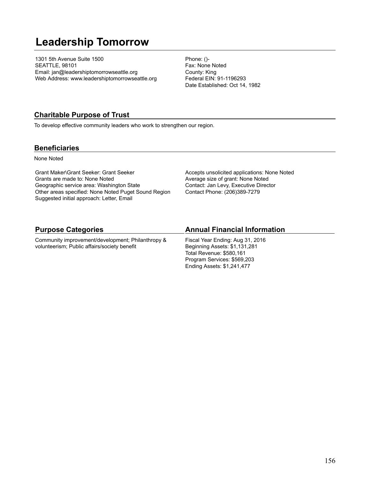# **Leadership Tomorrow**

1301 5th Avenue Suite 1500 SEATTLE, 98101 Email: jan@leadershiptomorrowseattle.org Web Address: www.leadershiptomorrowseattle.org Phone: ()- Fax: None Noted County: King Federal EIN: 91-1196293 Date Established: Oct 14, 1982

### **Charitable Purpose of Trust**

To develop effective community leaders who work to strengthen our region.

### **Beneficiaries**

None Noted

Grant Maker\Grant Seeker: Grant Seeker Grants are made to: None Noted Geographic service area: Washington State Other areas specified: None Noted Puget Sound Region Suggested initial approach: Letter, Email

Accepts unsolicited applications: None Noted Average size of grant: None Noted Contact: Jan Levy, Executive Director Contact Phone: (206)389-7279

### **Purpose Categories**

Community improvement/development; Philanthropy & volunteerism; Public affairs/society benefit

#### **Annual Financial Information**

Fiscal Year Ending: Aug 31, 2016 Beginning Assets: \$1,131,281 Total Revenue: \$580,161 Program Services: \$569,203 Ending Assets: \$1,241,477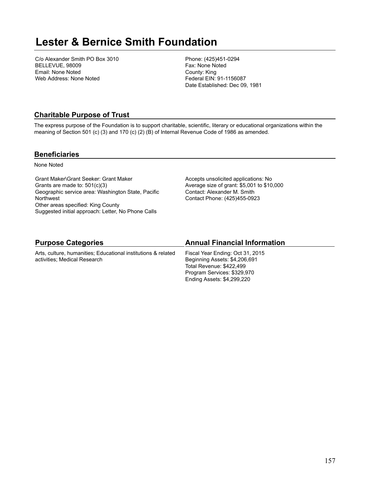## **Lester & Bernice Smith Foundation**

C/o Alexander Smith PO Box 3010 BELLEVUE, 98009 Email: None Noted Web Address: None Noted

Phone: (425)451-0294 Fax: None Noted County: King Federal EIN: 91-1156087 Date Established: Dec 09, 1981

## **Charitable Purpose of Trust**

The express purpose of the Foundation is to support charitable, scientific, literary or educational organizations within the meaning of Section 501 (c) (3) and 170 (c) (2) (B) of Internal Revenue Code of 1986 as amended.

### **Beneficiaries**

None Noted

Grant Maker\Grant Seeker: Grant Maker Grants are made to: 501(c)(3) Geographic service area: Washington State, Pacific **Northwest** Other areas specified: King County Suggested initial approach: Letter, No Phone Calls

Accepts unsolicited applications: No Average size of grant: \$5,001 to \$10,000 Contact: Alexander M. Smith Contact Phone: (425)455-0923

| <b>Purpose Categories</b>                                     | <b>Annual Financial Information</b> |
|---------------------------------------------------------------|-------------------------------------|
| Arts, culture, humanities: Educational institutions & related | Fiscal Year Ending: Oct 31, 2015    |
| activities; Medical Research                                  | Beginning Assets: \$4,206,691       |

Beginning Assets: \$4,206,691 Total Revenue: \$422,499 Program Services: \$329,970 Ending Assets: \$4,299,220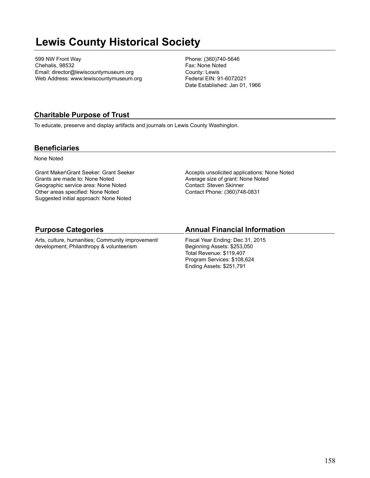# **Lewis County Historical Society**

599 NW Front Way Chehalis, 98532 Email: director@lewiscountymuseum.org Web Address: www.lewiscountymuseum.org Phone: (360)740-5646 Fax: None Noted County: Lewis Federal EIN: 91-6072021 Date Established: Jan 01, 1966

## **Charitable Purpose of Trust**

To educate, preserve and display artifacts and journals on Lewis County Washington.

### **Beneficiaries**

None Noted

Grant Maker\Grant Seeker: Grant Seeker Grants are made to: None Noted Geographic service area: None Noted Other areas specified: None Noted Suggested initial approach: None Noted

Accepts unsolicited applications: None Noted Average size of grant: None Noted Contact: Steven Skinner Contact Phone: (360)748-0831

## **Purpose Categories**

Arts, culture, humanities; Community improvement/ development; Philanthropy & volunteerism

## **Annual Financial Information**

Fiscal Year Ending: Dec 31, 2015 Beginning Assets: \$253,050 Total Revenue: \$119,407 Program Services: \$108,624 Ending Assets: \$251,791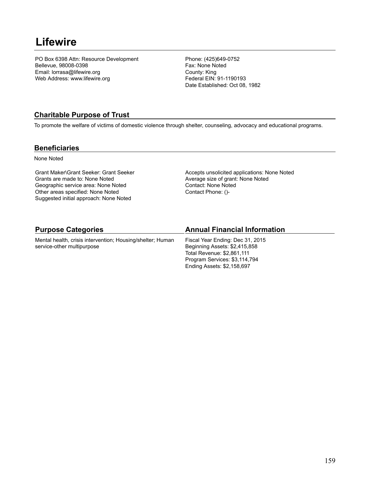## **Lifewire**

PO Box 6398 Attn: Resource Development Bellevue, 98008-0398 Email: lorrasa@lifewire.org Web Address: www.lifewire.org

Phone: (425)649-0752 Fax: None Noted County: King Federal EIN: 91-1190193 Date Established: Oct 08, 1982

## **Charitable Purpose of Trust**

To promote the welfare of victims of domestic violence through shelter, counseling, advocacy and educational programs.

### **Beneficiaries**

None Noted

Grant Maker\Grant Seeker: Grant Seeker Grants are made to: None Noted Geographic service area: None Noted Other areas specified: None Noted Suggested initial approach: None Noted

Accepts unsolicited applications: None Noted Average size of grant: None Noted Contact: None Noted Contact Phone: ()-

| <b>Purpose Categories</b>                                  | <b>Annual Financial Information</b> |
|------------------------------------------------------------|-------------------------------------|
| Mental health, crisis intervention; Housing/shelter; Human | Fiscal Year Ending: Dec 31, 2015    |
| service-other multipurpose                                 | Beginning Assets: \$2,415,858       |
|                                                            | Total Revenue: \$2,861,111          |
|                                                            | Program Services: \$3,114,794       |
|                                                            | Ending Assets: \$2,158,697          |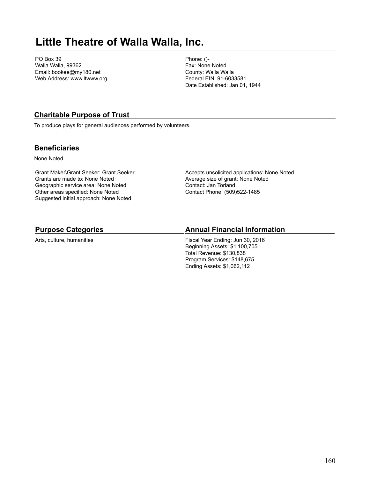# **Little Theatre of Walla Walla, Inc.**

PO Box 39 Walla Walla, 99362 Email: bookee@my180.net Web Address: www.ltwww.org Phone: ()- Fax: None Noted County: Walla Walla Federal EIN: 91-6033581 Date Established: Jan 01, 1944

## **Charitable Purpose of Trust**

To produce plays for general audiences performed by volunteers.

### **Beneficiaries**

None Noted

Grant Maker\Grant Seeker: Grant Seeker Grants are made to: None Noted Geographic service area: None Noted Other areas specified: None Noted Suggested initial approach: None Noted

Accepts unsolicited applications: None Noted Average size of grant: None Noted Contact: Jan Torland Contact Phone: (509)522-1485

### **Purpose Categories**

Arts, culture, humanities

#### **Annual Financial Information**

Fiscal Year Ending: Jun 30, 2016 Beginning Assets: \$1,100,705 Total Revenue: \$130,838 Program Services: \$148,675 Ending Assets: \$1,062,112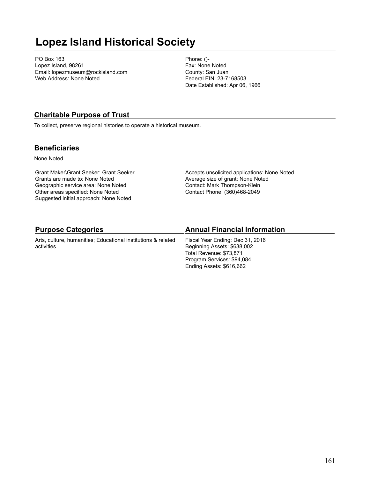# **Lopez Island Historical Society**

PO Box 163 Lopez Island, 98261 Email: lopezmuseum@rockisland.com Web Address: None Noted

Phone: ()- Fax: None Noted County: San Juan Federal EIN: 23-7168503 Date Established: Apr 06, 1966

### **Charitable Purpose of Trust**

To collect, preserve regional histories to operate a historical museum.

### **Beneficiaries**

None Noted

Grant Maker\Grant Seeker: Grant Seeker Grants are made to: None Noted Geographic service area: None Noted Other areas specified: None Noted Suggested initial approach: None Noted

Accepts unsolicited applications: None Noted Average size of grant: None Noted Contact: Mark Thompson-Klein Contact Phone: (360)468-2049

| <b>Purpose Categories</b>                                     | <b>Annual Financial Information</b> |
|---------------------------------------------------------------|-------------------------------------|
| Arts, culture, humanities; Educational institutions & related | Fiscal Year Ending: Dec 31, 2016    |
| activities                                                    | Beginning Assets: \$638,002         |
|                                                               | Total Revenue: \$73,871             |
|                                                               | Program Services: \$94,084          |
|                                                               | Ending Assets: \$616,662            |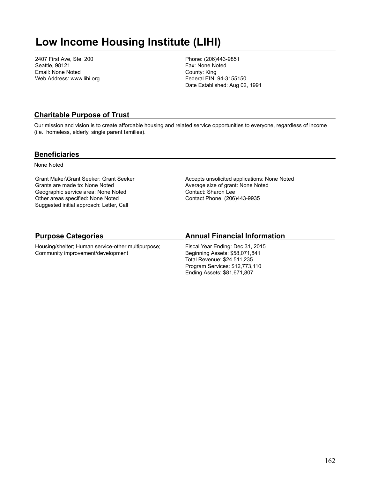# **Low Income Housing Institute (LIHI)**

2407 First Ave, Ste. 200 Seattle, 98121 Email: None Noted Web Address: www.lihi.org Phone: (206)443-9851 Fax: None Noted County: King Federal EIN: 94-3155150 Date Established: Aug 02, 1991

### **Charitable Purpose of Trust**

Our mission and vision is to create affordable housing and related service opportunities to everyone, regardless of income (i.e., homeless, elderly, single parent families).

#### **Beneficiaries**

None Noted

Grant Maker\Grant Seeker: Grant Seeker Grants are made to: None Noted Geographic service area: None Noted Other areas specified: None Noted Suggested initial approach: Letter, Call

Accepts unsolicited applications: None Noted Average size of grant: None Noted Contact: Sharon Lee Contact Phone: (206)443-9935

## **Purpose Categories**

Housing/shelter; Human service-other multipurpose; Community improvement/development

## **Annual Financial Information**

Fiscal Year Ending: Dec 31, 2015 Beginning Assets: \$58,071,841 Total Revenue: \$24,511,235 Program Services: \$12,773,110 Ending Assets: \$81,671,807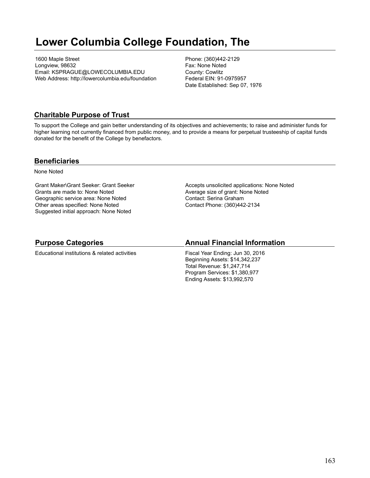# **Lower Columbia College Foundation, The**

1600 Maple Street Longview, 98632 Email: KSPRAGUE@LOWECOLUMBIA.EDU Web Address: http://lowercolumbia.edu/foundation Phone: (360)442-2129 Fax: None Noted County: Cowlitz Federal EIN: 91-0975957 Date Established: Sep 07, 1976

### **Charitable Purpose of Trust**

To support the College and gain better understanding of its objectives and achievements; to raise and administer funds for higher learning not currently financed from public money, and to provide a means for perpetual trusteeship of capital funds donated for the benefit of the College by benefactors.

#### **Beneficiaries**

None Noted

Grant Maker\Grant Seeker: Grant Seeker Grants are made to: None Noted Geographic service area: None Noted Other areas specified: None Noted Suggested initial approach: None Noted

Accepts unsolicited applications: None Noted Average size of grant: None Noted Contact: Serina Graham Contact Phone: (360)442-2134

### **Purpose Categories**

Educational institutions & related activities

### **Annual Financial Information**

Fiscal Year Ending: Jun 30, 2016 Beginning Assets: \$14,342,237 Total Revenue: \$1,247,714 Program Services: \$1,380,977 Ending Assets: \$13,992,570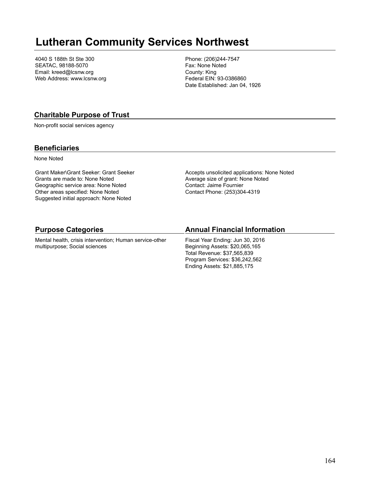## **Lutheran Community Services Northwest**

4040 S 188th St Ste 300 SEATAC, 98188-5070 Email: kreed@lcsnw.org Web Address: www.lcsnw.org Phone: (206)244-7547 Fax: None Noted County: King Federal EIN: 93-0386860 Date Established: Jan 04, 1926

### **Charitable Purpose of Trust**

Non-profit social services agency

### **Beneficiaries**

None Noted

Grant Maker\Grant Seeker: Grant Seeker Grants are made to: None Noted Geographic service area: None Noted Other areas specified: None Noted Suggested initial approach: None Noted

Accepts unsolicited applications: None Noted Average size of grant: None Noted Contact: Jaime Fournier Contact Phone: (253)304-4319

#### **Purpose Categories**

Mental health, crisis intervention; Human service-other multipurpose; Social sciences

#### **Annual Financial Information**

Fiscal Year Ending: Jun 30, 2016 Beginning Assets: \$20,065,165 Total Revenue: \$37,565,839 Program Services: \$36,242,562 Ending Assets: \$21,885,175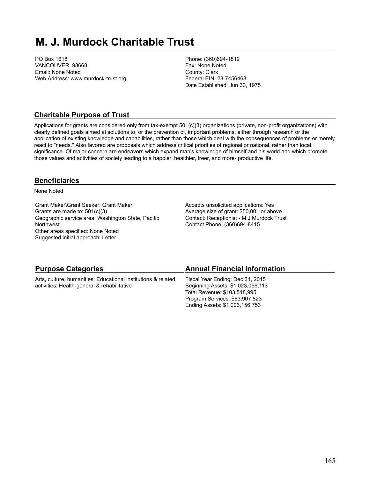# **M. J. Murdock Charitable Trust**

PO Box 1618 VANCOUVER, 98668 Email: None Noted Web Address: www.murdock-trust.org Phone: (360)694-1819 Fax: None Noted County: Clark Federal EIN: 23-7456468 Date Established: Jun 30, 1975

## **Charitable Purpose of Trust**

Applications for grants are considered only from tax-exempt 501(c)(3) organizations (private, non-profit organizations) with clearly defined goals aimed at solutions to, or the prevention of, important problems, either through research or the application of existing knowledge and capabilities, rather than those which deal with the consequences of problems or merely react to "needs." Also favored are proposals which address critical priorities of regional or national, rather than local, significance. Of major concern are endeavors which expand man's knowledge of himself and his world and which promote those values and activities of society leading to a happier, healthier, freer, and more- productive life.

## **Beneficiaries**

None Noted

Grant Maker\Grant Seeker: Grant Maker Grants are made to: 501(c)(3) Geographic service area: Washington State, Pacific **Northwest** Other areas specified: None Noted Suggested initial approach: Letter

Accepts unsolicited applications: Yes Average size of grant: \$50,001 or above Contact: Receptionist - M.J Murdock Trust Contact Phone: (360)694-8415

| <b>Purpose Categories</b>                                     | <b>Annual Financial Information</b> |
|---------------------------------------------------------------|-------------------------------------|
| Arts, culture, humanities; Educational institutions & related | Fiscal Year Ending: Dec 31, 2015    |
| activities; Health-general & rehabilitative                   | Beginning Assets: \$1,023,056,113   |
|                                                               | Total Revenue: \$103,518,995        |
|                                                               | Program Services: \$83,907,823      |
|                                                               | Ending Assets: \$1,006,156,753      |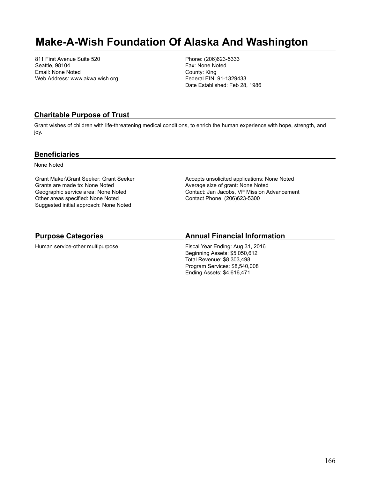## **Make-A-Wish Foundation Of Alaska And Washington**

811 First Avenue Suite 520 Seattle, 98104 Email: None Noted Web Address: www.akwa.wish.org Phone: (206)623-5333 Fax: None Noted County: King Federal EIN: 91-1329433 Date Established: Feb 28, 1986

### **Charitable Purpose of Trust**

Grant wishes of children with life-threatening medical conditions, to enrich the human experience with hope, strength, and joy.

#### **Beneficiaries**

None Noted

Grant Maker\Grant Seeker: Grant Seeker Grants are made to: None Noted Geographic service area: None Noted Other areas specified: None Noted Suggested initial approach: None Noted

Accepts unsolicited applications: None Noted Average size of grant: None Noted Contact: Jan Jacobs, VP Mission Advancement Contact Phone: (206)623-5300

## **Purpose Categories**

Human service-other multipurpose

### **Annual Financial Information**

Fiscal Year Ending: Aug 31, 2016 Beginning Assets: \$5,050,612 Total Revenue: \$8,303,498 Program Services: \$8,540,008 Ending Assets: \$4,616,471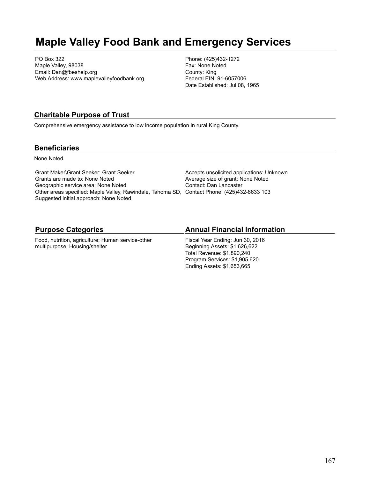## **Maple Valley Food Bank and Emergency Services**

PO Box 322 Maple Valley, 98038 Email: Dan@fbeshelp.org Web Address: www.maplevalleyfoodbank.org Phone: (425)432-1272 Fax: None Noted County: King Federal EIN: 91-6057006 Date Established: Jul 08, 1965

### **Charitable Purpose of Trust**

Comprehensive emergency assistance to low income population in rural King County.

#### **Beneficiaries**

None Noted

Grant Maker\Grant Seeker: Grant Seeker Grants are made to: None Noted Geographic service area: None Noted Other areas specified: Maple Valley, Rawindale, Tahoma SD, Contact Phone: (425)432-8633 103 Suggested initial approach: None Noted

Accepts unsolicited applications: Unknown Average size of grant: None Noted Contact: Dan Lancaster

#### **Purpose Categories**

Food, nutrition, agriculture; Human service-other multipurpose; Housing/shelter

#### **Annual Financial Information**

Fiscal Year Ending: Jun 30, 2016 Beginning Assets: \$1,626,622 Total Revenue: \$1,890,240 Program Services: \$1,905,620 Ending Assets: \$1,653,665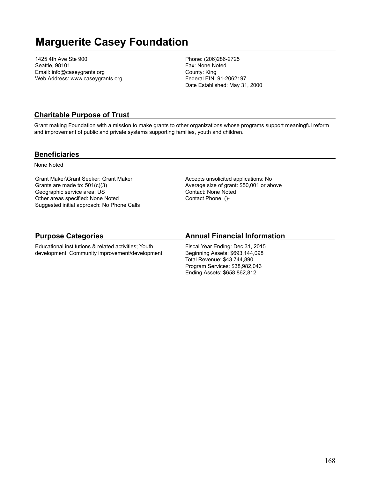# **Marguerite Casey Foundation**

1425 4th Ave Ste 900 Seattle, 98101 Email: info@caseygrants.org Web Address: www.caseygrants.org Phone: (206)286-2725 Fax: None Noted County: King Federal EIN: 91-2062197 Date Established: May 31, 2000

## **Charitable Purpose of Trust**

Grant making Foundation with a mission to make grants to other organizations whose programs support meaningful reform and improvement of public and private systems supporting families, youth and children.

#### **Beneficiaries**

None Noted

Grant Maker\Grant Seeker: Grant Maker Grants are made to: 501(c)(3) Geographic service area: US Other areas specified: None Noted Suggested initial approach: No Phone Calls Accepts unsolicited applications: No Average size of grant: \$50,001 or above Contact: None Noted Contact Phone: ()-

## **Purpose Categories**

Educational institutions & related activities; Youth development; Community improvement/development

### **Annual Financial Information**

Fiscal Year Ending: Dec 31, 2015 Beginning Assets: \$693,144,098 Total Revenue: \$43,744,890 Program Services: \$38,982,043 Ending Assets: \$658,862,812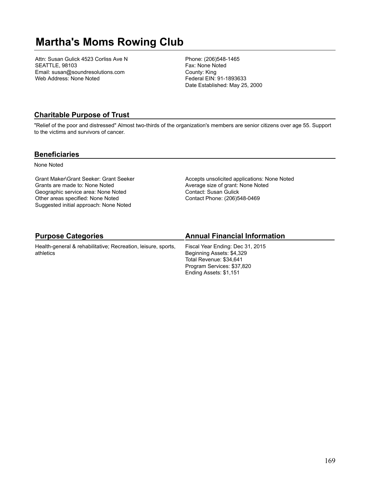# **Martha's Moms Rowing Club**

Attn: Susan Gulick 4523 Corliss Ave N SEATTLE, 98103 Email: susan@soundresolutions.com Web Address: None Noted

Phone: (206)548-1465 Fax: None Noted County: King Federal EIN: 91-1893633 Date Established: May 25, 2000

## **Charitable Purpose of Trust**

"Relief of the poor and distressed" Almost two-thirds of the organization's members are senior citizens over age 55. Support to the victims and survivors of cancer.

#### **Beneficiaries**

None Noted

Grant Maker\Grant Seeker: Grant Seeker Grants are made to: None Noted Geographic service area: None Noted Other areas specified: None Noted Suggested initial approach: None Noted

Accepts unsolicited applications: None Noted Average size of grant: None Noted Contact: Susan Gulick Contact Phone: (206)548-0469

## **Purpose Categories**

Health-general & rehabilitative; Recreation, leisure, sports, athletics

## **Annual Financial Information**

Fiscal Year Ending: Dec 31, 2015 Beginning Assets: \$4,329 Total Revenue: \$34,641 Program Services: \$37,820 Ending Assets: \$1,151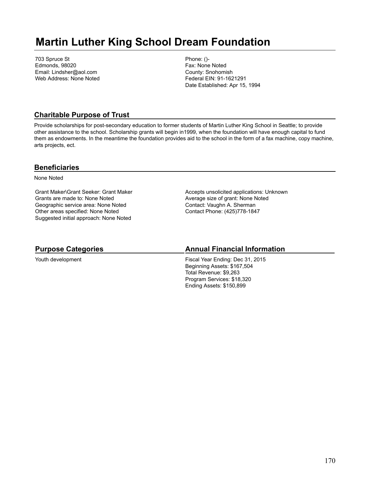# **Martin Luther King School Dream Foundation**

703 Spruce St Edmonds, 98020 Email: Lindsher@aol.com Web Address: None Noted Phone: ()- Fax: None Noted County: Snohomish Federal EIN: 91-1621291 Date Established: Apr 15, 1994

### **Charitable Purpose of Trust**

Provide scholarships for post-secondary education to former students of Martin Luther King School in Seattle; to provide other assistance to the school. Scholarship grants will begin in1999, when the foundation will have enough capital to fund them as endowments. In the meantime the foundation provides aid to the school in the form of a fax machine, copy machine, arts projects, ect.

### **Beneficiaries**

None Noted

Grant Maker\Grant Seeker: Grant Maker Grants are made to: None Noted Geographic service area: None Noted Other areas specified: None Noted Suggested initial approach: None Noted

Accepts unsolicited applications: Unknown Average size of grant: None Noted Contact: Vaughn A. Sherman Contact Phone: (425)778-1847

## **Purpose Categories**

Youth development

## **Annual Financial Information**

Fiscal Year Ending: Dec 31, 2015 Beginning Assets: \$167,504 Total Revenue: \$9,263 Program Services: \$18,320 Ending Assets: \$150,899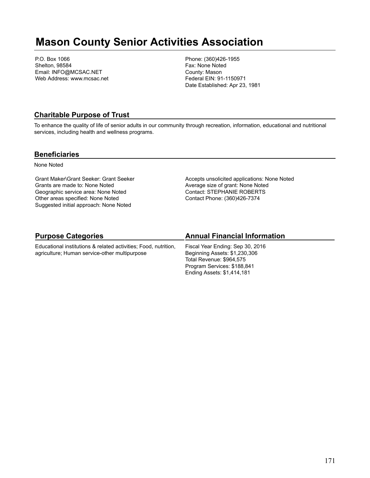## **Mason County Senior Activities Association**

P.O. Box 1066 Shelton, 98584 Email: INFO@MCSAC.NET Web Address: www.mcsac.net Phone: (360)426-1955 Fax: None Noted County: Mason Federal EIN: 91-1150971 Date Established: Apr 23, 1981

### **Charitable Purpose of Trust**

To enhance the quality of life of senior adults in our community through recreation, information, educational and nutritional services, including health and wellness programs.

#### **Beneficiaries**

None Noted

Grant Maker\Grant Seeker: Grant Seeker Grants are made to: None Noted Geographic service area: None Noted Other areas specified: None Noted Suggested initial approach: None Noted

Accepts unsolicited applications: None Noted Average size of grant: None Noted Contact: STEPHANIE ROBERTS Contact Phone: (360)426-7374

## **Purpose Categories**

Educational institutions & related activities; Food, nutrition, agriculture; Human service-other multipurpose

### **Annual Financial Information**

Fiscal Year Ending: Sep 30, 2016 Beginning Assets: \$1,230,306 Total Revenue: \$964,575 Program Services: \$188,841 Ending Assets: \$1,414,181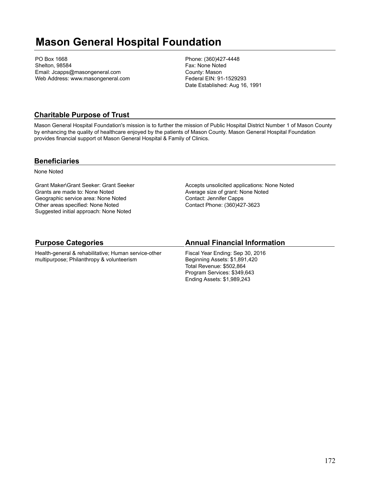# **Mason General Hospital Foundation**

PO Box 1668 Shelton, 98584 Email: Jcapps@masongeneral.com Web Address: www.masongeneral.com Phone: (360)427-4448 Fax: None Noted County: Mason Federal EIN: 91-1529293 Date Established: Aug 16, 1991

## **Charitable Purpose of Trust**

Mason General Hospital Foundation's mission is to further the mission of Public Hospital District Number 1 of Mason County by enhancing the quality of healthcare enjoyed by the patients of Mason County. Mason General Hospital Foundation provides financial support ot Mason General Hospital & Family of Clinics.

### **Beneficiaries**

None Noted

Grant Maker\Grant Seeker: Grant Seeker Grants are made to: None Noted Geographic service area: None Noted Other areas specified: None Noted Suggested initial approach: None Noted

Accepts unsolicited applications: None Noted Average size of grant: None Noted Contact: Jennifer Capps Contact Phone: (360)427-3623

## **Purpose Categories**

Health-general & rehabilitative; Human service-other multipurpose; Philanthropy & volunteerism

## **Annual Financial Information**

Fiscal Year Ending: Sep 30, 2016 Beginning Assets: \$1,891,420 Total Revenue: \$502,864 Program Services: \$349,643 Ending Assets: \$1,989,243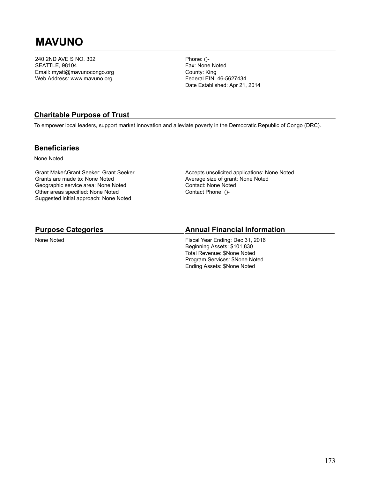# **MAVUNO**

240 2ND AVE S NO. 302 SEATTLE, 98104 Email: myatt@mavunocongo.org Web Address: www.mavuno.org

Phone: ()- Fax: None Noted County: King Federal EIN: 46-5627434 Date Established: Apr 21, 2014

## **Charitable Purpose of Trust**

To empower local leaders, support market innovation and alleviate poverty in the Democratic Republic of Congo (DRC).

#### **Beneficiaries**

None Noted

Grant Maker\Grant Seeker: Grant Seeker Grants are made to: None Noted Geographic service area: None Noted Other areas specified: None Noted Suggested initial approach: None Noted

Accepts unsolicited applications: None Noted Average size of grant: None Noted Contact: None Noted Contact Phone: ()-

#### **Purpose Categories**

None Noted

#### **Annual Financial Information**

Fiscal Year Ending: Dec 31, 2016 Beginning Assets: \$101,830 Total Revenue: \$None Noted Program Services: \$None Noted Ending Assets: \$None Noted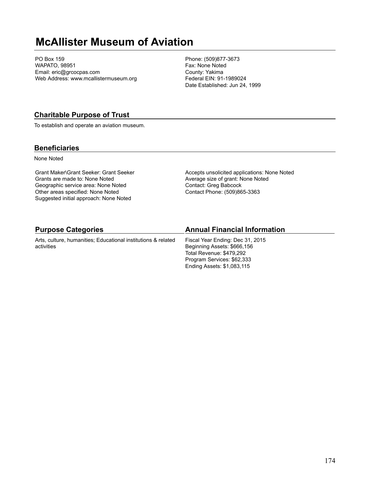## **McAllister Museum of Aviation**

PO Box 159 WAPATO, 98951 Email: eric@grcocpas.com Web Address: www.mcallistermuseum.org Phone: (509)877-3673 Fax: None Noted County: Yakima Federal EIN: 91-1989024 Date Established: Jun 24, 1999

### **Charitable Purpose of Trust**

To establish and operate an aviation museum.

### **Beneficiaries**

None Noted

Grant Maker\Grant Seeker: Grant Seeker Grants are made to: None Noted Geographic service area: None Noted Other areas specified: None Noted Suggested initial approach: None Noted

Accepts unsolicited applications: None Noted Average size of grant: None Noted Contact: Greg Babcock Contact Phone: (509)865-3363

Ending Assets: \$1,083,115

| <b>Purpose Categories</b>                                     | <b>Annual Financial Information</b> |
|---------------------------------------------------------------|-------------------------------------|
| Arts, culture, humanities; Educational institutions & related | Fiscal Year Ending: Dec 31, 2015    |
| activities                                                    | Beginning Assets: \$666,156         |
|                                                               | Total Revenue: \$479.292            |
|                                                               | Program Services: \$62,333          |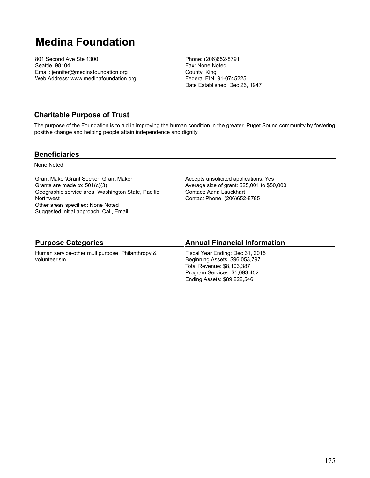# **Medina Foundation**

801 Second Ave Ste 1300 Seattle, 98104 Email: jennifer@medinafoundation.org Web Address: www.medinafoundation.org Phone: (206)652-8791 Fax: None Noted County: King Federal EIN: 91-0745225 Date Established: Dec 26, 1947

## **Charitable Purpose of Trust**

The purpose of the Foundation is to aid in improving the human condition in the greater, Puget Sound community by fostering positive change and helping people attain independence and dignity.

### **Beneficiaries**

None Noted

Grant Maker\Grant Seeker: Grant Maker Grants are made to: 501(c)(3) Geographic service area: Washington State, Pacific **Northwest** Other areas specified: None Noted Suggested initial approach: Call, Email

Accepts unsolicited applications: Yes Average size of grant: \$25,001 to \$50,000 Contact: Aana Lauckhart Contact Phone: (206)652-8785

## **Purpose Categories**

Human service-other multipurpose; Philanthropy & volunteerism

## **Annual Financial Information**

Fiscal Year Ending: Dec 31, 2015 Beginning Assets: \$96,053,797 Total Revenue: \$8,103,387 Program Services: \$5,093,452 Ending Assets: \$89,222,546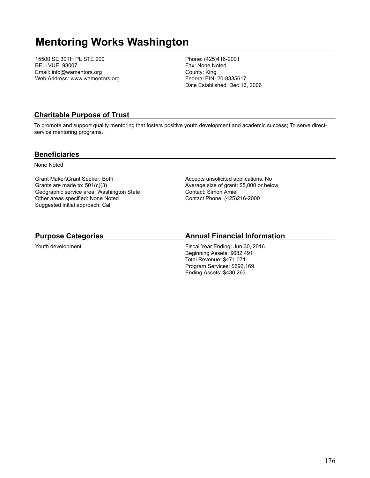# **Mentoring Works Washington**

15500 SE 30TH PL STE 200 BELLVUE, 98007 Email: info@wamentors.org Web Address: www.wamentors.org Phone: (425)416-2001 Fax: None Noted County: King Federal EIN: 20-8335617 Date Established: Dec 13, 2006

## **Charitable Purpose of Trust**

To promote and support quality mentoring that fosters positive youth development and academic success; To serve directservice mentoring programs.

### **Beneficiaries**

None Noted

Grant Maker\Grant Seeker: Both Grants are made to: 501(c)(3) Geographic service area: Washington State Other areas specified: None Noted Suggested initial approach: Call

Accepts unsolicited applications: No Average size of grant: \$5,000 or below Contact: Simon Amiel Contact Phone: (425)216-2000

## **Purpose Categories**

Youth development

## **Annual Financial Information**

Fiscal Year Ending: Jun 30, 2016 Beginning Assets: \$682,491 Total Revenue: \$471,071 Program Services: \$692,169 Ending Assets: \$430,263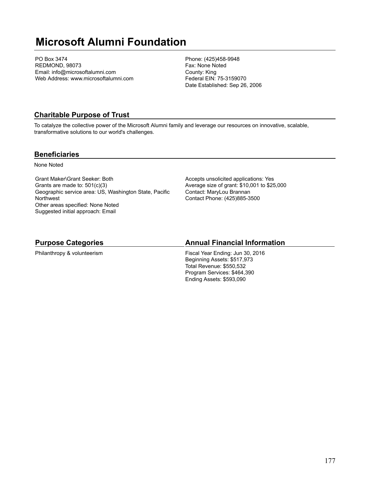# **Microsoft Alumni Foundation**

PO Box 3474 REDMOND, 98073 Email: info@microsoftalumni.com Web Address: www.microsoftalumni.com Phone: (425)458-9948 Fax: None Noted County: King Federal EIN: 75-3159070 Date Established: Sep 26, 2006

## **Charitable Purpose of Trust**

To catalyze the collective power of the Microsoft Alumni family and leverage our resources on innovative, scalable, transformative solutions to our world's challenges.

### **Beneficiaries**

None Noted

Grant Maker\Grant Seeker: Both Grants are made to: 501(c)(3) Geographic service area: US, Washington State, Pacific **Northwest** Other areas specified: None Noted Suggested initial approach: Email

Accepts unsolicited applications: Yes Average size of grant: \$10,001 to \$25,000 Contact: MaryLou Brannan Contact Phone: (425)885-3500

## **Purpose Categories**

Philanthropy & volunteerism

### **Annual Financial Information**

Fiscal Year Ending: Jun 30, 2016 Beginning Assets: \$517,973 Total Revenue: \$550,532 Program Services: \$464,390 Ending Assets: \$593,090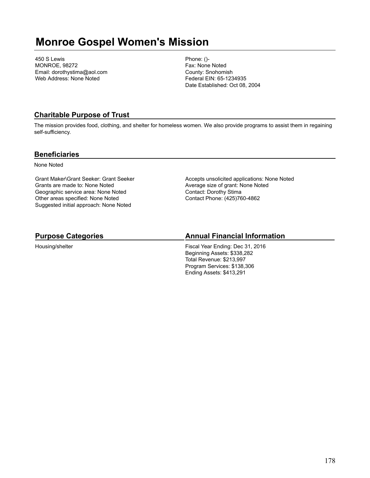## **Monroe Gospel Women's Mission**

450 S Lewis MONROE, 98272 Email: dorothystima@aol.com Web Address: None Noted

Phone: ()- Fax: None Noted County: Snohomish Federal EIN: 65-1234935 Date Established: Oct 08, 2004

## **Charitable Purpose of Trust**

The mission provides food, clothing, and shelter for homeless women. We also provide programs to assist them in regaining self-sufficiency.

### **Beneficiaries**

None Noted

Grant Maker\Grant Seeker: Grant Seeker Grants are made to: None Noted Geographic service area: None Noted Other areas specified: None Noted Suggested initial approach: None Noted

Accepts unsolicited applications: None Noted Average size of grant: None Noted Contact: Dorothy Stima Contact Phone: (425)760-4862

## **Purpose Categories**

Housing/shelter

## **Annual Financial Information**

Fiscal Year Ending: Dec 31, 2016 Beginning Assets: \$338,282 Total Revenue: \$213,997 Program Services: \$138,306 Ending Assets: \$413,291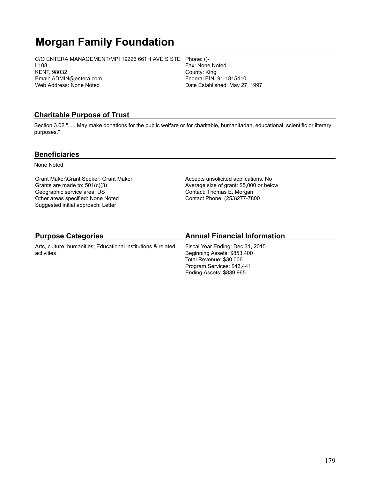# **Morgan Family Foundation**

C/O ENTERA MANAGEMENT/MPI 19226 66TH AVE S STE Phone: ()- L108 KENT, 98032 Email: ADMIN@entera.com Web Address: None Noted

Fax: None Noted County: King Federal EIN: 91-1815410 Date Established: May 27, 1997

### **Charitable Purpose of Trust**

Section 3.02 ". . . May make donations for the public welfare or for charitable, humanitarian, educational, scientific or literary purposes."

#### **Beneficiaries**

None Noted

Grant Maker\Grant Seeker: Grant Maker Grants are made to: 501(c)(3) Geographic service area: US Other areas specified: None Noted Suggested initial approach: Letter

Accepts unsolicited applications: No Average size of grant: \$5,000 or below Contact: Thomas E. Morgan Contact Phone: (253)277-7800

## **Purpose Categories**

Arts, culture, humanities; Educational institutions & related activities

## **Annual Financial Information**

Fiscal Year Ending: Dec 31, 2015 Beginning Assets: \$853,400 Total Revenue: \$30,006 Program Services: \$43,441 Ending Assets: \$839,965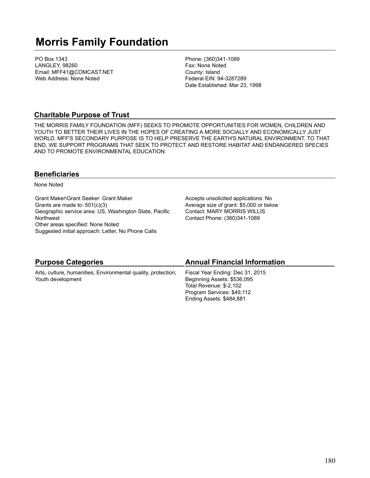# **Morris Family Foundation**

PO Box 1343 LANGLEY, 98260 Email: MFF41@COMCAST.NET Web Address: None Noted

Phone: (360)341-1089 Fax: None Noted County: Island Federal EIN: 94-3287289 Date Established: Mar 23, 1998

### **Charitable Purpose of Trust**

THE MORRIS FAMILY FOUNDATION (MFF) SEEKS TO PROMOTE OPPORTUNITIES FOR WOMEN, CHILDREN AND YOUTH TO BETTER THEIR LIVES IN THE HOPES OF CREATING A MORE SOCIALLY AND ECONOMICALLY JUST WORLD. MFF'S SECONDARY PURPOSE IS TO HELP PRESERVE THE EARTH'S NATURAL ENVIRONMENT. TO THAT END, WE SUPPORT PROGRAMS THAT SEEK TO PROTECT AND RESTORE HABITAT AND ENDANGERED SPECIES AND TO PROMOTE ENVIRONMENTAL EDUCATION.

### **Beneficiaries**

None Noted

Grant Maker\Grant Seeker: Grant Maker Grants are made to: 501(c)(3) Geographic service area: US, Washington State, Pacific **Northwest** Other areas specified: None Noted Suggested initial approach: Letter, No Phone Calls

Accepts unsolicited applications: No Average size of grant: \$5,000 or below Contact: MARY MORRIS WILLIS Contact Phone: (360)341-1089

| <b>Purpose Categories</b>                                     | <b>Annual Financial Information</b> |
|---------------------------------------------------------------|-------------------------------------|
| Arts, culture, humanities; Environmental quality, protection; | Fiscal Year Ending: Dec 31, 2015    |
| Youth development                                             | Beginning Assets: \$536,095         |
|                                                               | Total Revenue: \$-2,102             |
|                                                               | Program Services: \$49,112          |
|                                                               | Ending Assets: \$484,881            |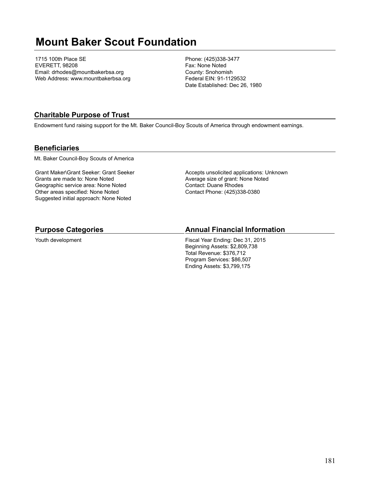# **Mount Baker Scout Foundation**

1715 100th Place SE EVERETT, 98208 Email: drhodes@mountbakerbsa.org Web Address: www.mountbakerbsa.org Phone: (425)338-3477 Fax: None Noted County: Snohomish Federal EIN: 91-1129532 Date Established: Dec 26, 1980

## **Charitable Purpose of Trust**

Endowment fund raising support for the Mt. Baker Council-Boy Scouts of America through endowment earnings.

#### **Beneficiaries**

Mt. Baker Council-Boy Scouts of America

Grant Maker\Grant Seeker: Grant Seeker Grants are made to: None Noted Geographic service area: None Noted Other areas specified: None Noted Suggested initial approach: None Noted

Accepts unsolicited applications: Unknown Average size of grant: None Noted Contact: Duane Rhodes Contact Phone: (425)338-0380

#### **Purpose Categories**

Youth development

#### **Annual Financial Information**

Fiscal Year Ending: Dec 31, 2015 Beginning Assets: \$2,809,738 Total Revenue: \$376,712 Program Services: \$86,507 Ending Assets: \$3,799,175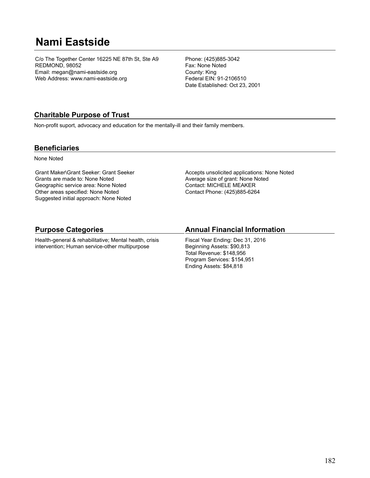# **Nami Eastside**

C/o The Together Center 16225 NE 87th St, Ste A9 REDMOND, 98052 Email: megan@nami-eastside.org Web Address: www.nami-eastside.org

Phone: (425)885-3042 Fax: None Noted County: King Federal EIN: 91-2106510 Date Established: Oct 23, 2001

## **Charitable Purpose of Trust**

Non-profit suport, advocacy and education for the mentally-ill and their family members.

#### **Beneficiaries**

None Noted

Grant Maker\Grant Seeker: Grant Seeker Grants are made to: None Noted Geographic service area: None Noted Other areas specified: None Noted Suggested initial approach: None Noted

Accepts unsolicited applications: None Noted Average size of grant: None Noted Contact: MICHELE MEAKER Contact Phone: (425)885-6264

### **Purpose Categories**

Health-general & rehabilitative; Mental health, crisis intervention; Human service-other multipurpose

### **Annual Financial Information**

Fiscal Year Ending: Dec 31, 2016 Beginning Assets: \$90,813 Total Revenue: \$148,956 Program Services: \$154,951 Ending Assets: \$84,818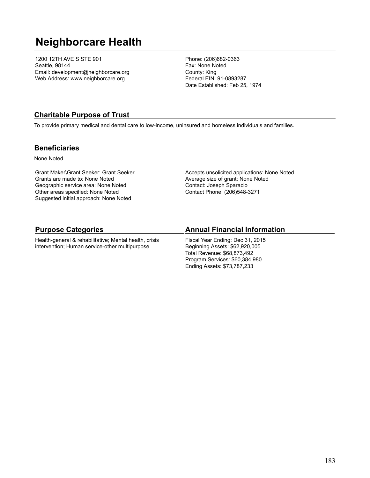# **Neighborcare Health**

1200 12TH AVE S STE 901 Seattle, 98144 Email: development@neighborcare.org Web Address: www.neighborcare.org

Phone: (206)682-0363 Fax: None Noted County: King Federal EIN: 91-0893287 Date Established: Feb 25, 1974

### **Charitable Purpose of Trust**

To provide primary medical and dental care to low-income, uninsured and homeless individuals and families.

#### **Beneficiaries**

None Noted

Grant Maker\Grant Seeker: Grant Seeker Grants are made to: None Noted Geographic service area: None Noted Other areas specified: None Noted Suggested initial approach: None Noted

Accepts unsolicited applications: None Noted Average size of grant: None Noted Contact: Joseph Sparacio Contact Phone: (206)548-3271

#### **Purpose Categories**

Health-general & rehabilitative; Mental health, crisis intervention; Human service-other multipurpose

#### **Annual Financial Information**

Fiscal Year Ending: Dec 31, 2015 Beginning Assets: \$62,920,005 Total Revenue: \$68,873,492 Program Services: \$60,384,980 Ending Assets: \$73,787,233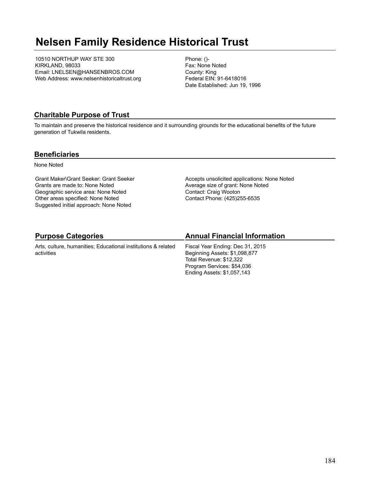# **Nelsen Family Residence Historical Trust**

10510 NORTHUP WAY STE 300 KIRKLAND, 98033 Email: LNELSEN@HANSENBROS.COM Web Address: www.nelsenhistoricaltrust.org Phone: ()- Fax: None Noted County: King Federal EIN: 91-6418016 Date Established: Jun 19, 1996

### **Charitable Purpose of Trust**

To maintain and preserve the historical residence and it surrounding grounds for the educational benefits of the future generation of Tukwila residents.

#### **Beneficiaries**

None Noted

Grant Maker\Grant Seeker: Grant Seeker Grants are made to: None Noted Geographic service area: None Noted Other areas specified: None Noted Suggested initial approach: None Noted

Accepts unsolicited applications: None Noted Average size of grant: None Noted Contact: Craig Wooton Contact Phone: (425)255-6535

## **Purpose Categories**

Arts, culture, humanities; Educational institutions & related activities

### **Annual Financial Information**

Fiscal Year Ending: Dec 31, 2015 Beginning Assets: \$1,098,877 Total Revenue: \$12,322 Program Services: \$54,036 Ending Assets: \$1,057,143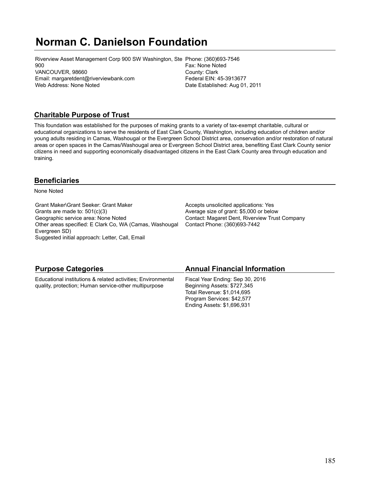# **Norman C. Danielson Foundation**

Riverview Asset Management Corp 900 SW Washington, Ste Phone: (360)693-7546 900 VANCOUVER, 98660 Email: margaretdent@riverviewbank.com Web Address: None Noted

Fax: None Noted County: Clark Federal EIN: 45-3913677 Date Established: Aug 01, 2011

## **Charitable Purpose of Trust**

This foundation was established for the purposes of making grants to a variety of tax-exempt charitable, cultural or educational organizations to serve the residents of East Clark County, Washington, including education of children and/or young adults residing in Camas, Washougal or the Evergreen School District area, conservation and/or restoration of natural areas or open spaces in the Camas/Washougal area or Evergreen School District area, benefiting East Clark County senior citizens in need and supporting economically disadvantaged citizens in the East Clark County area through education and training.

## **Beneficiaries**

None Noted

Grant Maker\Grant Seeker: Grant Maker Grants are made to: 501(c)(3) Geographic service area: None Noted Other areas specified: E Clark Co, WA (Camas, Washougal Evergreen SD) Suggested initial approach: Letter, Call, Email

Accepts unsolicited applications: Yes Average size of grant: \$5,000 or below Contact: Magaret Dent, Riverview Trust Company Contact Phone: (360)693-7442

| <b>Purpose Categories</b>                                    | <b>Annual Financial Information</b> |
|--------------------------------------------------------------|-------------------------------------|
| Educational institutions & related activities; Environmental | Fiscal Year Ending: Sep 30, 2016    |
| quality, protection; Human service-other multipurpose        | Beginning Assets: \$727,345         |
|                                                              | Total Revenue: \$1,014,695          |
|                                                              | Program Services: \$42,577          |
|                                                              | Ending Assets: \$1,696,931          |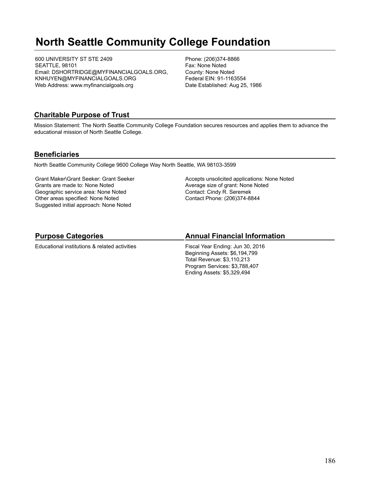# **North Seattle Community College Foundation**

600 UNIVERSITY ST STE 2409 SEATTLE, 98101 Email: DSHORTRIDGE@MYFINANCIALGOALS.ORG, KNHUYEN@MYFINANCIALGOALS.ORG Web Address: www.myfinancialgoals.org

Phone: (206)374-8866 Fax: None Noted County: None Noted Federal EIN: 91-1163554 Date Established: Aug 25, 1986

### **Charitable Purpose of Trust**

Mission Statement: The North Seattle Community College Foundation secures resources and applies them to advance the educational mission of North Seattle College.

#### **Beneficiaries**

North Seattle Community College 9600 College Way North Seattle, WA 98103-3599

Grant Maker\Grant Seeker: Grant Seeker Grants are made to: None Noted Geographic service area: None Noted Other areas specified: None Noted Suggested initial approach: None Noted

Accepts unsolicited applications: None Noted Average size of grant: None Noted Contact: Cindy R. Seremek Contact Phone: (206)374-8844

## **Purpose Categories**

Educational institutions & related activities

## **Annual Financial Information**

Fiscal Year Ending: Jun 30, 2016 Beginning Assets: \$6,194,799 Total Revenue: \$3,110,213 Program Services: \$3,788,407 Ending Assets: \$5,329,494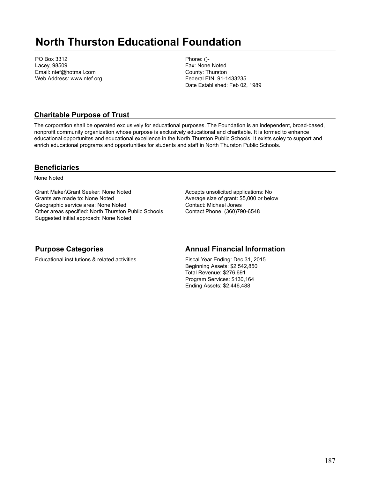# **North Thurston Educational Foundation**

PO Box 3312 Lacey, 98509 Email: ntef@hotmail.com Web Address: www.ntef.org Phone: ()- Fax: None Noted County: Thurston Federal EIN: 91-1433235 Date Established: Feb 02, 1989

## **Charitable Purpose of Trust**

The corporation shall be operated exclusively for educational purposes. The Foundation is an independent, broad-based, nonprofit community organization whose purpose is exclusively educational and charitable. It is formed to enhance educational opportunites and educational excellence in the North Thurston Public Schools. It exists soley to support and enrich educational programs and opportunities for students and staff in North Thurston Public Schools.

#### **Beneficiaries**

None Noted

Grant Maker\Grant Seeker: None Noted Grants are made to: None Noted Geographic service area: None Noted Other areas specified: North Thurston Public Schools Suggested initial approach: None Noted

Accepts unsolicited applications: No Average size of grant: \$5,000 or below Contact: Michael Jones Contact Phone: (360)790-6548

### **Purpose Categories**

Educational institutions & related activities

### **Annual Financial Information**

Fiscal Year Ending: Dec 31, 2015 Beginning Assets: \$2,542,850 Total Revenue: \$276,691 Program Services: \$130,164 Ending Assets: \$2,446,488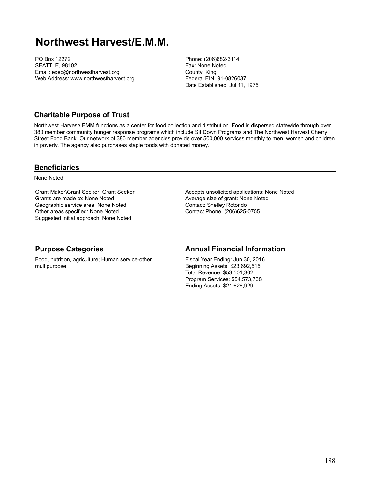## **Northwest Harvest/E.M.M.**

PO Box 12272 SEATTLE, 98102 Email: exec@northwestharvest.org Web Address: www.northwestharvest.org Phone: (206)682-3114 Fax: None Noted County: King Federal EIN: 91-0826037 Date Established: Jul 11, 1975

#### **Charitable Purpose of Trust**

Northwest Harvest/ EMM functions as a center for food collection and distribution. Food is dispersed statewide through over 380 member community hunger response programs which include Sit Down Programs and The Northwest Harvest Cherry Street Food Bank. Our network of 380 member agencies provide over 500,000 services monthly to men, women and children in poverty. The agency also purchases staple foods with donated money.

#### **Beneficiaries**

None Noted

Grant Maker\Grant Seeker: Grant Seeker Grants are made to: None Noted Geographic service area: None Noted Other areas specified: None Noted Suggested initial approach: None Noted

Accepts unsolicited applications: None Noted Average size of grant: None Noted Contact: Shelley Rotondo Contact Phone: (206)625-0755

### **Purpose Categories**

Food, nutrition, agriculture; Human service-other multipurpose

#### **Annual Financial Information**

Fiscal Year Ending: Jun 30, 2016 Beginning Assets: \$23,692,515 Total Revenue: \$53,501,302 Program Services: \$54,573,738 Ending Assets: \$21,626,929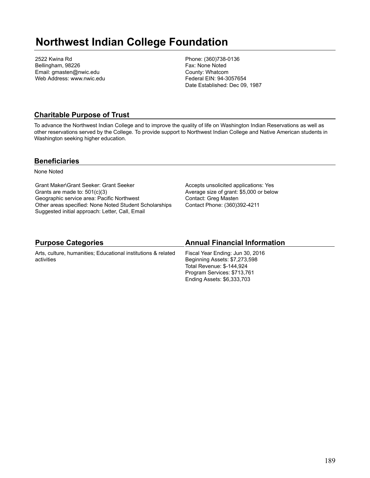## **Northwest Indian College Foundation**

2522 Kwina Rd Bellingham, 98226 Email: gmasten@nwic.edu Web Address: www.nwic.edu Phone: (360)738-0136 Fax: None Noted County: Whatcom Federal EIN: 94-3057654 Date Established: Dec 09, 1987

### **Charitable Purpose of Trust**

To advance the Northwest Indian College and to improve the quality of life on Washington Indian Reservations as well as other reservations served by the College. To provide support to Northwest Indian College and Native American students in Washington seeking higher education.

#### **Beneficiaries**

None Noted

Grant Maker\Grant Seeker: Grant Seeker Grants are made to: 501(c)(3) Geographic service area: Pacific Northwest Other areas specified: None Noted Student Scholarships Suggested initial approach: Letter, Call, Email

Accepts unsolicited applications: Yes Average size of grant: \$5,000 or below Contact: Greg Masten Contact Phone: (360)392-4211

### **Purpose Categories**

Arts, culture, humanities; Educational institutions & related activities

#### **Annual Financial Information**

Fiscal Year Ending: Jun 30, 2016 Beginning Assets: \$7,273,598 Total Revenue: \$-144,924 Program Services: \$713,761 Ending Assets: \$6,333,703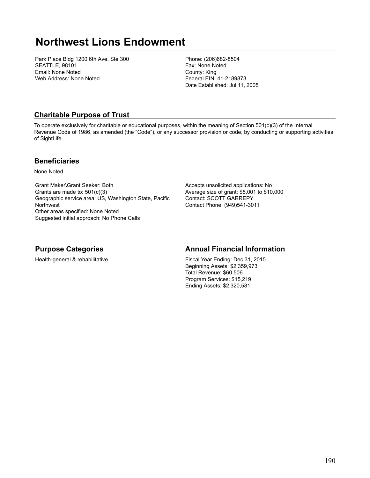# **Northwest Lions Endowment**

Park Place Bldg 1200 6th Ave, Ste 300 SEATTLE, 98101 Email: None Noted Web Address: None Noted

Phone: (206)682-8504 Fax: None Noted County: King Federal EIN: 41-2189873 Date Established: Jul 11, 2005

### **Charitable Purpose of Trust**

To operate exclusively for charitable or educational purposes, within the meaning of Section 501(c)(3) of the Internal Revenue Code of 1986, as amended (the "Code"), or any successor provision or code, by conducting or supporting activities of SightLife.

#### **Beneficiaries**

None Noted

Grant Maker\Grant Seeker: Both Grants are made to: 501(c)(3) Geographic service area: US, Washington State, Pacific **Northwest** Other areas specified: None Noted Suggested initial approach: No Phone Calls

Accepts unsolicited applications: No Average size of grant: \$5,001 to \$10,000 Contact: SCOTT GARREPY Contact Phone: (949)541-3011

### **Purpose Categories**

Health-general & rehabilitative

#### **Annual Financial Information**

Fiscal Year Ending: Dec 31, 2015 Beginning Assets: \$2,359,973 Total Revenue: \$60,506 Program Services: \$15,219 Ending Assets: \$2,320,581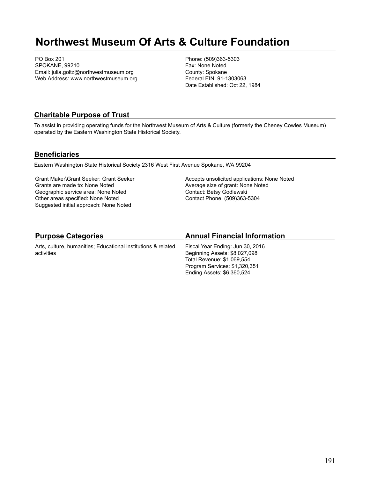# **Northwest Museum Of Arts & Culture Foundation**

PO Box 201 SPOKANE, 99210 Email: julia.goltz@northwestmuseum.org Web Address: www.northwestmuseum.org Phone: (509)363-5303 Fax: None Noted County: Spokane Federal EIN: 91-1303063 Date Established: Oct 22, 1984

#### **Charitable Purpose of Trust**

To assist in providing operating funds for the Northwest Museum of Arts & Culture (formerly the Cheney Cowles Museum) operated by the Eastern Washington State Historical Society.

#### **Beneficiaries**

Eastern Washington State Historical Society 2316 West First Avenue Spokane, WA 99204

Grant Maker\Grant Seeker: Grant Seeker Grants are made to: None Noted Geographic service area: None Noted Other areas specified: None Noted Suggested initial approach: None Noted

Accepts unsolicited applications: None Noted Average size of grant: None Noted Contact: Betsy Godlewski Contact Phone: (509)363-5304

## **Purpose Categories**

Arts, culture, humanities; Educational institutions & related activities

### **Annual Financial Information**

Fiscal Year Ending: Jun 30, 2016 Beginning Assets: \$8,027,098 Total Revenue: \$1,069,554 Program Services: \$1,320,351 Ending Assets: \$6,360,524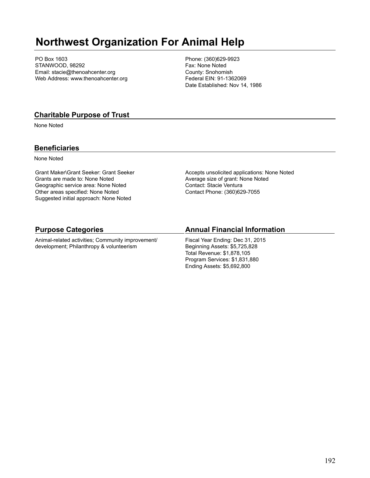# **Northwest Organization For Animal Help**

PO Box 1603 STANWOOD, 98292 Email: stacie@thenoahcenter.org Web Address: www.thenoahcenter.org Phone: (360)629-9923 Fax: None Noted County: Snohomish Federal EIN: 91-1362069 Date Established: Nov 14, 1986

### **Charitable Purpose of Trust**

None Noted

#### **Beneficiaries**

None Noted

Grant Maker\Grant Seeker: Grant Seeker Grants are made to: None Noted Geographic service area: None Noted Other areas specified: None Noted Suggested initial approach: None Noted

Accepts unsolicited applications: None Noted Average size of grant: None Noted Contact: Stacie Ventura Contact Phone: (360)629-7055

#### **Purpose Categories**

Animal-related activities; Community improvement/ development; Philanthropy & volunteerism

#### **Annual Financial Information**

Fiscal Year Ending: Dec 31, 2015 Beginning Assets: \$5,725,828 Total Revenue: \$1,878,105 Program Services: \$1,831,880 Ending Assets: \$5,692,800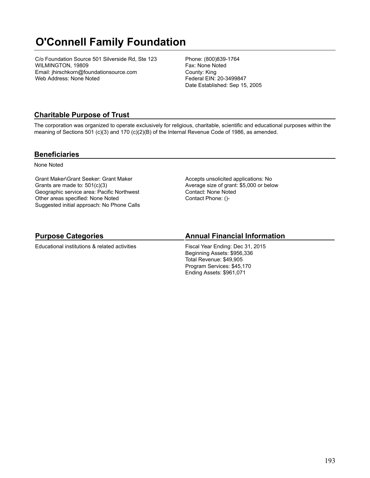# **O'Connell Family Foundation**

C/o Foundation Source 501 Silverside Rd, Ste 123 WILMINGTON, 19809 Email: jhirschkorn@foundationsource.com Web Address: None Noted

Phone: (800)839-1764 Fax: None Noted County: King Federal EIN: 20-3499847 Date Established: Sep 15, 2005

## **Charitable Purpose of Trust**

The corporation was organized to operate exclusively for religious, charitable, scientific and educational purposes within the meaning of Sections 501 (c)(3) and 170 (c)(2)(B) of the Internal Revenue Code of 1986, as amended.

#### **Beneficiaries**

None Noted

Grant Maker\Grant Seeker: Grant Maker Grants are made to: 501(c)(3) Geographic service area: Pacific Northwest Other areas specified: None Noted Suggested initial approach: No Phone Calls Accepts unsolicited applications: No Average size of grant: \$5,000 or below Contact: None Noted Contact Phone: ()-

## **Purpose Categories**

Educational institutions & related activities

## **Annual Financial Information**

Fiscal Year Ending: Dec 31, 2015 Beginning Assets: \$956,336 Total Revenue: \$49,905 Program Services: \$45,170 Ending Assets: \$961,071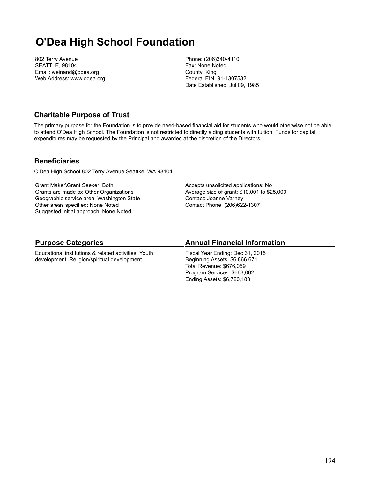# **O'Dea High School Foundation**

802 Terry Avenue SEATTLE, 98104 Email: weinand@odea.org Web Address: www.odea.org Phone: (206)340-4110 Fax: None Noted County: King Federal EIN: 91-1307532 Date Established: Jul 09, 1985

### **Charitable Purpose of Trust**

The primary purpose for the Foundation is to provide need-based financial aid for students who would otherwise not be able to attend O'Dea High School. The Foundation is not restricted to directly aiding students with tuition. Funds for capital expenditures may be requested by the Principal and awarded at the discretion of the Directors.

#### **Beneficiaries**

O'Dea High School 802 Terry Avenue Seattke, WA 98104

Grant Maker\Grant Seeker: Both Grants are made to: Other Organizations Geographic service area: Washington State Other areas specified: None Noted Suggested initial approach: None Noted

Accepts unsolicited applications: No Average size of grant: \$10,001 to \$25,000 Contact: Joanne Varney Contact Phone: (206)622-1307

### **Purpose Categories**

Educational institutions & related activities; Youth development; Religion/spiritual development

#### **Annual Financial Information**

Fiscal Year Ending: Dec 31, 2015 Beginning Assets: \$6,866,671 Total Revenue: \$676,059 Program Services: \$663,002 Ending Assets: \$6,720,183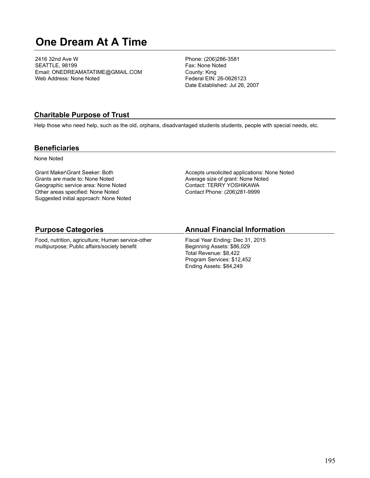# **One Dream At A Time**

2416 32nd Ave W SEATTLE, 98199 Email: ONEDREAMATATIME@GMAIL.COM Web Address: None Noted

Phone: (206)286-3581 Fax: None Noted County: King Federal EIN: 26-0626123 Date Established: Jul 26, 2007

#### **Charitable Purpose of Trust**

Help those who need help, such as the old, orphans, disadvantaged students students, people with special needs, etc.

#### **Beneficiaries**

None Noted

Grant Maker\Grant Seeker: Both Grants are made to: None Noted Geographic service area: None Noted Other areas specified: None Noted Suggested initial approach: None Noted Accepts unsolicited applications: None Noted Average size of grant: None Noted Contact: TERRY YOSHIKAWA Contact Phone: (206)281-9999

#### **Purpose Categories**

Food, nutrition, agriculture; Human service-other multipurpose; Public affairs/society benefit

#### **Annual Financial Information**

Fiscal Year Ending: Dec 31, 2015 Beginning Assets: \$86,029 Total Revenue: \$8,422 Program Services: \$12,452 Ending Assets: \$84,249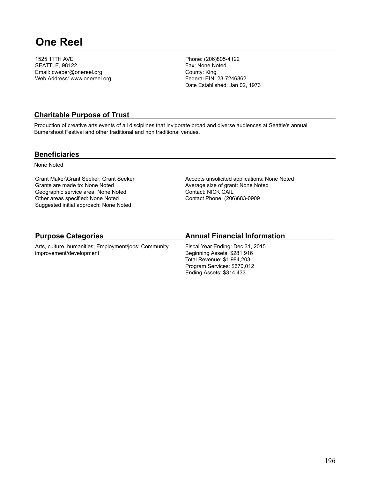# **One Reel**

1525 11TH AVE SEATTLE, 98122 Email: cweber@onereel.org Web Address: www.onereel.org Phone: (206)805-4122 Fax: None Noted County: King Federal EIN: 23-7246862 Date Established: Jan 02, 1973

#### **Charitable Purpose of Trust**

Production of creative arts events of all disciplines that invigorate broad and diverse audiences at Seattle's annual Bumershoot Festival and other traditional and non traditional venues.

#### **Beneficiaries**

None Noted

Grant Maker\Grant Seeker: Grant Seeker Grants are made to: None Noted Geographic service area: None Noted Other areas specified: None Noted Suggested initial approach: None Noted

Accepts unsolicited applications: None Noted Average size of grant: None Noted Contact: NICK CAIL Contact Phone: (206)683-0909

## **Purpose Categories**

Arts, culture, humanities; Employment/jobs; Community improvement/development

## **Annual Financial Information**

Fiscal Year Ending: Dec 31, 2015 Beginning Assets: \$281,916 Total Revenue: \$1,984,203 Program Services: \$670,012 Ending Assets: \$314,433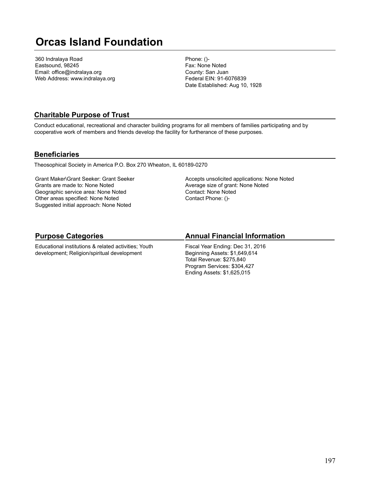# **Orcas Island Foundation**

360 Indralaya Road Eastsound, 98245 Email: office@indralaya.org Web Address: www.indralaya.org Phone: ()- Fax: None Noted County: San Juan Federal EIN: 91-6076839 Date Established: Aug 10, 1928

### **Charitable Purpose of Trust**

Conduct educational, recreational and character building programs for all members of families participating and by cooperative work of members and friends develop the facility for furtherance of these purposes.

#### **Beneficiaries**

Theosophical Society in America P.O. Box 270 Wheaton, IL 60189-0270

Grant Maker\Grant Seeker: Grant Seeker Grants are made to: None Noted Geographic service area: None Noted Other areas specified: None Noted Suggested initial approach: None Noted

Accepts unsolicited applications: None Noted Average size of grant: None Noted Contact: None Noted Contact Phone: ()-

## **Purpose Categories**

Educational institutions & related activities; Youth development; Religion/spiritual development

### **Annual Financial Information**

Fiscal Year Ending: Dec 31, 2016 Beginning Assets: \$1,649,614 Total Revenue: \$275,840 Program Services: \$304,427 Ending Assets: \$1,625,015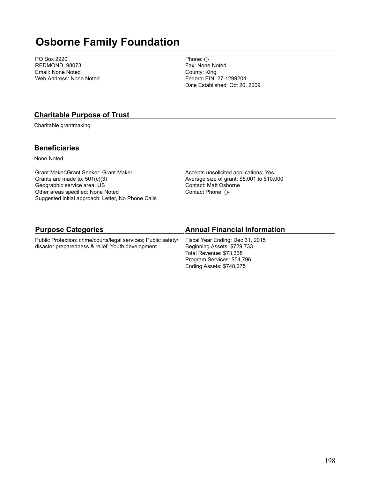# **Osborne Family Foundation**

PO Box 2920 REDMOND, 98073 Email: None Noted Web Address: None Noted

Phone: ()- Fax: None Noted County: King Federal EIN: 27-1299204 Date Established: Oct 20, 2009

#### **Charitable Purpose of Trust**

Charitable grantmaking

#### **Beneficiaries**

None Noted

Grant Maker\Grant Seeker: Grant Maker Grants are made to: 501(c)(3) Geographic service area: US Other areas specified: None Noted Suggested initial approach: Letter, No Phone Calls Accepts unsolicited applications: Yes Average size of grant: \$5,001 to \$10,000 Contact: Matt Osborne Contact Phone: ()-

Ending Assets: \$748,275

| <b>Purpose Categories</b>                                                                                           | <b>Annual Financial Information</b>                                                        |
|---------------------------------------------------------------------------------------------------------------------|--------------------------------------------------------------------------------------------|
| Public Protection: crime/courts/legal services; Public safety/<br>disaster preparedness & relief; Youth development | Fiscal Year Ending: Dec 31, 2015<br>Beginning Assets: \$729,733<br>Total Revenue: \$73,338 |
|                                                                                                                     | Program Services: \$54,796                                                                 |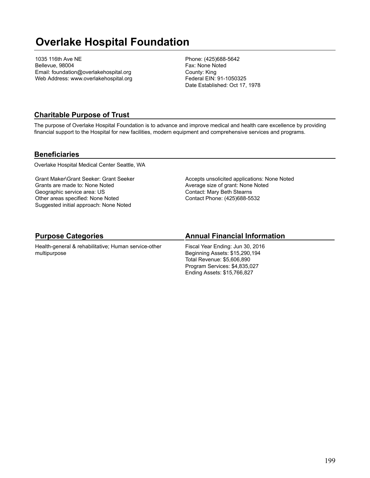# **Overlake Hospital Foundation**

1035 116th Ave NE Bellevue, 98004 Email: foundation@overlakehospital.org Web Address: www.overlakehospital.org Phone: (425)688-5642 Fax: None Noted County: King Federal EIN: 91-1050325 Date Established: Oct 17, 1978

### **Charitable Purpose of Trust**

The purpose of Overlake Hospital Foundation is to advance and improve medical and health care excellence by providing financial support to the Hospital for new facilities, modern equipment and comprehensive services and programs.

#### **Beneficiaries**

Overlake Hospital Medical Center Seattle, WA

Grant Maker\Grant Seeker: Grant Seeker Grants are made to: None Noted Geographic service area: US Other areas specified: None Noted Suggested initial approach: None Noted

Accepts unsolicited applications: None Noted Average size of grant: None Noted Contact: Mary Beth Stearns Contact Phone: (425)688-5532

## **Purpose Categories**

Health-general & rehabilitative; Human service-other multipurpose

## **Annual Financial Information**

Fiscal Year Ending: Jun 30, 2016 Beginning Assets: \$15,290,194 Total Revenue: \$5,606,890 Program Services: \$4,835,027 Ending Assets: \$15,766,827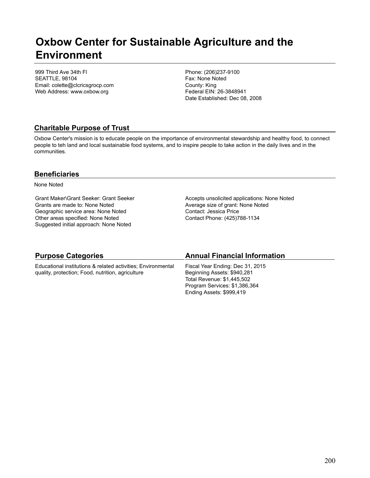## **Oxbow Center for Sustainable Agriculture and the Environment**

999 Third Ave 34th Fl SEATTLE, 98104 Email: colette@clcricsgrocp.com Web Address: www.oxbow.org

Phone: (206)237-9100 Fax: None Noted County: King Federal EIN: 26-3848941 Date Established: Dec 08, 2008

## **Charitable Purpose of Trust**

Oxbow Center's mission is to educate people on the importance of environmental stewardship and healthy food, to connect people to teh land and local sustainable food systems, and to inspire people to take action in the daily lives and in the communities.

#### **Beneficiaries**

None Noted

Grant Maker\Grant Seeker: Grant Seeker Grants are made to: None Noted Geographic service area: None Noted Other areas specified: None Noted Suggested initial approach: None Noted

Accepts unsolicited applications: None Noted Average size of grant: None Noted Contact: Jessica Price Contact Phone: (425)788-1134

| <b>Purpose Categories</b>                                    | <b>Annual Financial Information</b> |
|--------------------------------------------------------------|-------------------------------------|
| Educational institutions & related activities; Environmental | Fiscal Year Ending: Dec 31, 2015    |
| quality, protection; Food, nutrition, agriculture            | Beginning Assets: \$940,281         |
|                                                              | Total Revenue: \$1,445,502          |
|                                                              | Program Services: \$1,386,364       |
|                                                              | Ending Assets: \$999,419            |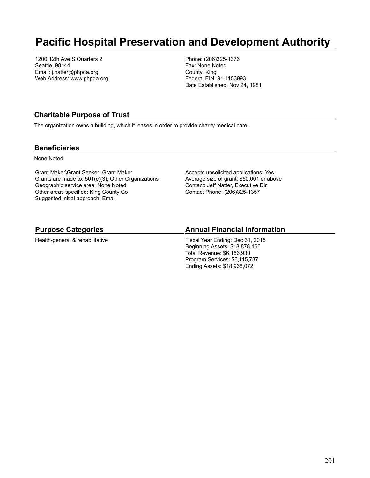## **Pacific Hospital Preservation and Development Authority**

1200 12th Ave S Quarters 2 Seattle, 98144 Email: j.natter@phpda.org Web Address: www.phpda.org Phone: (206)325-1376 Fax: None Noted County: King Federal EIN: 91-1153993 Date Established: Nov 24, 1981

#### **Charitable Purpose of Trust**

The organization owns a building, which it leases in order to provide charity medical care.

#### **Beneficiaries**

None Noted

Grant Maker\Grant Seeker: Grant Maker Grants are made to: 501(c)(3), Other Organizations Geographic service area: None Noted Other areas specified: King County Co Suggested initial approach: Email

Accepts unsolicited applications: Yes Average size of grant: \$50,001 or above Contact: Jeff Natter, Executive Dir Contact Phone: (206)325-1357

#### **Purpose Categories**

Health-general & rehabilitative

#### **Annual Financial Information**

Fiscal Year Ending: Dec 31, 2015 Beginning Assets: \$18,878,166 Total Revenue: \$6,156,930 Program Services: \$6,115,737 Ending Assets: \$18,968,072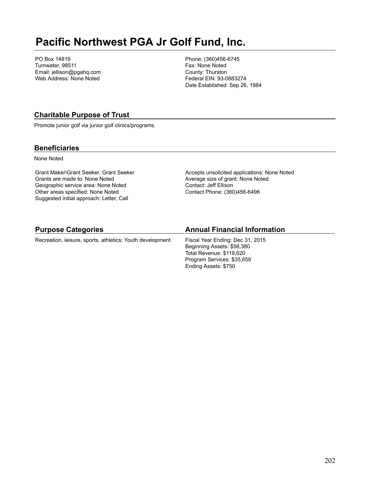# **Pacific Northwest PGA Jr Golf Fund, Inc.**

PO Box 14819 Tumwater, 98511 Email: jellison@pgahq.com Web Address: None Noted

Phone: (360)456-6745 Fax: None Noted County: Thurston Federal EIN: 93-0883274 Date Established: Sep 26, 1984

### **Charitable Purpose of Trust**

Promote junior golf via junior golf clinics/programs.

#### **Beneficiaries**

None Noted

Grant Maker\Grant Seeker: Grant Seeker Grants are made to: None Noted Geographic service area: None Noted Other areas specified: None Noted Suggested initial approach: Letter, Call

Accepts unsolicited applications: None Noted Average size of grant: None Noted Contact: Jeff Ellison Contact Phone: (360)456-6496

Program Services: \$35,659 Ending Assets: \$750

| <b>Purpose Categories</b>                                 | <b>Annual Financial Information</b>                                                        |
|-----------------------------------------------------------|--------------------------------------------------------------------------------------------|
| Recreation, leisure, sports, athletics; Youth development | Fiscal Year Ending: Dec 31, 2015<br>Beginning Assets: \$58,380<br>Total Revenue: \$119.620 |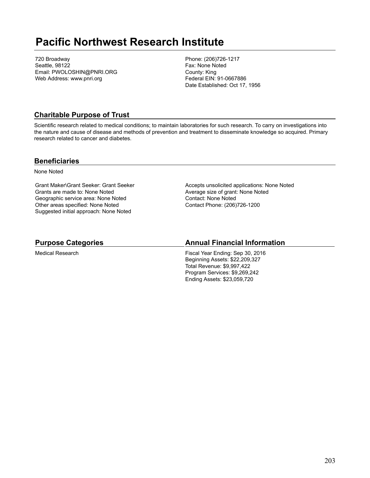## **Pacific Northwest Research Institute**

720 Broadway Seattle, 98122 Email: PWOLOSHIN@PNRI.ORG Web Address: www.pnri.org

Phone: (206)726-1217 Fax: None Noted County: King Federal EIN: 91-0667886 Date Established: Oct 17, 1956

### **Charitable Purpose of Trust**

Scientific research related to medical conditions; to maintain laboratories for such research. To carry on investigations into the nature and cause of disease and methods of prevention and treatment to disseminate knowledge so acquired. Primary research related to cancer and diabetes.

#### **Beneficiaries**

None Noted

Grant Maker\Grant Seeker: Grant Seeker Grants are made to: None Noted Geographic service area: None Noted Other areas specified: None Noted Suggested initial approach: None Noted

Accepts unsolicited applications: None Noted Average size of grant: None Noted Contact: None Noted Contact Phone: (206)726-1200

#### **Purpose Categories**

Medical Research

#### **Annual Financial Information**

Fiscal Year Ending: Sep 30, 2016 Beginning Assets: \$22,209,327 Total Revenue: \$9,997,422 Program Services: \$9,269,242 Ending Assets: \$23,059,720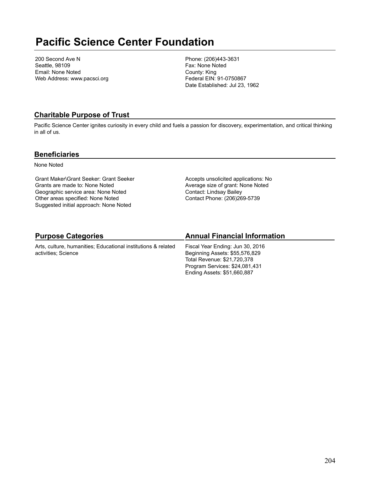# **Pacific Science Center Foundation**

200 Second Ave N Seattle, 98109 Email: None Noted Web Address: www.pacsci.org Phone: (206)443-3631 Fax: None Noted County: King Federal EIN: 91-0750867 Date Established: Jul 23, 1962

## **Charitable Purpose of Trust**

Pacific Science Center ignites curiosity in every child and fuels a passion for discovery, experimentation, and critical thinking in all of us.

#### **Beneficiaries**

None Noted

Grant Maker\Grant Seeker: Grant Seeker Grants are made to: None Noted Geographic service area: None Noted Other areas specified: None Noted Suggested initial approach: None Noted

Accepts unsolicited applications: No Average size of grant: None Noted Contact: Lindsay Bailey Contact Phone: (206)269-5739

## **Purpose Categories**

Arts, culture, humanities; Educational institutions & related activities; Science

## **Annual Financial Information**

Fiscal Year Ending: Jun 30, 2016 Beginning Assets: \$55,576,829 Total Revenue: \$21,720,378 Program Services: \$24,081,431 Ending Assets: \$51,660,887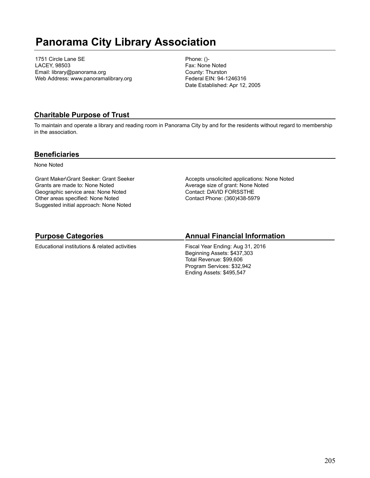# **Panorama City Library Association**

1751 Circle Lane SE LACEY, 98503 Email: library@panorama.org Web Address: www.panoramalibrary.org Phone: ()- Fax: None Noted County: Thurston Federal EIN: 94-1246316 Date Established: Apr 12, 2005

## **Charitable Purpose of Trust**

To maintain and operate a library and reading room in Panorama City by and for the residents without regard to membership in the association.

#### **Beneficiaries**

None Noted

Grant Maker\Grant Seeker: Grant Seeker Grants are made to: None Noted Geographic service area: None Noted Other areas specified: None Noted Suggested initial approach: None Noted

Accepts unsolicited applications: None Noted Average size of grant: None Noted Contact: DAVID FORSSTHE Contact Phone: (360)438-5979

## **Purpose Categories**

Educational institutions & related activities

## **Annual Financial Information**

Fiscal Year Ending: Aug 31, 2016 Beginning Assets: \$437,303 Total Revenue: \$99,606 Program Services: \$32,942 Ending Assets: \$495,547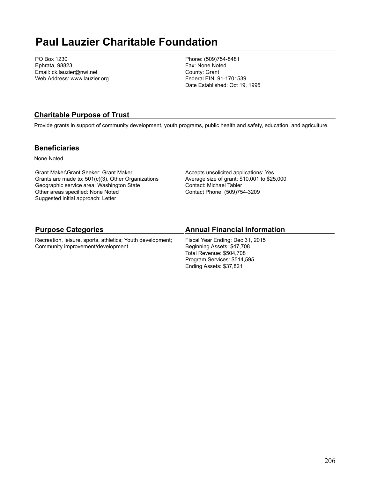# **Paul Lauzier Charitable Foundation**

PO Box 1230 Ephrata, 98823 Email: ck.lauzier@nwi.net Web Address: www.lauzier.org Phone: (509)754-8481 Fax: None Noted County: Grant Federal EIN: 91-1701539 Date Established: Oct 19, 1995

### **Charitable Purpose of Trust**

Provide grants in support of community development, youth programs, public health and safety, education, and agriculture.

#### **Beneficiaries**

None Noted

Grant Maker\Grant Seeker: Grant Maker Grants are made to: 501(c)(3), Other Organizations Geographic service area: Washington State Other areas specified: None Noted Suggested initial approach: Letter

Accepts unsolicited applications: Yes Average size of grant: \$10,001 to \$25,000 Contact: Michael Tabler Contact Phone: (509)754-3209

#### **Purpose Categories**

Recreation, leisure, sports, athletics; Youth development; Community improvement/development

#### **Annual Financial Information**

Fiscal Year Ending: Dec 31, 2015 Beginning Assets: \$47,708 Total Revenue: \$504,708 Program Services: \$514,595 Ending Assets: \$37,821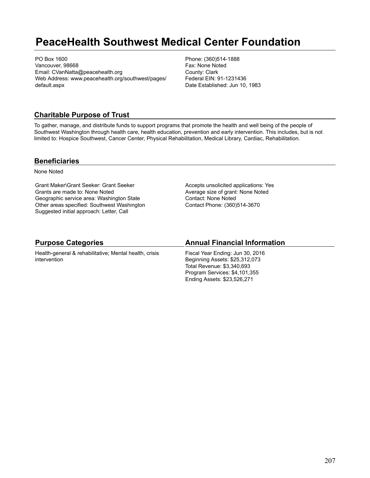# **PeaceHealth Southwest Medical Center Foundation**

PO Box 1600 Vancouver, 98668 Email: CVanNatta@peacehealth.org Web Address: www.peacehealth.org/southwest/pages/ default.aspx

Phone: (360)514-1888 Fax: None Noted County: Clark Federal EIN: 91-1231436 Date Established: Jun 10, 1983

### **Charitable Purpose of Trust**

To gather, manage, and distribute funds to support programs that promote the health and well being of the people of Southwest Washington through health care, health education, prevention and early intervention. This includes, but is not limited to: Hospice Southwest, Cancer Center, Physical Rehabilitation, Medical Library, Cardiac, Rehabilitation.

#### **Beneficiaries**

None Noted

Grant Maker\Grant Seeker: Grant Seeker Grants are made to: None Noted Geographic service area: Washington State Other areas specified: Southwest Washington Suggested initial approach: Letter, Call

Accepts unsolicited applications: Yes Average size of grant: None Noted Contact: None Noted Contact Phone: (360)514-3670

#### **Purpose Categories**

Health-general & rehabilitative; Mental health, crisis intervention

#### **Annual Financial Information**

Fiscal Year Ending: Jun 30, 2016 Beginning Assets: \$25,312,073 Total Revenue: \$3,340,693 Program Services: \$4,101,355 Ending Assets: \$23,526,271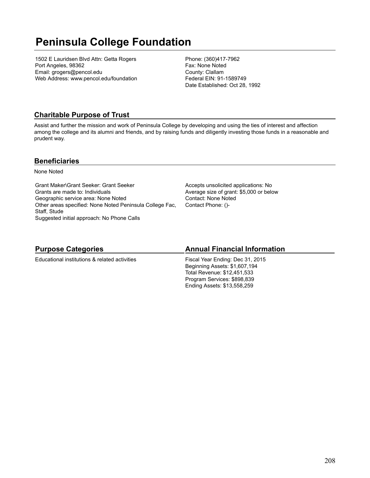# **Peninsula College Foundation**

1502 E Lauridsen Blvd Attn: Getta Rogers Port Angeles, 98362 Email: grogers@pencol.edu Web Address: www.pencol.edu/foundation Phone: (360)417-7962 Fax: None Noted County: Clallam Federal EIN: 91-1589749 Date Established: Oct 28, 1992

## **Charitable Purpose of Trust**

Assist and further the mission and work of Peninsula College by developing and using the ties of interest and affection among the college and its alumni and friends, and by raising funds and diligently investing those funds in a reasonable and prudent way.

#### **Beneficiaries**

None Noted

Grant Maker\Grant Seeker: Grant Seeker Grants are made to: Individuals Geographic service area: None Noted Other areas specified: None Noted Peninsula College Fac, Staff, Stude Suggested initial approach: No Phone Calls

Accepts unsolicited applications: No Average size of grant: \$5,000 or below Contact: None Noted Contact Phone: ()-

## **Purpose Categories**

Educational institutions & related activities

### **Annual Financial Information**

Fiscal Year Ending: Dec 31, 2015 Beginning Assets: \$1,607,194 Total Revenue: \$12,451,533 Program Services: \$898,839 Ending Assets: \$13,558,259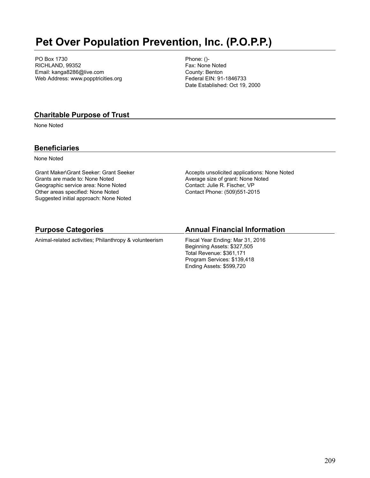# **Pet Over Population Prevention, Inc. (P.O.P.P.)**

PO Box 1730 RICHLAND, 99352 Email: kanga8286@live.com Web Address: www.popptricities.org Phone: ()- Fax: None Noted County: Benton Federal EIN: 91-1846733 Date Established: Oct 19, 2000

#### **Charitable Purpose of Trust**

None Noted

#### **Beneficiaries**

None Noted

Grant Maker\Grant Seeker: Grant Seeker Grants are made to: None Noted Geographic service area: None Noted Other areas specified: None Noted Suggested initial approach: None Noted

Accepts unsolicited applications: None Noted Average size of grant: None Noted Contact: Julie R. Fischer, VP Contact Phone: (509)551-2015

#### **Purpose Categories**

Animal-related activities; Philanthropy & volunteerism

#### **Annual Financial Information**

Fiscal Year Ending: Mar 31, 2016 Beginning Assets: \$327,505 Total Revenue: \$361,171 Program Services: \$139,418 Ending Assets: \$599,720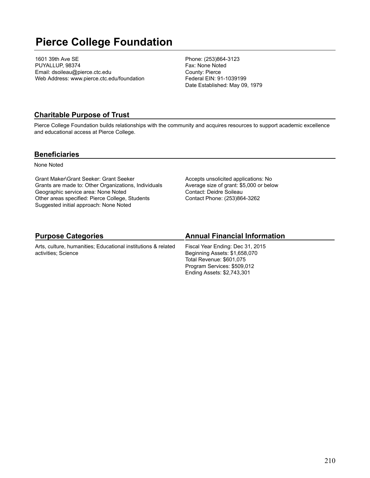# **Pierce College Foundation**

1601 39th Ave SE PUYALLUP, 98374 Email: dsoileau@pierce.ctc.edu Web Address: www.pierce.ctc.edu/foundation Phone: (253)864-3123 Fax: None Noted County: Pierce Federal EIN: 91-1039199 Date Established: May 09, 1979

#### **Charitable Purpose of Trust**

Pierce College Foundation builds relationships with the community and acquires resources to support academic excellence and educational access at Pierce College.

#### **Beneficiaries**

None Noted

Grant Maker\Grant Seeker: Grant Seeker Grants are made to: Other Organizations, Individuals Geographic service area: None Noted Other areas specified: Pierce College, Students Suggested initial approach: None Noted

Accepts unsolicited applications: No Average size of grant: \$5,000 or below Contact: Deidre Soileau Contact Phone: (253)864-3262

## **Purpose Categories**

Arts, culture, humanities; Educational institutions & related activities; Science

### **Annual Financial Information**

Fiscal Year Ending: Dec 31, 2015 Beginning Assets: \$1,658,070 Total Revenue: \$601,075 Program Services: \$509,012 Ending Assets: \$2,743,301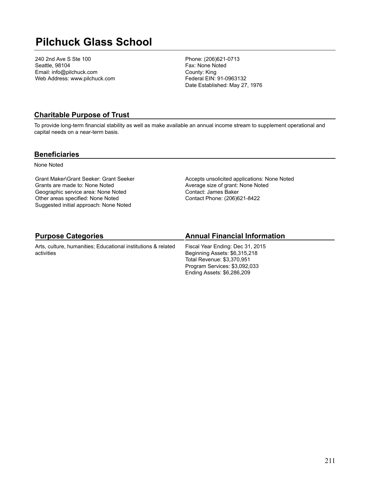# **Pilchuck Glass School**

240 2nd Ave S Ste 100 Seattle, 98104 Email: info@pilchuck.com Web Address: www.pilchuck.com Phone: (206)621-0713 Fax: None Noted County: King Federal EIN: 91-0963132 Date Established: May 27, 1976

### **Charitable Purpose of Trust**

To provide long-term financial stability as well as make available an annual income stream to supplement operational and capital needs on a near-term basis.

#### **Beneficiaries**

None Noted

Grant Maker\Grant Seeker: Grant Seeker Grants are made to: None Noted Geographic service area: None Noted Other areas specified: None Noted Suggested initial approach: None Noted

Accepts unsolicited applications: None Noted Average size of grant: None Noted Contact: James Baker Contact Phone: (206)621-8422

## **Purpose Categories**

Arts, culture, humanities; Educational institutions & related activities

## **Annual Financial Information**

Fiscal Year Ending: Dec 31, 2015 Beginning Assets: \$6,315,218 Total Revenue: \$3,370,951 Program Services: \$3,092,033 Ending Assets: \$6,286,209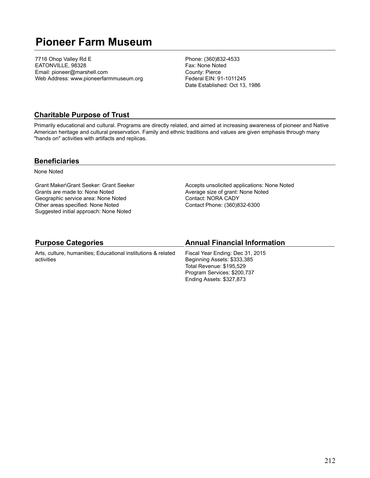# **Pioneer Farm Museum**

7716 Ohop Valley Rd E EATONVILLE, 98328 Email: pioneer@marshell.com Web Address: www.pioneerfarmmuseum.org Phone: (360)832-4533 Fax: None Noted County: Pierce Federal EIN: 91-1011245 Date Established: Oct 13, 1986

### **Charitable Purpose of Trust**

Primarily educational and cultural. Programs are directly related, and aimed at increasing awareness of pioneer and Native American heritage and cultural preservation. Family and ethnic traditions and values are given emphasis through many "hands on" activities with artifacts and replicas.

#### **Beneficiaries**

None Noted

Grant Maker\Grant Seeker: Grant Seeker Grants are made to: None Noted Geographic service area: None Noted Other areas specified: None Noted Suggested initial approach: None Noted

Accepts unsolicited applications: None Noted Average size of grant: None Noted Contact: NORA CADY Contact Phone: (360)832-6300

### **Purpose Categories**

Arts, culture, humanities; Educational institutions & related activities

#### **Annual Financial Information**

Fiscal Year Ending: Dec 31, 2015 Beginning Assets: \$333,385 Total Revenue: \$195,529 Program Services: \$200,737 Ending Assets: \$327,873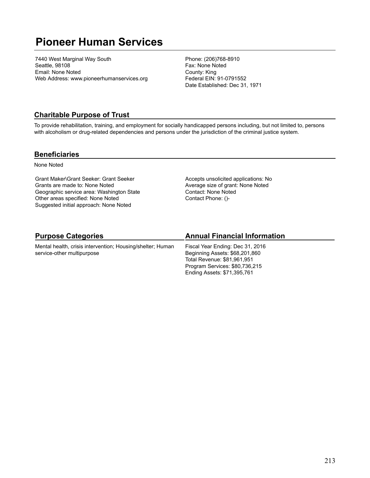# **Pioneer Human Services**

7440 West Marginal Way South Seattle, 98108 Email: None Noted Web Address: www.pioneerhumanservices.org Phone: (206)768-8910 Fax: None Noted County: King Federal EIN: 91-0791552 Date Established: Dec 31, 1971

#### **Charitable Purpose of Trust**

To provide rehabilitation, training, and employment for socially handicapped persons including, but not limited to, persons with alcoholism or drug-related dependencies and persons under the jurisdiction of the criminal justice system.

#### **Beneficiaries**

None Noted

Grant Maker\Grant Seeker: Grant Seeker Grants are made to: None Noted Geographic service area: Washington State Other areas specified: None Noted Suggested initial approach: None Noted

Accepts unsolicited applications: No Average size of grant: None Noted Contact: None Noted Contact Phone: ()-

## **Purpose Categories**

Mental health, crisis intervention; Housing/shelter; Human service-other multipurpose

## **Annual Financial Information**

Fiscal Year Ending: Dec 31, 2016 Beginning Assets: \$68,201,860 Total Revenue: \$81,961,951 Program Services: \$80,736,215 Ending Assets: \$71,395,761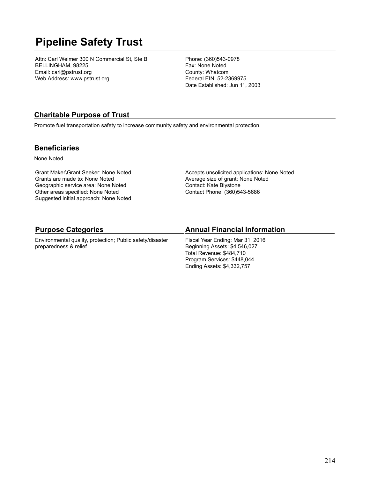# **Pipeline Safety Trust**

Attn: Carl Weimer 300 N Commercial St, Ste B BELLINGHAM, 98225 Email: carl@pstrust.org Web Address: www.pstrust.org

Phone: (360)543-0978 Fax: None Noted County: Whatcom Federal EIN: 52-2369975 Date Established: Jun 11, 2003

### **Charitable Purpose of Trust**

Promote fuel transportation safety to increase community safety and environmental protection.

#### **Beneficiaries**

None Noted

Grant Maker\Grant Seeker: None Noted Grants are made to: None Noted Geographic service area: None Noted Other areas specified: None Noted Suggested initial approach: None Noted Accepts unsolicited applications: None Noted Average size of grant: None Noted Contact: Kate Blystone Contact Phone: (360)543-5686

#### **Purpose Categories**

Environmental quality, protection; Public safety/disaster preparedness & relief

#### **Annual Financial Information**

Fiscal Year Ending: Mar 31, 2016 Beginning Assets: \$4,546,027 Total Revenue: \$484,710 Program Services: \$448,044 Ending Assets: \$4,332,757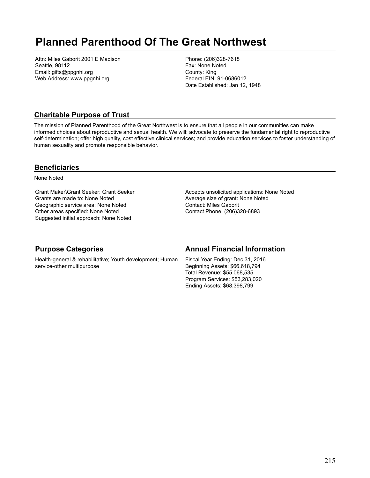# **Planned Parenthood Of The Great Northwest**

Attn: Miles Gaborit 2001 E Madison Seattle, 98112 Email: gifts@ppgnhi.org Web Address: www.ppgnhi.org

Phone: (206)328-7618 Fax: None Noted County: King Federal EIN: 91-0686012 Date Established: Jan 12, 1948

### **Charitable Purpose of Trust**

The mission of Planned Parenthood of the Great Northwest is to ensure that all people in our communities can make informed choices about reproductive and sexual health. We will: advocate to preserve the fundamental right to reproductive self-determination; offer high quality, cost effective clinical services; and provide education services to foster understanding of human sexuality and promote responsible behavior.

#### **Beneficiaries**

None Noted

Grant Maker\Grant Seeker: Grant Seeker Grants are made to: None Noted Geographic service area: None Noted Other areas specified: None Noted Suggested initial approach: None Noted

Accepts unsolicited applications: None Noted Average size of grant: None Noted Contact: Miles Gaborit Contact Phone: (206)328-6893

| <b>Purpose Categories</b>                                 | <b>Annual Financial Information</b> |
|-----------------------------------------------------------|-------------------------------------|
| Health-general & rehabilitative; Youth development; Human | Fiscal Year Ending: Dec 31, 2016    |
| service-other multipurpose                                | Beginning Assets: \$66,618,794      |
|                                                           | Total Revenue: \$55,068,535         |
|                                                           | Program Services: \$53,283,020      |
|                                                           | Ending Assets: \$68,398,799         |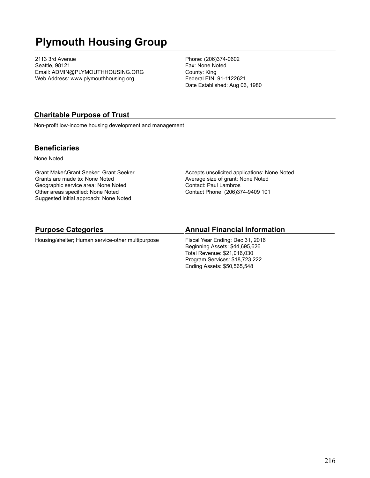# **Plymouth Housing Group**

2113 3rd Avenue Seattle, 98121 Email: ADMIN@PLYMOUTHHOUSING.ORG Web Address: www.plymouthhousing.org

Phone: (206)374-0602 Fax: None Noted County: King Federal EIN: 91-1122621 Date Established: Aug 06, 1980

### **Charitable Purpose of Trust**

Non-profit low-income housing development and management

#### **Beneficiaries**

None Noted

Grant Maker\Grant Seeker: Grant Seeker Grants are made to: None Noted Geographic service area: None Noted Other areas specified: None Noted Suggested initial approach: None Noted

Accepts unsolicited applications: None Noted Average size of grant: None Noted Contact: Paul Lambros Contact Phone: (206)374-9409 101

#### **Purpose Categories**

Housing/shelter; Human service-other multipurpose

#### **Annual Financial Information**

Fiscal Year Ending: Dec 31, 2016 Beginning Assets: \$44,695,626 Total Revenue: \$21,016,030 Program Services: \$18,723,222 Ending Assets: \$50,565,548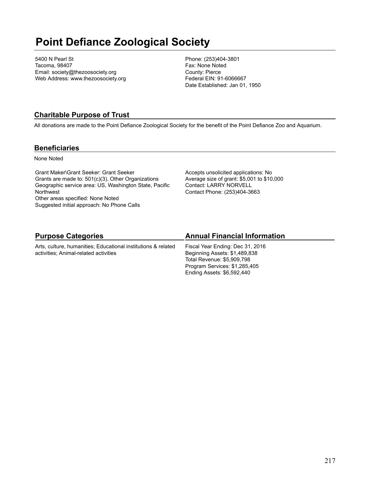# **Point Defiance Zoological Society**

5400 N Pearl St Tacoma, 98407 Email: society@thezoosociety.org Web Address: www.thezoosociety.org Phone: (253)404-3801 Fax: None Noted County: Pierce Federal EIN: 91-6066667 Date Established: Jan 01, 1950

## **Charitable Purpose of Trust**

All donations are made to the Point Defiance Zoological Society for the benefit of the Point Defiance Zoo and Aquarium.

### **Beneficiaries**

None Noted

Grant Maker\Grant Seeker: Grant Seeker Grants are made to: 501(c)(3), Other Organizations Geographic service area: US, Washington State, Pacific **Northwest** Other areas specified: None Noted Suggested initial approach: No Phone Calls

Accepts unsolicited applications: No Average size of grant: \$5,001 to \$10,000 Contact: LARRY NORVELL Contact Phone: (253)404-3663

# **Purpose Categories**

Arts, culture, humanities; Educational institutions & related activities; Animal-related activities

# **Annual Financial Information**

Fiscal Year Ending: Dec 31, 2016 Beginning Assets: \$1,489,838 Total Revenue: \$5,909,798 Program Services: \$1,285,405 Ending Assets: \$6,592,440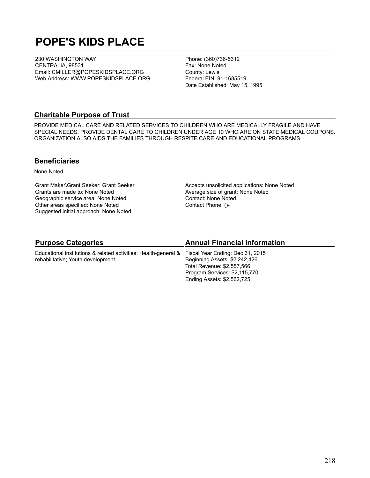# **POPE'S KIDS PLACE**

230 WASHINGTON WAY CENTRALIA, 98531 Email: CMILLER@POPESKIDSPLACE.ORG Web Address: WWW.POPESKIDSPLACE.ORG Phone: (360)736-5312 Fax: None Noted County: Lewis Federal EIN: 91-1685519 Date Established: May 15, 1995

#### **Charitable Purpose of Trust**

PROVIDE MEDICAL CARE AND RELATED SERVICES TO CHILDREN WHO ARE MEDICALLY FRAGILE AND HAVE SPECIAL NEEDS. PROVIDE DENTAL CARE TO CHILDREN UNDER AGE 10 WHO ARE ON STATE MEDICAL COUPONS. ORGANIZATION ALSO AIDS THE FAMILIES THROUGH RESPITE CARE AND EDUCATIONAL PROGRAMS.

#### **Beneficiaries**

None Noted

Grant Maker\Grant Seeker: Grant Seeker Grants are made to: None Noted Geographic service area: None Noted Other areas specified: None Noted Suggested initial approach: None Noted

Accepts unsolicited applications: None Noted Average size of grant: None Noted Contact: None Noted Contact Phone: ()-

#### **Purpose Categories**

Educational institutions & related activities; Health-general & rehabilitative; Youth development

#### **Annual Financial Information**

Fiscal Year Ending: Dec 31, 2015 Beginning Assets: \$2,242,426 Total Revenue: \$2,557,566 Program Services: \$2,115,770 Ending Assets: \$2,562,725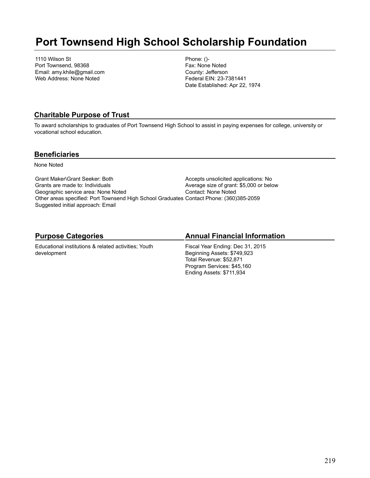# **Port Townsend High School Scholarship Foundation**

1110 Wilson St Port Townsend, 98368 Email: amy.khile@gmail.com Web Address: None Noted

Phone: ()- Fax: None Noted County: Jefferson Federal EIN: 23-7381441 Date Established: Apr 22, 1974

## **Charitable Purpose of Trust**

To award scholarships to graduates of Port Townsend High School to assist in paying expenses for college, university or vocational school education.

### **Beneficiaries**

None Noted

Grant Maker\Grant Seeker: Both Grants are made to: Individuals Geographic service area: None Noted Other areas specified: Port Townsend High School Graduates Contact Phone: (360)385-2059 Suggested initial approach: Email Accepts unsolicited applications: No Average size of grant: \$5,000 or below Contact: None Noted

# **Purpose Categories**

Educational institutions & related activities; Youth development

# **Annual Financial Information**

Fiscal Year Ending: Dec 31, 2015 Beginning Assets: \$749,923 Total Revenue: \$52,871 Program Services: \$45,160 Ending Assets: \$711,934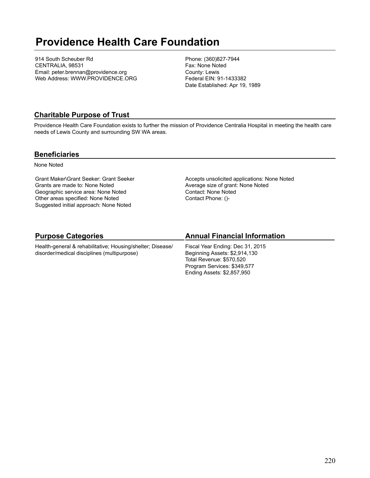# **Providence Health Care Foundation**

914 South Scheuber Rd CENTRALIA, 98531 Email: peter.brennan@providence.org Web Address: WWW.PROVIDENCE.ORG Phone: (360)827-7944 Fax: None Noted County: Lewis Federal EIN: 91-1433382 Date Established: Apr 19, 1989

### **Charitable Purpose of Trust**

Providence Health Care Foundation exists to further the mission of Providence Centralia Hospital in meeting the health care needs of Lewis County and surrounding SW WA areas.

#### **Beneficiaries**

None Noted

Grant Maker\Grant Seeker: Grant Seeker Grants are made to: None Noted Geographic service area: None Noted Other areas specified: None Noted Suggested initial approach: None Noted

Accepts unsolicited applications: None Noted Average size of grant: None Noted Contact: None Noted Contact Phone: ()-

# **Purpose Categories**

Health-general & rehabilitative; Housing/shelter; Disease/ disorder/medical disciplines (multipurpose)

## **Annual Financial Information**

Fiscal Year Ending: Dec 31, 2015 Beginning Assets: \$2,914,130 Total Revenue: \$570,520 Program Services: \$349,577 Ending Assets: \$2,857,950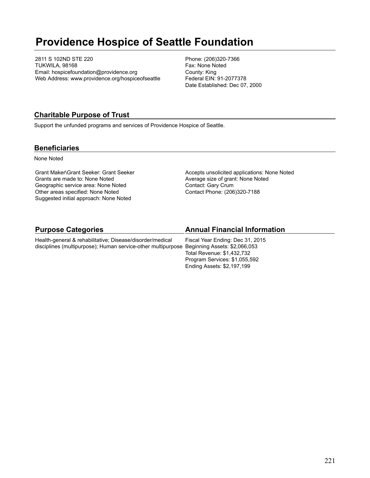# **Providence Hospice of Seattle Foundation**

2811 S 102ND STE 220 TUKWILA, 98168 Email: hospicefoundation@providence.org Web Address: www.providence.org/hospiceofseattle Phone: (206)320-7366 Fax: None Noted County: King Federal EIN: 91-2077378 Date Established: Dec 07, 2000

### **Charitable Purpose of Trust**

Support the unfunded programs and services of Providence Hospice of Seattle.

#### **Beneficiaries**

None Noted

Grant Maker\Grant Seeker: Grant Seeker Grants are made to: None Noted Geographic service area: None Noted Other areas specified: None Noted Suggested initial approach: None Noted

Accepts unsolicited applications: None Noted Average size of grant: None Noted Contact: Gary Crum Contact Phone: (206)320-7188

| <b>Purpose Categories</b>                                 | <b>Annual Financial Information</b> |
|-----------------------------------------------------------|-------------------------------------|
| Health-general & rehabilitative; Disease/disorder/medical | Fiscal Year Ending: Dec 31, 2015    |

disciplines (multipurpose); Human service-other multipurpose Beginning Assets: \$2,066,053 Total Revenue: \$1,432,732 Program Services: \$1,055,592 Ending Assets: \$2,197,199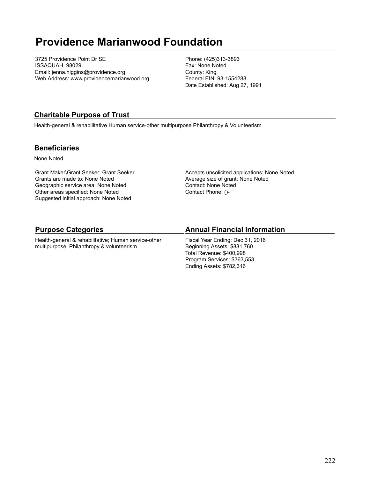# **Providence Marianwood Foundation**

3725 Providence Point Dr SE ISSAQUAH, 98029 Email: jenna.higgins@providence.org Web Address: www.providencemarianwood.org Phone: (425)313-3893 Fax: None Noted County: King Federal EIN: 93-1554288 Date Established: Aug 27, 1991

## **Charitable Purpose of Trust**

Health-general & rehabilitative Human service-other multipurpose Philanthropy & Volunteerism

### **Beneficiaries**

None Noted

Grant Maker\Grant Seeker: Grant Seeker Grants are made to: None Noted Geographic service area: None Noted Other areas specified: None Noted Suggested initial approach: None Noted

Accepts unsolicited applications: None Noted Average size of grant: None Noted Contact: None Noted Contact Phone: ()-

## **Purpose Categories**

Health-general & rehabilitative; Human service-other multipurpose; Philanthropy & volunteerism

## **Annual Financial Information**

Fiscal Year Ending: Dec 31, 2016 Beginning Assets: \$881,760 Total Revenue: \$400,998 Program Services: \$363,553 Ending Assets: \$782,316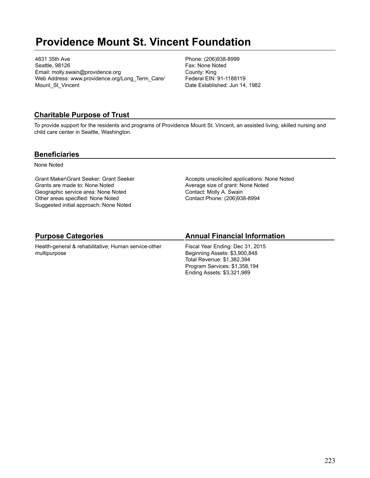# **Providence Mount St. Vincent Foundation**

4831 35th Ave Seattle, 98126 Email: molly.swain@providence.org Web Address: www.providence.org/Long\_Term\_Care/ Mount St Vincent

Phone: (206)938-8999 Fax: None Noted County: King Federal EIN: 91-1188119 Date Established: Jun 14, 1982

## **Charitable Purpose of Trust**

To provide support for the residents and programs of Providence Mount St. Vincent, an assisted living, skilled nursing and child care center in Seattle, Washington.

### **Beneficiaries**

None Noted

Grant Maker\Grant Seeker: Grant Seeker Grants are made to: None Noted Geographic service area: None Noted Other areas specified: None Noted Suggested initial approach: None Noted

Accepts unsolicited applications: None Noted Average size of grant: None Noted Contact: Molly A. Swain Contact Phone: (206)938-8994

# **Purpose Categories**

Health-general & rehabilitative; Human service-other multipurpose

# **Annual Financial Information**

Fiscal Year Ending: Dec 31, 2015 Beginning Assets: \$3,900,848 Total Revenue: \$1,382,394 Program Services: \$1,358,194 Ending Assets: \$3,321,989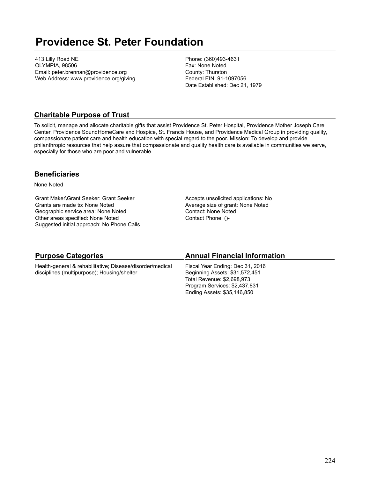# **Providence St. Peter Foundation**

413 Lilly Road NE OLYMPIA, 98506 Email: peter.brennan@providence.org Web Address: www.providence.org/giving Phone: (360)493-4631 Fax: None Noted County: Thurston Federal EIN: 91-1097056 Date Established: Dec 21, 1979

### **Charitable Purpose of Trust**

To solicit, manage and allocate charitable gifts that assist Providence St. Peter Hospital, Providence Mother Joseph Care Center, Providence SoundHomeCare and Hospice, St. Francis House, and Providence Medical Group in providing quality, compassionate patient care and health education with special regard to the poor. Mission: To develop and provide philanthropic resources that help assure that compassionate and quality health care is available in communities we serve, especially for those who are poor and vulnerable.

### **Beneficiaries**

None Noted

Grant Maker\Grant Seeker: Grant Seeker Grants are made to: None Noted Geographic service area: None Noted Other areas specified: None Noted Suggested initial approach: No Phone Calls Accepts unsolicited applications: No Average size of grant: None Noted Contact: None Noted Contact Phone: ()-

| <b>Purpose Categories</b>                                 | <b>Annual Financial Information</b> |
|-----------------------------------------------------------|-------------------------------------|
| Health-general & rehabilitative; Disease/disorder/medical | Fiscal Year Ending: Dec 31, 2016    |
| disciplines (multipurpose); Housing/shelter               | Beginning Assets: \$31,572,451      |
|                                                           | Total Revenue: \$2,698,973          |
|                                                           | Program Services: \$2,437,831       |
|                                                           | Ending Assets: \$35,146,850         |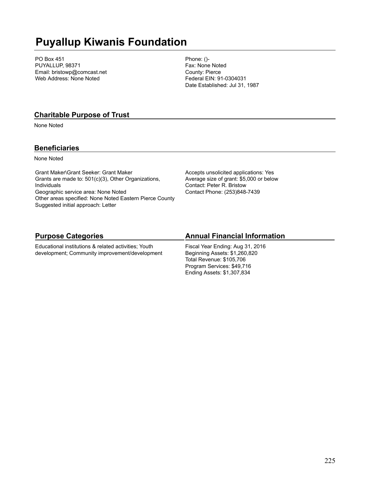# **Puyallup Kiwanis Foundation**

PO Box 451 PUYALLUP, 98371 Email: bristowp@comcast.net Web Address: None Noted

Phone: ()- Fax: None Noted County: Pierce Federal EIN: 91-0304031 Date Established: Jul 31, 1987

#### **Charitable Purpose of Trust**

None Noted

### **Beneficiaries**

None Noted

Grant Maker\Grant Seeker: Grant Maker Grants are made to: 501(c)(3), Other Organizations, Individuals Geographic service area: None Noted Other areas specified: None Noted Eastern Pierce County Suggested initial approach: Letter

Accepts unsolicited applications: Yes Average size of grant: \$5,000 or below Contact: Peter R. Bristow Contact Phone: (253)848-7439

## **Purpose Categories**

Educational institutions & related activities; Youth development; Community improvement/development

# **Annual Financial Information**

Fiscal Year Ending: Aug 31, 2016 Beginning Assets: \$1,260,820 Total Revenue: \$105,706 Program Services: \$49,716 Ending Assets: \$1,307,834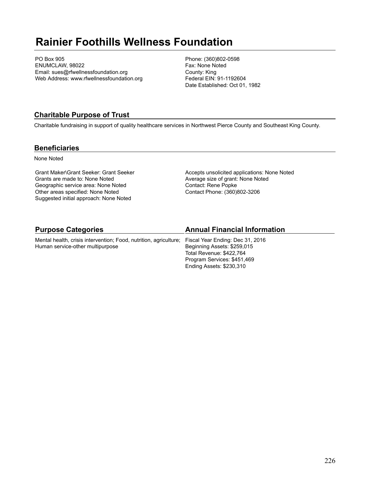# **Rainier Foothills Wellness Foundation**

PO Box 905 ENUMCLAW, 98022 Email: sues@rfwellnessfoundation.org Web Address: www.rfwellnessfoundation.org Phone: (360)802-0598 Fax: None Noted County: King Federal EIN: 91-1192604 Date Established: Oct 01, 1982

## **Charitable Purpose of Trust**

Charitable fundraising in support of quality healthcare services in Northwest Pierce County and Southeast King County.

#### **Beneficiaries**

None Noted

Grant Maker\Grant Seeker: Grant Seeker Grants are made to: None Noted Geographic service area: None Noted Other areas specified: None Noted Suggested initial approach: None Noted

Accepts unsolicited applications: None Noted Average size of grant: None Noted Contact: Rene Popke Contact Phone: (360)802-3206

Ending Assets: \$230,310

| <b>Purpose Categories</b>                                                                          | <b>Annual Financial Information</b> |
|----------------------------------------------------------------------------------------------------|-------------------------------------|
| Mental health, crisis intervention; Food, nutrition, agriculture; Fiscal Year Ending: Dec 31, 2016 |                                     |
| Human service-other multipurpose                                                                   | Beginning Assets: \$259,015         |
|                                                                                                    | Total Revenue: \$422.764            |
|                                                                                                    | Program Services: \$451,469         |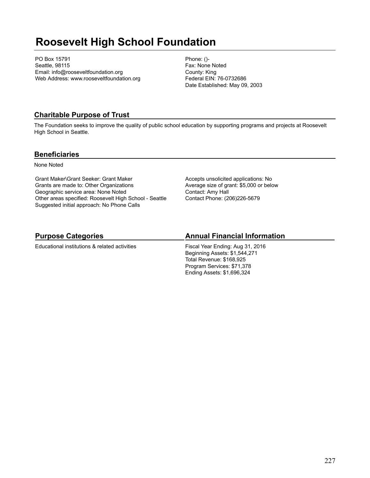# **Roosevelt High School Foundation**

PO Box 15791 Seattle, 98115 Email: info@rooseveltfoundation.org Web Address: www.rooseveltfoundation.org Phone: ()- Fax: None Noted County: King Federal EIN: 76-0732686 Date Established: May 09, 2003

## **Charitable Purpose of Trust**

The Foundation seeks to improve the quality of public school education by supporting programs and projects at Roosevelt High School in Seattle.

#### **Beneficiaries**

None Noted

Grant Maker\Grant Seeker: Grant Maker Grants are made to: Other Organizations Geographic service area: None Noted Other areas specified: Roosevelt High School - Seattle Suggested initial approach: No Phone Calls

Accepts unsolicited applications: No Average size of grant: \$5,000 or below Contact: Amy Hall Contact Phone: (206)226-5679

# **Purpose Categories**

Educational institutions & related activities

### **Annual Financial Information**

Fiscal Year Ending: Aug 31, 2016 Beginning Assets: \$1,544,271 Total Revenue: \$168,925 Program Services: \$71,378 Ending Assets: \$1,696,324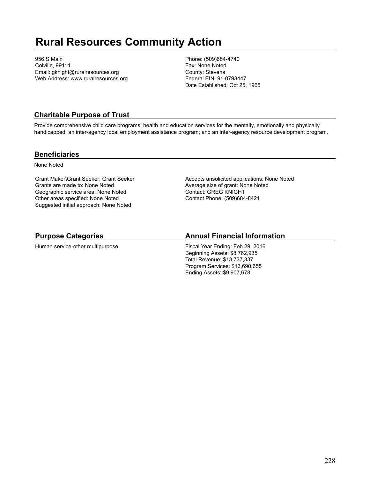# **Rural Resources Community Action**

956 S Main Colville, 99114 Email: gknight@ruralresources.org Web Address: www.ruralresources.org Phone: (509)684-4740 Fax: None Noted County: Stevens Federal EIN: 91-0793447 Date Established: Oct 25, 1965

## **Charitable Purpose of Trust**

Provide comprehensive child care programs; health and education services for the mentally, emotionally and physically handicapped; an inter-agency local employment assistance program; and an inter-agency resource development program.

#### **Beneficiaries**

None Noted

Grant Maker\Grant Seeker: Grant Seeker Grants are made to: None Noted Geographic service area: None Noted Other areas specified: None Noted Suggested initial approach: None Noted

Accepts unsolicited applications: None Noted Average size of grant: None Noted Contact: GREG KNIGHT Contact Phone: (509)684-8421

# **Purpose Categories**

Human service-other multipurpose

### **Annual Financial Information**

Fiscal Year Ending: Feb 29, 2016 Beginning Assets: \$8,762,935 Total Revenue: \$13,737,337 Program Services: \$13,690,655 Ending Assets: \$9,907,678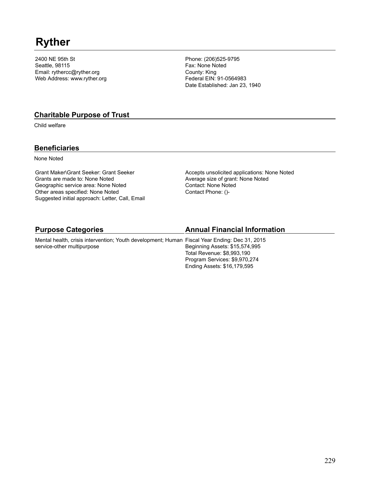# **Ryther**

2400 NE 95th St Seattle, 98115 Email: rythercc@ryther.org Web Address: www.ryther.org

Phone: (206)525-9795 Fax: None Noted County: King Federal EIN: 91-0564983 Date Established: Jan 23, 1940

#### **Charitable Purpose of Trust**

Child welfare

## **Beneficiaries**

None Noted

Grant Maker\Grant Seeker: Grant Seeker Grants are made to: None Noted Geographic service area: None Noted Other areas specified: None Noted Suggested initial approach: Letter, Call, Email Accepts unsolicited applications: None Noted Average size of grant: None Noted Contact: None Noted Contact Phone: ()-

| <b>Purpose Categories</b>                                                                     | <b>Annual Financial Information</b> |
|-----------------------------------------------------------------------------------------------|-------------------------------------|
| Mental health, crisis intervention; Youth development; Human Fiscal Year Ending: Dec 31, 2015 |                                     |
| service-other multipurpose                                                                    | Beginning Assets: \$15,574,995      |
|                                                                                               | Total Revenue: \$8,993,190          |
|                                                                                               | Program Services: \$9,970,274       |
|                                                                                               | Ending Assets: \$16,179,595         |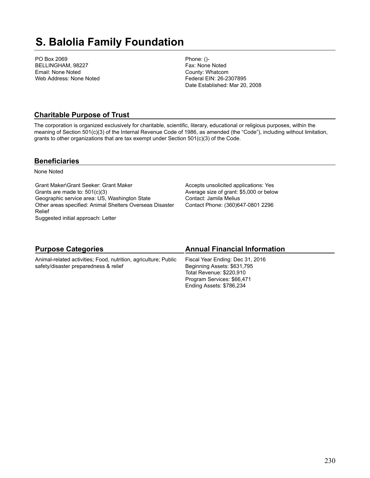# **S. Balolia Family Foundation**

PO Box 2069 BELLINGHAM, 98227 Email: None Noted Web Address: None Noted Phone: ()- Fax: None Noted County: Whatcom Federal EIN: 26-2307895 Date Established: Mar 20, 2008

### **Charitable Purpose of Trust**

The corporation is organized exclusively for charitable, scientific, literary, educational or religious purposes, within the meaning of Section 501(c)(3) of the Internal Revenue Code of 1986, as amended (the "Code"), including without limitation, grants to other organizations that are tax exempt under Section 501(c)(3) of the Code.

#### **Beneficiaries**

None Noted

Grant Maker\Grant Seeker: Grant Maker Grants are made to: 501(c)(3) Geographic service area: US, Washington State Other areas specified: Animal Shelters Overseas Disaster Relief Suggested initial approach: Letter

Accepts unsolicited applications: Yes Average size of grant: \$5,000 or below Contact: Jamila Melius Contact Phone: (360)647-0801 2296

| <b>Purpose Categories</b>                                                                                | <b>Annual Financial Information</b>                                                                                                                   |
|----------------------------------------------------------------------------------------------------------|-------------------------------------------------------------------------------------------------------------------------------------------------------|
| Animal-related activities; Food, nutrition, agriculture; Public<br>safety/disaster preparedness & relief | Fiscal Year Ending: Dec 31, 2016<br>Beginning Assets: \$631,795<br>Total Revenue: \$220,910<br>Program Services: \$66,471<br>Ending Assets: \$786,234 |
|                                                                                                          |                                                                                                                                                       |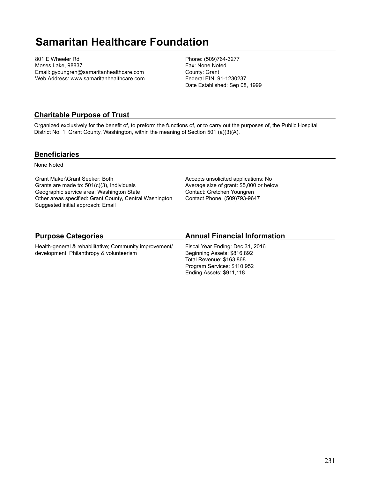# **Samaritan Healthcare Foundation**

801 E Wheeler Rd Moses Lake, 98837 Email: gyoungren@samaritanhealthcare.com Web Address: www.samaritanhealthcare.com Phone: (509)764-3277 Fax: None Noted County: Grant Federal EIN: 91-1230237 Date Established: Sep 08, 1999

### **Charitable Purpose of Trust**

Organized exclusively for the benefit of, to preform the functions of, or to carry out the purposes of, the Public Hospital District No. 1, Grant County, Washington, within the meaning of Section 501 (a)(3)(A).

#### **Beneficiaries**

None Noted

Grant Maker\Grant Seeker: Both Grants are made to: 501(c)(3), Individuals Geographic service area: Washington State Other areas specified: Grant County, Central Washington Suggested initial approach: Email

Accepts unsolicited applications: No Average size of grant: \$5,000 or below Contact: Gretchen Youngren Contact Phone: (509)793-9647

# **Purpose Categories**

Health-general & rehabilitative; Community improvement/ development; Philanthropy & volunteerism

## **Annual Financial Information**

Fiscal Year Ending: Dec 31, 2016 Beginning Assets: \$816,892 Total Revenue: \$163,868 Program Services: \$110,952 Ending Assets: \$911,118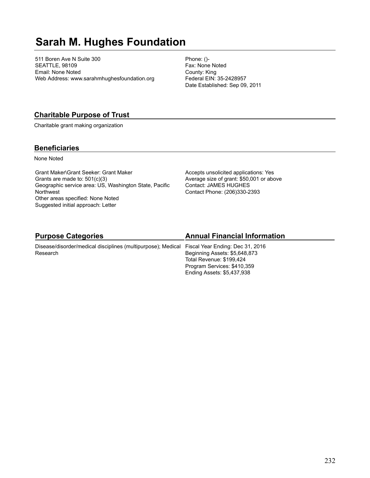# **Sarah M. Hughes Foundation**

511 Boren Ave N Suite 300 SEATTLE, 98109 Email: None Noted Web Address: www.sarahmhughesfoundation.org Phone: ()- Fax: None Noted County: King Federal EIN: 35-2428957 Date Established: Sep 09, 2011

### **Charitable Purpose of Trust**

Charitable grant making organization

#### **Beneficiaries**

None Noted

Grant Maker\Grant Seeker: Grant Maker Grants are made to: 501(c)(3) Geographic service area: US, Washington State, Pacific **Northwest** Other areas specified: None Noted Suggested initial approach: Letter

Accepts unsolicited applications: Yes Average size of grant: \$50,001 or above Contact: JAMES HUGHES Contact Phone: (206)330-2393

# **Purpose Categories**

Disease/disorder/medical disciplines (multipurpose); Medical Fiscal Year Ending: Dec 31, 2016 Research

## **Annual Financial Information**

Beginning Assets: \$5,648,873 Total Revenue: \$199,424 Program Services: \$410,359 Ending Assets: \$5,437,938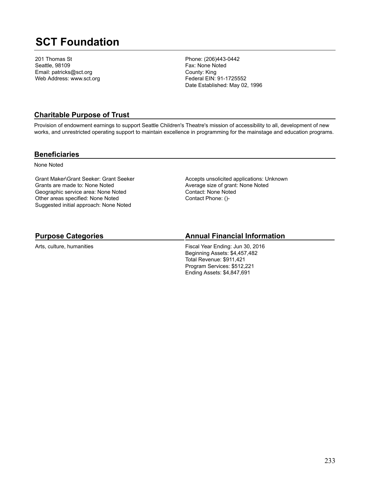# **SCT Foundation**

201 Thomas St Seattle, 98109 Email: patricks@sct.org Web Address: www.sct.org Phone: (206)443-0442 Fax: None Noted County: King Federal EIN: 91-1725552 Date Established: May 02, 1996

### **Charitable Purpose of Trust**

Provision of endowment earnings to support Seattle Children's Theatre's mission of accessibility to all, development of new works, and unrestricted operating support to maintain excellence in programming for the mainstage and education programs.

#### **Beneficiaries**

None Noted

Grant Maker\Grant Seeker: Grant Seeker Grants are made to: None Noted Geographic service area: None Noted Other areas specified: None Noted Suggested initial approach: None Noted

Accepts unsolicited applications: Unknown Average size of grant: None Noted Contact: None Noted Contact Phone: ()-

# **Purpose Categories**

Arts, culture, humanities

### **Annual Financial Information**

Fiscal Year Ending: Jun 30, 2016 Beginning Assets: \$4,457,482 Total Revenue: \$911,421 Program Services: \$512,221 Ending Assets: \$4,847,691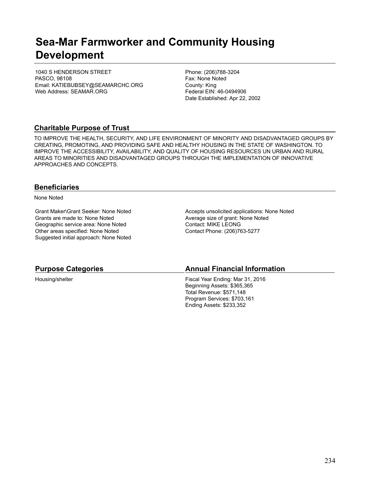# **Sea-Mar Farmworker and Community Housing Development**

1040 S HENDERSON STREET PASCO, 98108 Email: KATIEBUBSEY@SEAMARCHC.ORG Web Address: SEAMAR.ORG

Phone: (206)788-3204 Fax: None Noted County: King Federal EIN: 46-0494906 Date Established: Apr 22, 2002

# **Charitable Purpose of Trust**

TO IMPROVE THE HEALTH, SECURITY, AND LIFE ENVIRONMENT OF MINORITY AND DISADVANTAGED GROUPS BY CREATING, PROMOTING, AND PROVIDING SAFE AND HEALTHY HOUSING IN THE STATE OF WASHINGTON. TO IMPROVE THE ACCESSIBILITY, AVAILABILITY, AND QUALITY OF HOUSING RESOURCES UN URBAN AND RURAL AREAS TO MINORITIES AND DISADVANTAGED GROUPS THROUGH THE IMPLEMENTATION OF INNOVATIVE APPROACHES AND CONCEPTS.

#### **Beneficiaries**

None Noted

Grant Maker\Grant Seeker: None Noted Grants are made to: None Noted Geographic service area: None Noted Other areas specified: None Noted Suggested initial approach: None Noted Accepts unsolicited applications: None Noted Average size of grant: None Noted Contact: MIKE LEONG Contact Phone: (206)763-5277

| <b>Purpose Categories</b> | <b>Annual Financial Information</b> |
|---------------------------|-------------------------------------|
| Housing/shelter           | Fiscal Year Ending: Mar 31, 2016    |
|                           | Beginning Assets: \$365,365         |
|                           | Total Revenue: \$571,148            |
|                           | Program Services: \$703,161         |
|                           | Ending Assets: \$233,352            |
|                           |                                     |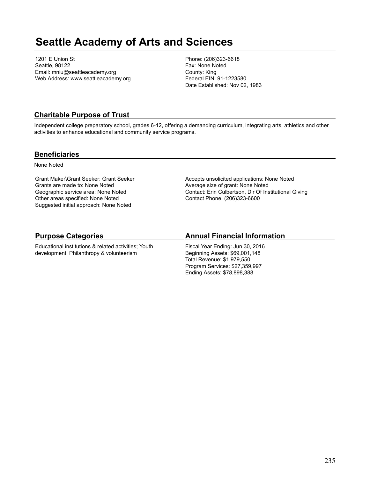# **Seattle Academy of Arts and Sciences**

1201 E Union St Seattle, 98122 Email: mniu@seattleacademy.org Web Address: www.seattleacademy.org Phone: (206)323-6618 Fax: None Noted County: King Federal EIN: 91-1223580 Date Established: Nov 02, 1983

## **Charitable Purpose of Trust**

Independent college preparatory school, grades 6-12, offering a demanding curriculum, integrating arts, athletics and other activities to enhance educational and community service programs.

### **Beneficiaries**

None Noted

Grant Maker\Grant Seeker: Grant Seeker Grants are made to: None Noted Geographic service area: None Noted Other areas specified: None Noted Suggested initial approach: None Noted

Accepts unsolicited applications: None Noted Average size of grant: None Noted Contact: Erin Culbertson, Dir Of Institutional Giving Contact Phone: (206)323-6600

# **Purpose Categories**

Educational institutions & related activities; Youth development; Philanthropy & volunteerism

# **Annual Financial Information**

Fiscal Year Ending: Jun 30, 2016 Beginning Assets: \$69,001,148 Total Revenue: \$1,979,550 Program Services: \$27,359,997 Ending Assets: \$78,898,388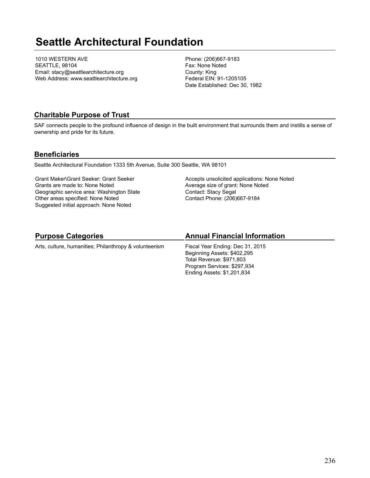# **Seattle Architectural Foundation**

1010 WESTERN AVE SEATTLE, 98104 Email: stacy@seattlearchitecture.org Web Address: www.seattlearchitecture.org Phone: (206)667-9183 Fax: None Noted County: King Federal EIN: 91-1205105 Date Established: Dec 30, 1982

### **Charitable Purpose of Trust**

SAF connects people to the profound influence of design in the built environment that surrounds them and instills a sense of ownership and pride for its future.

#### **Beneficiaries**

Seattle Architectural Foundation 1333 5th Avenue, Suite 300 Seattle, WA 98101

Grant Maker\Grant Seeker: Grant Seeker Grants are made to: None Noted Geographic service area: Washington State Other areas specified: None Noted Suggested initial approach: None Noted

Accepts unsolicited applications: None Noted Average size of grant: None Noted Contact: Stacy Segal Contact Phone: (206)667-9184

## **Purpose Categories**

Arts, culture, humanities; Philanthropy & volunteerism

# **Annual Financial Information**

Fiscal Year Ending: Dec 31, 2015 Beginning Assets: \$402,295 Total Revenue: \$971,803 Program Services: \$297,934 Ending Assets: \$1,201,834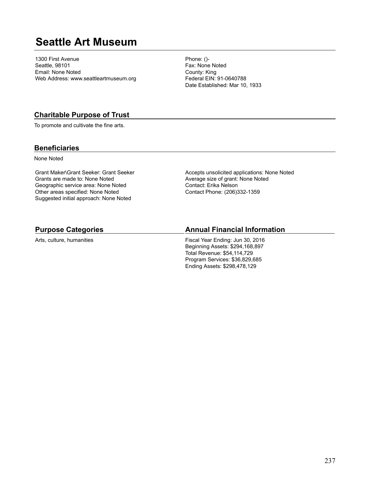# **Seattle Art Museum**

1300 First Avenue Seattle, 98101 Email: None Noted Web Address: www.seattleartmuseum.org Phone: ()- Fax: None Noted County: King Federal EIN: 91-0640788 Date Established: Mar 10, 1933

#### **Charitable Purpose of Trust**

To promote and cultivate the fine arts.

#### **Beneficiaries**

None Noted

Grant Maker\Grant Seeker: Grant Seeker Grants are made to: None Noted Geographic service area: None Noted Other areas specified: None Noted Suggested initial approach: None Noted

Accepts unsolicited applications: None Noted Average size of grant: None Noted Contact: Erika Nelson Contact Phone: (206)332-1359

#### **Purpose Categories**

Arts, culture, humanities

#### **Annual Financial Information**

Fiscal Year Ending: Jun 30, 2016 Beginning Assets: \$294,168,897 Total Revenue: \$54,114,729 Program Services: \$36,829,685 Ending Assets: \$298,478,129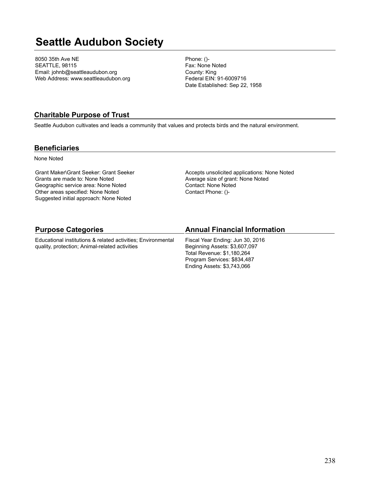# **Seattle Audubon Society**

8050 35th Ave NE SEATTLE, 98115 Email: johnb@seattleaudubon.org Web Address: www.seattleaudubon.org Phone: ()- Fax: None Noted County: King Federal EIN: 91-6009716 Date Established: Sep 22, 1958

### **Charitable Purpose of Trust**

Seattle Audubon cultivates and leads a community that values and protects birds and the natural environment.

#### **Beneficiaries**

None Noted

Grant Maker\Grant Seeker: Grant Seeker Grants are made to: None Noted Geographic service area: None Noted Other areas specified: None Noted Suggested initial approach: None Noted

Accepts unsolicited applications: None Noted Average size of grant: None Noted Contact: None Noted Contact Phone: ()-

| <b>Purpose Categories</b>                                    | <b>Annual Financial Information</b> |
|--------------------------------------------------------------|-------------------------------------|
| Educational institutions & related activities; Environmental | Fiscal Year Ending: Jun 30, 2016    |
| quality, protection; Animal-related activities               | Beginning Assets: \$3,607,097       |
|                                                              | Total Revenue: \$1,180,264          |
|                                                              | Program Services: \$834,487         |
|                                                              | Ending Assets: \$3,743,066          |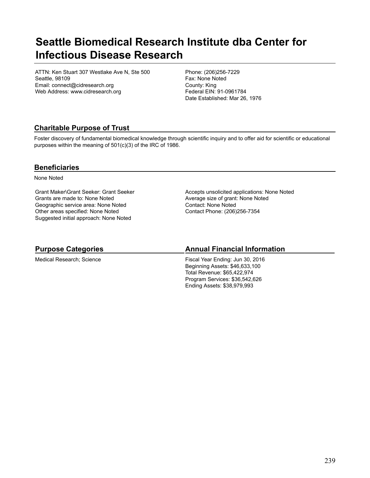# **Seattle Biomedical Research Institute dba Center for Infectious Disease Research**

ATTN: Ken Stuart 307 Westlake Ave N, Ste 500 Seattle, 98109 Email: connect@cidresearch.org Web Address: www.cidresearch.org

Phone: (206)256-7229 Fax: None Noted County: King Federal EIN: 91-0961784 Date Established: Mar 26, 1976

# **Charitable Purpose of Trust**

Foster discovery of fundamental biomedical knowledge through scientific inquiry and to offer aid for scientific or educational purposes within the meaning of 501(c)(3) of the IRC of 1986.

### **Beneficiaries**

None Noted

Grant Maker\Grant Seeker: Grant Seeker Grants are made to: None Noted Geographic service area: None Noted Other areas specified: None Noted Suggested initial approach: None Noted

Accepts unsolicited applications: None Noted Average size of grant: None Noted Contact: None Noted Contact Phone: (206)256-7354

## **Purpose Categories**

Medical Research; Science

## **Annual Financial Information**

Fiscal Year Ending: Jun 30, 2016 Beginning Assets: \$46,633,100 Total Revenue: \$65,422,974 Program Services: \$36,542,626 Ending Assets: \$38,979,993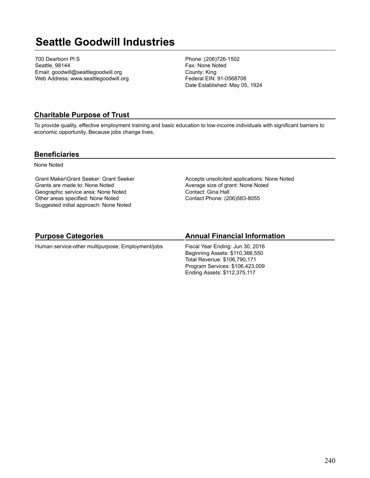# **Seattle Goodwill Industries**

700 Dearborn Pl S Seattle, 98144 Email: goodwill@seattlegoodwill.org Web Address: www.seattlegoodwill.org Phone: (206)726-1502 Fax: None Noted County: King Federal EIN: 91-0568708 Date Established: May 05, 1924

### **Charitable Purpose of Trust**

To provide quality, effective employment training and basic education to low-income individuals with significant barriers to economic opportunity. Because jobs change lives.

#### **Beneficiaries**

None Noted

Grant Maker\Grant Seeker: Grant Seeker Grants are made to: None Noted Geographic service area: None Noted Other areas specified: None Noted Suggested initial approach: None Noted

Accepts unsolicited applications: None Noted Average size of grant: None Noted Contact: Gina Hall Contact Phone: (206)583-8055

# **Purpose Categories**

Human service-other multipurpose; Employment/jobs

## **Annual Financial Information**

Fiscal Year Ending: Jun 30, 2016 Beginning Assets: \$110,366,550 Total Revenue: \$106,790,171 Program Services: \$106,423,009 Ending Assets: \$112,375,117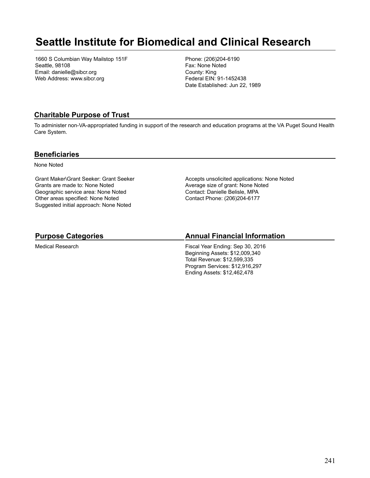# **Seattle Institute for Biomedical and Clinical Research**

1660 S Columbian Way Mailstop 151F Seattle, 98108 Email: danielle@sibcr.org Web Address: www.sibcr.org

Phone: (206)204-6190 Fax: None Noted County: King Federal EIN: 91-1452438 Date Established: Jun 22, 1989

## **Charitable Purpose of Trust**

To administer non-VA-appropriated funding in support of the research and education programs at the VA Puget Sound Health Care System.

### **Beneficiaries**

None Noted

Grant Maker\Grant Seeker: Grant Seeker Grants are made to: None Noted Geographic service area: None Noted Other areas specified: None Noted Suggested initial approach: None Noted

Accepts unsolicited applications: None Noted Average size of grant: None Noted Contact: Danielle Belisle, MPA Contact Phone: (206)204-6177

# **Purpose Categories**

Medical Research

# **Annual Financial Information**

Fiscal Year Ending: Sep 30, 2016 Beginning Assets: \$12,009,340 Total Revenue: \$12,599,335 Program Services: \$12,916,297 Ending Assets: \$12,462,478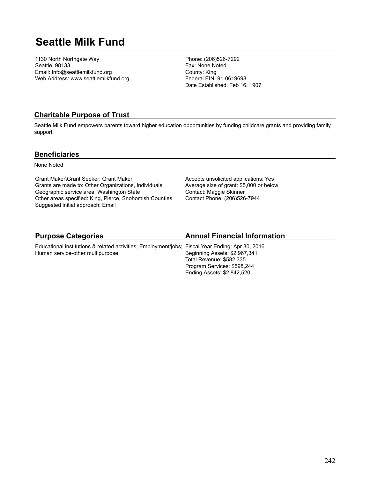# **Seattle Milk Fund**

1130 North Northgate Way Seattle, 98133 Email: Info@seattlemilkfund.org Web Address: www.seattlemilkfund.org Phone: (206)526-7292 Fax: None Noted County: King Federal EIN: 91-0619698 Date Established: Feb 16, 1907

## **Charitable Purpose of Trust**

Seattle Milk Fund empowers parents toward higher education opportunities by funding childcare grants and providing family support.

#### **Beneficiaries**

None Noted

Grant Maker\Grant Seeker: Grant Maker Grants are made to: Other Organizations, Individuals Geographic service area: Washington State Other areas specified: King, Pierce, Snohomish Counties Suggested initial approach: Email

Accepts unsolicited applications: Yes Average size of grant: \$5,000 or below Contact: Maggie Skinner Contact Phone: (206)526-7944

# **Purpose Categories**

Human service-other multipurpose

## **Annual Financial Information**

Educational institutions & related activities; Employment/jobs; Fiscal Year Ending: Apr 30, 2016 Beginning Assets: \$2,967,341 Total Revenue: \$582,335 Program Services: \$598,244 Ending Assets: \$2,842,520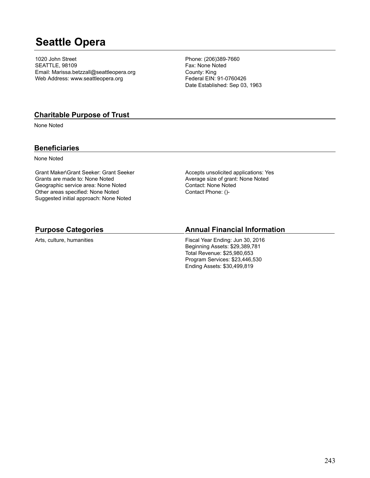# **Seattle Opera**

1020 John Street SEATTLE, 98109 Email: Marissa.betzzall@seattleopera.org Web Address: www.seattleopera.org

Phone: (206)389-7660 Fax: None Noted County: King Federal EIN: 91-0760426 Date Established: Sep 03, 1963

#### **Charitable Purpose of Trust**

None Noted

#### **Beneficiaries**

None Noted

Grant Maker\Grant Seeker: Grant Seeker Grants are made to: None Noted Geographic service area: None Noted Other areas specified: None Noted Suggested initial approach: None Noted

Accepts unsolicited applications: Yes Average size of grant: None Noted Contact: None Noted Contact Phone: ()-

#### **Purpose Categories**

Arts, culture, humanities

#### **Annual Financial Information**

Fiscal Year Ending: Jun 30, 2016 Beginning Assets: \$29,389,781 Total Revenue: \$25,980,653 Program Services: \$23,446,530 Ending Assets: \$30,499,819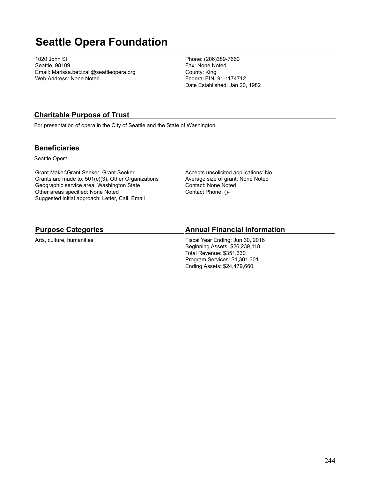# **Seattle Opera Foundation**

1020 John St Seattle, 98109 Email: Marissa.betzzall@seattleopera.org Web Address: None Noted

Phone: (206)389-7660 Fax: None Noted County: King Federal EIN: 91-1174712 Date Established: Jan 20, 1982

### **Charitable Purpose of Trust**

For presentation of opera in the City of Seattle and the State of Washington.

#### **Beneficiaries**

Seattle Opera

Grant Maker\Grant Seeker: Grant Seeker Grants are made to: 501(c)(3), Other Organizations Geographic service area: Washington State Other areas specified: None Noted Suggested initial approach: Letter, Call, Email

Accepts unsolicited applications: No Average size of grant: None Noted Contact: None Noted Contact Phone: ()-

#### **Purpose Categories**

Arts, culture, humanities

#### **Annual Financial Information**

Fiscal Year Ending: Jun 30, 2016 Beginning Assets: \$26,239,118 Total Revenue: \$351,330 Program Services: \$1,301,301 Ending Assets: \$24,479,660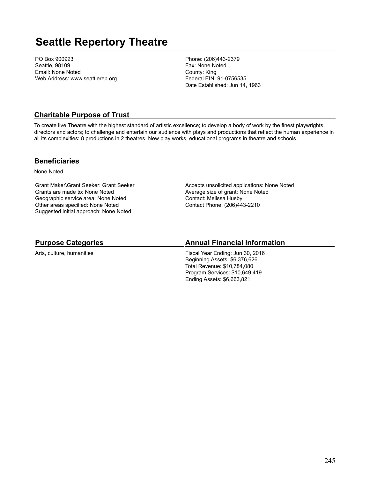# **Seattle Repertory Theatre**

PO Box 900923 Seattle, 98109 Email: None Noted Web Address: www.seattlerep.org Phone: (206)443-2379 Fax: None Noted County: King Federal EIN: 91-0756535 Date Established: Jun 14, 1963

### **Charitable Purpose of Trust**

To create live Theatre with the highest standard of artistic excellence; to develop a body of work by the finest playwrights, directors and actors; to challenge and entertain our audience with plays and productions that reflect the human experience in all its complexities: 8 productions in 2 theatres. New play works, educational programs in theatre and schools.

#### **Beneficiaries**

None Noted

Grant Maker\Grant Seeker: Grant Seeker Grants are made to: None Noted Geographic service area: None Noted Other areas specified: None Noted Suggested initial approach: None Noted

Accepts unsolicited applications: None Noted Average size of grant: None Noted Contact: Melissa Husby Contact Phone: (206)443-2210

#### **Purpose Categories**

Arts, culture, humanities

#### **Annual Financial Information**

Fiscal Year Ending: Jun 30, 2016 Beginning Assets: \$6,376,626 Total Revenue: \$10,784,080 Program Services: \$10,649,419 Ending Assets: \$6,663,821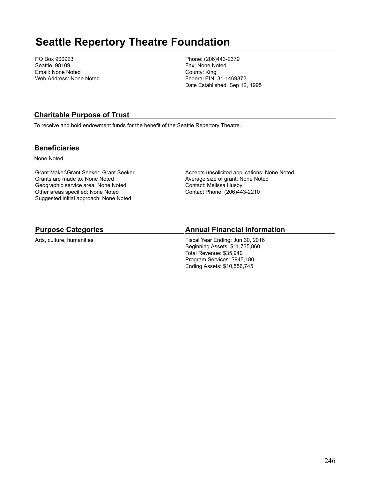# **Seattle Repertory Theatre Foundation**

PO Box 900923 Seattle, 98109 Email: None Noted Web Address: None Noted Phone: (206)443-2379 Fax: None Noted County: King Federal EIN: 31-1469872 Date Established: Sep 12, 1995

## **Charitable Purpose of Trust**

To receive and hold endowment funds for the benefit of the Seattle Repertory Theatre.

### **Beneficiaries**

None Noted

Grant Maker\Grant Seeker: Grant Seeker Grants are made to: None Noted Geographic service area: None Noted Other areas specified: None Noted Suggested initial approach: None Noted

Accepts unsolicited applications: None Noted Average size of grant: None Noted Contact: Melissa Husby Contact Phone: (206)443-2210

### **Purpose Categories**

Arts, culture, humanities

## **Annual Financial Information**

Fiscal Year Ending: Jun 30, 2016 Beginning Assets: \$11,735,860 Total Revenue: \$35,940 Program Services: \$945,180 Ending Assets: \$10,556,745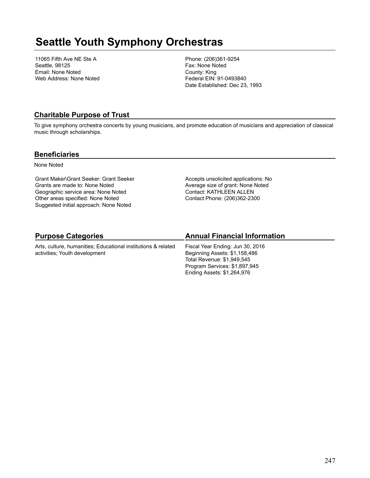# **Seattle Youth Symphony Orchestras**

11065 Fifth Ave NE Ste A Seattle, 98125 Email: None Noted Web Address: None Noted Phone: (206)361-9254 Fax: None Noted County: King Federal EIN: 91-0493840 Date Established: Dec 23, 1993

### **Charitable Purpose of Trust**

To give symphony orchestra concerts by young musicians, and promote education of musicians and appreciation of classical music through scholarships.

#### **Beneficiaries**

None Noted

Grant Maker\Grant Seeker: Grant Seeker Grants are made to: None Noted Geographic service area: None Noted Other areas specified: None Noted Suggested initial approach: None Noted

Accepts unsolicited applications: No Average size of grant: None Noted Contact: KATHLEEN ALLEN Contact Phone: (206)362-2300

## **Purpose Categories**

Arts, culture, humanities; Educational institutions & related activities; Youth development

## **Annual Financial Information**

Fiscal Year Ending: Jun 30, 2016 Beginning Assets: \$1,158,486 Total Revenue: \$1,949,545 Program Services: \$1,897,945 Ending Assets: \$1,264,976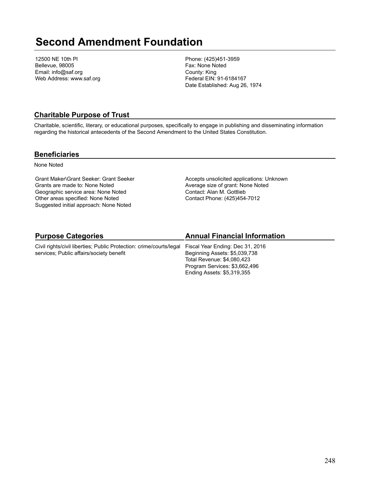# **Second Amendment Foundation**

12500 NE 10th Pl Bellevue, 98005 Email: info@saf.org Web Address: www.saf.org Phone: (425)451-3959 Fax: None Noted County: King Federal EIN: 91-6184167 Date Established: Aug 26, 1974

### **Charitable Purpose of Trust**

Charitable, scientific, literary, or educational purposes, specifically to engage in publishing and disseminating information regarding the historical antecedents of the Second Amendment to the United States Constitution.

#### **Beneficiaries**

None Noted

Grant Maker\Grant Seeker: Grant Seeker Grants are made to: None Noted Geographic service area: None Noted Other areas specified: None Noted Suggested initial approach: None Noted

Accepts unsolicited applications: Unknown Average size of grant: None Noted Contact: Alan M. Gottlieb Contact Phone: (425)454-7012

## **Purpose Categories**

Civil rights/civil liberties; Public Protection: crime/courts/legal services; Public affairs/society benefit

### **Annual Financial Information**

Fiscal Year Ending: Dec 31, 2016 Beginning Assets: \$5,039,738 Total Revenue: \$4,080,423 Program Services: \$3,662,496 Ending Assets: \$5,319,355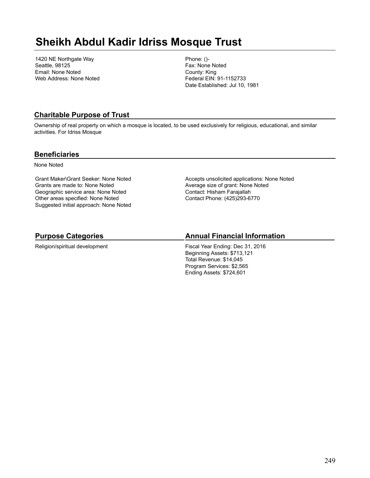# **Sheikh Abdul Kadir Idriss Mosque Trust**

1420 NE Northgate Way Seattle, 98125 Email: None Noted Web Address: None Noted Phone: ()- Fax: None Noted County: King Federal EIN: 91-1152733 Date Established: Jul 10, 1981

### **Charitable Purpose of Trust**

Ownership of real property on which a mosque is located, to be used exclusively for religious, educational, and similar activities. For Idriss Mosque

#### **Beneficiaries**

None Noted

Grant Maker\Grant Seeker: None Noted Grants are made to: None Noted Geographic service area: None Noted Other areas specified: None Noted Suggested initial approach: None Noted Accepts unsolicited applications: None Noted Average size of grant: None Noted Contact: Hisham Farajallah Contact Phone: (425)293-6770

# **Purpose Categories**

Religion/spiritual development

### **Annual Financial Information**

Fiscal Year Ending: Dec 31, 2016 Beginning Assets: \$713,121 Total Revenue: \$14,045 Program Services: \$2,565 Ending Assets: \$724,601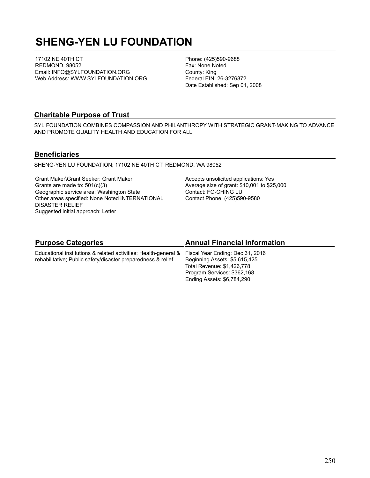# **SHENG-YEN LU FOUNDATION**

17102 NE 40TH CT REDMOND, 98052 Email: INFO@SYLFOUNDATION.ORG Web Address: WWW.SYLFOUNDATION.ORG Phone: (425)590-9688 Fax: None Noted County: King Federal EIN: 26-3276872 Date Established: Sep 01, 2008

### **Charitable Purpose of Trust**

SYL FOUNDATION COMBINES COMPASSION AND PHILANTHROPY WITH STRATEGIC GRANT-MAKING TO ADVANCE AND PROMOTE QUALITY HEALTH AND EDUCATION FOR ALL.

#### **Beneficiaries**

SHENG-YEN LU FOUNDATION; 17102 NE 40TH CT; REDMOND, WA 98052

Grant Maker\Grant Seeker: Grant Maker Grants are made to: 501(c)(3) Geographic service area: Washington State Other areas specified: None Noted INTERNATIONAL DISASTER RELIEF Suggested initial approach: Letter

Accepts unsolicited applications: Yes Average size of grant: \$10,001 to \$25,000 Contact: FO-CHING LU Contact Phone: (425)590-9580

Ending Assets: \$6,784,290

| <b>Purpose Categories</b>                                                                        | <b>Annual Financial Information</b> |
|--------------------------------------------------------------------------------------------------|-------------------------------------|
| Educational institutions & related activities; Health-general & Fiscal Year Ending: Dec 31, 2016 |                                     |
| rehabilitative; Public safety/disaster preparedness & relief                                     | Beginning Assets: \$5,615,425       |
|                                                                                                  | Total Revenue: \$1,426,778          |
|                                                                                                  | Program Services: \$362,168         |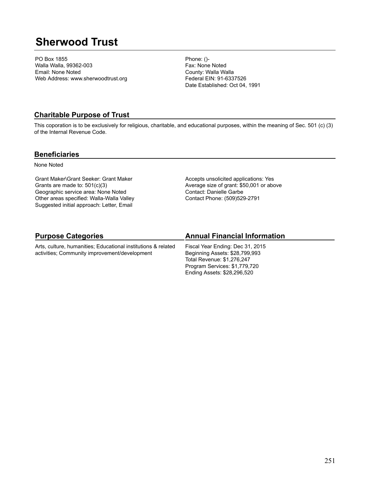# **Sherwood Trust**

PO Box 1855 Walla Walla, 99362-003 Email: None Noted Web Address: www.sherwoodtrust.org Phone: ()- Fax: None Noted County: Walla Walla Federal EIN: 91-6337526 Date Established: Oct 04, 1991

### **Charitable Purpose of Trust**

This coporation is to be exclusively for religious, charitable, and educational purposes, within the meaning of Sec. 501 (c) (3) of the Internal Revenue Code.

#### **Beneficiaries**

None Noted

Grant Maker\Grant Seeker: Grant Maker Grants are made to: 501(c)(3) Geographic service area: None Noted Other areas specified: Walla-Walla Valley Suggested initial approach: Letter, Email

Accepts unsolicited applications: Yes Average size of grant: \$50,001 or above Contact: Danielle Garbe Contact Phone: (509)529-2791

## **Purpose Categories**

Arts, culture, humanities; Educational institutions & related activities; Community improvement/development

## **Annual Financial Information**

Fiscal Year Ending: Dec 31, 2015 Beginning Assets: \$28,799,993 Total Revenue: \$1,276,247 Program Services: \$1,779,720 Ending Assets: \$28,296,520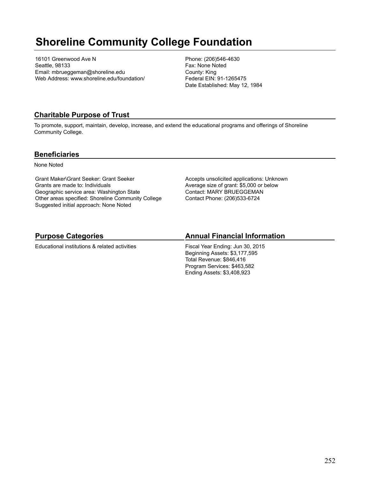# **Shoreline Community College Foundation**

16101 Greenwood Ave N Seattle, 98133 Email: mbrueggeman@shoreline.edu Web Address: www.shoreline.edu/foundation/ Phone: (206)546-4630 Fax: None Noted County: King Federal EIN: 91-1265475 Date Established: May 12, 1984

## **Charitable Purpose of Trust**

To promote, support, maintain, develop, increase, and extend the educational programs and offerings of Shoreline Community College.

#### **Beneficiaries**

None Noted

Grant Maker\Grant Seeker: Grant Seeker Grants are made to: Individuals Geographic service area: Washington State Other areas specified: Shoreline Community College Suggested initial approach: None Noted

Accepts unsolicited applications: Unknown Average size of grant: \$5,000 or below Contact: MARY BRUEGGEMAN Contact Phone: (206)533-6724

# **Purpose Categories**

Educational institutions & related activities

### **Annual Financial Information**

Fiscal Year Ending: Jun 30, 2015 Beginning Assets: \$3,177,595 Total Revenue: \$846,416 Program Services: \$463,582 Ending Assets: \$3,408,923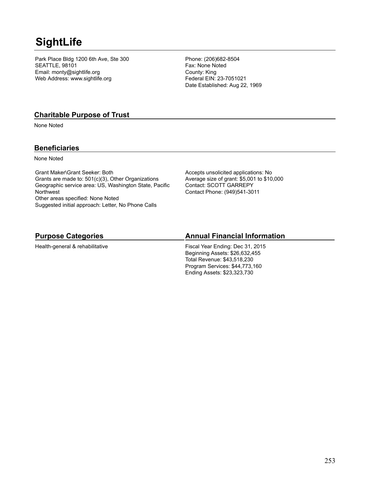## **SightLife**

Park Place Bldg 1200 6th Ave, Ste 300 SEATTLE, 98101 Email: monty@sightlife.org Web Address: www.sightlife.org

Phone: (206)682-8504 Fax: None Noted County: King Federal EIN: 23-7051021 Date Established: Aug 22, 1969

#### **Charitable Purpose of Trust**

None Noted

#### **Beneficiaries**

None Noted

Grant Maker\Grant Seeker: Both Grants are made to: 501(c)(3), Other Organizations Geographic service area: US, Washington State, Pacific **Northwest** Other areas specified: None Noted Suggested initial approach: Letter, No Phone Calls

Accepts unsolicited applications: No Average size of grant: \$5,001 to \$10,000 Contact: SCOTT GARREPY Contact Phone: (949)541-3011

## **Purpose Categories**

Health-general & rehabilitative

## **Annual Financial Information**

Fiscal Year Ending: Dec 31, 2015 Beginning Assets: \$26,632,455 Total Revenue: \$43,518,230 Program Services: \$44,773,160 Ending Assets: \$23,323,730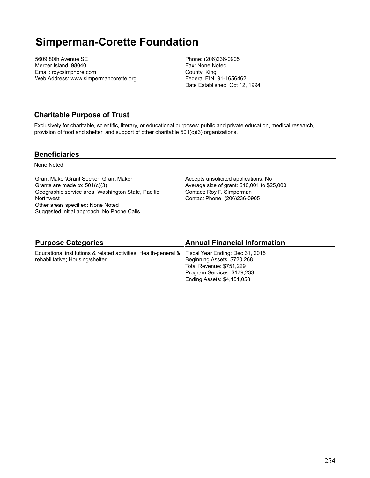## **Simperman-Corette Foundation**

5609 80th Avenue SE Mercer Island, 98040 Email: roycsimphore.com Web Address: www.simpermancorette.org Phone: (206)236-0905 Fax: None Noted County: King Federal EIN: 91-1656462 Date Established: Oct 12, 1994

### **Charitable Purpose of Trust**

Exclusively for charitable, scientific, literary, or educational purposes: public and private education, medical research, provision of food and shelter, and support of other charitable 501(c)(3) organizations.

#### **Beneficiaries**

None Noted

Grant Maker\Grant Seeker: Grant Maker Grants are made to: 501(c)(3) Geographic service area: Washington State, Pacific **Northwest** Other areas specified: None Noted Suggested initial approach: No Phone Calls

Accepts unsolicited applications: No Average size of grant: \$10,001 to \$25,000 Contact: Roy F. Simperman Contact Phone: (206)236-0905

Total Revenue: \$751,229 Program Services: \$179,233 Ending Assets: \$4,151,058

| <b>Purpose Categories</b>                                                                        | <b>Annual Financial Information</b> |  |
|--------------------------------------------------------------------------------------------------|-------------------------------------|--|
| Educational institutions & related activities; Health-general & Fiscal Year Ending: Dec 31, 2015 |                                     |  |
| rehabilitative; Housing/shelter                                                                  | Beginning Assets: \$720,268         |  |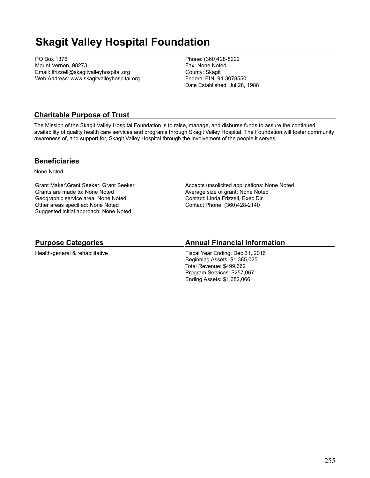## **Skagit Valley Hospital Foundation**

PO Box 1376 Mount Vernon, 98273 Email: lfrizzell@skagitvalleyhospital.org Web Address: www.skagitvalleyhospital.org Phone: (360)428-8222 Fax: None Noted County: Skagit Federal EIN: 94-3078550 Date Established: Jul 28, 1988

## **Charitable Purpose of Trust**

The Mission of the Skagit Valley Hospital Foundation is to raise, manage, and disburse funds to assure the continued availability of quality health care services and programs through Skagit Valley Hospital. The Foundation will foster community awareness of, and support for, Skagit Valley Hospital through the involvement of the people it serves.

#### **Beneficiaries**

None Noted

Grant Maker\Grant Seeker: Grant Seeker Grants are made to: None Noted Geographic service area: None Noted Other areas specified: None Noted Suggested initial approach: None Noted

Accepts unsolicited applications: None Noted Average size of grant: None Noted Contact: Linda Frizzell, Exec Dir Contact Phone: (360)428-2140

## **Purpose Categories**

Health-general & rehabilitative

## **Annual Financial Information**

Fiscal Year Ending: Dec 31, 2016 Beginning Assets: \$1,365,025 Total Revenue: \$499,662 Program Services: \$257,067 Ending Assets: \$1,682,066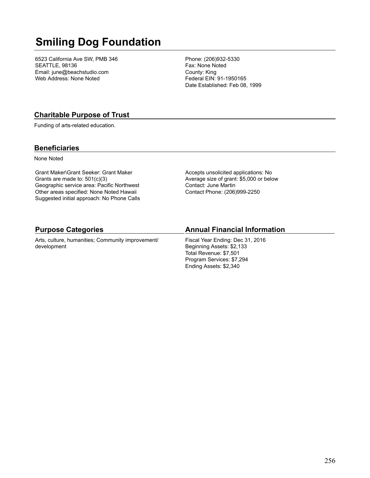# **Smiling Dog Foundation**

6523 California Ave SW, PMB 346 SEATTLE, 98136 Email: june@beachstudio.com Web Address: None Noted

Phone: (206)932-5330 Fax: None Noted County: King Federal EIN: 91-1950165 Date Established: Feb 08, 1999

### **Charitable Purpose of Trust**

Funding of arts-related education.

#### **Beneficiaries**

None Noted

Grant Maker\Grant Seeker: Grant Maker Grants are made to: 501(c)(3) Geographic service area: Pacific Northwest Other areas specified: None Noted Hawaii Suggested initial approach: No Phone Calls Accepts unsolicited applications: No Average size of grant: \$5,000 or below Contact: June Martin Contact Phone: (206)999-2250

#### **Purpose Categories**

Arts, culture, humanities; Community improvement/ development

#### **Annual Financial Information**

Fiscal Year Ending: Dec 31, 2016 Beginning Assets: \$2,133 Total Revenue: \$7,501 Program Services: \$7,294 Ending Assets: \$2,340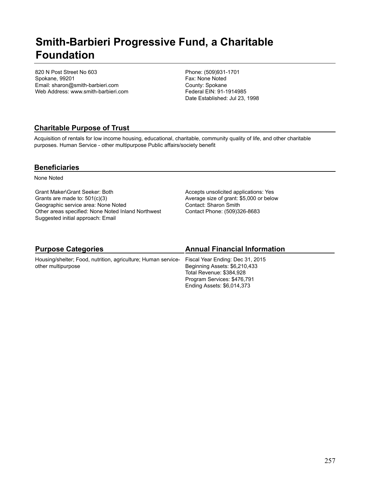## **Smith-Barbieri Progressive Fund, a Charitable Foundation**

820 N Post Street No 603 Spokane, 99201 Email: sharon@smith-barbieri.com Web Address: www.smith-barbieri.com Phone: (509)931-1701 Fax: None Noted County: Spokane Federal EIN: 91-1914985 Date Established: Jul 23, 1998

## **Charitable Purpose of Trust**

Acquisition of rentals for low income housing, educational, charitable, community quality of life, and other charitable purposes. Human Service - other multipurpose Public affairs/society benefit

### **Beneficiaries**

None Noted

Grant Maker\Grant Seeker: Both Grants are made to: 501(c)(3) Geographic service area: None Noted Other areas specified: None Noted Inland Northwest Suggested initial approach: Email

Accepts unsolicited applications: Yes Average size of grant: \$5,000 or below Contact: Sharon Smith Contact Phone: (509)326-8683

| <b>Annual Financial Information</b>                                                                                                                                                                                      |
|--------------------------------------------------------------------------------------------------------------------------------------------------------------------------------------------------------------------------|
| Housing/shelter; Food, nutrition, agriculture; Human service- Fiscal Year Ending: Dec 31, 2015<br>Beginning Assets: \$6,210,433<br>Total Revenue: \$384,928<br>Program Services: \$476,791<br>Ending Assets: \$6,014,373 |
|                                                                                                                                                                                                                          |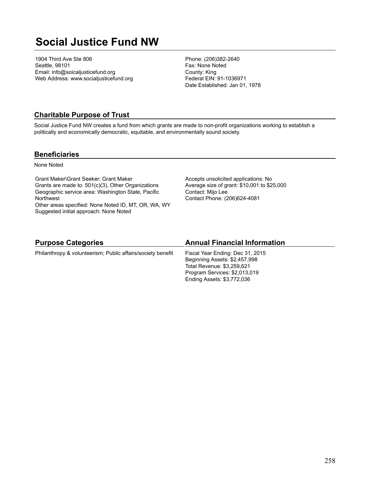## **Social Justice Fund NW**

1904 Third Ave Ste 806 Seattle, 98101 Email: info@soicaljusticefund.org Web Address: www.socialjusticefund.org Phone: (206)382-2640 Fax: None Noted County: King Federal EIN: 91-1036971 Date Established: Jan 01, 1978

### **Charitable Purpose of Trust**

Social Justice Fund NW creates a fund from which grants are made to non-profit organizations working to establish a politically and economically democratic, equitable, and environmentally sound society.

#### **Beneficiaries**

None Noted

Grant Maker\Grant Seeker: Grant Maker Grants are made to: 501(c)(3), Other Organizations Geographic service area: Washington State, Pacific **Northwest** Other areas specified: None Noted ID, MT, OR, WA, WY Suggested initial approach: None Noted

Accepts unsolicited applications: No Average size of grant: \$10,001 to \$25,000 Contact: Mijo Lee Contact Phone: (206)624-4081

#### **Purpose Categories**

#### **Annual Financial Information**

Philanthropy & volunteerism; Public affairs/society benefit

#### Fiscal Year Ending: Dec 31, 2015 Beginning Assets: \$2,457,998 Total Revenue: \$3,259,621 Program Services: \$2,013,019 Ending Assets: \$3,772,036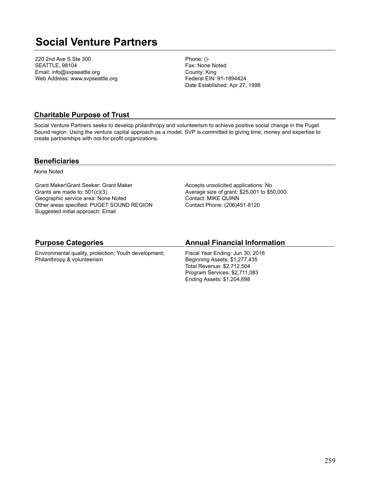## **Social Venture Partners**

220 2nd Ave S Ste 300 SEATTLE, 98104 Email: info@svpseattle.org Web Address: www.svpseattle.org Phone: ()- Fax: None Noted County: King Federal EIN: 91-1894424 Date Established: Apr 27, 1998

### **Charitable Purpose of Trust**

Social Venture Partners seeks to develop philanthropy and volunteerism to achieve positive social change in the Puget Sound region. Using the venture capital approach as a model, SVP is committed to giving time, money and expertise to create partnerships with not-for-profit organizations.

#### **Beneficiaries**

None Noted

Grant Maker\Grant Seeker: Grant Maker Grants are made to: 501(c)(3) Geographic service area: None Noted Other areas specified: PUGET SOUND REGION Suggested initial approach: Email

Accepts unsolicited applications: No Average size of grant: \$25,001 to \$50,000 Contact: MIKE QUINN Contact Phone: (206)451-8120

#### **Purpose Categories**

Environmental quality, protection; Youth development; Philanthropy & volunteerism

#### **Annual Financial Information**

Fiscal Year Ending: Jun 30, 2016 Beginning Assets: \$1,277,435 Total Revenue: \$2,712,504 Program Services: \$2,711,083 Ending Assets: \$1,204,698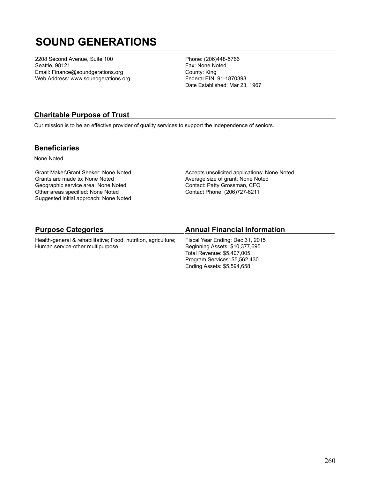## **SOUND GENERATIONS**

2208 Second Avenue, Suite 100 Seattle, 98121 Email: Finance@soundgerations.org Web Address: www.soundgerations.org Phone: (206)448-5766 Fax: None Noted County: King Federal EIN: 91-1870393 Date Established: Mar 23, 1967

## **Charitable Purpose of Trust**

Our mission is to be an effective provider of quality services to support the independence of seniors.

#### **Beneficiaries**

None Noted

Grant Maker\Grant Seeker: None Noted Grants are made to: None Noted Geographic service area: None Noted Other areas specified: None Noted Suggested initial approach: None Noted Accepts unsolicited applications: None Noted Average size of grant: None Noted Contact: Patty Grossman, CFO Contact Phone: (206)727-6211

| <b>Purpose Categories</b>                                      | <b>Annual Financial Information</b> |
|----------------------------------------------------------------|-------------------------------------|
| Health-general & rehabilitative; Food, nutrition, agriculture; | Fiscal Year Ending: Dec 31, 2015    |
| Human service-other multipurpose                               | Beginning Assets: \$10,377,695      |

Total Revenue: \$5,407,005 Program Services: \$5,562,430 Ending Assets: \$5,594,658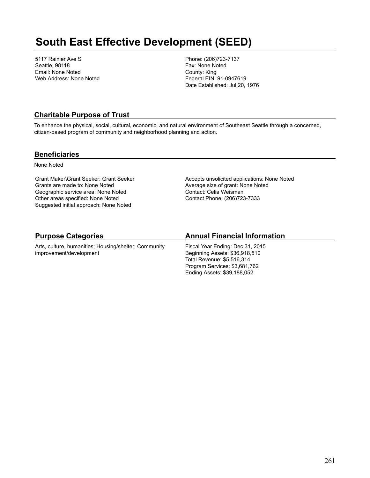## **South East Effective Development (SEED)**

5117 Rainier Ave S Seattle, 98118 Email: None Noted Web Address: None Noted Phone: (206)723-7137 Fax: None Noted County: King Federal EIN: 91-0947619 Date Established: Jul 20, 1976

### **Charitable Purpose of Trust**

To enhance the physical, social, cultural, economic, and natural environment of Southeast Seattle through a concerned, citizen-based program of community and neighborhood planning and action.

#### **Beneficiaries**

None Noted

Grant Maker\Grant Seeker: Grant Seeker Grants are made to: None Noted Geographic service area: None Noted Other areas specified: None Noted Suggested initial approach: None Noted

Accepts unsolicited applications: None Noted Average size of grant: None Noted Contact: Celia Weisman Contact Phone: (206)723-7333

## **Purpose Categories**

Arts, culture, humanities; Housing/shelter; Community improvement/development

## **Annual Financial Information**

Fiscal Year Ending: Dec 31, 2015 Beginning Assets: \$36,918,510 Total Revenue: \$5,516,314 Program Services: \$3,681,762 Ending Assets: \$39,188,052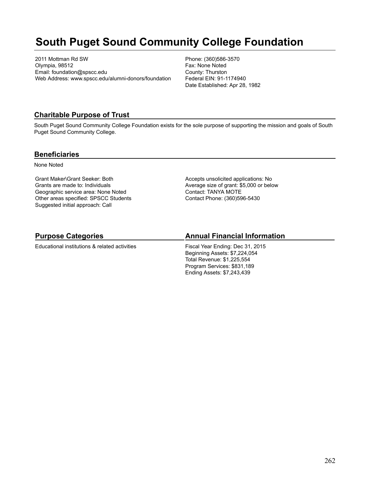## **South Puget Sound Community College Foundation**

2011 Mottman Rd SW Olympia, 98512 Email: foundation@spscc.edu Web Address: www.spscc.edu/alumni-donors/foundation Phone: (360)586-3570 Fax: None Noted County: Thurston Federal EIN: 91-1174940 Date Established: Apr 28, 1982

### **Charitable Purpose of Trust**

South Puget Sound Community College Foundation exists for the sole purpose of supporting the mission and goals of South Puget Sound Community College.

#### **Beneficiaries**

None Noted

Grant Maker\Grant Seeker: Both Grants are made to: Individuals Geographic service area: None Noted Other areas specified: SPSCC Students Suggested initial approach: Call

Accepts unsolicited applications: No Average size of grant: \$5,000 or below Contact: TANYA MOTE Contact Phone: (360)596-5430

## **Purpose Categories**

Educational institutions & related activities

### **Annual Financial Information**

Fiscal Year Ending: Dec 31, 2015 Beginning Assets: \$7,224,054 Total Revenue: \$1,225,554 Program Services: \$831,189 Ending Assets: \$7,243,439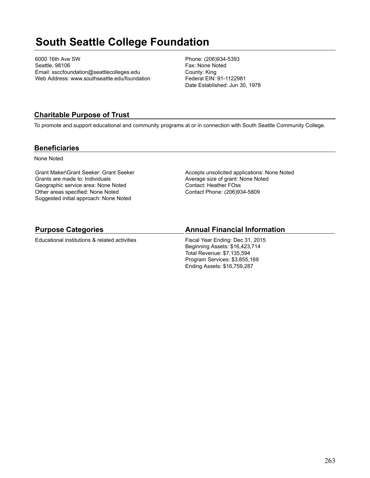## **South Seattle College Foundation**

6000 16th Ave SW Seattle, 98106 Email: ssccfoundation@seattlecolleges.edu Web Address: www.southseattle.edu/foundation Phone: (206)934-5393 Fax: None Noted County: King Federal EIN: 91-1122981 Date Established: Jun 30, 1978

## **Charitable Purpose of Trust**

To promote and support educational and community programs at or in connection with South Seattle Community College.

### **Beneficiaries**

None Noted

Grant Maker\Grant Seeker: Grant Seeker Grants are made to: Individuals Geographic service area: None Noted Other areas specified: None Noted Suggested initial approach: None Noted

Accepts unsolicited applications: None Noted Average size of grant: None Noted Contact: Heather FOss Contact Phone: (206)934-5809

## **Purpose Categories**

Educational institutions & related activities

## **Annual Financial Information**

Fiscal Year Ending: Dec 31, 2015 Beginning Assets: \$16,423,714 Total Revenue: \$7,135,594 Program Services: \$3,855,169 Ending Assets: \$16,759,287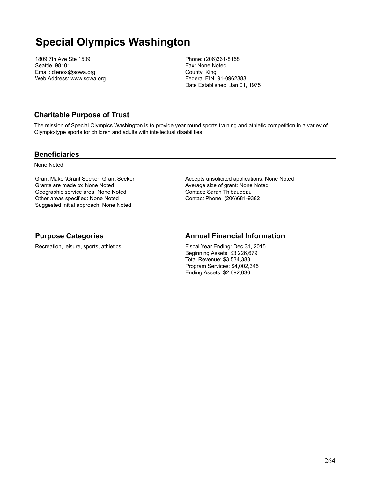## **Special Olympics Washington**

1809 7th Ave Ste 1509 Seattle, 98101 Email: dlenox@sowa.org Web Address: www.sowa.org Phone: (206)361-8158 Fax: None Noted County: King Federal EIN: 91-0962383 Date Established: Jan 01, 1975

## **Charitable Purpose of Trust**

The mission of Special Olympics Washington is to provide year round sports training and athletic competition in a variey of Olympic-type sports for children and adults with intellectual disabilities.

#### **Beneficiaries**

None Noted

Grant Maker\Grant Seeker: Grant Seeker Grants are made to: None Noted Geographic service area: None Noted Other areas specified: None Noted Suggested initial approach: None Noted

Accepts unsolicited applications: None Noted Average size of grant: None Noted Contact: Sarah Thibaudeau Contact Phone: (206)681-9382

## **Purpose Categories**

Recreation, leisure, sports, athletics

## **Annual Financial Information**

Fiscal Year Ending: Dec 31, 2015 Beginning Assets: \$3,226,679 Total Revenue: \$3,534,383 Program Services: \$4,002,345 Ending Assets: \$2,692,036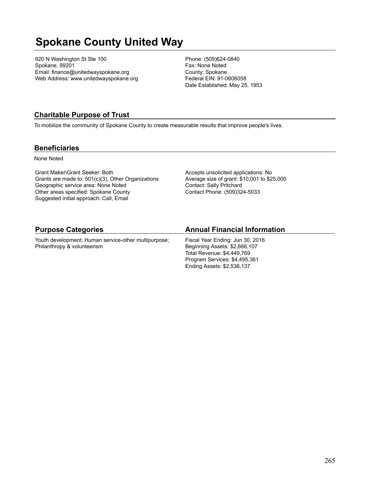# **Spokane County United Way**

920 N Washington St Ste 100 Spokane, 99201 Email: finance@unitedwayspokane.org Web Address: www.unitedwayspokane.org Phone: (509)624-0840 Fax: None Noted County: Spokane Federal EIN: 91-0606058 Date Established: May 25, 1953

## **Charitable Purpose of Trust**

To mobilize the community of Spokane County to create measurable results that improve people's lives.

#### **Beneficiaries**

None Noted

Grant Maker\Grant Seeker: Both Grants are made to: 501(c)(3), Other Organizations Geographic service area: None Noted Other areas specified: Spokane County Suggested initial approach: Call, Email

Accepts unsolicited applications: No Average size of grant: \$10,001 to \$25,000 Contact: Sally Pritchard Contact Phone: (509)324-5033

### **Purpose Categories**

Youth development; Human service-other multipurpose; Philanthropy & volunteerism

#### **Annual Financial Information**

Fiscal Year Ending: Jun 30, 2016 Beginning Assets: \$2,666,107 Total Revenue: \$4,449,769 Program Services: \$4,495,361 Ending Assets: \$2,536,137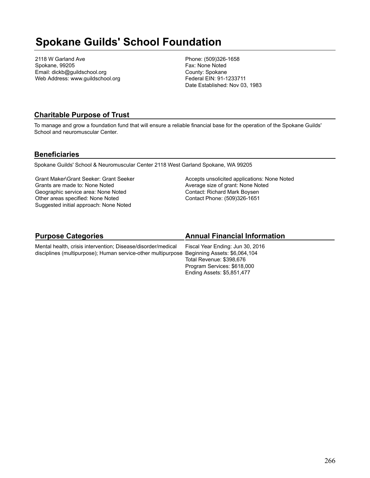## **Spokane Guilds' School Foundation**

2118 W Garland Ave Spokane, 99205 Email: dickb@guildschool.org Web Address: www.guildschool.org Phone: (509)326-1658 Fax: None Noted County: Spokane Federal EIN: 91-1233711 Date Established: Nov 03, 1983

### **Charitable Purpose of Trust**

To manage and grow a foundation fund that will ensure a reliable financial base for the operation of the Spokane Guilds' School and neuromuscular Center.

#### **Beneficiaries**

Spokane Guilds' School & Neuromuscular Center 2118 West Garland Spokane, WA 99205

Grant Maker\Grant Seeker: Grant Seeker Grants are made to: None Noted Geographic service area: None Noted Other areas specified: None Noted Suggested initial approach: None Noted

Accepts unsolicited applications: None Noted Average size of grant: None Noted Contact: Richard Mark Boysen Contact Phone: (509)326-1651

Program Services: \$618,000 Ending Assets: \$5,851,477

#### **Purpose Categories** Mental health, crisis intervention; Disease/disorder/medical disciplines (multipurpose); Human service-other multipurpose Beginning Assets: \$6,064,104 **Annual Financial Information** Fiscal Year Ending: Jun 30, 2016 Total Revenue: \$398,676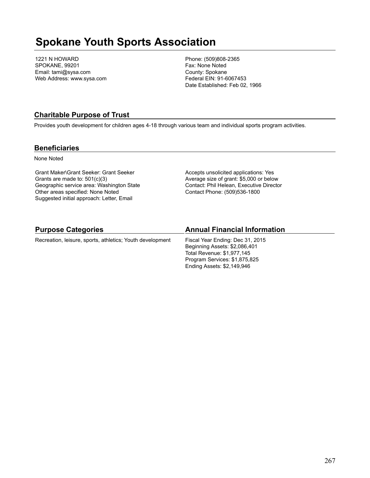## **Spokane Youth Sports Association**

1221 N HOWARD SPOKANE, 99201 Email: tami@sysa.com Web Address: www.sysa.com Phone: (509)808-2365 Fax: None Noted County: Spokane Federal EIN: 91-6067453 Date Established: Feb 02, 1966

### **Charitable Purpose of Trust**

Provides youth development for children ages 4-18 through various team and individual sports program activities.

#### **Beneficiaries**

None Noted

Grant Maker\Grant Seeker: Grant Seeker Grants are made to: 501(c)(3) Geographic service area: Washington State Other areas specified: None Noted Suggested initial approach: Letter, Email

Accepts unsolicited applications: Yes Average size of grant: \$5,000 or below Contact: Phil Helean, Executive Director Contact Phone: (509)536-1800

Ending Assets: \$2,149,946

| <b>Purpose Categories</b>                                 | <b>Annual Financial Information</b> |
|-----------------------------------------------------------|-------------------------------------|
| Recreation, leisure, sports, athletics; Youth development | Fiscal Year Ending: Dec 31, 2015    |
|                                                           | Beginning Assets: \$2,086,401       |
|                                                           | Total Revenue: \$1,977,145          |
|                                                           | Program Services: \$1,875,825       |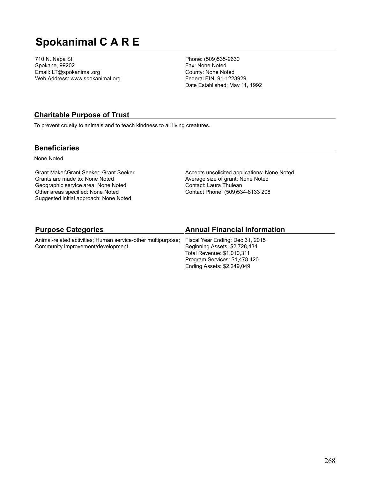# **Spokanimal C A R E**

710 N. Napa St Spokane, 99202 Email: LT@spokanimal.org Web Address: www.spokanimal.org Phone: (509)535-9630 Fax: None Noted County: None Noted Federal EIN: 91-1223929 Date Established: May 11, 1992

### **Charitable Purpose of Trust**

To prevent cruelty to animals and to teach kindness to all living creatures.

#### **Beneficiaries**

None Noted

Grant Maker\Grant Seeker: Grant Seeker Grants are made to: None Noted Geographic service area: None Noted Other areas specified: None Noted Suggested initial approach: None Noted

Accepts unsolicited applications: None Noted Average size of grant: None Noted Contact: Laura Thulean Contact Phone: (509)534-8133 208

Ending Assets: \$2,249,049

| <b>Purpose Categories</b>                                    | <b>Annual Financial Information</b> |
|--------------------------------------------------------------|-------------------------------------|
| Animal-related activities; Human service-other multipurpose; | Fiscal Year Ending: Dec 31, 2015    |
| Community improvement/development                            | Beginning Assets: \$2,728,434       |
|                                                              | Total Revenue: \$1,010,311          |
|                                                              | Program Services: \$1,478,420       |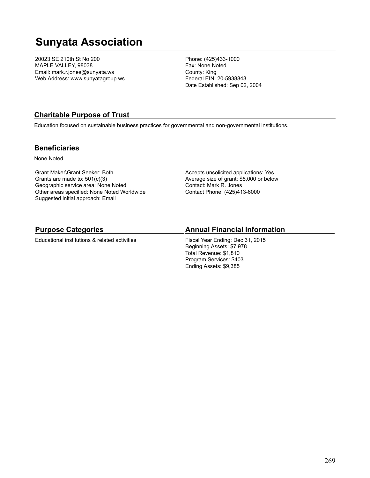## **Sunyata Association**

20023 SE 210th St No 200 MAPLE VALLEY, 98038 Email: mark.r.jones@sunyata.ws Web Address: www.sunyatagroup.ws Phone: (425)433-1000 Fax: None Noted County: King Federal EIN: 20-5938843 Date Established: Sep 02, 2004

### **Charitable Purpose of Trust**

Education focused on sustainable business practices for governmental and non-governmental institutions.

#### **Beneficiaries**

None Noted

Grant Maker\Grant Seeker: Both Grants are made to: 501(c)(3) Geographic service area: None Noted Other areas specified: None Noted Worldwide Suggested initial approach: Email

Accepts unsolicited applications: Yes Average size of grant: \$5,000 or below Contact: Mark R. Jones Contact Phone: (425)413-6000

#### **Purpose Categories**

Educational institutions & related activities

#### **Annual Financial Information**

Fiscal Year Ending: Dec 31, 2015 Beginning Assets: \$7,978 Total Revenue: \$1,810 Program Services: \$403 Ending Assets: \$9,385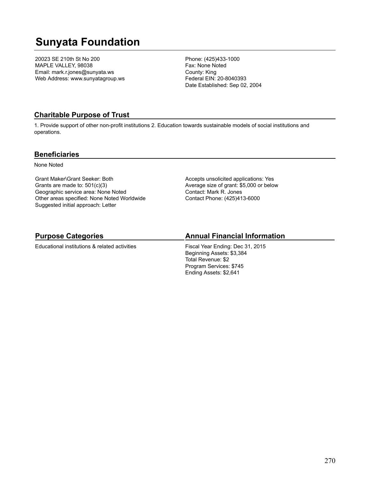## **Sunyata Foundation**

20023 SE 210th St No 200 MAPLE VALLEY, 98038 Email: mark.r.jones@sunyata.ws Web Address: www.sunyatagroup.ws Phone: (425)433-1000 Fax: None Noted County: King Federal EIN: 20-8040393 Date Established: Sep 02, 2004

## **Charitable Purpose of Trust**

1. Provide support of other non-profit institutions 2. Education towards sustainable models of social institutions and operations.

#### **Beneficiaries**

None Noted

Grant Maker\Grant Seeker: Both Grants are made to: 501(c)(3) Geographic service area: None Noted Other areas specified: None Noted Worldwide Suggested initial approach: Letter

Accepts unsolicited applications: Yes Average size of grant: \$5,000 or below Contact: Mark R. Jones Contact Phone: (425)413-6000

## **Purpose Categories**

Educational institutions & related activities

## **Annual Financial Information**

Fiscal Year Ending: Dec 31, 2015 Beginning Assets: \$3,384 Total Revenue: \$2 Program Services: \$745 Ending Assets: \$2,641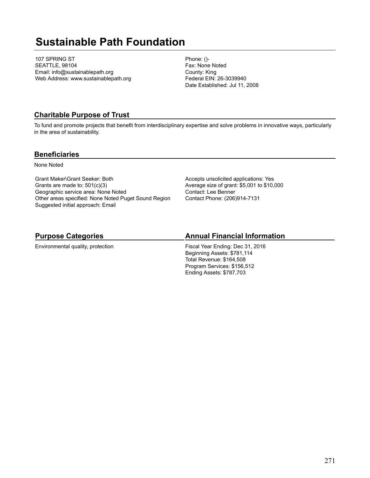## **Sustainable Path Foundation**

107 SPRING ST SEATTLE, 98104 Email: info@sustainablepath.org Web Address: www.sustainablepath.org Phone: ()- Fax: None Noted County: King Federal EIN: 26-3039940 Date Established: Jul 11, 2008

## **Charitable Purpose of Trust**

To fund and promote projects that benefit from interdisciplinary expertise and solve problems in innovative ways, particularly in the area of sustainability.

#### **Beneficiaries**

None Noted

Grant Maker\Grant Seeker: Both Grants are made to: 501(c)(3) Geographic service area: None Noted Other areas specified: None Noted Puget Sound Region Suggested initial approach: Email

Accepts unsolicited applications: Yes Average size of grant: \$5,001 to \$10,000 Contact: Lee Benner Contact Phone: (206)914-7131

## **Purpose Categories**

Environmental quality, protection

### **Annual Financial Information**

Fiscal Year Ending: Dec 31, 2016 Beginning Assets: \$781,114 Total Revenue: \$164,508 Program Services: \$156,512 Ending Assets: \$787,703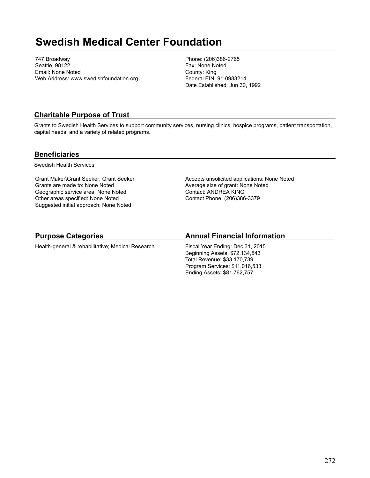## **Swedish Medical Center Foundation**

747 Broadway Seattle, 98122 Email: None Noted Web Address: www.swedishfoundation.org Phone: (206)386-2765 Fax: None Noted County: King Federal EIN: 91-0983214 Date Established: Jun 30, 1992

### **Charitable Purpose of Trust**

Grants to Swedish Health Services to support community services, nursing clinics, hospice programs, patient transportation, capital needs, and a variety of related programs.

#### **Beneficiaries**

Swedish Health Services

Grant Maker\Grant Seeker: Grant Seeker Grants are made to: None Noted Geographic service area: None Noted Other areas specified: None Noted Suggested initial approach: None Noted

Accepts unsolicited applications: None Noted Average size of grant: None Noted Contact: ANDREA KING Contact Phone: (206)386-3379

## **Purpose Categories**

Health-general & rehabilitative; Medical Research

## **Annual Financial Information**

Fiscal Year Ending: Dec 31, 2015 Beginning Assets: \$72,134,543 Total Revenue: \$33,170,739 Program Services: \$11,016,533 Ending Assets: \$81,762,757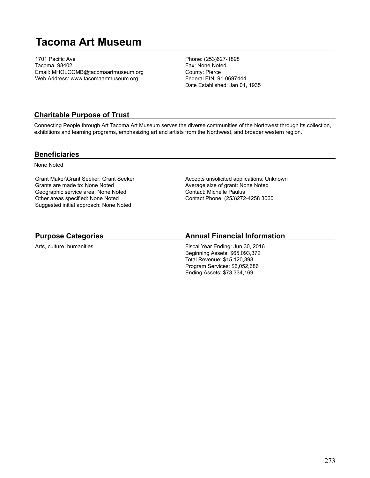## **Tacoma Art Museum**

1701 Pacific Ave Tacoma, 98402 Email: MHOLCOMB@tacomaartmuseum.org Web Address: www.tacomaartmuseum.org

Phone: (253)627-1898 Fax: None Noted County: Pierce Federal EIN: 91-0697444 Date Established: Jan 01, 1935

### **Charitable Purpose of Trust**

Connecting People through Art Tacoma Art Museum serves the diverse communities of the Northwest through its collection, exhibitions and learning programs, emphasizing art and artists from the Northwest, and broader western region.

#### **Beneficiaries**

None Noted

Grant Maker\Grant Seeker: Grant Seeker Grants are made to: None Noted Geographic service area: None Noted Other areas specified: None Noted Suggested initial approach: None Noted

Accepts unsolicited applications: Unknown Average size of grant: None Noted Contact: Michelle Paulus Contact Phone: (253)272-4258 3060

## **Purpose Categories**

Arts, culture, humanities

### **Annual Financial Information**

Fiscal Year Ending: Jun 30, 2016 Beginning Assets: \$65,093,372 Total Revenue: \$15,120,398 Program Services: \$6,052,686 Ending Assets: \$73,334,169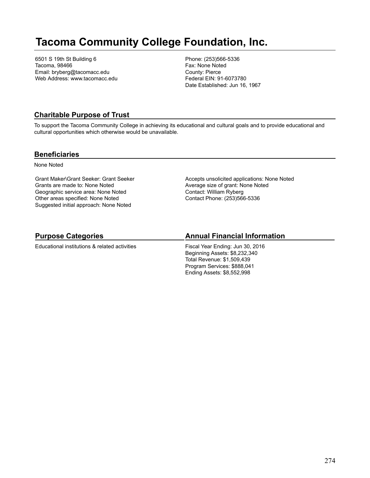## **Tacoma Community College Foundation, Inc.**

6501 S 19th St Building 6 Tacoma, 98466 Email: bryberg@tacomacc.edu Web Address: www.tacomacc.edu Phone: (253)566-5336 Fax: None Noted County: Pierce Federal EIN: 91-6073780 Date Established: Jun 16, 1967

## **Charitable Purpose of Trust**

To support the Tacoma Community College in achieving its educational and cultural goals and to provide educational and cultural opportunities which otherwise would be unavailable.

#### **Beneficiaries**

None Noted

Grant Maker\Grant Seeker: Grant Seeker Grants are made to: None Noted Geographic service area: None Noted Other areas specified: None Noted Suggested initial approach: None Noted

Accepts unsolicited applications: None Noted Average size of grant: None Noted Contact: William Ryberg Contact Phone: (253)566-5336

## **Purpose Categories**

Educational institutions & related activities

## **Annual Financial Information**

Fiscal Year Ending: Jun 30, 2016 Beginning Assets: \$8,232,340 Total Revenue: \$1,509,439 Program Services: \$888,041 Ending Assets: \$8,552,998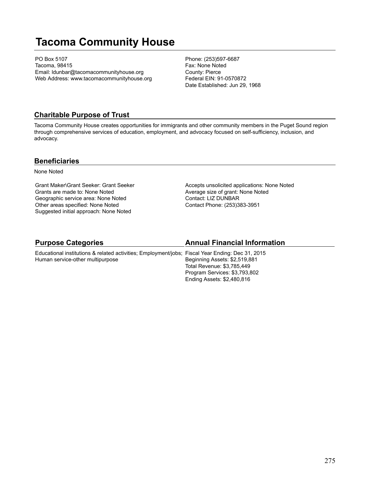## **Tacoma Community House**

PO Box 5107 Tacoma, 98415 Email: ldunbar@tacomacommunityhouse.org Web Address: www.tacomacommunityhouse.org Phone: (253)597-6687 Fax: None Noted County: Pierce Federal EIN: 91-0570872 Date Established: Jun 29, 1968

### **Charitable Purpose of Trust**

Tacoma Community House creates opportunities for immigrants and other community members in the Puget Sound region through comprehensive services of education, employment, and advocacy focused on self-sufficiency, inclusion, and advocacy.

#### **Beneficiaries**

None Noted

Grant Maker\Grant Seeker: Grant Seeker Grants are made to: None Noted Geographic service area: None Noted Other areas specified: None Noted Suggested initial approach: None Noted

Accepts unsolicited applications: None Noted Average size of grant: None Noted Contact: LIZ DUNBAR Contact Phone: (253)383-3951

#### **Purpose Categories**

#### **Annual Financial Information**

Educational institutions & related activities; Employment/jobs; Fiscal Year Ending: Dec 31, 2015 Human service-other multipurpose Beginning Assets: \$2,519,881 Total Revenue: \$3,785,449 Program Services: \$3,793,802 Ending Assets: \$2,480,816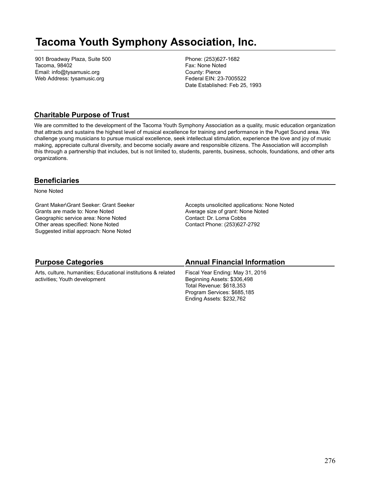## **Tacoma Youth Symphony Association, Inc.**

901 Broadway Plaza, Suite 500 Tacoma, 98402 Email: info@tysamusic.org Web Address: tysamusic.org

Phone: (253)627-1682 Fax: None Noted County: Pierce Federal EIN: 23-7005522 Date Established: Feb 25, 1993

### **Charitable Purpose of Trust**

We are committed to the development of the Tacoma Youth Symphony Association as a quality, music education organization that attracts and sustains the highest level of musical excellence for training and performance in the Puget Sound area. We challenge young musicians to pursue musical excellence, seek intellectual stimulation, experience the love and joy of music making, appreciate cultural diversity, and become socially aware and responsible citizens. The Association will accomplish this through a partnership that includes, but is not limited to, students, parents, business, schools, foundations, and other arts organizations.

### **Beneficiaries**

None Noted

Grant Maker\Grant Seeker: Grant Seeker Grants are made to: None Noted Geographic service area: None Noted Other areas specified: None Noted Suggested initial approach: None Noted

Accepts unsolicited applications: None Noted Average size of grant: None Noted Contact: Dr. Loma Cobbs Contact Phone: (253)627-2792

| <b>Purpose Categories</b>                                     | <b>Annual Financial Information</b> |
|---------------------------------------------------------------|-------------------------------------|
| Arts, culture, humanities; Educational institutions & related | Fiscal Year Ending: May 31, 2016    |
| activities; Youth development                                 | Beginning Assets: \$306,498         |
|                                                               | Total Revenue: \$618,353            |
|                                                               | Program Services: \$685,185         |
|                                                               | Ending Assets: \$232,762            |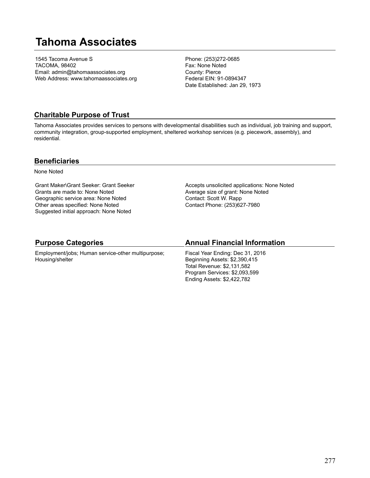## **Tahoma Associates**

1545 Tacoma Avenue S TACOMA, 98402 Email: admin@tahomaassociates.org Web Address: www.tahomaassociates.org Phone: (253)272-0685 Fax: None Noted County: Pierce Federal EIN: 91-0894347 Date Established: Jan 29, 1973

### **Charitable Purpose of Trust**

Tahoma Associates provides services to persons with developmental disabilities such as individual, job training and support, community integration, group-supported employment, sheltered workshop services (e.g. piecework, assembly), and residential.

#### **Beneficiaries**

None Noted

Grant Maker\Grant Seeker: Grant Seeker Grants are made to: None Noted Geographic service area: None Noted Other areas specified: None Noted Suggested initial approach: None Noted

Accepts unsolicited applications: None Noted Average size of grant: None Noted Contact: Scott W. Rapp Contact Phone: (253)627-7980

### **Purpose Categories**

Employment/jobs; Human service-other multipurpose; Housing/shelter

#### **Annual Financial Information**

Fiscal Year Ending: Dec 31, 2016 Beginning Assets: \$2,390,415 Total Revenue: \$2,131,582 Program Services: \$2,093,599 Ending Assets: \$2,422,782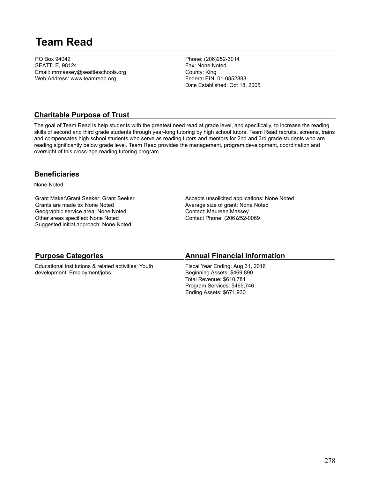## **Team Read**

PO Box 94042 SEATTLE, 98124 Email: mrmassey@seattleschools.org Web Address: www.teamread.org

Phone: (206)252-3014 Fax: None Noted County: King Federal EIN: 01-0852888 Date Established: Oct 18, 2005

### **Charitable Purpose of Trust**

The goal of Team Read is help students with the greatest need read at grade level, and specifically, to increase the reading skills of second and third grade students through year-long tutoring by high school tutors. Team Read recruits, screens, trains and compensates high school students who serve as reading tutors and mentors for 2nd and 3rd grade students who are reading significantly below grade level. Team Read provides the management, program development, coordination and oversight of this cross-age reading tutoring program.

#### **Beneficiaries**

None Noted

Grant Maker\Grant Seeker: Grant Seeker Grants are made to: None Noted Geographic service area: None Noted Other areas specified: None Noted Suggested initial approach: None Noted

Accepts unsolicited applications: None Noted Average size of grant: None Noted Contact: Maureen Massey Contact Phone: (206)252-0069

## **Purpose Categories**

Educational institutions & related activities; Youth development; Employment/jobs

## **Annual Financial Information**

Fiscal Year Ending: Aug 31, 2016 Beginning Assets: \$469,890 Total Revenue: \$610,781 Program Services: \$465,746 Ending Assets: \$671,930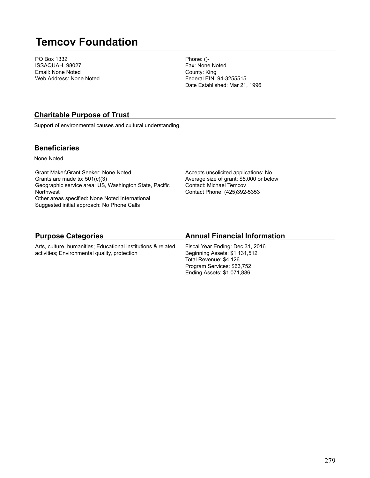## **Temcov Foundation**

PO Box 1332 ISSAQUAH, 98027 Email: None Noted Web Address: None Noted Phone: ()- Fax: None Noted County: King Federal EIN: 94-3255515 Date Established: Mar 21, 1996

## **Charitable Purpose of Trust**

Support of environmental causes and cultural understanding.

### **Beneficiaries**

None Noted

Grant Maker\Grant Seeker: None Noted Grants are made to: 501(c)(3) Geographic service area: US, Washington State, Pacific **Northwest** Other areas specified: None Noted International Suggested initial approach: No Phone Calls

Accepts unsolicited applications: No Average size of grant: \$5,000 or below Contact: Michael Temcov Contact Phone: (425)392-5353

## **Purpose Categories**

Arts, culture, humanities; Educational institutions & related activities; Environmental quality, protection

## **Annual Financial Information**

Fiscal Year Ending: Dec 31, 2016 Beginning Assets: \$1,131,512 Total Revenue: \$4,126 Program Services: \$63,752 Ending Assets: \$1,071,886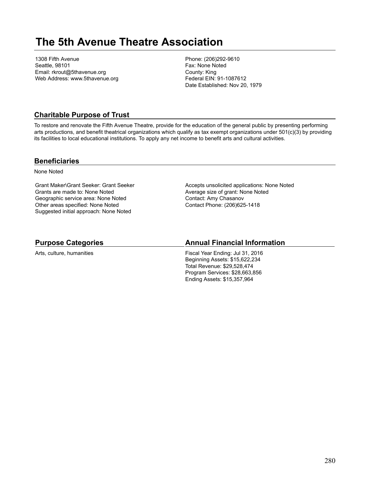## **The 5th Avenue Theatre Association**

1308 Fifth Avenue Seattle, 98101 Email: rkrout@5thavenue.org Web Address: www.5thavenue.org Phone: (206)292-9610 Fax: None Noted County: King Federal EIN: 91-1087612 Date Established: Nov 20, 1979

## **Charitable Purpose of Trust**

To restore and renovate the Fifth Avenue Theatre, provide for the education of the general public by presenting performing arts productions, and benefit theatrical organizations which qualify as tax exempt organizations under 501(c)(3) by providing its facilities to local educational institutions. To apply any net income to benefit arts and cultural activities.

#### **Beneficiaries**

None Noted

Grant Maker\Grant Seeker: Grant Seeker Grants are made to: None Noted Geographic service area: None Noted Other areas specified: None Noted Suggested initial approach: None Noted

Accepts unsolicited applications: None Noted Average size of grant: None Noted Contact: Amy Chasanov Contact Phone: (206)625-1418

### **Purpose Categories**

Arts, culture, humanities

## **Annual Financial Information**

Fiscal Year Ending: Jul 31, 2016 Beginning Assets: \$15,622,234 Total Revenue: \$29,528,474 Program Services: \$28,663,856 Ending Assets: \$15,357,964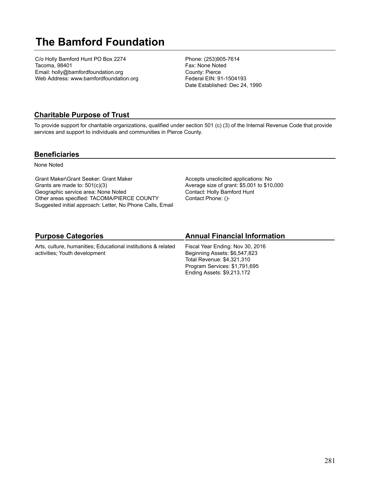# **The Bamford Foundation**

C/o Holly Bamford Hunt PO Box 2274 Tacoma, 98401 Email: holly@bamfordfoundation.org Web Address: www.bamfordfoundation.org Phone: (253)905-7614 Fax: None Noted County: Pierce Federal EIN: 91-1504193 Date Established: Dec 24, 1990

## **Charitable Purpose of Trust**

To provide support for charitable organizations, qualified under section 501 (c) (3) of the Internal Revenue Code that provide services and support to individuals and communities in Pierce County.

### **Beneficiaries**

None Noted

Grant Maker\Grant Seeker: Grant Maker Grants are made to: 501(c)(3) Geographic service area: None Noted Other areas specified: TACOMA/PIERCE COUNTY Suggested initial approach: Letter, No Phone Calls, Email Accepts unsolicited applications: No Average size of grant: \$5,001 to \$10,000 Contact: Holly Bamford Hunt Contact Phone: ()-

Ending Assets: \$9,213,172

#### **Purpose Categories** Arts, culture, humanities; Educational institutions & related activities; Youth development **Annual Financial Information** Fiscal Year Ending: Nov 30, 2016 Beginning Assets: \$6,547,823 Total Revenue: \$4,321,310 Program Services: \$1,791,695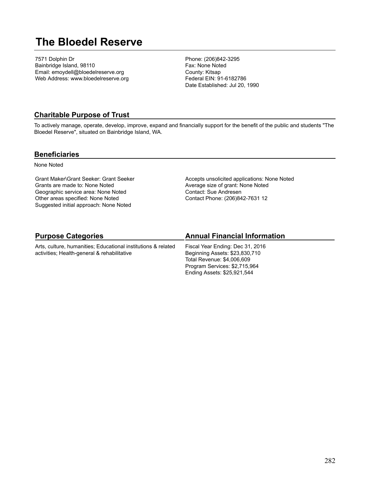## **The Bloedel Reserve**

7571 Dolphin Dr Bainbridge Island, 98110 Email: emoydell@bloedelreserve.org Web Address: www.bloedelreserve.org Phone: (206)842-3295 Fax: None Noted County: Kitsap Federal EIN: 91-6182786 Date Established: Jul 20, 1990

#### **Charitable Purpose of Trust**

To actively manage, operate, develop, improve, expand and financially support for the benefit of the public and students "The Bloedel Reserve", situated on Bainbridge Island, WA.

#### **Beneficiaries**

None Noted

Grant Maker\Grant Seeker: Grant Seeker Grants are made to: None Noted Geographic service area: None Noted Other areas specified: None Noted Suggested initial approach: None Noted

Accepts unsolicited applications: None Noted Average size of grant: None Noted Contact: Sue Andresen Contact Phone: (206)842-7631 12

## **Purpose Categories**

Arts, culture, humanities; Educational institutions & related activities; Health-general & rehabilitative

## **Annual Financial Information**

Fiscal Year Ending: Dec 31, 2016 Beginning Assets: \$23,830,710 Total Revenue: \$4,006,609 Program Services: \$2,715,964 Ending Assets: \$25,921,544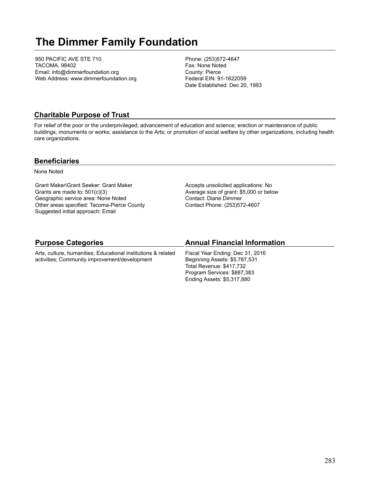# **The Dimmer Family Foundation**

950 PACIFIC AVE STE 710 TACOMA, 98402 Email: info@dimmerfoundation.org Web Address: www.dimmerfoundation.org Phone: (253)572-4647 Fax: None Noted County: Pierce Federal EIN: 91-1622059 Date Established: Dec 20, 1993

## **Charitable Purpose of Trust**

For relief of the poor or the underprivileged; advancement of education and science; erection or maintenance of public buildings, monuments or works; assistance to the Arts; or promotion of social welfare by other organizations, including health care organizations.

#### **Beneficiaries**

None Noted

Grant Maker\Grant Seeker: Grant Maker Grants are made to: 501(c)(3) Geographic service area: None Noted Other areas specified: Tacoma-Pierce County Suggested initial approach: Email

Accepts unsolicited applications: No Average size of grant: \$5,000 or below Contact: Diane Dimmer Contact Phone: (253)572-4607

## **Purpose Categories**

Arts, culture, humanities; Educational institutions & related activities; Community improvement/development

### **Annual Financial Information**

Fiscal Year Ending: Dec 31, 2016 Beginning Assets: \$5,787,531 Total Revenue: \$417,732 Program Services: \$887,383 Ending Assets: \$5,317,880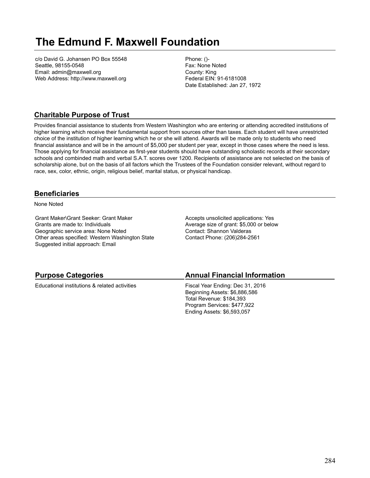## **The Edmund F. Maxwell Foundation**

c/o David G. Johansen PO Box 55548 Seattle, 98155-0548 Email: admin@maxwell.org Web Address: http://www.maxwell.org Phone: ()- Fax: None Noted County: King Federal EIN: 91-6181008 Date Established: Jan 27, 1972

## **Charitable Purpose of Trust**

Provides financial assistance to students from Western Washington who are entering or attending accredited institutions of higher learning which receive their fundamental support from sources other than taxes. Each student will have unrestricted choice of the institution of higher learning which he or she will attend. Awards will be made only to students who need financial assistance and will be in the amount of \$5,000 per student per year, except in those cases where the need is less. Those applying for financial assistance as first-year students should have outstanding scholastic records at their secondary schools and combinded math and verbal S.A.T. scores over 1200. Recipients of assistance are not selected on the basis of scholarship alone, but on the basis of all factors which the Trustees of the Foundation consider relevant, without regard to race, sex, color, ethnic, origin, religious belief, marital status, or physical handicap.

#### **Beneficiaries**

None Noted

Grant Maker\Grant Seeker: Grant Maker Grants are made to: Individuals Geographic service area: None Noted Other areas specified: Western Washington State Suggested initial approach: Email

Accepts unsolicited applications: Yes Average size of grant: \$5,000 or below Contact: Shannon Valderas Contact Phone: (206)284-2561

## **Purpose Categories**

Educational institutions & related activities

#### **Annual Financial Information**

Fiscal Year Ending: Dec 31, 2016 Beginning Assets: \$6,886,586 Total Revenue: \$184,393 Program Services: \$477,922 Ending Assets: \$6,593,057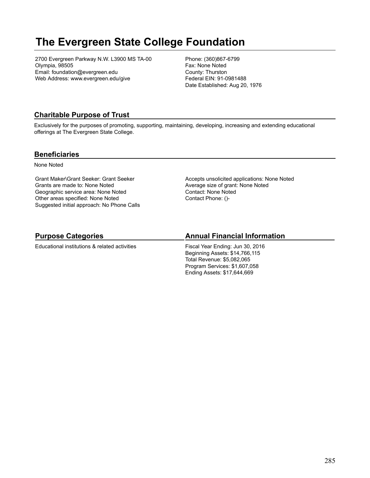## **The Evergreen State College Foundation**

2700 Evergreen Parkway N.W. L3900 MS TA-00 Olympia, 98505 Email: foundation@evergreen.edu Web Address: www.evergreen.edu/give

Phone: (360)867-6799 Fax: None Noted County: Thurston Federal EIN: 91-0981488 Date Established: Aug 20, 1976

## **Charitable Purpose of Trust**

Exclusively for the purposes of promoting, supporting, maintaining, developing, increasing and extending educational offerings at The Evergreen State College.

#### **Beneficiaries**

None Noted

Grant Maker\Grant Seeker: Grant Seeker Grants are made to: None Noted Geographic service area: None Noted Other areas specified: None Noted Suggested initial approach: No Phone Calls Accepts unsolicited applications: None Noted Average size of grant: None Noted Contact: None Noted Contact Phone: ()-

## **Purpose Categories**

Educational institutions & related activities

## **Annual Financial Information**

Fiscal Year Ending: Jun 30, 2016 Beginning Assets: \$14,766,115 Total Revenue: \$5,082,065 Program Services: \$1,607,058 Ending Assets: \$17,644,669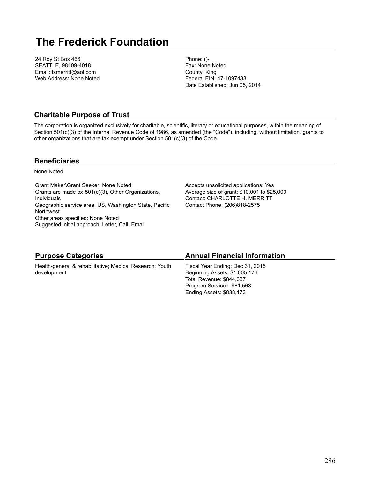## **The Frederick Foundation**

24 Roy St Box 466 SEATTLE, 98109-4018 Email: fsmerritt@aol.com Web Address: None Noted Phone: ()- Fax: None Noted County: King Federal EIN: 47-1097433 Date Established: Jun 05, 2014

### **Charitable Purpose of Trust**

The corporation is organized exclusively for charitable, scientific, literary or educational purposes, within the meaning of Section 501(c)(3) of the Internal Revenue Code of 1986, as amended (the "Code"), including, without limitation, grants to other organizations that are tax exempt under Section 501(c)(3) of the Code.

#### **Beneficiaries**

None Noted

Grant Maker\Grant Seeker: None Noted Grants are made to: 501(c)(3), Other Organizations, Individuals Geographic service area: US, Washington State, Pacific Northwest Other areas specified: None Noted Suggested initial approach: Letter, Call, Email

Accepts unsolicited applications: Yes Average size of grant: \$10,001 to \$25,000 Contact: CHARLOTTE H. MERRITT Contact Phone: (206)818-2575

| <b>Purpose Categories</b>                                | <b>Annual Financial Information</b> |
|----------------------------------------------------------|-------------------------------------|
| Health-general & rehabilitative; Medical Research; Youth | Fiscal Year Ending: Dec 31, 2015    |
| development                                              | Beginning Assets: \$1,005,176       |
|                                                          | Total Revenue: \$844,337            |
|                                                          | Program Services: \$81,563          |
|                                                          | Ending Assets: \$838,173            |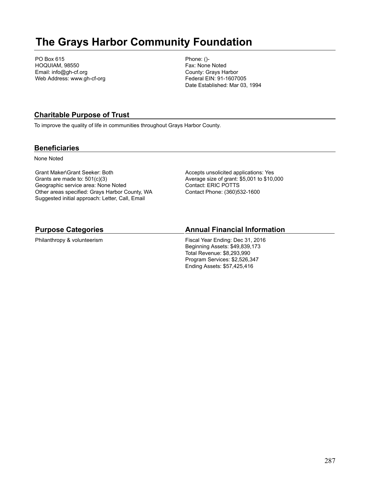## **The Grays Harbor Community Foundation**

PO Box 615 HOQUIAM, 98550 Email: info@gh-cf.org Web Address: www.gh-cf-org Phone: ()- Fax: None Noted County: Grays Harbor Federal EIN: 91-1607005 Date Established: Mar 03, 1994

## **Charitable Purpose of Trust**

To improve the quality of life in communities throughout Grays Harbor County.

#### **Beneficiaries**

None Noted

Grant Maker\Grant Seeker: Both Grants are made to: 501(c)(3) Geographic service area: None Noted Other areas specified: Grays Harbor County, WA Suggested initial approach: Letter, Call, Email

Accepts unsolicited applications: Yes Average size of grant: \$5,001 to \$10,000 Contact: ERIC POTTS Contact Phone: (360)532-1600

### **Purpose Categories**

Philanthropy & volunteerism

### **Annual Financial Information**

Fiscal Year Ending: Dec 31, 2016 Beginning Assets: \$49,839,173 Total Revenue: \$8,293,990 Program Services: \$2,526,347 Ending Assets: \$57,425,416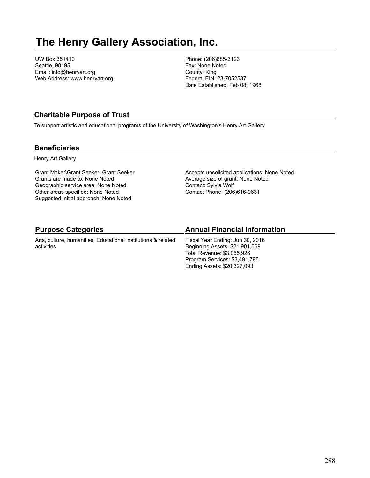## **The Henry Gallery Association, Inc.**

UW Box 351410 Seattle, 98195 Email: info@henryart.org Web Address: www.henryart.org Phone: (206)685-3123 Fax: None Noted County: King Federal EIN: 23-7052537 Date Established: Feb 08, 1968

## **Charitable Purpose of Trust**

To support artistic and educational programs of the University of Washington's Henry Art Gallery.

#### **Beneficiaries**

Henry Art Gallery

Grant Maker\Grant Seeker: Grant Seeker Grants are made to: None Noted Geographic service area: None Noted Other areas specified: None Noted Suggested initial approach: None Noted

Accepts unsolicited applications: None Noted Average size of grant: None Noted Contact: Sylvia Wolf Contact Phone: (206)616-9631

| <b>Purpose Categories</b>                                                   | <b>Annual Financial Information</b>                                                                                                                              |
|-----------------------------------------------------------------------------|------------------------------------------------------------------------------------------------------------------------------------------------------------------|
| Arts, culture, humanities; Educational institutions & related<br>activities | Fiscal Year Ending: Jun 30, 2016<br>Beginning Assets: \$21,901,669<br>Total Revenue: \$3,055,926<br>Program Services: \$3,491,796<br>Ending Assets: \$20,327,093 |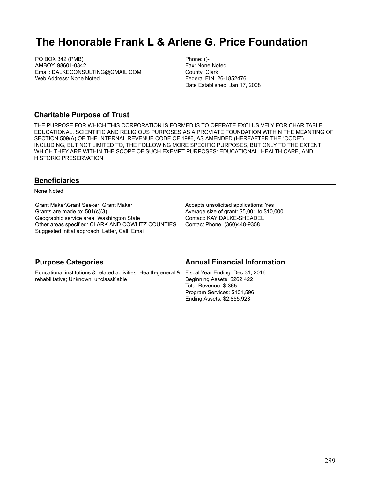# **The Honorable Frank L & Arlene G. Price Foundation**

PO BOX 342 (PMB) AMBOY, 98601-0342 Email: DALKECONSULTING@GMAIL.COM Web Address: None Noted

Phone: ()- Fax: None Noted County: Clark Federal EIN: 26-1852476 Date Established: Jan 17, 2008

#### **Charitable Purpose of Trust**

THE PURPOSE FOR WHICH THIS CORPORATION IS FORMED IS TO OPERATE EXCLUSIVELY FOR CHARITABLE, EDUCATIONAL, SCIENTIFIC AND RELIGIOUS PURPOSES AS A PROVIATE FOUNDATION WITHIN THE MEANTING OF SECTION 509(A) OF THE INTERNAL REVENUE CODE OF 1986, AS AMENDED (HEREAFTER THE "CODE") INCLUDING, BUT NOT LIMITED TO, THE FOLLOWING MORE SPECIFIC PURPOSES, BUT ONLY TO THE EXTENT WHICH THEY ARE WITHIN THE SCOPE OF SUCH EXEMPT PURPOSES: EDUCATIONAL, HEALTH CARE, AND HISTORIC PRESERVATION.

### **Beneficiaries**

None Noted

Grant Maker\Grant Seeker: Grant Maker Grants are made to: 501(c)(3) Geographic service area: Washington State Other areas specified: CLARK AND COWLITZ COUNTIES Suggested initial approach: Letter, Call, Email

Accepts unsolicited applications: Yes Average size of grant: \$5,001 to \$10,000 Contact: KAY DALKE-SHEADEL Contact Phone: (360)448-9358

| <b>Purpose Categories</b>                                                                        | <b>Annual Financial Information</b> |
|--------------------------------------------------------------------------------------------------|-------------------------------------|
| Educational institutions & related activities; Health-general & Fiscal Year Ending: Dec 31, 2016 |                                     |
| rehabilitative; Unknown, unclassifiable                                                          | Beginning Assets: \$262,422         |
|                                                                                                  | Total Revenue: \$-365               |
|                                                                                                  | Program Services: \$101,596         |
|                                                                                                  | Ending Assets: \$2,855,923          |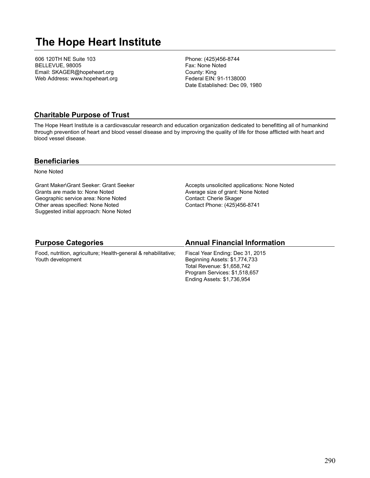# **The Hope Heart Institute**

606 120TH NE Suite 103 BELLEVUE, 98005 Email: SKAGER@hopeheart.org Web Address: www.hopeheart.org Phone: (425)456-8744 Fax: None Noted County: King Federal EIN: 91-1138000 Date Established: Dec 09, 1980

#### **Charitable Purpose of Trust**

The Hope Heart Institute is a cardiovascular research and education organization dedicated to benefitting all of humankind through prevention of heart and blood vessel disease and by improving the quality of life for those afflicted with heart and blood vessel disease.

#### **Beneficiaries**

None Noted

Grant Maker\Grant Seeker: Grant Seeker Grants are made to: None Noted Geographic service area: None Noted Other areas specified: None Noted Suggested initial approach: None Noted

Accepts unsolicited applications: None Noted Average size of grant: None Noted Contact: Cherie Skager Contact Phone: (425)456-8741

#### **Purpose Categories**

Food, nutrition, agriculture; Health-general & rehabilitative; Youth development

#### **Annual Financial Information**

Fiscal Year Ending: Dec 31, 2015 Beginning Assets: \$1,774,733 Total Revenue: \$1,658,742 Program Services: \$1,518,657 Ending Assets: \$1,736,954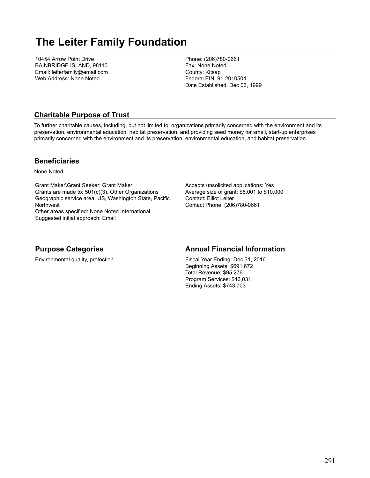# **The Leiter Family Foundation**

10454 Arrow Point Drive BAINBRIDGE ISLAND, 98110 Email: leiterfamily@email.com Web Address: None Noted

Phone: (206)780-0661 Fax: None Noted County: Kitsap Federal EIN: 91-2010504 Date Established: Dec 06, 1999

### **Charitable Purpose of Trust**

To further charitable causes, including, but not limited to, organizations primarily concerned with the environment and its preservation, environmental education, habitat preservation, and providing seed money for small, start-up enterprises primarily concerned with the environment and its preservation, environmental education, and habitat preservation.

#### **Beneficiaries**

None Noted

Grant Maker\Grant Seeker: Grant Maker Grants are made to: 501(c)(3), Other Organizations Geographic service area: US, Washington State, Pacific **Northwest** Other areas specified: None Noted International Suggested initial approach: Email

Accepts unsolicited applications: Yes Average size of grant: \$5,001 to \$10,000 Contact: Elliot Leiter Contact Phone: (206)780-0661

### **Purpose Categories**

Environmental quality, protection

#### **Annual Financial Information**

Fiscal Year Ending: Dec 31, 2016 Beginning Assets: \$691,672 Total Revenue: \$95,276 Program Services: \$46,031 Ending Assets: \$743,703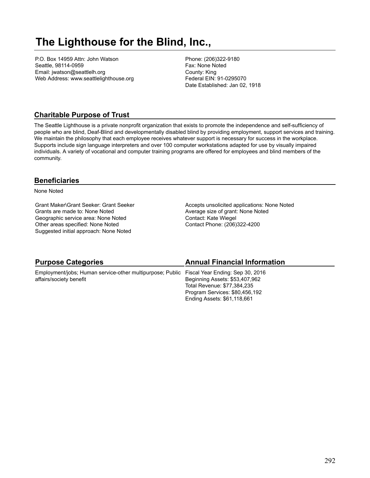# **The Lighthouse for the Blind, Inc.,**

P.O. Box 14959 Attn: John Watson Seattle, 98114-0959 Email: jwatson@seattlelh.org Web Address: www.seattlelighthouse.org Phone: (206)322-9180 Fax: None Noted County: King Federal EIN: 91-0295070 Date Established: Jan 02, 1918

### **Charitable Purpose of Trust**

The Seattle Lighthouse is a private nonprofit organization that exists to promote the independence and self-sufficiency of people who are blind, Deaf-Blind and developmentally disabled blind by providing employment, support services and training. We maintain the philosophy that each employee receives whatever support is necessary for success in the workplace. Supports include sign language interpreters and over 100 computer workstations adapted for use by visually impaired individuals. A variety of vocational and computer training programs are offered for employees and blind members of the community.

#### **Beneficiaries**

None Noted

Grant Maker\Grant Seeker: Grant Seeker Grants are made to: None Noted Geographic service area: None Noted Other areas specified: None Noted Suggested initial approach: None Noted

Accepts unsolicited applications: None Noted Average size of grant: None Noted Contact: Kate Wiegel Contact Phone: (206)322-4200

| <b>Purpose Categories</b>                                                                  | <b>Annual Financial Information</b> |
|--------------------------------------------------------------------------------------------|-------------------------------------|
| Employment/jobs; Human service-other multipurpose; Public Fiscal Year Ending: Sep 30, 2016 |                                     |
| affairs/society benefit                                                                    | Beginning Assets: \$53,407,962      |
|                                                                                            | Total Revenue: \$77,384,235         |
|                                                                                            | Program Services: \$80,456,192      |
|                                                                                            | Ending Assets: \$61,118,661         |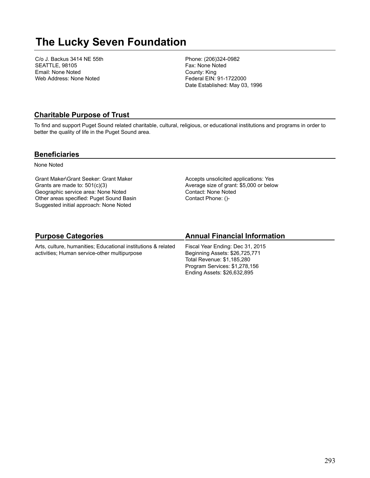# **The Lucky Seven Foundation**

C/o J. Backus 3414 NE 55th SEATTLE, 98105 Email: None Noted Web Address: None Noted

Phone: (206)324-0982 Fax: None Noted County: King Federal EIN: 91-1722000 Date Established: May 03, 1996

#### **Charitable Purpose of Trust**

To find and support Puget Sound related charitable, cultural, religious, or educational institutions and programs in order to better the quality of life in the Puget Sound area.

#### **Beneficiaries**

None Noted

Grant Maker\Grant Seeker: Grant Maker Grants are made to: 501(c)(3) Geographic service area: None Noted Other areas specified: Puget Sound Basin Suggested initial approach: None Noted

Accepts unsolicited applications: Yes Average size of grant: \$5,000 or below Contact: None Noted Contact Phone: ()-

### **Purpose Categories**

Arts, culture, humanities; Educational institutions & related activities; Human service-other multipurpose

### **Annual Financial Information**

Fiscal Year Ending: Dec 31, 2015 Beginning Assets: \$26,725,771 Total Revenue: \$1,185,280 Program Services: \$1,278,156 Ending Assets: \$26,632,895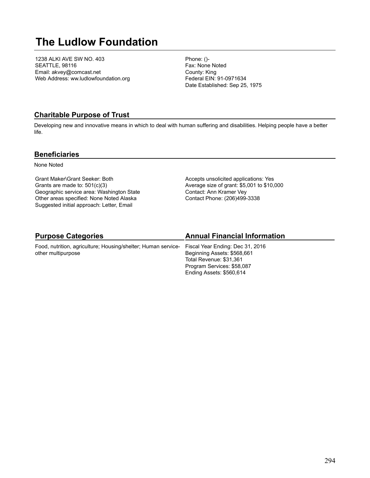# **The Ludlow Foundation**

1238 ALKI AVE SW NO. 403 SEATTLE, 98116 Email: akvey@comcast.net Web Address: ww.ludlowfoundation.org Phone: ()- Fax: None Noted County: King Federal EIN: 91-0971634 Date Established: Sep 25, 1975

### **Charitable Purpose of Trust**

Developing new and innovative means in which to deal with human suffering and disabilities. Helping people have a better life.

#### **Beneficiaries**

None Noted

Grant Maker\Grant Seeker: Both Grants are made to: 501(c)(3) Geographic service area: Washington State Other areas specified: None Noted Alaska Suggested initial approach: Letter, Email

Accepts unsolicited applications: Yes Average size of grant: \$5,001 to \$10,000 Contact: Ann Kramer Vey Contact Phone: (206)499-3338

### **Purpose Categories**

Food, nutrition, agriculture; Housing/shelter; Human serviceother multipurpose

### **Annual Financial Information**

Fiscal Year Ending: Dec 31, 2016 Beginning Assets: \$568,661 Total Revenue: \$31,361 Program Services: \$58,087 Ending Assets: \$560,614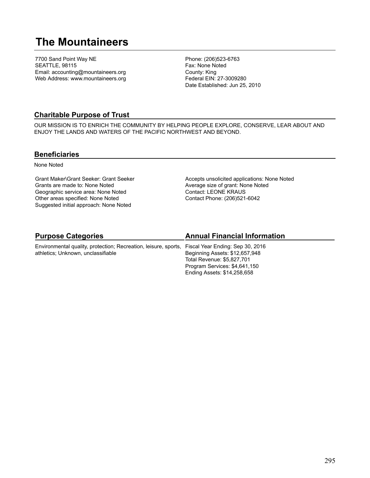# **The Mountaineers**

7700 Sand Point Way NE SEATTLE, 98115 Email: accounting@mountaineers.org Web Address: www.mountaineers.org Phone: (206)523-6763 Fax: None Noted County: King Federal EIN: 27-3009280 Date Established: Jun 25, 2010

### **Charitable Purpose of Trust**

OUR MISSION IS TO ENRICH THE COMMUNITY BY HELPING PEOPLE EXPLORE, CONSERVE, LEAR ABOUT AND ENJOY THE LANDS AND WATERS OF THE PACIFIC NORTHWEST AND BEYOND.

#### **Beneficiaries**

None Noted

Grant Maker\Grant Seeker: Grant Seeker Grants are made to: None Noted Geographic service area: None Noted Other areas specified: None Noted Suggested initial approach: None Noted

Accepts unsolicited applications: None Noted Average size of grant: None Noted Contact: LEONE KRAUS Contact Phone: (206)521-6042

# **Purpose Categories**

Environmental quality, protection; Recreation, leisure, sports, Fiscal Year Ending: Sep 30, 2016 athletics; Unknown, unclassifiable

# **Annual Financial Information**

Beginning Assets: \$12,657,948 Total Revenue: \$5,827,701 Program Services: \$4,641,150 Ending Assets: \$14,258,658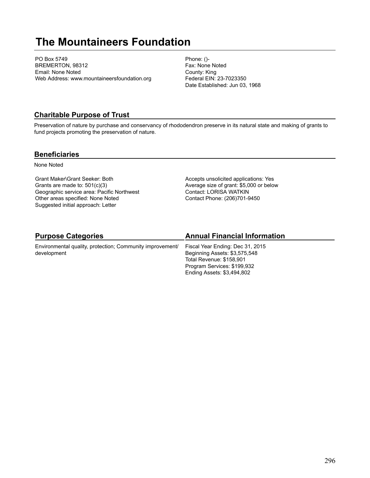# **The Mountaineers Foundation**

PO Box 5749 BREMERTON, 98312 Email: None Noted Web Address: www.mountaineersfoundation.org Phone: ()- Fax: None Noted County: King Federal EIN: 23-7023350 Date Established: Jun 03, 1968

### **Charitable Purpose of Trust**

Preservation of nature by purchase and conservancy of rhododendron preserve in its natural state and making of grants to fund projects promoting the preservation of nature.

#### **Beneficiaries**

None Noted

Grant Maker\Grant Seeker: Both Grants are made to: 501(c)(3) Geographic service area: Pacific Northwest Other areas specified: None Noted Suggested initial approach: Letter

Accepts unsolicited applications: Yes Average size of grant: \$5,000 or below Contact: LORISA WATKIN Contact Phone: (206)701-9450

# **Purpose Categories**

Environmental quality, protection; Community improvement/ development

### **Annual Financial Information**

Fiscal Year Ending: Dec 31, 2015 Beginning Assets: \$3,575,548 Total Revenue: \$158,901 Program Services: \$199,932 Ending Assets: \$3,494,802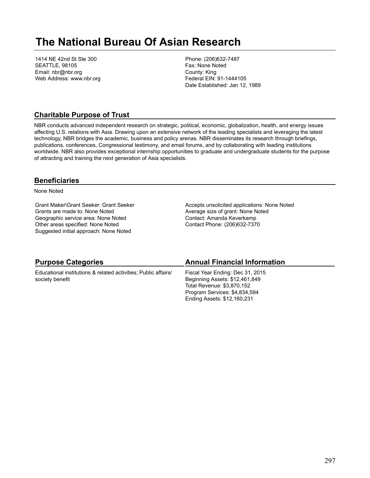# **The National Bureau Of Asian Research**

1414 NE 42nd St Ste 300 SEATTLE, 98105 Email: nbr@nbr.org Web Address: www.nbr.org Phone: (206)632-7487 Fax: None Noted County: King Federal EIN: 91-1444105 Date Established: Jan 12, 1989

### **Charitable Purpose of Trust**

NBR conducts advanced independent research on strategic, political, economic, globalization, health, and energy issues affecting U.S. relations with Asia. Drawing upon an extensive network of the leading specialists and leveraging the latest technology, NBR bridges the academic, business and policy arenas. NBR disseminates its research through briefings, publications, conferences, Congressional testimony, and email forums, and by collaborating with leading institutions worldwide. NBR also provides exceptional internship opportunities to graduate and undergraduate students for the purpose of attracting and training the next generation of Asia specialists.

#### **Beneficiaries**

None Noted

Grant Maker\Grant Seeker: Grant Seeker Grants are made to: None Noted Geographic service area: None Noted Other areas specified: None Noted Suggested initial approach: None Noted

Accepts unsolicited applications: None Noted Average size of grant: None Noted Contact: Amanda Keverkamp Contact Phone: (206)632-7370

| <b>Purpose Categories</b>                                      | <b>Annual Financial Information</b> |
|----------------------------------------------------------------|-------------------------------------|
| Educational institutions & related activities; Public affairs/ | Fiscal Year Ending: Dec 31, 2015    |
| society benefit                                                | Beginning Assets: \$12,461,849      |
|                                                                | Total Revenue: \$3,870,152          |
|                                                                | Program Services: \$4,834,594       |
|                                                                | Ending Assets: \$12,160,231         |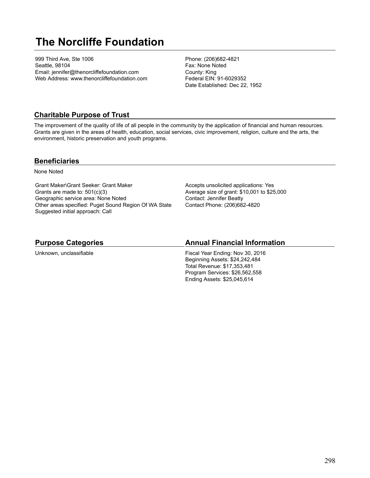# **The Norcliffe Foundation**

999 Third Ave, Ste 1006 Seattle, 98104 Email: jennifer@thenorcliffefoundation.com Web Address: www.thenorcliffefoundation.com Phone: (206)682-4821 Fax: None Noted County: King Federal EIN: 91-6029352 Date Established: Dec 22, 1952

### **Charitable Purpose of Trust**

The improvement of the quality of life of all people in the community by the application of financial and human resources. Grants are given in the areas of health, education, social services, civic improvement, religion, culture and the arts, the environment, historic preservation and youth programs.

#### **Beneficiaries**

None Noted

Grant Maker\Grant Seeker: Grant Maker Grants are made to: 501(c)(3) Geographic service area: None Noted Other areas specified: Puget Sound Region Of WA State Suggested initial approach: Call

Accepts unsolicited applications: Yes Average size of grant: \$10,001 to \$25,000 Contact: Jennifer Beatty Contact Phone: (206)682-4820

#### **Purpose Categories**

Unknown, unclassifiable

#### **Annual Financial Information**

Fiscal Year Ending: Nov 30, 2016 Beginning Assets: \$24,242,484 Total Revenue: \$17,353,481 Program Services: \$26,562,558 Ending Assets: \$25,045,614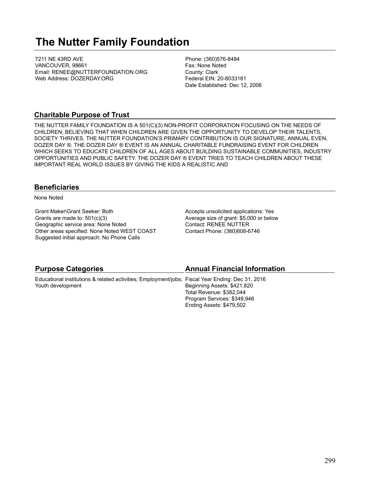# **The Nutter Family Foundation**

7211 NE 43RD AVE VANCOUVER, 98661 Email: RENEE@NUTTERFOUNDATION.ORG Web Address: DOZERDAY.ORG

Phone: (360)576-8484 Fax: None Noted County: Clark Federal EIN: 20-8033161 Date Established: Dec 12, 2006

#### **Charitable Purpose of Trust**

THE NUTTER FAMILY FOUNDATION IS A 501(C)(3) NON-PROFIT CORPORATION FOCUSING ON THE NEEDS OF CHILDREN; BELIEVING THAT WHEN CHILDREN ARE GIVEN THE OPPORTUNITY TO DEVELOP THEIR TALENTS, SOCIETY THRIVES. THE NUTTER FOUNDATION'S PRIMARY CONTRIBUTION IS OUR SIGNATURE, ANNUAL EVEN, DOZER DAY ®. THE DOZER DAY ® EVENT IS AN ANNUAL CHARITABLE FUNDRAISING EVENT FOR CHILDREN WHICH SEEKS TO EDUCATE CHILDREN OF ALL AGES ABOUT BUILDING SUSTAINABLE COMMUNITIES, INDUSTRY OPPORTUNITIES AND PUBLIC SAFETY. THE DOZER DAY ® EVENT TRIES TO TEACH CHILDREN ABOUT THESE IMPORTANT REAL WORLD ISSUES BY GIVING THE KIDS A REALISTIC AND

#### **Beneficiaries**

None Noted

Grant Maker\Grant Seeker: Both Grants are made to: 501(c)(3) Geographic service area: None Noted Other areas specified: None Noted WEST COAST Suggested initial approach: No Phone Calls

Accepts unsolicited applications: Yes Average size of grant: \$5,000 or below Contact: RENEE NUTTER Contact Phone: (360)608-6746

| <b>Annual Financial Information</b>                                                              |
|--------------------------------------------------------------------------------------------------|
| Educational institutions & related activities; Employment/jobs; Fiscal Year Ending: Dec 31, 2016 |
| Beginning Assets: \$421,820                                                                      |
| Total Revenue: \$382,044                                                                         |
| Program Services: \$349,946                                                                      |
| Ending Assets: \$479,502                                                                         |
|                                                                                                  |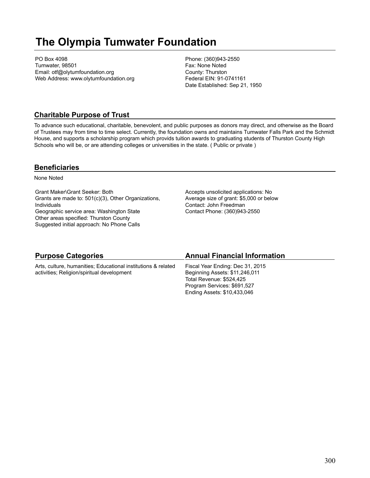# **The Olympia Tumwater Foundation**

PO Box 4098 Tumwater, 98501 Email: otf@olytumfoundation.org Web Address: www.olytumfoundation.org Phone: (360)943-2550 Fax: None Noted County: Thurston Federal EIN: 91-0741161 Date Established: Sep 21, 1950

### **Charitable Purpose of Trust**

To advance such educational, charitable, benevolent, and public purposes as donors may direct, and otherwise as the Board of Trustees may from time to time select. Currently, the foundation owns and maintains Tumwater Falls Park and the Schmidt House, and supports a scholarship program which provids tuition awards to graduating students of Thurston County High Schools who will be, or are attending colleges or universities in the state. ( Public or private )

#### **Beneficiaries**

None Noted

Grant Maker\Grant Seeker: Both Grants are made to: 501(c)(3), Other Organizations, Individuals Geographic service area: Washington State Other areas specified: Thurston County Suggested initial approach: No Phone Calls

Accepts unsolicited applications: No Average size of grant: \$5,000 or below Contact: John Freedman Contact Phone: (360)943-2550

| <b>Purpose Categories</b>                                     | <b>Annual Financial Information</b> |
|---------------------------------------------------------------|-------------------------------------|
| Arts, culture, humanities; Educational institutions & related | Fiscal Year Ending: Dec 31, 2015    |
| activities; Religion/spiritual development                    | Beginning Assets: \$11,246,011      |
|                                                               | Total Revenue: \$524,425            |
|                                                               | Program Services: \$691,527         |
|                                                               | Ending Assets: \$10,433,046         |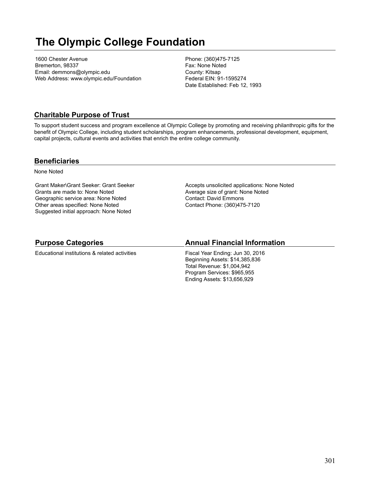# **The Olympic College Foundation**

1600 Chester Avenue Bremerton, 98337 Email: demmons@olympic.edu Web Address: www.olympic.edu/Foundation Phone: (360)475-7125 Fax: None Noted County: Kitsap Federal EIN: 91-1595274 Date Established: Feb 12, 1993

### **Charitable Purpose of Trust**

To support student success and program excellence at Olympic College by promoting and receiving philanthropic gifts for the benefit of Olympic College, including student scholarships, program enhancements, professional development, equipment, capital projects, cultural events and activities that enrich the entire college community.

#### **Beneficiaries**

None Noted

Grant Maker\Grant Seeker: Grant Seeker Grants are made to: None Noted Geographic service area: None Noted Other areas specified: None Noted Suggested initial approach: None Noted

Accepts unsolicited applications: None Noted Average size of grant: None Noted Contact: David Emmons Contact Phone: (360)475-7120

#### **Purpose Categories**

Educational institutions & related activities

#### **Annual Financial Information**

Fiscal Year Ending: Jun 30, 2016 Beginning Assets: \$14,385,836 Total Revenue: \$1,004,942 Program Services: \$965,955 Ending Assets: \$13,656,929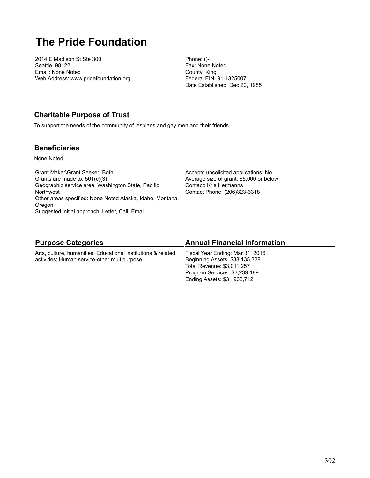# **The Pride Foundation**

2014 E Madison St Ste 300 Seattle, 98122 Email: None Noted Web Address: www.pridefoundation.org Phone: ()- Fax: None Noted County: King Federal EIN: 91-1325007 Date Established: Dec 20, 1985

### **Charitable Purpose of Trust**

To support the needs of the community of lesbians and gay men and their friends.

#### **Beneficiaries**

None Noted

Grant Maker\Grant Seeker: Both Grants are made to: 501(c)(3) Geographic service area: Washington State, Pacific Northwest Other areas specified: None Noted Alaska, Idaho, Montana, Oregon Suggested initial approach: Letter, Call, Email

Accepts unsolicited applications: No Average size of grant: \$5,000 or below Contact: Kris Hermanns Contact Phone: (206)323-3318

### **Purpose Categories**

Arts, culture, humanities; Educational institutions & related activities; Human service-other multipurpose

#### **Annual Financial Information**

Fiscal Year Ending: Mar 31, 2016 Beginning Assets: \$38,135,328 Total Revenue: \$3,011,257 Program Services: \$3,239,189 Ending Assets: \$31,908,712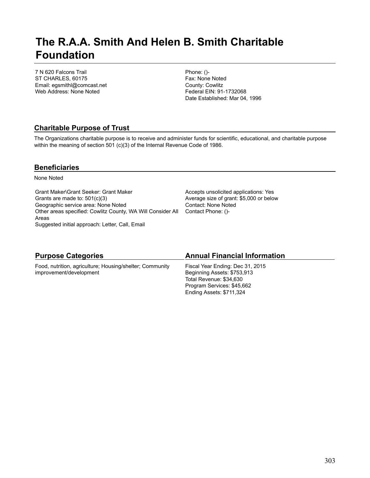# **The R.A.A. Smith And Helen B. Smith Charitable Foundation**

7 N 620 Falcons Trail ST CHARLES, 60175 Email: egsmithl@comcast.net Web Address: None Noted

Phone: ()- Fax: None Noted County: Cowlitz Federal EIN: 91-1732068 Date Established: Mar 04, 1996

### **Charitable Purpose of Trust**

The Organizations charitable purpose is to receive and administer funds for scientific, educational, and charitable purpose within the meaning of section 501 (c)(3) of the Internal Revenue Code of 1986.

#### **Beneficiaries**

None Noted

Grant Maker\Grant Seeker: Grant Maker Grants are made to: 501(c)(3) Geographic service area: None Noted Other areas specified: Cowlitz County, WA Will Consider All Contact Phone: ()- Areas Suggested initial approach: Letter, Call, Email

Accepts unsolicited applications: Yes Average size of grant: \$5,000 or below Contact: None Noted

| <b>Purpose Categories</b>                                | <b>Annual Financial Information</b> |
|----------------------------------------------------------|-------------------------------------|
| Food, nutrition, agriculture; Housing/shelter; Community | Fiscal Year Ending: Dec 31, 2015    |
| improvement/development                                  | Beginning Assets: \$753,913         |
|                                                          | Total Revenue: \$34,630             |
|                                                          | Program Services: \$45,662          |
|                                                          | Ending Assets: \$711,324            |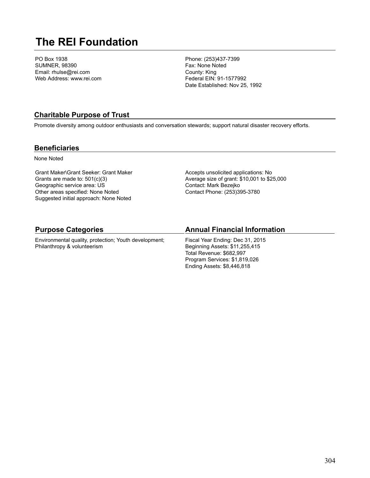# **The REI Foundation**

PO Box 1938 SUMNER, 98390 Email: rhulse@rei.com Web Address: www.rei.com Phone: (253)437-7399 Fax: None Noted County: King Federal EIN: 91-1577992 Date Established: Nov 25, 1992

### **Charitable Purpose of Trust**

Promote diversity among outdoor enthusiasts and conversation stewards; support natural disaster recovery efforts.

#### **Beneficiaries**

None Noted

Grant Maker\Grant Seeker: Grant Maker Grants are made to: 501(c)(3) Geographic service area: US Other areas specified: None Noted Suggested initial approach: None Noted Accepts unsolicited applications: No Average size of grant: \$10,001 to \$25,000 Contact: Mark Bezejko Contact Phone: (253)395-3780

#### **Purpose Categories**

Environmental quality, protection; Youth development; Philanthropy & volunteerism

#### **Annual Financial Information**

Fiscal Year Ending: Dec 31, 2015 Beginning Assets: \$11,255,415 Total Revenue: \$682,997 Program Services: \$1,819,026 Ending Assets: \$8,446,818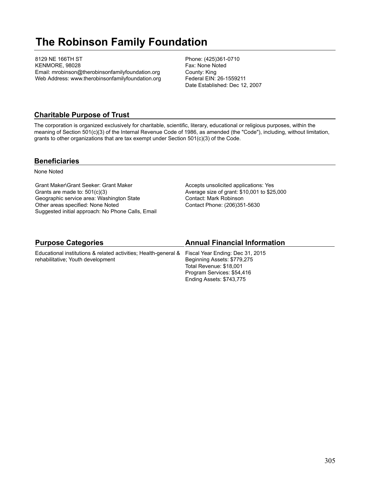# **The Robinson Family Foundation**

8129 NE 166TH ST KENMORE, 98028 Email: mrobinson@therobinsonfamilyfoundation.org Web Address: www.therobinsonfamilyfoundation.org Phone: (425)361-0710 Fax: None Noted County: King Federal EIN: 26-1559211 Date Established: Dec 12, 2007

### **Charitable Purpose of Trust**

The corporation is organized exclusively for charitable, scientific, literary, educational or religious purposes, within the meaning of Section 501(c)(3) of the Internal Revenue Code of 1986, as amended (the "Code"), including, without limitation, grants to other organizations that are tax exempt under Section 501(c)(3) of the Code.

#### **Beneficiaries**

None Noted

Grant Maker\Grant Seeker: Grant Maker Grants are made to: 501(c)(3) Geographic service area: Washington State Other areas specified: None Noted Suggested initial approach: No Phone Calls, Email Accepts unsolicited applications: Yes Average size of grant: \$10,001 to \$25,000 Contact: Mark Robinson Contact Phone: (206)351-5630

Ending Assets: \$743,775

| <b>Purpose Categories</b>                                                                        | <b>Annual Financial Information</b> |
|--------------------------------------------------------------------------------------------------|-------------------------------------|
| Educational institutions & related activities; Health-general & Fiscal Year Ending: Dec 31, 2015 |                                     |
| rehabilitative: Youth development                                                                | Beginning Assets: \$779,275         |
|                                                                                                  | Total Revenue: \$18,001             |
|                                                                                                  | Program Services: \$54,416          |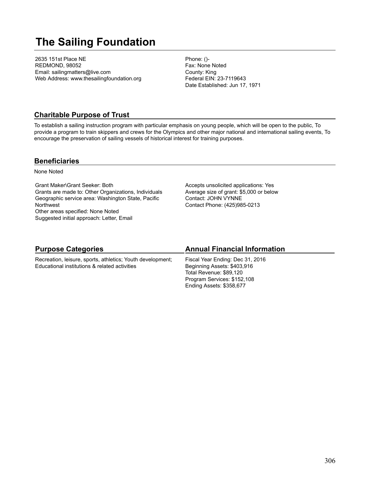# **The Sailing Foundation**

2635 151st Place NE REDMOND, 98052 Email: sailingmatters@live.com Web Address: www.thesailingfoundation.org Phone: ()- Fax: None Noted County: King Federal EIN: 23-7119643 Date Established: Jun 17, 1971

### **Charitable Purpose of Trust**

To establish a sailing instruction program with particular emphasis on young people, which will be open to the public, To provide a program to train skippers and crews for the Olympics and other major national and international sailing events, To encourage the preservation of sailing vessels of historical interest for training purposes.

#### **Beneficiaries**

None Noted

Grant Maker\Grant Seeker: Both Grants are made to: Other Organizations, Individuals Geographic service area: Washington State, Pacific **Northwest** Other areas specified: None Noted Suggested initial approach: Letter, Email

Accepts unsolicited applications: Yes Average size of grant: \$5,000 or below Contact: JOHN VYNNE Contact Phone: (425)985-0213

#### **Purpose Categories** Recreation, leisure, sports, athletics; Youth development; Educational institutions & related activities **Annual Financial Information** Fiscal Year Ending: Dec 31, 2016 Beginning Assets: \$403,916 Total Revenue: \$89,120 Program Services: \$152,108 Ending Assets: \$358,677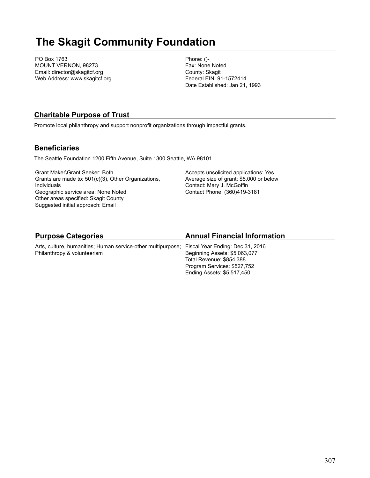# **The Skagit Community Foundation**

PO Box 1763 MOUNT VERNON, 98273 Email: director@skagitcf.org Web Address: www.skagitcf.org Phone: ()- Fax: None Noted County: Skagit Federal EIN: 91-1572414 Date Established: Jan 21, 1993

### **Charitable Purpose of Trust**

Promote local philanthropy and support nonprofit organizations through impactful grants.

### **Beneficiaries**

The Seattle Foundation 1200 Fifth Avenue, Suite 1300 Seattle, WA 98101

Grant Maker\Grant Seeker: Both Grants are made to: 501(c)(3), Other Organizations, Individuals Geographic service area: None Noted Other areas specified: Skagit County Suggested initial approach: Email

Accepts unsolicited applications: Yes Average size of grant: \$5,000 or below Contact: Mary J. McGoffin Contact Phone: (360)419-3181

# **Purpose Categories**

Arts, culture, humanities; Human service-other multipurpose; Fiscal Year Ending: Dec 31, 2016 Philanthropy & volunteerism

# **Annual Financial Information**

Beginning Assets: \$5,063,077 Total Revenue: \$854,388 Program Services: \$527,752 Ending Assets: \$5,517,450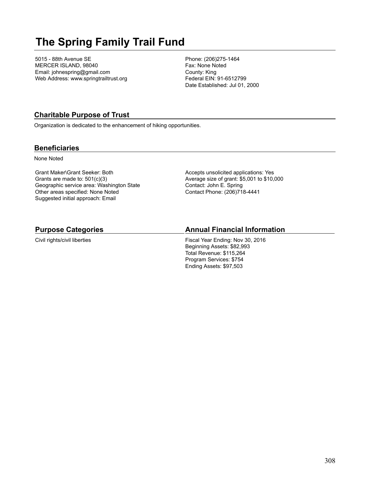# **The Spring Family Trail Fund**

5015 - 88th Avenue SE MERCER ISLAND, 98040 Email: johnespring@gmail.com Web Address: www.springtrailtrust.org Phone: (206)275-1464 Fax: None Noted County: King Federal EIN: 91-6512799 Date Established: Jul 01, 2000

### **Charitable Purpose of Trust**

Organization is dedicated to the enhancement of hiking opportunities.

#### **Beneficiaries**

None Noted

Grant Maker\Grant Seeker: Both Grants are made to: 501(c)(3) Geographic service area: Washington State Other areas specified: None Noted Suggested initial approach: Email

Accepts unsolicited applications: Yes Average size of grant: \$5,001 to \$10,000 Contact: John E. Spring Contact Phone: (206)718-4441

#### **Purpose Categories**

Civil rights/civil liberties

### **Annual Financial Information**

Fiscal Year Ending: Nov 30, 2016 Beginning Assets: \$82,993 Total Revenue: \$115,264 Program Services: \$754 Ending Assets: \$97,503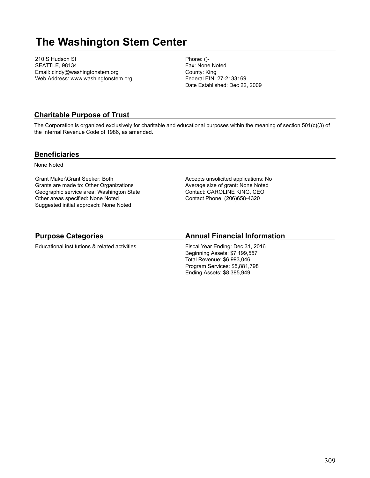# **The Washington Stem Center**

210 S Hudson St SEATTLE, 98134 Email: cindy@washingtonstem.org Web Address: www.washingtonstem.org Phone: ()- Fax: None Noted County: King Federal EIN: 27-2133169 Date Established: Dec 22, 2009

#### **Charitable Purpose of Trust**

The Corporation is organized exclusively for charitable and educational purposes within the meaning of section 501(c)(3) of the Internal Revenue Code of 1986, as amended.

#### **Beneficiaries**

None Noted

Grant Maker\Grant Seeker: Both Grants are made to: Other Organizations Geographic service area: Washington State Other areas specified: None Noted Suggested initial approach: None Noted

Accepts unsolicited applications: No Average size of grant: None Noted Contact: CAROLINE KING, CEO Contact Phone: (206)658-4320

# **Purpose Categories**

Educational institutions & related activities

### **Annual Financial Information**

Fiscal Year Ending: Dec 31, 2016 Beginning Assets: \$7,199,557 Total Revenue: \$6,993,046 Program Services: \$5,881,798 Ending Assets: \$8,385,949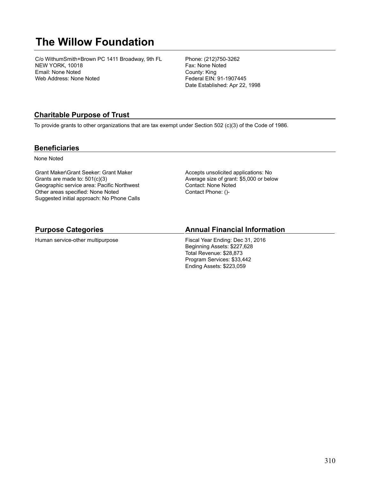# **The Willow Foundation**

C/o WithumSmith+Brown PC 1411 Broadway, 9th FL NEW YORK, 10018 Email: None Noted Web Address: None Noted

Phone: (212)750-3262 Fax: None Noted County: King Federal EIN: 91-1907445 Date Established: Apr 22, 1998

### **Charitable Purpose of Trust**

To provide grants to other organizations that are tax exempt under Section 502 (c)(3) of the Code of 1986.

#### **Beneficiaries**

None Noted

Grant Maker\Grant Seeker: Grant Maker Grants are made to: 501(c)(3) Geographic service area: Pacific Northwest Other areas specified: None Noted Suggested initial approach: No Phone Calls Accepts unsolicited applications: No Average size of grant: \$5,000 or below Contact: None Noted Contact Phone: ()-

#### **Purpose Categories**

Human service-other multipurpose

### **Annual Financial Information**

Fiscal Year Ending: Dec 31, 2016 Beginning Assets: \$227,628 Total Revenue: \$28,873 Program Services: \$33,442 Ending Assets: \$223,059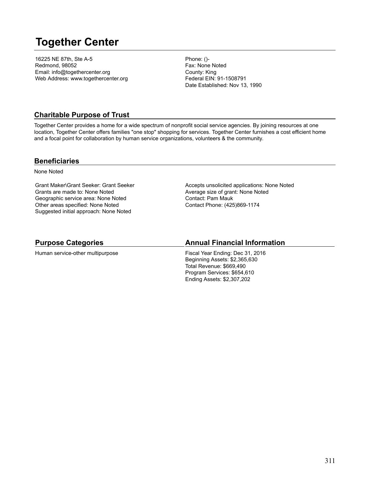# **Together Center**

16225 NE 87th, Ste A-5 Redmond, 98052 Email: info@togethercenter.org Web Address: www.togethercenter.org Phone: ()- Fax: None Noted County: King Federal EIN: 91-1508791 Date Established: Nov 13, 1990

### **Charitable Purpose of Trust**

Together Center provides a home for a wide spectrum of nonprofit social service agencies. By joining resources at one location, Together Center offers families "one stop" shopping for services. Together Center furnishes a cost efficient home and a focal point for collaboration by human service organizations, volunteers & the community.

#### **Beneficiaries**

None Noted

Grant Maker\Grant Seeker: Grant Seeker Grants are made to: None Noted Geographic service area: None Noted Other areas specified: None Noted Suggested initial approach: None Noted

Accepts unsolicited applications: None Noted Average size of grant: None Noted Contact: Pam Mauk Contact Phone: (425)869-1174

#### **Purpose Categories**

Human service-other multipurpose

#### **Annual Financial Information**

Fiscal Year Ending: Dec 31, 2016 Beginning Assets: \$2,365,630 Total Revenue: \$669,490 Program Services: \$654,610 Ending Assets: \$2,307,202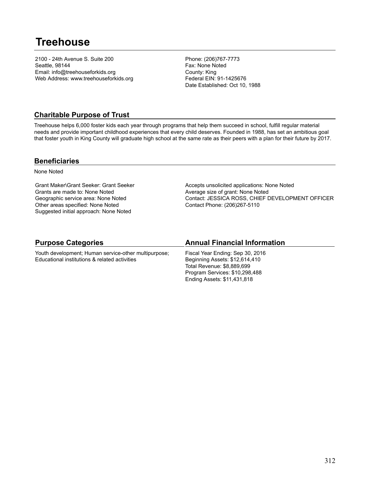# **Treehouse**

2100 - 24th Avenue S. Suite 200 Seattle, 98144 Email: info@treehouseforkids.org Web Address: www.treehouseforkids.org Phone: (206)767-7773 Fax: None Noted County: King Federal EIN: 91-1425676 Date Established: Oct 10, 1988

### **Charitable Purpose of Trust**

Treehouse helps 6,000 foster kids each year through programs that help them succeed in school, fulfill regular material needs and provide important childhood experiences that every child deserves. Founded in 1988, has set an ambitious goal that foster youth in King County will graduate high school at the same rate as their peers with a plan for their future by 2017.

#### **Beneficiaries**

None Noted

Grant Maker\Grant Seeker: Grant Seeker Grants are made to: None Noted Geographic service area: None Noted Other areas specified: None Noted Suggested initial approach: None Noted

Accepts unsolicited applications: None Noted Average size of grant: None Noted Contact: JESSICA ROSS, CHIEF DEVELOPMENT OFFICER Contact Phone: (206)267-5110

### **Purpose Categories**

Youth development; Human service-other multipurpose; Educational institutions & related activities

### **Annual Financial Information**

Fiscal Year Ending: Sep 30, 2016 Beginning Assets: \$12,614,410 Total Revenue: \$8,889,699 Program Services: \$10,298,488 Ending Assets: \$11,431,818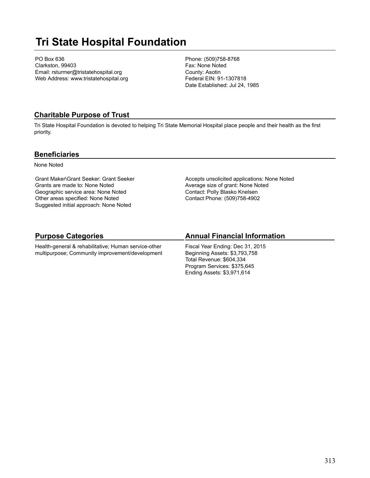# **Tri State Hospital Foundation**

PO Box 636 Clarkston, 99403 Email: rsturmer@tristatehospital.org Web Address: www.tristatehospital.org Phone: (509)758-8768 Fax: None Noted County: Asotin Federal EIN: 91-1307818 Date Established: Jul 24, 1985

### **Charitable Purpose of Trust**

Tri State Hospital Foundation is devoted to helping Tri State Memorial Hospital place people and their health as the first priority.

#### **Beneficiaries**

None Noted

Grant Maker\Grant Seeker: Grant Seeker Grants are made to: None Noted Geographic service area: None Noted Other areas specified: None Noted Suggested initial approach: None Noted

Accepts unsolicited applications: None Noted Average size of grant: None Noted Contact: Polly Blasko Knelsen Contact Phone: (509)758-4902

# **Purpose Categories**

Health-general & rehabilitative; Human service-other multipurpose; Community improvement/development

# **Annual Financial Information**

Fiscal Year Ending: Dec 31, 2015 Beginning Assets: \$3,793,758 Total Revenue: \$604,334 Program Services: \$375,645 Ending Assets: \$3,971,614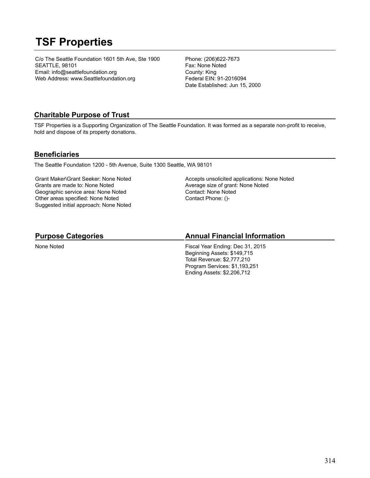# **TSF Properties**

C/o The Seattle Foundation 1601 5th Ave, Ste 1900 SEATTLE, 98101 Email: info@seattlefoundation.org Web Address: www.Seattlefoundation.org

Phone: (206)622-7673 Fax: None Noted County: King Federal EIN: 91-2016094 Date Established: Jun 15, 2000

### **Charitable Purpose of Trust**

TSF Properties is a Supporting Organization of The Seattle Foundation. It was formed as a separate non-profit to receive, hold and dispose of its property donations.

#### **Beneficiaries**

The Seattle Foundation 1200 - 5th Avenue, Suite 1300 Seattle, WA 98101

Grant Maker\Grant Seeker: None Noted Grants are made to: None Noted Geographic service area: None Noted Other areas specified: None Noted Suggested initial approach: None Noted Accepts unsolicited applications: None Noted Average size of grant: None Noted Contact: None Noted Contact Phone: ()-

### **Purpose Categories**

None Noted

# **Annual Financial Information**

Fiscal Year Ending: Dec 31, 2015 Beginning Assets: \$149,715 Total Revenue: \$2,777,210 Program Services: \$1,193,251 Ending Assets: \$2,206,712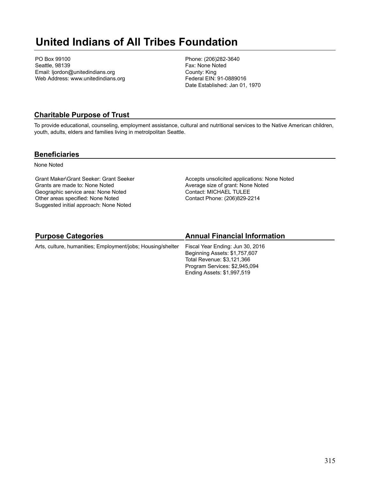# **United Indians of All Tribes Foundation**

PO Box 99100 Seattle, 98139 Email: ljordon@unitedindians.org Web Address: www.unitedindians.org Phone: (206)282-3640 Fax: None Noted County: King Federal EIN: 91-0889016 Date Established: Jan 01, 1970

### **Charitable Purpose of Trust**

To provide educational, counseling, employment assistance, cultural and nutritional services to the Native American children, youth, adults, elders and families living in metrolpolitan Seattle.

#### **Beneficiaries**

None Noted

Grant Maker\Grant Seeker: Grant Seeker Grants are made to: None Noted Geographic service area: None Noted Other areas specified: None Noted Suggested initial approach: None Noted

Accepts unsolicited applications: None Noted Average size of grant: None Noted Contact: MICHAEL TULEE Contact Phone: (206)829-2214

# **Purpose Categories**

Arts, culture, humanities; Employment/jobs; Housing/shelter

# **Annual Financial Information**

Fiscal Year Ending: Jun 30, 2016 Beginning Assets: \$1,757,607 Total Revenue: \$3,121,366 Program Services: \$2,945,094 Ending Assets: \$1,997,519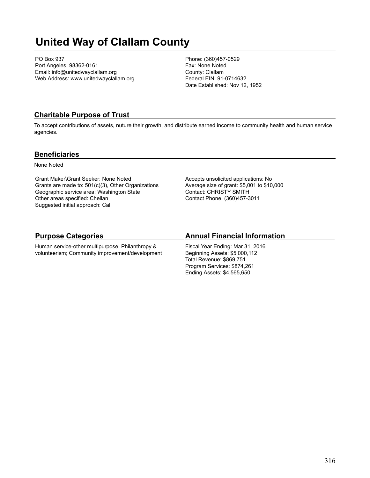# **United Way of Clallam County**

PO Box 937 Port Angeles, 98362-0161 Email: info@unitedwayclallam.org Web Address: www.unitedwayclallam.org Phone: (360)457-0529 Fax: None Noted County: Clallam Federal EIN: 91-0714632 Date Established: Nov 12, 1952

### **Charitable Purpose of Trust**

To accept contributions of assets, nuture their growth, and distribute earned income to community health and human service agencies.

#### **Beneficiaries**

None Noted

Grant Maker\Grant Seeker: None Noted Grants are made to: 501(c)(3), Other Organizations Geographic service area: Washington State Other areas specified: Chellan Suggested initial approach: Call

Accepts unsolicited applications: No Average size of grant: \$5,001 to \$10,000 Contact: CHRISTY SMITH Contact Phone: (360)457-3011

# **Purpose Categories**

Human service-other multipurpose; Philanthropy & volunteerism; Community improvement/development

### **Annual Financial Information**

Fiscal Year Ending: Mar 31, 2016 Beginning Assets: \$5,000,112 Total Revenue: \$869,751 Program Services: \$874,261 Ending Assets: \$4,565,650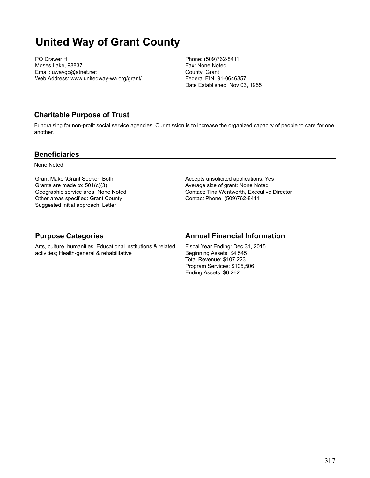# **United Way of Grant County**

PO Drawer H Moses Lake, 98837 Email: uwaygc@atnet.net Web Address: www.unitedway-wa.org/grant/ Phone: (509)762-8411 Fax: None Noted County: Grant Federal EIN: 91-0646357 Date Established: Nov 03, 1955

#### **Charitable Purpose of Trust**

Fundraising for non-profit social service agencies. Our mission is to increase the organized capacity of people to care for one another.

#### **Beneficiaries**

None Noted

Grant Maker\Grant Seeker: Both Grants are made to: 501(c)(3) Geographic service area: None Noted Other areas specified: Grant County Suggested initial approach: Letter

Accepts unsolicited applications: Yes Average size of grant: None Noted Contact: Tina Wentworth, Executive Director Contact Phone: (509)762-8411

### **Purpose Categories**

Arts, culture, humanities; Educational institutions & related activities; Health-general & rehabilitative

#### **Annual Financial Information**

Fiscal Year Ending: Dec 31, 2015 Beginning Assets: \$4,545 Total Revenue: \$107,223 Program Services: \$105,506 Ending Assets: \$6,262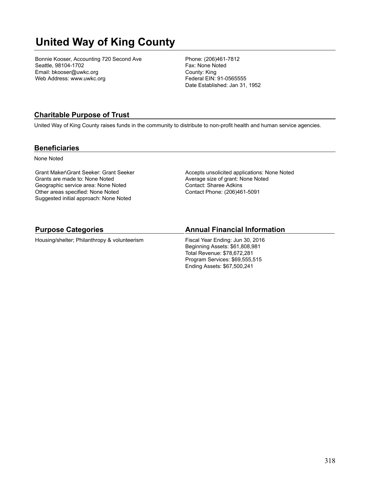# **United Way of King County**

Bonnie Kooser, Accounting 720 Second Ave Seattle, 98104-1702 Email: bkooser@uwkc.org Web Address: www.uwkc.org

Phone: (206)461-7812 Fax: None Noted County: King Federal EIN: 91-0565555 Date Established: Jan 31, 1952

### **Charitable Purpose of Trust**

United Way of King County raises funds in the community to distribute to non-profit health and human service agencies.

#### **Beneficiaries**

None Noted

Grant Maker\Grant Seeker: Grant Seeker Grants are made to: None Noted Geographic service area: None Noted Other areas specified: None Noted Suggested initial approach: None Noted

Accepts unsolicited applications: None Noted Average size of grant: None Noted Contact: Sharee Adkins Contact Phone: (206)461-5091

#### **Purpose Categories**

Housing/shelter; Philanthropy & volunteerism

#### **Annual Financial Information**

Fiscal Year Ending: Jun 30, 2016 Beginning Assets: \$61,808,981 Total Revenue: \$78,672,281 Program Services: \$69,555,515 Ending Assets: \$67,500,241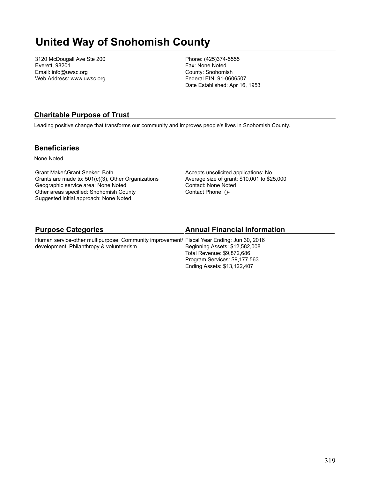# **United Way of Snohomish County**

3120 McDougall Ave Ste 200 Everett, 98201 Email: info@uwsc.org Web Address: www.uwsc.org Phone: (425)374-5555 Fax: None Noted County: Snohomish Federal EIN: 91-0606507 Date Established: Apr 16, 1953

### **Charitable Purpose of Trust**

Leading positive change that transforms our community and improves people's lives in Snohomish County.

#### **Beneficiaries**

None Noted

Grant Maker\Grant Seeker: Both Grants are made to: 501(c)(3), Other Organizations Geographic service area: None Noted Other areas specified: Snohomish County Suggested initial approach: None Noted

Accepts unsolicited applications: No Average size of grant: \$10,001 to \$25,000 Contact: None Noted Contact Phone: ()-

Ending Assets: \$13,122,407

| <b>Purpose Categories</b>                                                                 | <b>Annual Financial Information</b> |
|-------------------------------------------------------------------------------------------|-------------------------------------|
| Human service-other multipurpose; Community improvement/ Fiscal Year Ending: Jun 30, 2016 |                                     |
| development; Philanthropy & volunteerism                                                  | Beginning Assets: \$12,582,008      |
|                                                                                           | Total Revenue: \$9.872.686          |
|                                                                                           | Program Services: \$9,177,563       |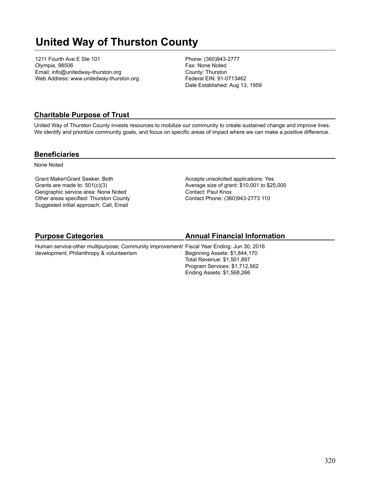# **United Way of Thurston County**

1211 Fourth Ave E Ste 101 Olympia, 98506 Email: info@unitedway-thurston.org Web Address: www.unitedway-thurston.org Phone: (360)943-2777 Fax: None Noted County: Thurston Federal EIN: 91-0713462 Date Established: Aug 13, 1959

#### **Charitable Purpose of Trust**

United Way of Thurston County invests resources to mobilize our community to create sustained change and improve lives. We identify and prioritize community goals, and focus on specific areas of impact where we can make a positive difference.

#### **Beneficiaries**

None Noted

Grant Maker\Grant Seeker: Both Grants are made to: 501(c)(3) Geographic service area: None Noted Other areas specified: Thurston County Suggested initial approach: Call, Email

Accepts unsolicited applications: Yes Average size of grant: \$10,001 to \$25,000 Contact: Paul Knox Contact Phone: (360)943-2773 110

### **Purpose Categories**

### **Annual Financial Information**

Human service-other multipurpose; Community improvement/ Fiscal Year Ending: Jun 30, 2016 development; Philanthropy & volunteerism Beginning Assets: \$1,844,170 Total Revenue: \$1,501,897 Program Services: \$1,712,562 Ending Assets: \$1,568,266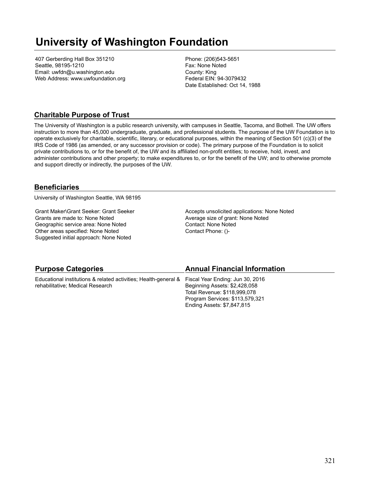# **University of Washington Foundation**

407 Gerberding Hall Box 351210 Seattle, 98195-1210 Email: uwfdn@u.washington.edu Web Address: www.uwfoundation.org Phone: (206)543-5651 Fax: None Noted County: King Federal EIN: 94-3079432 Date Established: Oct 14, 1988

### **Charitable Purpose of Trust**

The University of Washington is a public research university, with campuses in Seattle, Tacoma, and Bothell. The UW offers instruction to more than 45,000 undergraduate, graduate, and professional students. The purpose of the UW Foundation is to operate exclusively for charitable, scientific, literary, or educational purposes, within the meaning of Section 501 (c)(3) of the IRS Code of 1986 (as amended, or any successor provision or code). The primary purpose of the Foundation is to solicit private contributions to, or for the benefit of, the UW and its affiliated non-profit entities; to receive, hold, invest, and administer contributions and other property; to make expenditures to, or for the benefit of the UW; and to otherwise promote and support directly or indirectly, the purposes of the UW.

#### **Beneficiaries**

University of Washington Seattle, WA 98195

Grant Maker\Grant Seeker: Grant Seeker Grants are made to: None Noted Geographic service area: None Noted Other areas specified: None Noted Suggested initial approach: None Noted

Accepts unsolicited applications: None Noted Average size of grant: None Noted Contact: None Noted Contact Phone: ()-

| <b>Purpose Categories</b>                                                                        | <b>Annual Financial Information</b> |
|--------------------------------------------------------------------------------------------------|-------------------------------------|
| Educational institutions & related activities; Health-general & Fiscal Year Ending: Jun 30, 2016 |                                     |
| rehabilitative; Medical Research                                                                 | Beginning Assets: \$2,428,058       |
|                                                                                                  | Total Revenue: \$118,999,078        |
|                                                                                                  | Program Services: \$113,579,321     |
|                                                                                                  | Ending Assets: \$7,847,815          |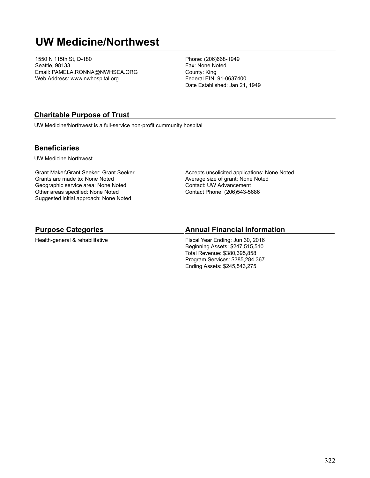# **UW Medicine/Northwest**

1550 N 115th St, D-180 Seattle, 98133 Email: PAMELA.RONNA@NWHSEA.ORG Web Address: www.nwhospital.org

Phone: (206)668-1949 Fax: None Noted County: King Federal EIN: 91-0637400 Date Established: Jan 21, 1949

### **Charitable Purpose of Trust**

UW Medicine/Northwest is a full-service non-profit cummunity hospital

#### **Beneficiaries**

UW Medicine Northwest

Grant Maker\Grant Seeker: Grant Seeker Grants are made to: None Noted Geographic service area: None Noted Other areas specified: None Noted Suggested initial approach: None Noted

Accepts unsolicited applications: None Noted Average size of grant: None Noted Contact: UW Advancement Contact Phone: (206)543-5686

#### **Purpose Categories**

Health-general & rehabilitative

#### **Annual Financial Information**

Fiscal Year Ending: Jun 30, 2016 Beginning Assets: \$247,515,510 Total Revenue: \$380,395,858 Program Services: \$385,284,367 Ending Assets: \$245,543,275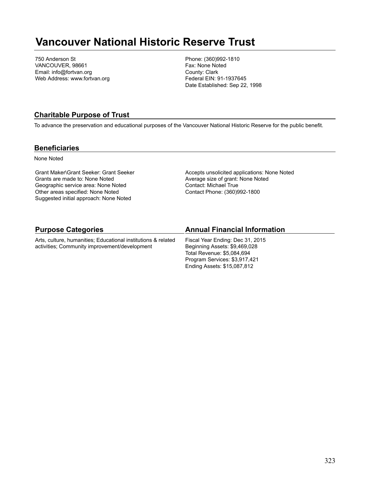# **Vancouver National Historic Reserve Trust**

750 Anderson St VANCOUVER, 98661 Email: info@fortvan.org Web Address: www.fortvan.org Phone: (360)992-1810 Fax: None Noted County: Clark Federal EIN: 91-1937645 Date Established: Sep 22, 1998

### **Charitable Purpose of Trust**

To advance the preservation and educational purposes of the Vancouver National Historic Reserve for the public benefit.

#### **Beneficiaries**

None Noted

Grant Maker\Grant Seeker: Grant Seeker Grants are made to: None Noted Geographic service area: None Noted Other areas specified: None Noted Suggested initial approach: None Noted

Accepts unsolicited applications: None Noted Average size of grant: None Noted Contact: Michael True Contact Phone: (360)992-1800

Program Services: \$3,917,421 Ending Assets: \$15,087,812

| <b>Purpose Categories</b>                                                                                      | <b>Annual Financial Information</b>                               |
|----------------------------------------------------------------------------------------------------------------|-------------------------------------------------------------------|
| Arts, culture, humanities: Educational institutions & related<br>activities; Community improvement/development | Fiscal Year Ending: Dec 31, 2015<br>Beginning Assets: \$9,469,028 |
|                                                                                                                | Total Revenue: \$5.084.694                                        |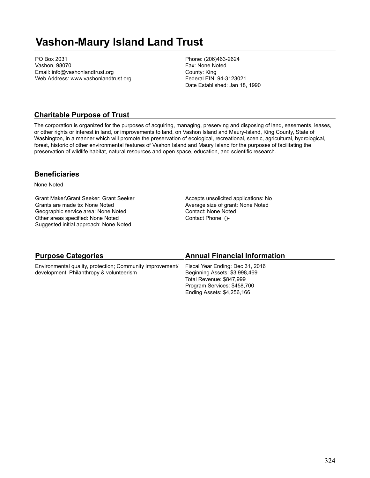# **Vashon-Maury Island Land Trust**

PO Box 2031 Vashon, 98070 Email: info@vashonlandtrust.org Web Address: www.vashonlandtrust.org Phone: (206)463-2624 Fax: None Noted County: King Federal EIN: 94-3123021 Date Established: Jan 18, 1990

### **Charitable Purpose of Trust**

The corporation is organized for the purposes of acquiring, managing, preserving and disposing of land, easements, leases, or other rights or interest in land, or improvements to land, on Vashon Island and Maury-Island, King County, State of Washington, in a manner which will promote the preservation of ecological, recreational, scenic, agricultural, hydrological, forest, historic of other environmental features of Vashon Island and Maury Island for the purposes of facilitating the preservation of wildlife habitat, natural resources and open space, education, and scientific research.

#### **Beneficiaries**

None Noted

Grant Maker\Grant Seeker: Grant Seeker Grants are made to: None Noted Geographic service area: None Noted Other areas specified: None Noted Suggested initial approach: None Noted

Accepts unsolicited applications: No Average size of grant: None Noted Contact: None Noted Contact Phone: ()-

| <b>Purpose Categories</b>                                 | <b>Annual Financial Information</b> |
|-----------------------------------------------------------|-------------------------------------|
| Environmental quality, protection; Community improvement/ | Fiscal Year Ending: Dec 31, 2016    |
| development; Philanthropy & volunteerism                  | Beginning Assets: \$3,998,469       |
|                                                           | Total Revenue: \$847,999            |
|                                                           | Program Services: \$458,700         |
|                                                           | Ending Assets: \$4,256,166          |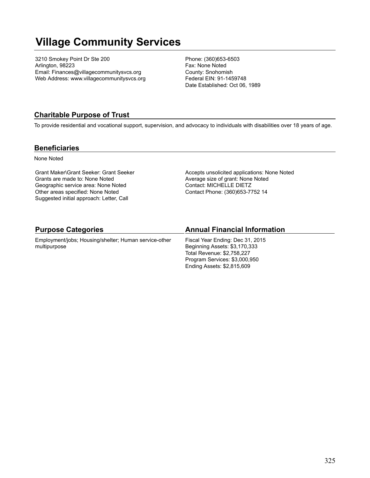# **Village Community Services**

3210 Smokey Point Dr Ste 200 Arlington, 98223 Email: Finances@villagecommunitysvcs.org Web Address: www.villagecommunitysvcs.org Phone: (360)653-6503 Fax: None Noted County: Snohomish Federal EIN: 91-1459748 Date Established: Oct 06, 1989

### **Charitable Purpose of Trust**

To provide residential and vocational support, supervision, and advocacy to individuals with disabilities over 18 years of age.

### **Beneficiaries**

None Noted

Grant Maker\Grant Seeker: Grant Seeker Grants are made to: None Noted Geographic service area: None Noted Other areas specified: None Noted Suggested initial approach: Letter, Call

Accepts unsolicited applications: None Noted Average size of grant: None Noted Contact: MICHELLE DIETZ Contact Phone: (360)653-7752 14

| <b>Purpose Categories</b>                             | <b>Annual Financial Information</b> |
|-------------------------------------------------------|-------------------------------------|
| Employment/jobs; Housing/shelter; Human service-other | Fiscal Year Ending: Dec 31, 2015    |
| multipurpose                                          | Beginning Assets: \$3,170,333       |
|                                                       | Total Revenue: \$2,758,227          |
|                                                       | Program Services: \$3,000,950       |
|                                                       | Ending Assets: \$2,815,609          |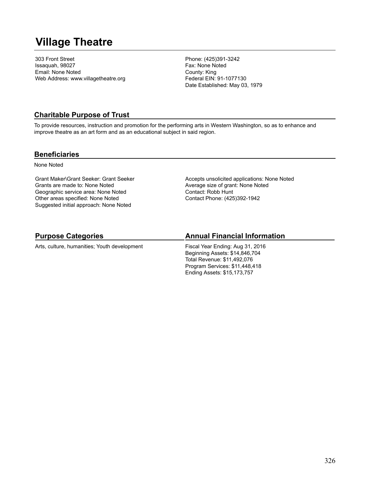# **Village Theatre**

303 Front Street Issaquah, 98027 Email: None Noted Web Address: www.villagetheatre.org Phone: (425)391-3242 Fax: None Noted County: King Federal EIN: 91-1077130 Date Established: May 03, 1979

### **Charitable Purpose of Trust**

To provide resources, instruction and promotion for the performing arts in Western Washington, so as to enhance and improve theatre as an art form and as an educational subject in said region.

### **Beneficiaries**

None Noted

Grant Maker\Grant Seeker: Grant Seeker Grants are made to: None Noted Geographic service area: None Noted Other areas specified: None Noted Suggested initial approach: None Noted

Accepts unsolicited applications: None Noted Average size of grant: None Noted Contact: Robb Hunt Contact Phone: (425)392-1942

## **Purpose Categories**

Arts, culture, humanities; Youth development

## **Annual Financial Information**

Fiscal Year Ending: Aug 31, 2016 Beginning Assets: \$14,846,704 Total Revenue: \$11,492,076 Program Services: \$11,448,418 Ending Assets: \$15,173,757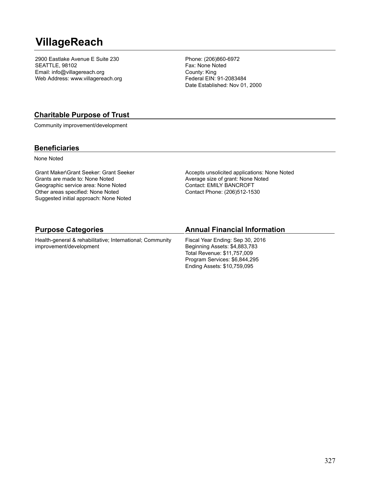# **VillageReach**

2900 Eastlake Avenue E Suite 230 SEATTLE, 98102 Email: info@villagereach.org Web Address: www.villagereach.org Phone: (206)860-6972 Fax: None Noted County: King Federal EIN: 91-2083484 Date Established: Nov 01, 2000

### **Charitable Purpose of Trust**

Community improvement/development

### **Beneficiaries**

None Noted

Grant Maker\Grant Seeker: Grant Seeker Grants are made to: None Noted Geographic service area: None Noted Other areas specified: None Noted Suggested initial approach: None Noted

Accepts unsolicited applications: None Noted Average size of grant: None Noted Contact: EMILY BANCROFT Contact Phone: (206)512-1530

| <b>Purpose Categories</b>                                 | <b>Annual Financial Information</b> |  |
|-----------------------------------------------------------|-------------------------------------|--|
| Health-general & rehabilitative; International; Community | Fiscal Year Ending: Sep 30, 2016    |  |
| improvement/development                                   | Beginning Assets: \$4,883,783       |  |

Beginning Assets: \$4,883,783 Total Revenue: \$11,757,009 Program Services: \$6,844,295 Ending Assets: \$10,759,095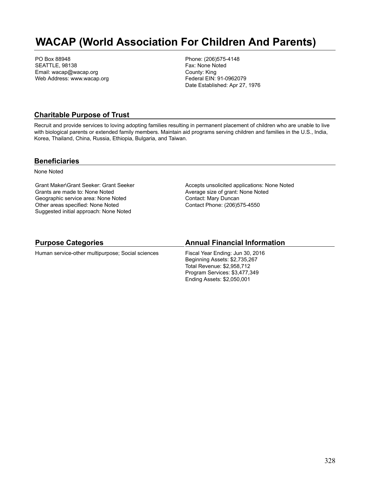# **WACAP (World Association For Children And Parents)**

PO Box 88948 SEATTLE, 98138 Email: wacap@wacap.org Web Address: www.wacap.org Phone: (206)575-4148 Fax: None Noted County: King Federal EIN: 91-0962079 Date Established: Apr 27, 1976

### **Charitable Purpose of Trust**

Recruit and provide services to loving adopting families resulting in permanent placement of children who are unable to live with biological parents or extended family members. Maintain aid programs serving children and families in the U.S., India, Korea, Thailand, China, Russia, Ethiopia, Bulgaria, and Taiwan.

### **Beneficiaries**

None Noted

Grant Maker\Grant Seeker: Grant Seeker Grants are made to: None Noted Geographic service area: None Noted Other areas specified: None Noted Suggested initial approach: None Noted

Accepts unsolicited applications: None Noted Average size of grant: None Noted Contact: Mary Duncan Contact Phone: (206)575-4550

### **Purpose Categories**

Human service-other multipurpose; Social sciences

### **Annual Financial Information**

Fiscal Year Ending: Jun 30, 2016 Beginning Assets: \$2,735,267 Total Revenue: \$2,958,712 Program Services: \$3,477,349 Ending Assets: \$2,050,001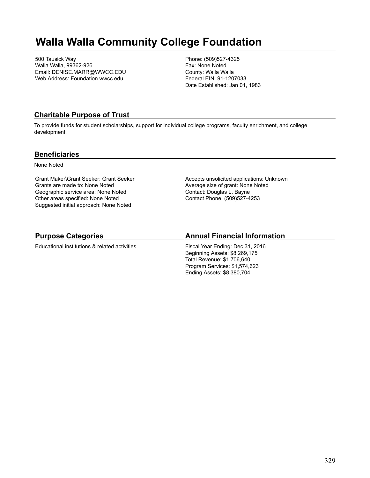# **Walla Walla Community College Foundation**

500 Tausick Way Walla Walla, 99362-926 Email: DENISE.MARR@WWCC.EDU Web Address: Foundation.wwcc.edu

Phone: (509)527-4325 Fax: None Noted County: Walla Walla Federal EIN: 91-1207033 Date Established: Jan 01, 1983

### **Charitable Purpose of Trust**

To provide funds for student scholarships, support for individual college programs, faculty enrichment, and college development.

### **Beneficiaries**

None Noted

Grant Maker\Grant Seeker: Grant Seeker Grants are made to: None Noted Geographic service area: None Noted Other areas specified: None Noted Suggested initial approach: None Noted

Accepts unsolicited applications: Unknown Average size of grant: None Noted Contact: Douglas L. Bayne Contact Phone: (509)527-4253

## **Purpose Categories**

Educational institutions & related activities

## **Annual Financial Information**

Fiscal Year Ending: Dec 31, 2016 Beginning Assets: \$8,269,175 Total Revenue: \$1,706,640 Program Services: \$1,574,623 Ending Assets: \$8,380,704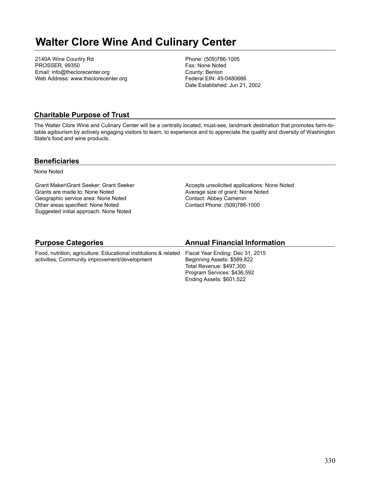# **Walter Clore Wine And Culinary Center**

2140A Wine Country Rd PROSSER, 99350 Email: info@theclorecenter.org Web Address: www.theclorecenter.org Phone: (509)786-1005 Fax: None Noted County: Benton Federal EIN: 45-0480666 Date Established: Jun 21, 2002

### **Charitable Purpose of Trust**

The Walter Clore Wine and Culinary Center will be a centrally located, must-see, landmark destination that promotes farm-totable agitourism by actively engaging visitors to learn, to experience and to appreciate the quality and diversity of Washington State's food and wine products.

### **Beneficiaries**

None Noted

Grant Maker\Grant Seeker: Grant Seeker Grants are made to: None Noted Geographic service area: None Noted Other areas specified: None Noted Suggested initial approach: None Noted

Accepts unsolicited applications: None Noted Average size of grant: None Noted Contact: Abbey Cameron Contact Phone: (509)786-1000

Ending Assets: \$601,522

| <b>Purpose Categories</b>                                        | <b>Annual Financial Information</b> |
|------------------------------------------------------------------|-------------------------------------|
| Food, nutrition, agriculture; Educational institutions & related | Fiscal Year Ending: Dec 31, 2015    |
| activities; Community improvement/development                    | Beginning Assets: \$589,822         |
|                                                                  | Total Revenue: \$497,300            |
|                                                                  | Program Services: \$436,592         |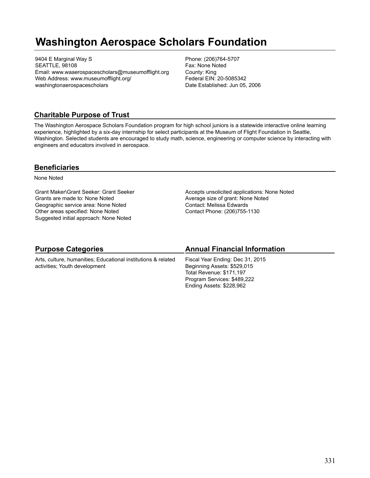# **Washington Aerospace Scholars Foundation**

9404 E Marginal Way S SEATTLE, 98108 Email: www.waaerospacescholars@museumofflight.org Web Address: www.museumofflight.org/ washingtonaerospacescholars

Phone: (206)764-5707 Fax: None Noted County: King Federal EIN: 20-5085342 Date Established: Jun 05, 2006

## **Charitable Purpose of Trust**

The Washington Aerospace Scholars Foundation program for high school juniors is a statewide interactive online learning experience, highlighted by a six-day internship for select participants at the Museum of Flight Foundation in Seattle, Washington. Selected students are encouraged to study math, science, engineering or computer science by interacting with engineers and educators involved in aerospace.

### **Beneficiaries**

None Noted

Grant Maker\Grant Seeker: Grant Seeker Grants are made to: None Noted Geographic service area: None Noted Other areas specified: None Noted Suggested initial approach: None Noted

Accepts unsolicited applications: None Noted Average size of grant: None Noted Contact: Melissa Edwards Contact Phone: (206)755-1130

| <b>Purpose Categories</b>                                                                      | <b>Annual Financial Information</b>                                                                                                                    |
|------------------------------------------------------------------------------------------------|--------------------------------------------------------------------------------------------------------------------------------------------------------|
| Arts, culture, humanities; Educational institutions & related<br>activities; Youth development | Fiscal Year Ending: Dec 31, 2015<br>Beginning Assets: \$529,015<br>Total Revenue: \$171,197<br>Program Services: \$489,222<br>Ending Assets: \$228,962 |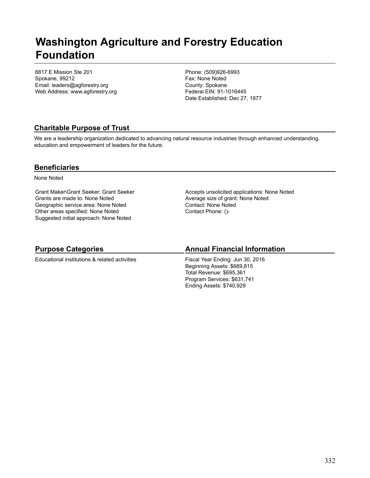## **Washington Agriculture and Forestry Education Foundation**

8817 E Mission Ste 201 Spokane, 99212 Email: leaders@agforestry.org Web Address: www.agforestry.org Phone: (509)926-6993 Fax: None Noted County: Spokane Federal EIN: 91-1016445 Date Established: Dec 27, 1977

## **Charitable Purpose of Trust**

We are a leadership organization dedicated to advancing natural resource industries through enhanced understanding, education and empowerment of leaders for the future.

### **Beneficiaries**

None Noted

Grant Maker\Grant Seeker: Grant Seeker Grants are made to: None Noted Geographic service area: None Noted Other areas specified: None Noted Suggested initial approach: None Noted

Accepts unsolicited applications: None Noted Average size of grant: None Noted Contact: None Noted Contact Phone: ()-

### **Purpose Categories**

Educational institutions & related activities

### **Annual Financial Information**

Fiscal Year Ending: Jun 30, 2016 Beginning Assets: \$689,815 Total Revenue: \$695,361 Program Services: \$631,741 Ending Assets: \$740,929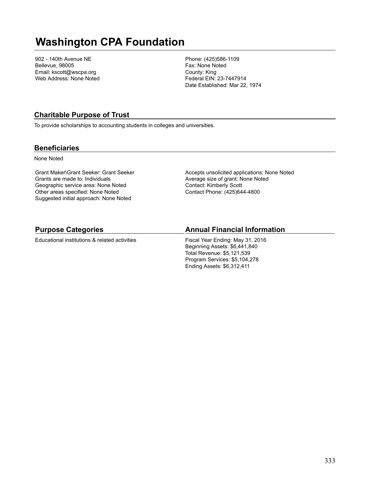# **Washington CPA Foundation**

902 - 140th Avenue NE Bellevue, 98005 Email: kscott@wscpa.org Web Address: None Noted Phone: (425)586-1109 Fax: None Noted County: King Federal EIN: 23-7447914 Date Established: Mar 22, 1974

### **Charitable Purpose of Trust**

To provide scholarships to accounting students in colleges and universities.

### **Beneficiaries**

None Noted

Grant Maker\Grant Seeker: Grant Seeker Grants are made to: Individuals Geographic service area: None Noted Other areas specified: None Noted Suggested initial approach: None Noted

Accepts unsolicited applications: None Noted Average size of grant: None Noted Contact: Kimberly Scott Contact Phone: (425)644-4800

### **Purpose Categories**

Educational institutions & related activities

### **Annual Financial Information**

Fiscal Year Ending: May 31, 2016 Beginning Assets: \$6,441,840 Total Revenue: \$5,121,539 Program Services: \$5,104,278 Ending Assets: \$6,312,411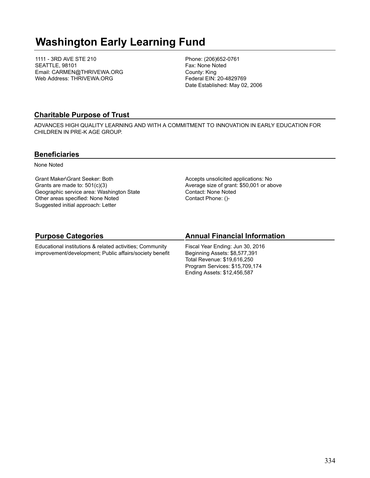# **Washington Early Learning Fund**

1111 - 3RD AVE STE 210 SEATTLE, 98101 Email: CARMEN@THRIVEWA.ORG Web Address: THRIVEWA.ORG

Phone: (206)652-0761 Fax: None Noted County: King Federal EIN: 20-4829769 Date Established: May 02, 2006

### **Charitable Purpose of Trust**

ADVANCES HIGH QUALITY LEARNING AND WITH A COMMITMENT TO INNOVATION IN EARLY EDUCATION FOR CHILDREN IN PRE-K AGE GROUP.

### **Beneficiaries**

None Noted

Grant Maker\Grant Seeker: Both Grants are made to: 501(c)(3) Geographic service area: Washington State Other areas specified: None Noted Suggested initial approach: Letter

Accepts unsolicited applications: No Average size of grant: \$50,001 or above Contact: None Noted Contact Phone: ()-

## **Purpose Categories**

Educational institutions & related activities; Community improvement/development; Public affairs/society benefit

### **Annual Financial Information**

Fiscal Year Ending: Jun 30, 2016 Beginning Assets: \$8,577,391 Total Revenue: \$19,616,250 Program Services: \$15,709,174 Ending Assets: \$12,456,587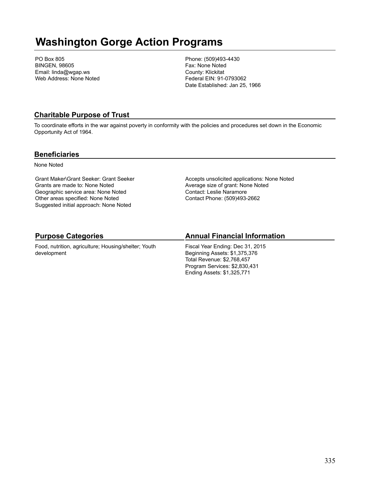# **Washington Gorge Action Programs**

PO Box 805 BINGEN, 98605 Email: linda@wgap.ws Web Address: None Noted Phone: (509)493-4430 Fax: None Noted County: Klickitat Federal EIN: 91-0793062 Date Established: Jan 25, 1966

### **Charitable Purpose of Trust**

To coordinate efforts in the war against poverty in conformity with the policies and procedures set down in the Economic Opportunity Act of 1964.

### **Beneficiaries**

None Noted

Grant Maker\Grant Seeker: Grant Seeker Grants are made to: None Noted Geographic service area: None Noted Other areas specified: None Noted Suggested initial approach: None Noted

Accepts unsolicited applications: None Noted Average size of grant: None Noted Contact: Leslie Naramore Contact Phone: (509)493-2662

## **Purpose Categories**

Food, nutrition, agriculture; Housing/shelter; Youth development

### **Annual Financial Information**

Fiscal Year Ending: Dec 31, 2015 Beginning Assets: \$1,375,376 Total Revenue: \$2,768,457 Program Services: \$2,830,431 Ending Assets: \$1,325,771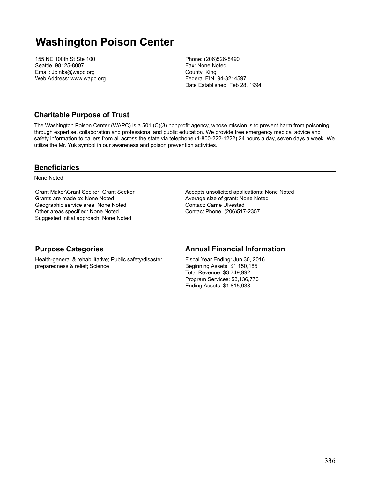# **Washington Poison Center**

155 NE 100th St Ste 100 Seattle, 98125-8007 Email: Jbinks@wapc.org Web Address: www.wapc.org Phone: (206)526-8490 Fax: None Noted County: King Federal EIN: 94-3214597 Date Established: Feb 28, 1994

### **Charitable Purpose of Trust**

The Washington Poison Center (WAPC) is a 501 (C)(3) nonprofit agency, whose mission is to prevent harm from poisoning through expertise, collaboration and professional and public education. We provide free emergency medical advice and safety information to callers from all across the state via telephone (1-800-222-1222) 24 hours a day, seven days a week. We utilize the Mr. Yuk symbol in our awareness and poison prevention activities.

### **Beneficiaries**

None Noted

Grant Maker\Grant Seeker: Grant Seeker Grants are made to: None Noted Geographic service area: None Noted Other areas specified: None Noted Suggested initial approach: None Noted

Accepts unsolicited applications: None Noted Average size of grant: None Noted Contact: Carrie Ulvestad Contact Phone: (206)517-2357

### **Purpose Categories**

Health-general & rehabilitative; Public safety/disaster preparedness & relief; Science

### **Annual Financial Information**

Fiscal Year Ending: Jun 30, 2016 Beginning Assets: \$1,150,185 Total Revenue: \$3,749,992 Program Services: \$3,136,770 Ending Assets: \$1,815,038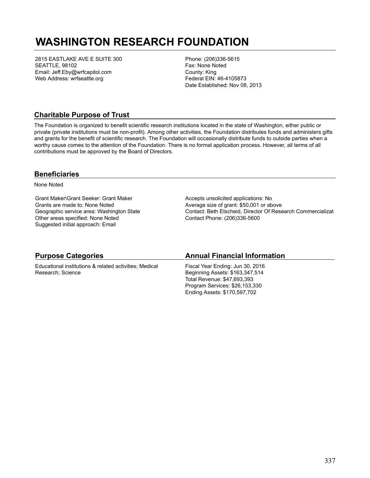# **WASHINGTON RESEARCH FOUNDATION**

2815 EASTLAKE AVE E SUITE 300 SEATTLE, 98102 Email: Jeff.Eby@wrfcapitol.com Web Address: wrfseattle.org

Phone: (206)336-5615 Fax: None Noted County: King Federal EIN: 46-4105873 Date Established: Nov 08, 2013

### **Charitable Purpose of Trust**

The Foundation is organized to benefit scientific research institutions located in the state of Washington, either public or private (private institutions must be non-profit). Among other activities, the Foundation distributes funds and administers gifts and grants for the benefit of scientific research. The Foundation will occasionally distribute funds to outside parties when a worthy cause comes to the attention of the Foundation. There is no formal application process. However, all terms of all contributions must be approved by the Board of Directors.

### **Beneficiaries**

None Noted

Grant Maker\Grant Seeker: Grant Maker Grants are made to: None Noted Geographic service area: Washington State Other areas specified: None Noted Suggested initial approach: Email

Accepts unsolicited applications: No Average size of grant: \$50,001 or above Contact: Beth Etscheid, Director Of Research Commercializat Contact Phone: (206)336-5600

## **Purpose Categories**

Educational institutions & related activities; Medical Research; Science

### **Annual Financial Information**

Fiscal Year Ending: Jun 30, 2016 Beginning Assets: \$163,347,514 Total Revenue: \$47,693,393 Program Services: \$26,153,330 Ending Assets: \$170,597,702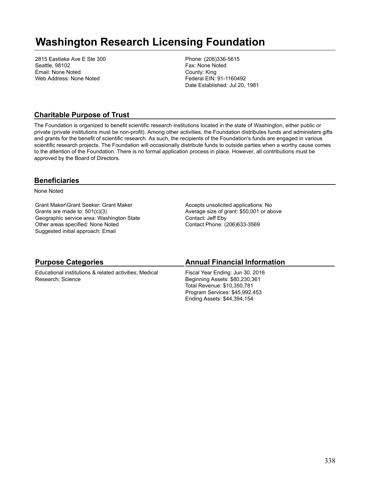# **Washington Research Licensing Foundation**

2815 Eastlake Ave E Ste 300 Seattle, 98102 Email: None Noted Web Address: None Noted

Phone: (206)336-5615 Fax: None Noted County: King Federal EIN: 91-1160492 Date Established: Jul 20, 1981

### **Charitable Purpose of Trust**

The Foundation is organized to benefit scientific research institutions located in the state of Washington, either public or private (private institutions must be non-profit). Among other activities, the Foundation distributes funds and administers gifts and grants for the benefit of scientific research. As such, the recipients of the Foundation's funds are engaged in various scientific research projects. The Foundation will occasionally distribute funds to outside parties when a worthy cause comes to the attention of the Foundation. There is no formal application process in place. However, all contributions must be approved by the Board of Directors.

### **Beneficiaries**

None Noted

Grant Maker\Grant Seeker: Grant Maker Grants are made to: 501(c)(3) Geographic service area: Washington State Other areas specified: None Noted Suggested initial approach: Email

Accepts unsolicited applications: No Average size of grant: \$50,001 or above Contact: Jeff Eby Contact Phone: (206)633-3569

| <b>Purpose Categories</b>                              | <b>Annual Financial Information</b> |
|--------------------------------------------------------|-------------------------------------|
| Educational institutions & related activities; Medical | Fiscal Year Ending: Jun 30, 2016    |
| Research; Science                                      | Beginning Assets: \$80,230,361      |
|                                                        | Total Revenue: \$10.350.781         |
|                                                        | Program Services: \$45,992,453      |
|                                                        | Ending Assets: \$44,394,154         |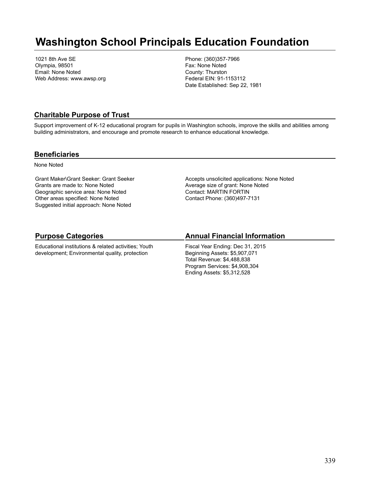## **Washington School Principals Education Foundation**

1021 8th Ave SE Olympia, 98501 Email: None Noted Web Address: www.awsp.org Phone: (360)357-7966 Fax: None Noted County: Thurston Federal EIN: 91-1153112 Date Established: Sep 22, 1981

### **Charitable Purpose of Trust**

Support improvement of K-12 educational program for pupils in Washington schools, improve the skills and abilities among building administrators, and encourage and promote research to enhance educational knowledge.

### **Beneficiaries**

None Noted

Grant Maker\Grant Seeker: Grant Seeker Grants are made to: None Noted Geographic service area: None Noted Other areas specified: None Noted Suggested initial approach: None Noted

Accepts unsolicited applications: None Noted Average size of grant: None Noted Contact: MARTIN FORTIN Contact Phone: (360)497-7131

## **Purpose Categories**

Educational institutions & related activities; Youth development; Environmental quality, protection

### **Annual Financial Information**

Fiscal Year Ending: Dec 31, 2015 Beginning Assets: \$5,907,071 Total Revenue: \$4,488,838 Program Services: \$4,908,304 Ending Assets: \$5,312,528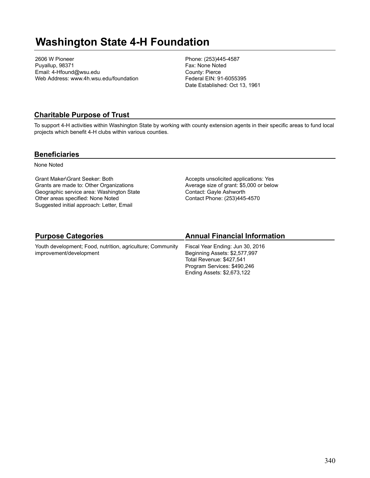# **Washington State 4-H Foundation**

2606 W Pioneer Puyallup, 98371 Email: 4-Hfound@wsu.edu Web Address: www.4h.wsu.edu/foundation Phone: (253)445-4587 Fax: None Noted County: Pierce Federal EIN: 91-6055395 Date Established: Oct 13, 1961

### **Charitable Purpose of Trust**

To support 4-H activities within Washington State by working with county extension agents in their specific areas to fund local projects which benefit 4-H clubs within various counties.

### **Beneficiaries**

None Noted

Grant Maker\Grant Seeker: Both Grants are made to: Other Organizations Geographic service area: Washington State Other areas specified: None Noted Suggested initial approach: Letter, Email

Accepts unsolicited applications: Yes Average size of grant: \$5,000 or below Contact: Gayle Ashworth Contact Phone: (253)445-4570

## **Purpose Categories**

Youth development; Food, nutrition, agriculture; Community improvement/development

## **Annual Financial Information**

Fiscal Year Ending: Jun 30, 2016 Beginning Assets: \$2,577,997 Total Revenue: \$427,541 Program Services: \$490,246 Ending Assets: \$2,673,122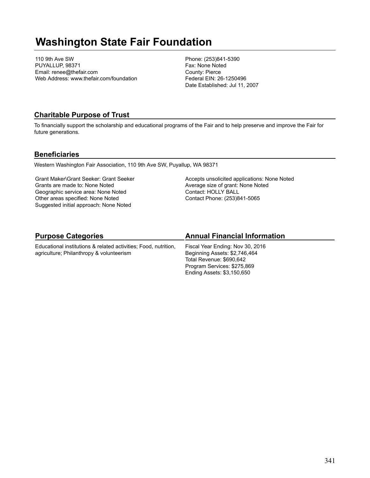# **Washington State Fair Foundation**

110 9th Ave SW PUYALLUP, 98371 Email: renee@thefair.com Web Address: www.thefair.com/foundation Phone: (253)841-5390 Fax: None Noted County: Pierce Federal EIN: 26-1250496 Date Established: Jul 11, 2007

### **Charitable Purpose of Trust**

To financially support the scholarship and educational programs of the Fair and to help preserve and improve the Fair for future generations.

### **Beneficiaries**

Western Washington Fair Association, 110 9th Ave SW, Puyallup, WA 98371

Grant Maker\Grant Seeker: Grant Seeker Grants are made to: None Noted Geographic service area: None Noted Other areas specified: None Noted Suggested initial approach: None Noted

Accepts unsolicited applications: None Noted Average size of grant: None Noted Contact: HOLLY BALL Contact Phone: (253)841-5065

## **Purpose Categories**

Educational institutions & related activities; Food, nutrition, agriculture; Philanthropy & volunteerism

### **Annual Financial Information**

Fiscal Year Ending: Nov 30, 2016 Beginning Assets: \$2,746,464 Total Revenue: \$690,642 Program Services: \$275,869 Ending Assets: \$3,150,650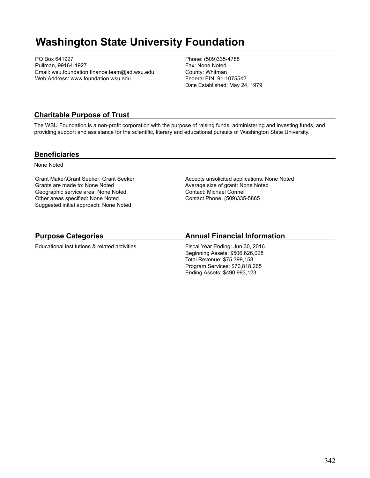# **Washington State University Foundation**

PO Box 641927 Pullman, 99164-1927 Email: wsu.foundation.finance.team@ad.wsu.edu Web Address: www.foundation.wsu.edu

Phone: (509)335-4788 Fax: None Noted County: Whitman Federal EIN: 91-1075542 Date Established: May 24, 1979

### **Charitable Purpose of Trust**

The WSU Foundation is a non-profit corporation with the purpose of raising funds, administering and investing funds, and providing support and assistance for the scientific, literary and educational pursuits of Washington State University.

### **Beneficiaries**

None Noted

Grant Maker\Grant Seeker: Grant Seeker Grants are made to: None Noted Geographic service area: None Noted Other areas specified: None Noted Suggested initial approach: None Noted

Accepts unsolicited applications: None Noted Average size of grant: None Noted Contact: Michael Connell Contact Phone: (509)335-5865

## **Purpose Categories**

Educational institutions & related activities

### **Annual Financial Information**

Fiscal Year Ending: Jun 30, 2016 Beginning Assets: \$506,626,028 Total Revenue: \$75,399,158 Program Services: \$70,818,265 Ending Assets: \$490,993,123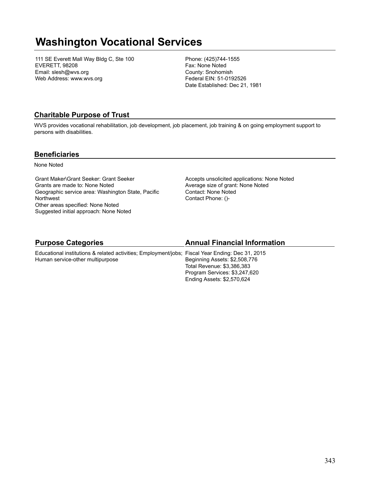# **Washington Vocational Services**

111 SE Everett Mall Way Bldg C, Ste 100 EVERETT, 98208 Email: slesh@wvs.org Web Address: www.wvs.org

Phone: (425)744-1555 Fax: None Noted County: Snohomish Federal EIN: 51-0192526 Date Established: Dec 21, 1981

## **Charitable Purpose of Trust**

WVS provides vocational rehabilitation, job development, job placement, job training & on going employment support to persons with disabilities.

### **Beneficiaries**

None Noted

Grant Maker\Grant Seeker: Grant Seeker Grants are made to: None Noted Geographic service area: Washington State, Pacific **Northwest** Other areas specified: None Noted Suggested initial approach: None Noted

Accepts unsolicited applications: None Noted Average size of grant: None Noted Contact: None Noted Contact Phone: ()-

### **Purpose Categories**

### **Annual Financial Information**

Ending Assets: \$2,570,624

Educational institutions & related activities; Employment/jobs; Fiscal Year Ending: Dec 31, 2015 Human service-other multipurpose Beginning Assets: \$2,508,776 Total Revenue: \$3,386,383 Program Services: \$3,247,620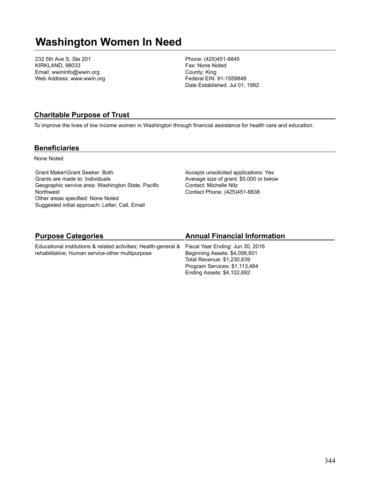# **Washington Women In Need**

232 5th Ave S, Ste 201 KIRKLAND, 98033 Email: wwininfo@wwin.org Web Address: www.wwin.org Phone: (425)451-8845 Fax: None Noted County: King Federal EIN: 91-1559848 Date Established: Jul 01, 1992

### **Charitable Purpose of Trust**

To improve the lives of low income women in Washington through financial assistance for health care and education.

### **Beneficiaries**

None Noted

Grant Maker\Grant Seeker: Both Grants are made to: Individuals Geographic service area: Washington State, Pacific **Northwest** Other areas specified: None Noted Suggested initial approach: Letter, Call, Email

rehabilitative; Human service-other multipurpose

Accepts unsolicited applications: Yes Average size of grant: \$5,000 or below Contact: Michelle Nitz Contact Phone: (425)451-8838

## **Purpose Categories**

## Educational institutions & related activities; Health-general &

## **Annual Financial Information**

Fiscal Year Ending: Jun 30, 2016 Beginning Assets: \$4,098,601 Total Revenue: \$1,230,639 Program Services: \$1,113,464 Ending Assets: \$4,102,692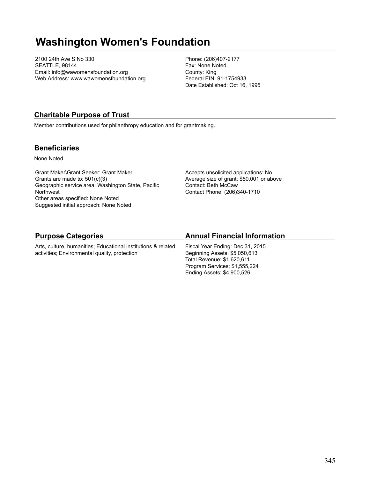# **Washington Women's Foundation**

2100 24th Ave S No 330 SEATTLE, 98144 Email: info@wawomensfoundation.org Web Address: www.wawomensfoundation.org Phone: (206)407-2177 Fax: None Noted County: King Federal EIN: 91-1754933 Date Established: Oct 16, 1995

## **Charitable Purpose of Trust**

Member contributions used for philanthropy education and for grantmaking.

### **Beneficiaries**

None Noted

Grant Maker\Grant Seeker: Grant Maker Grants are made to: 501(c)(3) Geographic service area: Washington State, Pacific **Northwest** Other areas specified: None Noted Suggested initial approach: None Noted

Accepts unsolicited applications: No Average size of grant: \$50,001 or above Contact: Beth McCaw Contact Phone: (206)340-1710

## **Purpose Categories**

Arts, culture, humanities; Educational institutions & related activities; Environmental quality, protection

## **Annual Financial Information**

Fiscal Year Ending: Dec 31, 2015 Beginning Assets: \$5,050,613 Total Revenue: \$1,620,611 Program Services: \$1,555,224 Ending Assets: \$4,900,526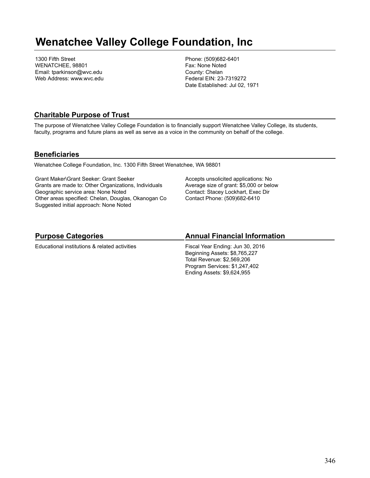# **Wenatchee Valley College Foundation, Inc**

1300 Fifth Street WENATCHEE, 98801 Email: tparkinson@wvc.edu Web Address: www.wvc.edu Phone: (509)682-6401 Fax: None Noted County: Chelan Federal EIN: 23-7319272 Date Established: Jul 02, 1971

### **Charitable Purpose of Trust**

The purpose of Wenatchee Valley College Foundation is to financially support Wenatchee Valley College, its students, faculty, programs and future plans as well as serve as a voice in the community on behalf of the college.

### **Beneficiaries**

Wenatchee College Foundation, Inc. 1300 Fifth Street Wenatchee, WA 98801

Grant Maker\Grant Seeker: Grant Seeker Grants are made to: Other Organizations, Individuals Geographic service area: None Noted Other areas specified: Chelan, Douglas, Okanogan Co Suggested initial approach: None Noted

Accepts unsolicited applications: No Average size of grant: \$5,000 or below Contact: Stacey Lockhart, Exec Dir Contact Phone: (509)682-6410

## **Purpose Categories**

Educational institutions & related activities

### **Annual Financial Information**

Fiscal Year Ending: Jun 30, 2016 Beginning Assets: \$8,765,227 Total Revenue: \$2,569,206 Program Services: \$1,247,402 Ending Assets: \$9,624,955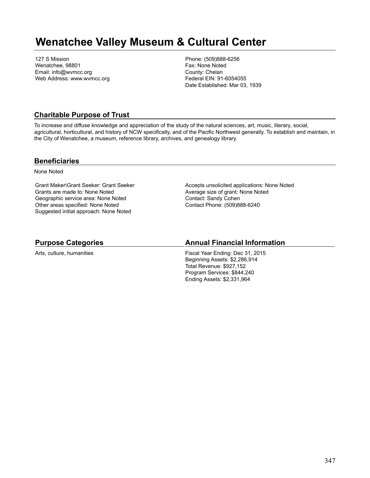# **Wenatchee Valley Museum & Cultural Center**

127 S Mission Wenatchee, 98801 Email: info@wvmcc.org Web Address: www.wvmcc.org Phone: (509)888-6256 Fax: None Noted County: Chelan Federal EIN: 91-6054055 Date Established: Mar 03, 1939

### **Charitable Purpose of Trust**

To increase and diffuse knowledge and appreciation of the study of the natural sciences, art, music, literary, social, agricultural, horticultural, and history of NCW specifically, and of the Pacific Northwest generally. To establish and maintain, in the City of Wenatchee, a museum, reference library, archives, and genealogy library.

### **Beneficiaries**

None Noted

Grant Maker\Grant Seeker: Grant Seeker Grants are made to: None Noted Geographic service area: None Noted Other areas specified: None Noted Suggested initial approach: None Noted

Accepts unsolicited applications: None Noted Average size of grant: None Noted Contact: Sandy Cohen Contact Phone: (509)888-6240

### **Purpose Categories**

Arts, culture, humanities

### **Annual Financial Information**

Fiscal Year Ending: Dec 31, 2015 Beginning Assets: \$2,286,914 Total Revenue: \$927,152 Program Services: \$844,240 Ending Assets: \$2,331,964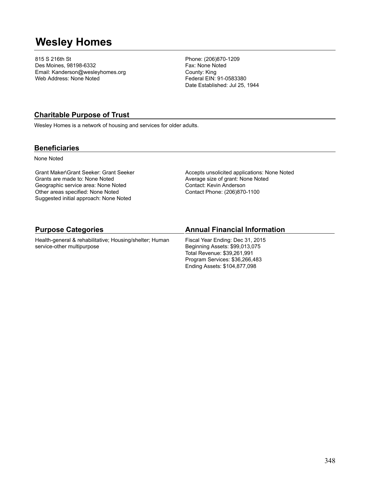# **Wesley Homes**

815 S 216th St Des Moines, 98198-6332 Email: Kanderson@wesleyhomes.org Web Address: None Noted

Phone: (206)870-1209 Fax: None Noted County: King Federal EIN: 91-0583380 Date Established: Jul 25, 1944

## **Charitable Purpose of Trust**

Wesley Homes is a network of housing and services for older adults.

### **Beneficiaries**

None Noted

Grant Maker\Grant Seeker: Grant Seeker Grants are made to: None Noted Geographic service area: None Noted Other areas specified: None Noted Suggested initial approach: None Noted

Accepts unsolicited applications: None Noted Average size of grant: None Noted Contact: Kevin Anderson Contact Phone: (206)870-1100

| <b>Purpose Categories</b>                               | <b>Annual Financial Information</b> |
|---------------------------------------------------------|-------------------------------------|
| Health-general & rehabilitative; Housing/shelter; Human | Fiscal Year Ending: Dec 31, 2015    |
| service-other multipurpose                              | Beginning Assets: \$99,013,075      |

Total Revenue: \$39,261,991 Program Services: \$36,266,483 Ending Assets: \$104,877,098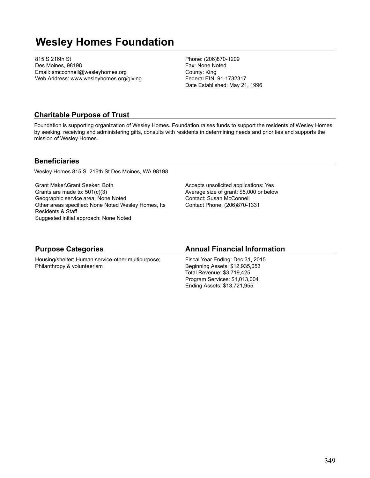# **Wesley Homes Foundation**

815 S 216th St Des Moines, 98198 Email: smcconnell@wesleyhomes.org Web Address: www.wesleyhomes.org/giving Phone: (206)870-1209 Fax: None Noted County: King Federal EIN: 91-1732317 Date Established: May 21, 1996

### **Charitable Purpose of Trust**

Foundation is supporting organization of Wesley Homes. Foundation raises funds to support the residents of Wesley Homes by seeking, receiving and administering gifts, consults with residents in determining needs and priorities and supports the mission of Wesley Homes.

### **Beneficiaries**

Wesley Homes 815 S. 216th St Des Moines, WA 98198

Grant Maker\Grant Seeker: Both Grants are made to: 501(c)(3) Geographic service area: None Noted Other areas specified: None Noted Wesley Homes, Its Residents & Staff Suggested initial approach: None Noted

Accepts unsolicited applications: Yes Average size of grant: \$5,000 or below Contact: Susan McConnell Contact Phone: (206)870-1331

### **Purpose Categories**

Housing/shelter; Human service-other multipurpose; Philanthropy & volunteerism

### **Annual Financial Information**

Fiscal Year Ending: Dec 31, 2015 Beginning Assets: \$12,935,053 Total Revenue: \$3,719,425 Program Services: \$1,013,004 Ending Assets: \$13,721,955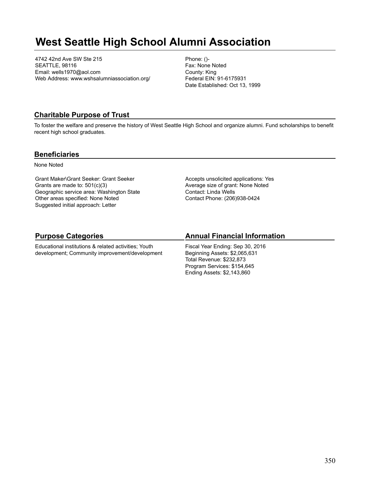# **West Seattle High School Alumni Association**

4742 42nd Ave SW Ste 215 SEATTLE, 98116 Email: wells1970@aol.com Web Address: www.wshsalumniassociation.org/ Phone: ()- Fax: None Noted County: King Federal EIN: 91-6175931 Date Established: Oct 13, 1999

### **Charitable Purpose of Trust**

To foster the welfare and preserve the history of West Seattle High School and organize alumni. Fund scholarships to benefit recent high school graduates.

### **Beneficiaries**

None Noted

Grant Maker\Grant Seeker: Grant Seeker Grants are made to: 501(c)(3) Geographic service area: Washington State Other areas specified: None Noted Suggested initial approach: Letter

Accepts unsolicited applications: Yes Average size of grant: None Noted Contact: Linda Wells Contact Phone: (206)938-0424

## **Purpose Categories**

Educational institutions & related activities; Youth development; Community improvement/development

### **Annual Financial Information**

Fiscal Year Ending: Sep 30, 2016 Beginning Assets: \$2,065,631 Total Revenue: \$232,873 Program Services: \$154,645 Ending Assets: \$2,143,860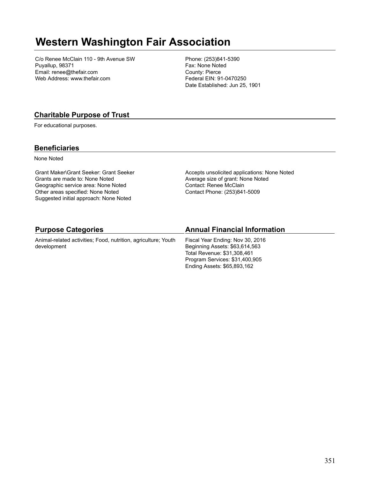# **Western Washington Fair Association**

C/o Renee McClain 110 - 9th Avenue SW Puyallup, 98371 Email: renee@thefair.com Web Address: www.thefair.com

Phone: (253)841-5390 Fax: None Noted County: Pierce Federal EIN: 91-0470250 Date Established: Jun 25, 1901

## **Charitable Purpose of Trust**

For educational purposes.

### **Beneficiaries**

None Noted

Grant Maker\Grant Seeker: Grant Seeker Grants are made to: None Noted Geographic service area: None Noted Other areas specified: None Noted Suggested initial approach: None Noted

Accepts unsolicited applications: None Noted Average size of grant: None Noted Contact: Renee McClain Contact Phone: (253)841-5009

Program Services: \$31,400,905 Ending Assets: \$65,893,162

| <b>Purpose Categories</b>                                                     | <b>Annual Financial Information</b>                                                               |
|-------------------------------------------------------------------------------|---------------------------------------------------------------------------------------------------|
| Animal-related activities; Food, nutrition, agriculture; Youth<br>development | Fiscal Year Ending: Nov 30, 2016<br>Beginning Assets: \$63,614,563<br>Total Revenue: \$31,308,461 |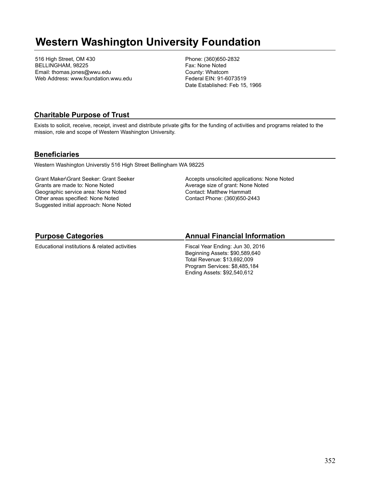# **Western Washington University Foundation**

516 High Street, OM 430 BELLINGHAM, 98225 Email: thomas.jones@wwu.edu Web Address: www.foundation.wwu.edu Phone: (360)650-2832 Fax: None Noted County: Whatcom Federal EIN: 91-6073519 Date Established: Feb 15, 1966

## **Charitable Purpose of Trust**

Exists to solicit, receive, receipt, invest and distribute private gifts for the funding of activities and programs related to the mission, role and scope of Western Washington University.

### **Beneficiaries**

Western Washington Universtiy 516 High Street Bellingham WA 98225

Grant Maker\Grant Seeker: Grant Seeker Grants are made to: None Noted Geographic service area: None Noted Other areas specified: None Noted Suggested initial approach: None Noted

Accepts unsolicited applications: None Noted Average size of grant: None Noted Contact: Matthew Hammatt Contact Phone: (360)650-2443

## **Purpose Categories**

Educational institutions & related activities

## **Annual Financial Information**

Fiscal Year Ending: Jun 30, 2016 Beginning Assets: \$90,589,640 Total Revenue: \$13,692,009 Program Services: \$8,485,184 Ending Assets: \$92,540,612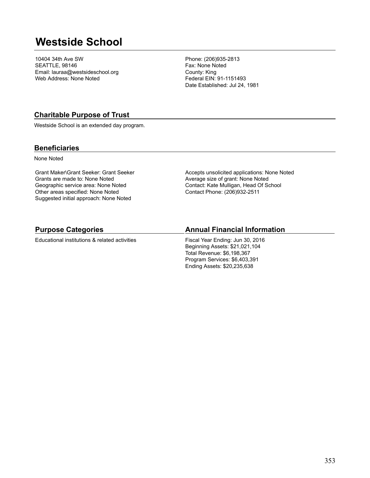# **Westside School**

10404 34th Ave SW SEATTLE, 98146 Email: lauraa@westsideschool.org Web Address: None Noted

Phone: (206)935-2813 Fax: None Noted County: King Federal EIN: 91-1151493 Date Established: Jul 24, 1981

### **Charitable Purpose of Trust**

Westside School is an extended day program.

### **Beneficiaries**

None Noted

Grant Maker\Grant Seeker: Grant Seeker Grants are made to: None Noted Geographic service area: None Noted Other areas specified: None Noted Suggested initial approach: None Noted

Accepts unsolicited applications: None Noted Average size of grant: None Noted Contact: Kate Mulligan, Head Of School Contact Phone: (206)932-2511

### **Purpose Categories**

Educational institutions & related activities

### **Annual Financial Information**

Fiscal Year Ending: Jun 30, 2016 Beginning Assets: \$21,021,104 Total Revenue: \$6,198,367 Program Services: \$6,403,391 Ending Assets: \$20,235,638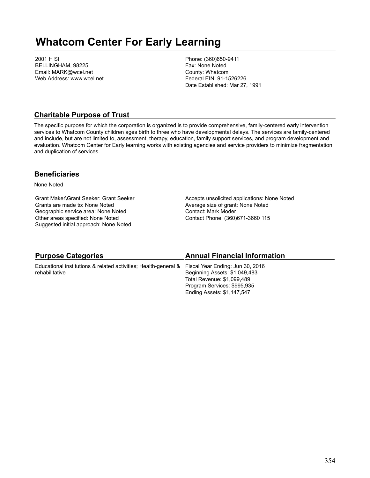# **Whatcom Center For Early Learning**

2001 H St BELLINGHAM, 98225 Email: MARK@wcel.net Web Address: www.wcel.net Phone: (360)650-9411 Fax: None Noted County: Whatcom Federal EIN: 91-1526226 Date Established: Mar 27, 1991

### **Charitable Purpose of Trust**

The specific purpose for which the corporation is organized is to provide comprehensive, family-centered early intervention services to Whatcom County children ages birth to three who have developmental delays. The services are family-centered and include, but are not limited to, assessment, therapy, education, family support services, and program development and evaluation. Whatcom Center for Early learning works with existing agencies and service providers to minimize fragmentation and duplication of services.

### **Beneficiaries**

None Noted

Grant Maker\Grant Seeker: Grant Seeker Grants are made to: None Noted Geographic service area: None Noted Other areas specified: None Noted Suggested initial approach: None Noted

Accepts unsolicited applications: None Noted Average size of grant: None Noted Contact: Mark Moder Contact Phone: (360)671-3660 115

| <b>Purpose Categories</b>                                                                        | <b>Annual Financial Information</b> |
|--------------------------------------------------------------------------------------------------|-------------------------------------|
| Educational institutions & related activities; Health-general & Fiscal Year Ending: Jun 30, 2016 |                                     |
| rehabilitative                                                                                   | Beginning Assets: \$1,049,483       |
|                                                                                                  | Total Revenue: \$1,099,489          |
|                                                                                                  | Program Services: \$995,935         |
|                                                                                                  | Ending Assets: \$1,147,547          |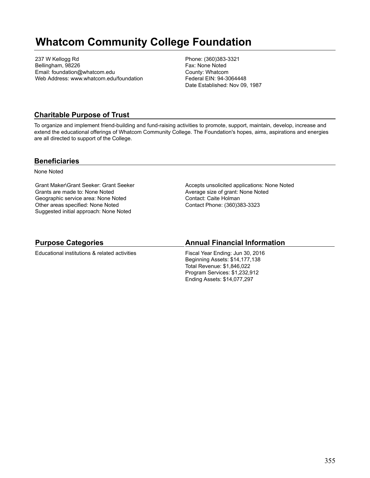# **Whatcom Community College Foundation**

237 W Kellogg Rd Bellingham, 98226 Email: foundation@whatcom.edu Web Address: www.whatcom.edu/foundation Phone: (360)383-3321 Fax: None Noted County: Whatcom Federal EIN: 94-3064448 Date Established: Nov 09, 1987

## **Charitable Purpose of Trust**

To organize and implement friend-building and fund-raising activities to promote, support, maintain, develop, increase and extend the educational offerings of Whatcom Community College. The Foundation's hopes, aims, aspirations and energies are all directed to support of the College.

### **Beneficiaries**

None Noted

Grant Maker\Grant Seeker: Grant Seeker Grants are made to: None Noted Geographic service area: None Noted Other areas specified: None Noted Suggested initial approach: None Noted

Accepts unsolicited applications: None Noted Average size of grant: None Noted Contact: Caite Holman Contact Phone: (360)383-3323

## **Purpose Categories**

Educational institutions & related activities

### **Annual Financial Information**

Fiscal Year Ending: Jun 30, 2016 Beginning Assets: \$14,177,138 Total Revenue: \$1,846,022 Program Services: \$1,232,912 Ending Assets: \$14,077,297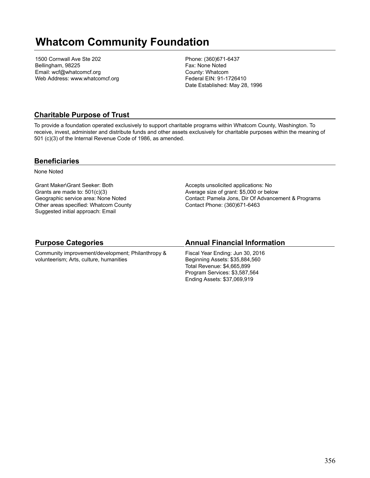# **Whatcom Community Foundation**

1500 Cornwall Ave Ste 202 Bellingham, 98225 Email: wcf@whatcomcf.org Web Address: www.whatcomcf.org Phone: (360)671-6437 Fax: None Noted County: Whatcom Federal EIN: 91-1726410 Date Established: May 28, 1996

## **Charitable Purpose of Trust**

To provide a foundation operated exclusively to support charitable programs within Whatcom County, Washington. To receive, invest, administer and distribute funds and other assets exclusively for charitable purposes within the meaning of 501 (c)(3) of the Internal Revenue Code of 1986, as amended.

### **Beneficiaries**

None Noted

Grant Maker\Grant Seeker: Both Grants are made to: 501(c)(3) Geographic service area: None Noted Other areas specified: Whatcom County Suggested initial approach: Email

Accepts unsolicited applications: No Average size of grant: \$5,000 or below Contact: Pamela Jons, Dir Of Advancement & Programs Contact Phone: (360)671-6463

### **Purpose Categories**

Community improvement/development; Philanthropy & volunteerism; Arts, culture, humanities

### **Annual Financial Information**

Fiscal Year Ending: Jun 30, 2016 Beginning Assets: \$35,884,560 Total Revenue: \$4,665,899 Program Services: \$3,587,564 Ending Assets: \$37,069,919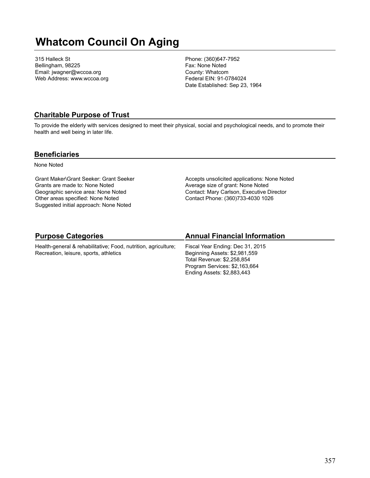# **Whatcom Council On Aging**

315 Halleck St Bellingham, 98225 Email: jwagner@wccoa.org Web Address: www.wccoa.org Phone: (360)647-7952 Fax: None Noted County: Whatcom Federal EIN: 91-0784024 Date Established: Sep 23, 1964

### **Charitable Purpose of Trust**

To provide the elderly with services designed to meet their physical, social and psychological needs, and to promote their health and well being in later life.

### **Beneficiaries**

None Noted

Grant Maker\Grant Seeker: Grant Seeker Grants are made to: None Noted Geographic service area: None Noted Other areas specified: None Noted Suggested initial approach: None Noted

Accepts unsolicited applications: None Noted Average size of grant: None Noted Contact: Mary Carlson, Executive Director Contact Phone: (360)733-4030 1026

## **Purpose Categories**

Health-general & rehabilitative; Food, nutrition, agriculture; Recreation, leisure, sports, athletics

## **Annual Financial Information**

Fiscal Year Ending: Dec 31, 2015 Beginning Assets: \$2,981,559 Total Revenue: \$2,258,854 Program Services: \$2,163,664 Ending Assets: \$2,883,443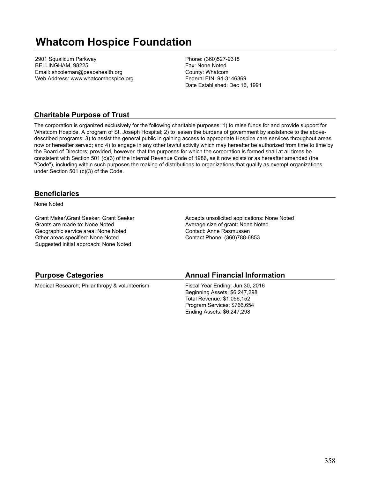# **Whatcom Hospice Foundation**

2901 Squalicum Parkway BELLINGHAM, 98225 Email: shcoleman@peacehealth.org Web Address: www.whatcomhospice.org Phone: (360)527-9318 Fax: None Noted County: Whatcom Federal EIN: 94-3146369 Date Established: Dec 16, 1991

### **Charitable Purpose of Trust**

The corporation is organized exclusively for the following charitable purposes: 1) to raise funds for and provide support for Whatcom Hospice, A program of St. Joseph Hospital; 2) to lessen the burdens of government by assistance to the abovedescribed programs; 3) to assist the general public in gaining access to appropriate Hospice care services throughout areas now or hereafter served; and 4) to engage in any other lawful activity which may hereafter be authorized from time to time by the Board of Directors; provided, however, that the purposes for which the corporation is formed shall at all times be consistent with Section 501 (c)(3) of the Internal Revenue Code of 1986, as it now exists or as hereafter amended (the "Code"), including within such purposes the making of distributions to organizations that qualify as exempt organizations under Section 501 (c)(3) of the Code.

### **Beneficiaries**

None Noted

Grant Maker\Grant Seeker: Grant Seeker Grants are made to: None Noted Geographic service area: None Noted Other areas specified: None Noted Suggested initial approach: None Noted

Accepts unsolicited applications: None Noted Average size of grant: None Noted Contact: Anne Rasmussen Contact Phone: (360)788-6853

### **Purpose Categories**

Medical Research; Philanthropy & volunteerism

### **Annual Financial Information**

Fiscal Year Ending: Jun 30, 2016 Beginning Assets: \$6,247,298 Total Revenue: \$1,056,152 Program Services: \$766,654 Ending Assets: \$6,247,298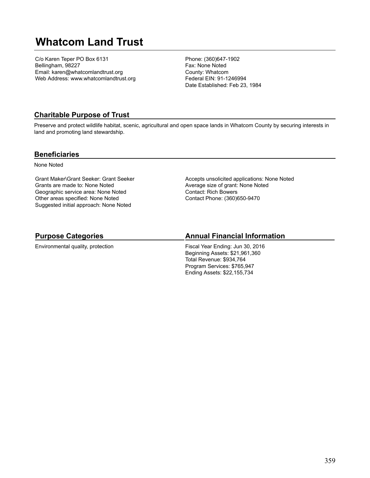# **Whatcom Land Trust**

C/o Karen Teper PO Box 6131 Bellingham, 98227 Email: karen@whatcomlandtrust.org Web Address: www.whatcomlandtrust.org Phone: (360)647-1902 Fax: None Noted County: Whatcom Federal EIN: 91-1246994 Date Established: Feb 23, 1984

### **Charitable Purpose of Trust**

Preserve and protect wildlife habitat, scenic, agricultural and open space lands in Whatcom County by securing interests in land and promoting land stewardship.

### **Beneficiaries**

None Noted

Grant Maker\Grant Seeker: Grant Seeker Grants are made to: None Noted Geographic service area: None Noted Other areas specified: None Noted Suggested initial approach: None Noted

Accepts unsolicited applications: None Noted Average size of grant: None Noted Contact: Rich Bowers Contact Phone: (360)650-9470

## **Purpose Categories**

Environmental quality, protection

### **Annual Financial Information**

Fiscal Year Ending: Jun 30, 2016 Beginning Assets: \$21,961,360 Total Revenue: \$934,764 Program Services: \$765,947 Ending Assets: \$22,155,734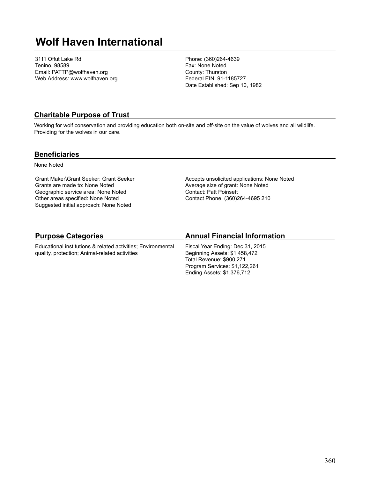# **Wolf Haven International**

3111 Offut Lake Rd Tenino, 98589 Email: PATTP@wolfhaven.org Web Address: www.wolfhaven.org Phone: (360)264-4639 Fax: None Noted County: Thurston Federal EIN: 91-1185727 Date Established: Sep 10, 1982

### **Charitable Purpose of Trust**

Working for wolf conservation and providing education both on-site and off-site on the value of wolves and all wildlife. Providing for the wolves in our care.

### **Beneficiaries**

None Noted

Grant Maker\Grant Seeker: Grant Seeker Grants are made to: None Noted Geographic service area: None Noted Other areas specified: None Noted Suggested initial approach: None Noted

Accepts unsolicited applications: None Noted Average size of grant: None Noted Contact: Patt Poinsett Contact Phone: (360)264-4695 210

## **Purpose Categories**

Educational institutions & related activities; Environmental quality, protection; Animal-related activities

### **Annual Financial Information**

Fiscal Year Ending: Dec 31, 2015 Beginning Assets: \$1,458,472 Total Revenue: \$900,271 Program Services: \$1,122,261 Ending Assets: \$1,376,712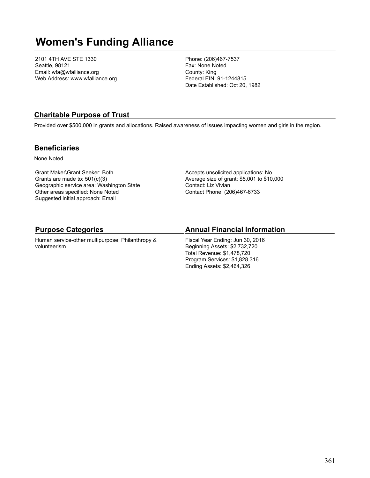# **Women's Funding Alliance**

2101 4TH AVE STE 1330 Seattle, 98121 Email: wfa@wfalliance.org Web Address: www.wfalliance.org Phone: (206)467-7537 Fax: None Noted County: King Federal EIN: 91-1244815 Date Established: Oct 20, 1982

## **Charitable Purpose of Trust**

Provided over \$500,000 in grants and allocations. Raised awareness of issues impacting women and girls in the region.

### **Beneficiaries**

None Noted

Grant Maker\Grant Seeker: Both Grants are made to: 501(c)(3) Geographic service area: Washington State Other areas specified: None Noted Suggested initial approach: Email

Accepts unsolicited applications: No Average size of grant: \$5,001 to \$10,000 Contact: Liz Vivian Contact Phone: (206)467-6733

### **Purpose Categories**

Human service-other multipurpose; Philanthropy & volunteerism

### **Annual Financial Information**

Fiscal Year Ending: Jun 30, 2016 Beginning Assets: \$2,732,720 Total Revenue: \$1,478,720 Program Services: \$1,828,316 Ending Assets: \$2,464,326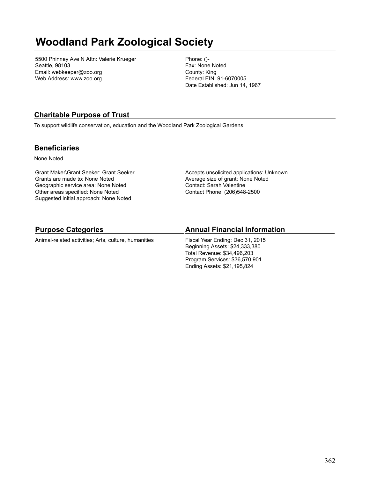# **Woodland Park Zoological Society**

5500 Phinney Ave N Attn: Valerie Krueger Seattle, 98103 Email: webkeeper@zoo.org Web Address: www.zoo.org

Phone: ()- Fax: None Noted County: King Federal EIN: 91-6070005 Date Established: Jun 14, 1967

# **Charitable Purpose of Trust**

To support wildlife conservation, education and the Woodland Park Zoological Gardens.

### **Beneficiaries**

None Noted

Grant Maker\Grant Seeker: Grant Seeker Grants are made to: None Noted Geographic service area: None Noted Other areas specified: None Noted Suggested initial approach: None Noted

Accepts unsolicited applications: Unknown Average size of grant: None Noted Contact: Sarah Valentine Contact Phone: (206)548-2500

### **Purpose Categories**

Animal-related activities; Arts, culture, humanities

## **Annual Financial Information**

Fiscal Year Ending: Dec 31, 2015 Beginning Assets: \$24,333,380 Total Revenue: \$34,496,203 Program Services: \$36,570,901 Ending Assets: \$21,195,824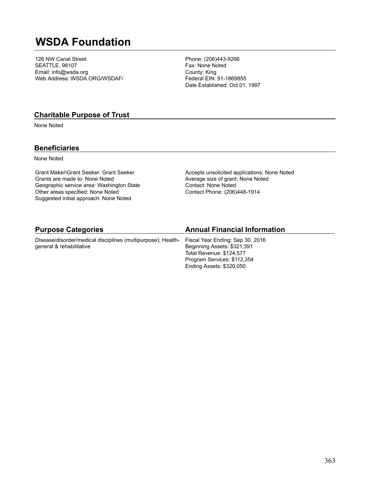# **WSDA Foundation**

126 NW Canal Street SEATTLE, 98107 Email: info@wsda.org Web Address: WSDA.ORG/WSDAF/

Phone: (206)443-9266 Fax: None Noted County: King Federal EIN: 91-1869855 Date Established: Oct 01, 1997

### **Charitable Purpose of Trust**

None Noted

## **Beneficiaries**

None Noted

Grant Maker\Grant Seeker: Grant Seeker Grants are made to: None Noted Geographic service area: Washington State Other areas specified: None Noted Suggested initial approach: None Noted

Accepts unsolicited applications: None Noted Average size of grant: None Noted Contact: None Noted Contact Phone: (206)448-1914

| <b>Purpose Categories</b>                                    | <b>Annual Financial Information</b> |
|--------------------------------------------------------------|-------------------------------------|
| Disease/disorder/medical disciplines (multipurpose); Health- | Fiscal Year Ending: Sep 30, 2016    |
| general & rehabilitative                                     | Beginning Assets: \$321,391         |
|                                                              | Total Revenue: \$124,577            |
|                                                              | Program Services: \$112,354         |
|                                                              | Ending Assets: \$320,050            |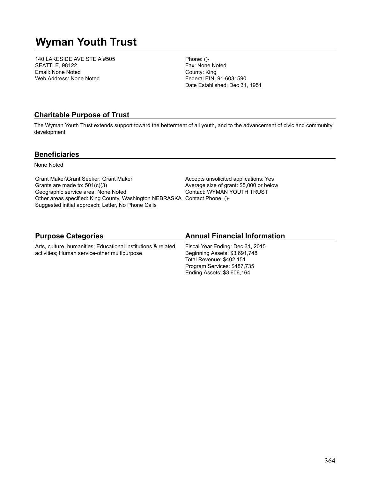# **Wyman Youth Trust**

140 LAKESIDE AVE STE A #505 SEATTLE, 98122 Email: None Noted Web Address: None Noted

Phone: ()- Fax: None Noted County: King Federal EIN: 91-6031590 Date Established: Dec 31, 1951

### **Charitable Purpose of Trust**

The Wyman Youth Trust extends support toward the betterment of all youth, and to the advancement of civic and community development.

### **Beneficiaries**

None Noted

Grant Maker\Grant Seeker: Grant Maker Grants are made to: 501(c)(3) Geographic service area: None Noted Other areas specified: King County, Washington NEBRASKA Contact Phone: ()- Suggested initial approach: Letter, No Phone Calls

Accepts unsolicited applications: Yes Average size of grant: \$5,000 or below Contact: WYMAN YOUTH TRUST

# **Purpose Categories**

Arts, culture, humanities; Educational institutions & related activities; Human service-other multipurpose

## **Annual Financial Information**

Fiscal Year Ending: Dec 31, 2015 Beginning Assets: \$3,691,748 Total Revenue: \$402,151 Program Services: \$487,735 Ending Assets: \$3,606,164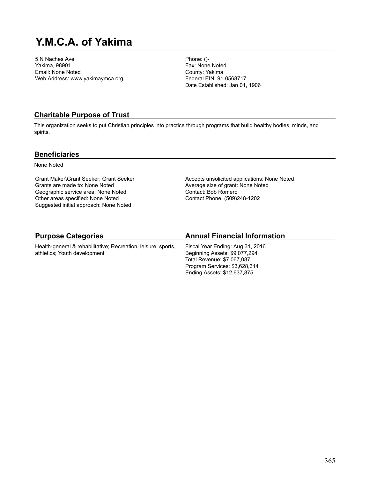# **Y.M.C.A. of Yakima**

5 N Naches Ave Yakima, 98901 Email: None Noted Web Address: www.yakimaymca.org Phone: ()- Fax: None Noted County: Yakima Federal EIN: 91-0568717 Date Established: Jan 01, 1906

### **Charitable Purpose of Trust**

This organization seeks to put Christian principles into practice through programs that build healthy bodies, minds, and spirits.

### **Beneficiaries**

None Noted

Grant Maker\Grant Seeker: Grant Seeker Grants are made to: None Noted Geographic service area: None Noted Other areas specified: None Noted Suggested initial approach: None Noted

Accepts unsolicited applications: None Noted Average size of grant: None Noted Contact: Bob Romero Contact Phone: (509)248-1202

# **Purpose Categories**

Health-general & rehabilitative; Recreation, leisure, sports, athletics; Youth development

# **Annual Financial Information**

Fiscal Year Ending: Aug 31, 2016 Beginning Assets: \$9,077,294 Total Revenue: \$7,067,087 Program Services: \$3,628,314 Ending Assets: \$12,637,875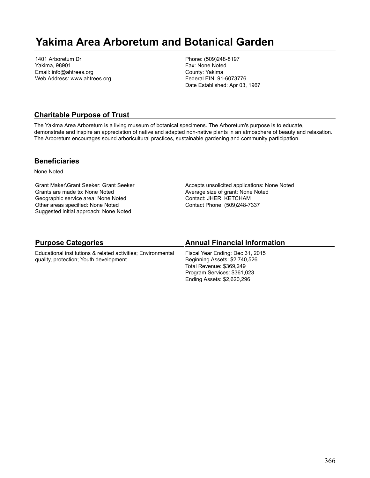# **Yakima Area Arboretum and Botanical Garden**

1401 Arboretum Dr Yakima, 98901 Email: info@ahtrees.org Web Address: www.ahtrees.org Phone: (509)248-8197 Fax: None Noted County: Yakima Federal EIN: 91-6073776 Date Established: Apr 03, 1967

## **Charitable Purpose of Trust**

The Yakima Area Arboretum is a living museum of botanical specimens. The Arboretum's purpose is to educate, demonstrate and inspire an appreciation of native and adapted non-native plants in an atmosphere of beauty and relaxation. The Arboretum encourages sound arboricultural practices, sustainable gardening and community participation.

### **Beneficiaries**

None Noted

Grant Maker\Grant Seeker: Grant Seeker Grants are made to: None Noted Geographic service area: None Noted Other areas specified: None Noted Suggested initial approach: None Noted

Accepts unsolicited applications: None Noted Average size of grant: None Noted Contact: JHERI KETCHAM Contact Phone: (509)248-7337

| <b>Purpose Categories</b> |
|---------------------------|
|---------------------------|

Educational institutions & related activities; Environmental quality, protection; Youth development

### **Annual Financial Information**

Fiscal Year Ending: Dec 31, 2015 Beginning Assets: \$2,740,526 Total Revenue: \$369,249 Program Services: \$361,023 Ending Assets: \$2,620,296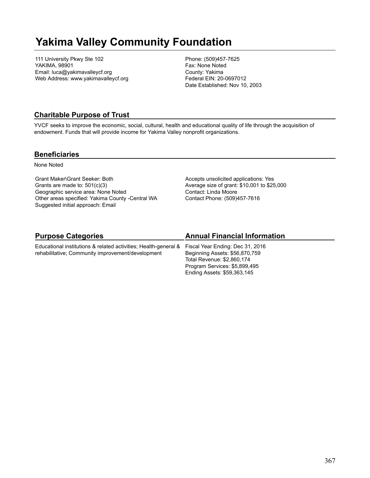# **Yakima Valley Community Foundation**

111 University Pkwy Ste 102 YAKIMA, 98901 Email: luca@yakimavalleycf.org Web Address: www.yakimavalleycf.org Phone: (509)457-7625 Fax: None Noted County: Yakima Federal EIN: 20-0697012 Date Established: Nov 10, 2003

## **Charitable Purpose of Trust**

YVCF seeks to improve the economic, social, cultural, health and educational quality of life through the acquisition of endowment. Funds that will provide income for Yakima Valley nonprofit organizations.

### **Beneficiaries**

None Noted

Grant Maker\Grant Seeker: Both Grants are made to: 501(c)(3) Geographic service area: None Noted Other areas specified: Yakima County -Central WA Suggested initial approach: Email

Accepts unsolicited applications: Yes Average size of grant: \$10,001 to \$25,000 Contact: Linda Moore Contact Phone: (509)457-7616

# **Purpose Categories**

Educational institutions & related activities; Health-general & rehabilitative; Community improvement/development

# **Annual Financial Information**

Fiscal Year Ending: Dec 31, 2016 Beginning Assets: \$56,870,759 Total Revenue: \$2,860,174 Program Services: \$5,899,495 Ending Assets: \$59,363,145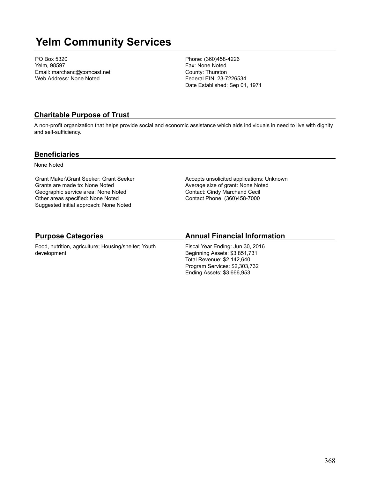# **Yelm Community Services**

PO Box 5320 Yelm, 98597 Email: marchanc@comcast.net Web Address: None Noted

Phone: (360)458-4226 Fax: None Noted County: Thurston Federal EIN: 23-7226534 Date Established: Sep 01, 1971

### **Charitable Purpose of Trust**

A non-profit organization that helps provide social and economic assistance which aids individuals in need to live with dignity and self-sufficiency.

### **Beneficiaries**

None Noted

Grant Maker\Grant Seeker: Grant Seeker Grants are made to: None Noted Geographic service area: None Noted Other areas specified: None Noted Suggested initial approach: None Noted

Accepts unsolicited applications: Unknown Average size of grant: None Noted Contact: Cindy Marchand Cecil Contact Phone: (360)458-7000

# **Purpose Categories**

Food, nutrition, agriculture; Housing/shelter; Youth development

## **Annual Financial Information**

Fiscal Year Ending: Jun 30, 2016 Beginning Assets: \$3,851,731 Total Revenue: \$2,142,640 Program Services: \$2,303,732 Ending Assets: \$3,666,953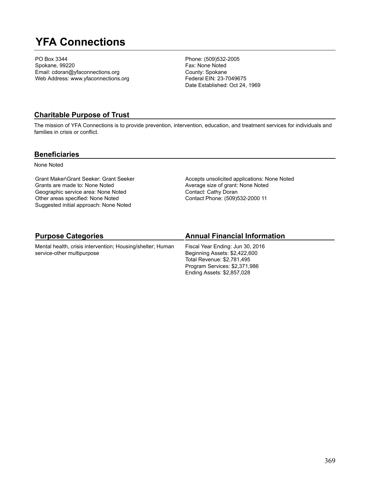# **YFA Connections**

PO Box 3344 Spokane, 99220 Email: cdoran@yfaconnections.org Web Address: www.yfaconnections.org Phone: (509)532-2005 Fax: None Noted County: Spokane Federal EIN: 23-7049675 Date Established: Oct 24, 1969

### **Charitable Purpose of Trust**

The mission of YFA Connections is to provide prevention, intervention, education, and treatment services for individuals and families in crisis or conflict.

### **Beneficiaries**

None Noted

Grant Maker\Grant Seeker: Grant Seeker Grants are made to: None Noted Geographic service area: None Noted Other areas specified: None Noted Suggested initial approach: None Noted

Accepts unsolicited applications: None Noted Average size of grant: None Noted Contact: Cathy Doran Contact Phone: (509)532-2000 11

# **Purpose Categories**

Mental health, crisis intervention; Housing/shelter; Human service-other multipurpose

# **Annual Financial Information**

Fiscal Year Ending: Jun 30, 2016 Beginning Assets: \$2,422,600 Total Revenue: \$2,781,495 Program Services: \$2,371,986 Ending Assets: \$2,857,028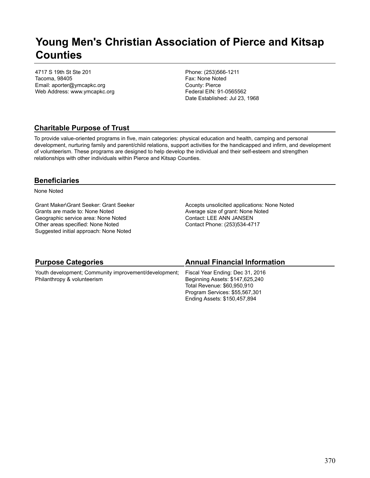# **Young Men's Christian Association of Pierce and Kitsap Counties**

4717 S 19th St Ste 201 Tacoma, 98405 Email: aporter@ymcapkc.org Web Address: www.ymcapkc.org Phone: (253)566-1211 Fax: None Noted County: Pierce Federal EIN: 91-0565562 Date Established: Jul 23, 1968

# **Charitable Purpose of Trust**

To provide value-oriented programs in five, main categories: physical education and health, camping and personal development, nurturing family and parent/child relations, support activities for the handicapped and infirm, and development of volunteerism. These programs are designed to help develop the individual and their self-esteem and strengthen relationships with other individuals within Pierce and Kitsap Counties.

## **Beneficiaries**

None Noted

Grant Maker\Grant Seeker: Grant Seeker Grants are made to: None Noted Geographic service area: None Noted Other areas specified: None Noted Suggested initial approach: None Noted

Accepts unsolicited applications: None Noted Average size of grant: None Noted Contact: LEE ANN JANSEN Contact Phone: (253)534-4717

| <b>Purpose Categories</b>                                                            | <b>Annual Financial Information</b>                                                                                                                                  |
|--------------------------------------------------------------------------------------|----------------------------------------------------------------------------------------------------------------------------------------------------------------------|
| Youth development; Community improvement/development;<br>Philanthropy & volunteerism | Fiscal Year Ending: Dec 31, 2016<br>Beginning Assets: \$147,625,240<br>Total Revenue: \$60,950,910<br>Program Services: \$55,567,301<br>Ending Assets: \$150,457,894 |
|                                                                                      |                                                                                                                                                                      |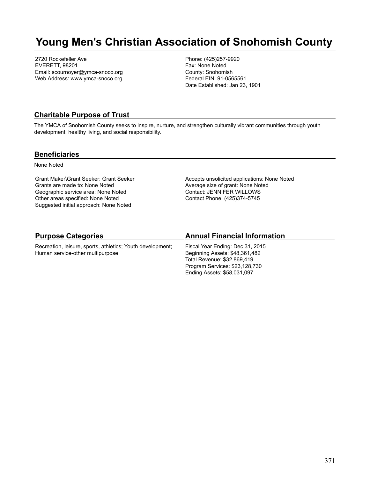# **Young Men's Christian Association of Snohomish County**

2720 Rockefeller Ave EVERETT, 98201 Email: scournoyer@ymca-snoco.org Web Address: www.ymca-snoco.org Phone: (425)257-9920 Fax: None Noted County: Snohomish Federal EIN: 91-0565561 Date Established: Jan 23, 1901

### **Charitable Purpose of Trust**

The YMCA of Snohomish County seeks to inspire, nurture, and strengthen culturally vibrant communities through youth development, healthy living, and social responsibility.

### **Beneficiaries**

None Noted

Grant Maker\Grant Seeker: Grant Seeker Grants are made to: None Noted Geographic service area: None Noted Other areas specified: None Noted Suggested initial approach: None Noted

Accepts unsolicited applications: None Noted Average size of grant: None Noted Contact: JENNIFER WILLOWS Contact Phone: (425)374-5745

## **Purpose Categories**

Recreation, leisure, sports, athletics; Youth development; Human service-other multipurpose

# **Annual Financial Information**

Fiscal Year Ending: Dec 31, 2015 Beginning Assets: \$48,361,482 Total Revenue: \$32,869,419 Program Services: \$23,128,730 Ending Assets: \$58,031,097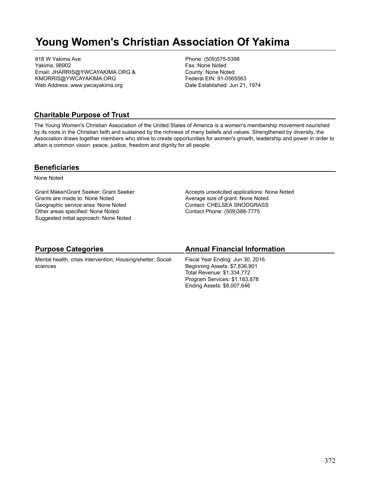# **Young Women's Christian Association Of Yakima**

818 W Yakima Ave Yakima, 98902 Email: JHARRIS@YWCAYAKIMA.ORG & KMORRIS@YWCAYAKIMA.ORG Web Address: www.ywcayakima.org

Phone: (509)575-5398 Fax: None Noted County: None Noted Federal EIN: 91-0565563 Date Established: Jun 21, 1974

### **Charitable Purpose of Trust**

The Young Women's Christian Association of the United States of America is a women's membership movement nourished by its roots in the Christian faith and sustained by the richness of many beliefs and values. Strengthened by diversity, the Association draws together members who strive to create opportunities for women's growth, leadership and power in order to attain a common vision: peace, justice, freedom and dignity for all people.

### **Beneficiaries**

None Noted

Grant Maker\Grant Seeker: Grant Seeker Grants are made to: None Noted Geographic service area: None Noted Other areas specified: None Noted Suggested initial approach: None Noted

Accepts unsolicited applications: None Noted Average size of grant: None Noted Contact: CHELSEA SNODGRASS Contact Phone: (509)388-7775

| <b>Purpose Categories</b>                                               | <b>Annual Financial Information</b>                                                                                                                            |
|-------------------------------------------------------------------------|----------------------------------------------------------------------------------------------------------------------------------------------------------------|
| Mental health, crisis intervention; Housing/shelter; Social<br>sciences | Fiscal Year Ending: Jun 30, 2016<br>Beginning Assets: \$7,836,901<br>Total Revenue: \$1,334,772<br>Program Services: \$1,183,878<br>Ending Assets: \$8,007,646 |
|                                                                         |                                                                                                                                                                |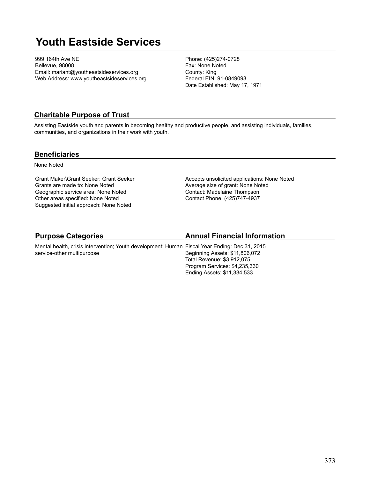# **Youth Eastside Services**

999 164th Ave NE Bellevue, 98008 Email: mariant@youtheastsideservices.org Web Address: www.youtheastsideservices.org Phone: (425)274-0728 Fax: None Noted County: King Federal EIN: 91-0849093 Date Established: May 17, 1971

### **Charitable Purpose of Trust**

Assisting Eastside youth and parents in becoming healthy and productive people, and assisting individuals, families, communities, and organizations in their work with youth.

### **Beneficiaries**

None Noted

Grant Maker\Grant Seeker: Grant Seeker Grants are made to: None Noted Geographic service area: None Noted Other areas specified: None Noted Suggested initial approach: None Noted

Accepts unsolicited applications: None Noted Average size of grant: None Noted Contact: Madelaine Thompson Contact Phone: (425)747-4937

# **Purpose Categories**

service-other multipurpose

# **Annual Financial Information**

Mental health, crisis intervention; Youth development; Human Fiscal Year Ending: Dec 31, 2015 Beginning Assets: \$11,806,072 Total Revenue: \$3,912,075 Program Services: \$4,235,330 Ending Assets: \$11,334,533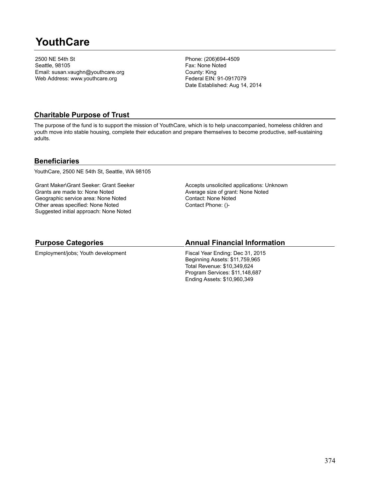# **YouthCare**

2500 NE 54th St Seattle, 98105 Email: susan.vaughn@youthcare.org Web Address: www.youthcare.org

Phone: (206)694-4509 Fax: None Noted County: King Federal EIN: 91-0917079 Date Established: Aug 14, 2014

# **Charitable Purpose of Trust**

The purpose of the fund is to support the mission of YouthCare, which is to help unaccompanied, homeless children and youth move into stable housing, complete their education and prepare themselves to become productive, self-sustaining adults.

## **Beneficiaries**

YouthCare, 2500 NE 54th St, Seattle, WA 98105

Grant Maker\Grant Seeker: Grant Seeker Grants are made to: None Noted Geographic service area: None Noted Other areas specified: None Noted Suggested initial approach: None Noted

Accepts unsolicited applications: Unknown Average size of grant: None Noted Contact: None Noted Contact Phone: ()-

## **Purpose Categories**

Employment/jobs; Youth development

## **Annual Financial Information**

Fiscal Year Ending: Dec 31, 2015 Beginning Assets: \$11,759,965 Total Revenue: \$10,349,624 Program Services: \$11,148,687 Ending Assets: \$10,960,349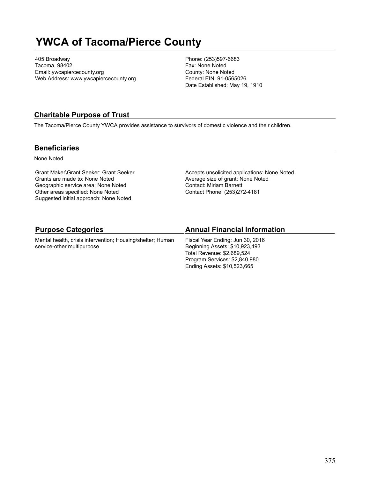# **YWCA of Tacoma/Pierce County**

405 Broadway Tacoma, 98402 Email: ywcapiercecounty.org Web Address: www.ywcapiercecounty.org Phone: (253)597-6683 Fax: None Noted County: None Noted Federal EIN: 91-0565026 Date Established: May 19, 1910

### **Charitable Purpose of Trust**

The Tacoma/Pierce County YWCA provides assistance to survivors of domestic violence and their children.

### **Beneficiaries**

None Noted

Grant Maker\Grant Seeker: Grant Seeker Grants are made to: None Noted Geographic service area: None Noted Other areas specified: None Noted Suggested initial approach: None Noted

Accepts unsolicited applications: None Noted Average size of grant: None Noted Contact: Miriam Barnett Contact Phone: (253)272-4181

| <b>Purpose Categories</b>                                  | <b>Annual Financial Information</b> |
|------------------------------------------------------------|-------------------------------------|
| Mental health, crisis intervention; Housing/shelter; Human | Fiscal Year Ending: Jun 30, 2016    |
| service-other multipurpose                                 | Beginning Assets: \$10,923,493      |
|                                                            | Total Revenue: \$2,689,524          |
|                                                            | Program Services: \$2,840,980       |
|                                                            | Ending Assets: \$10,523,665         |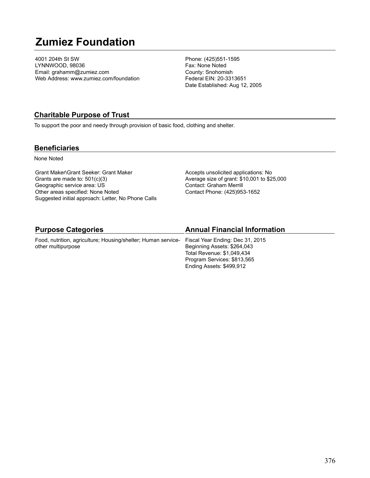# **Zumiez Foundation**

4001 204th St SW LYNNWOOD, 98036 Email: grahamm@zumiez.com Web Address: www.zumiez.com/foundation

Phone: (425)551-1595 Fax: None Noted County: Snohomish Federal EIN: 20-3313651 Date Established: Aug 12, 2005

### **Charitable Purpose of Trust**

To support the poor and needy through provision of basic food, clothing and shelter.

### **Beneficiaries**

None Noted

Grant Maker\Grant Seeker: Grant Maker Grants are made to: 501(c)(3) Geographic service area: US Other areas specified: None Noted Suggested initial approach: Letter, No Phone Calls Accepts unsolicited applications: No Average size of grant: \$10,001 to \$25,000 Contact: Graham Merrill Contact Phone: (425)953-1652

| <b>Purpose Categories</b>                                                                      | <b>Annual Financial Information</b> |
|------------------------------------------------------------------------------------------------|-------------------------------------|
| Food, nutrition, agriculture; Housing/shelter; Human service- Fiscal Year Ending: Dec 31, 2015 |                                     |
| other multipurpose                                                                             | Beginning Assets: \$264,043         |
|                                                                                                | Total Revenue: \$1,049,434          |
|                                                                                                | Program Services: \$813,565         |
|                                                                                                | Ending Assets: \$499,912            |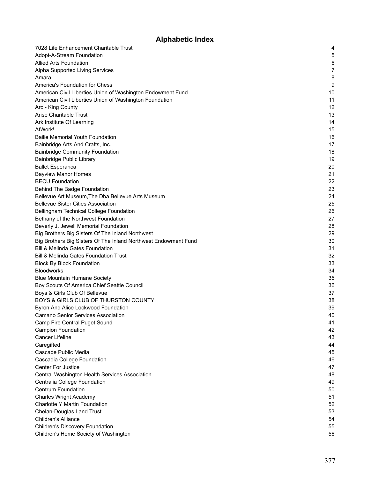# **Alphabetic Index**

| 7028 Life Enhancement Charitable Trust                          | 4  |
|-----------------------------------------------------------------|----|
| Adopt-A-Stream Foundation                                       | 5  |
| <b>Allied Arts Foundation</b>                                   | 6  |
| Alpha Supported Living Services                                 | 7  |
| Amara                                                           | 8  |
| America's Foundation for Chess                                  | 9  |
| American Civil Liberties Union of Washington Endowment Fund     | 10 |
| American Civil Liberties Union of Washington Foundation         | 11 |
| Arc - King County                                               | 12 |
| Arise Charitable Trust                                          | 13 |
| Ark Institute Of Learning                                       | 14 |
| AtWork!                                                         | 15 |
| <b>Bailie Memorial Youth Foundation</b>                         | 16 |
| Bainbridge Arts And Crafts, Inc.                                | 17 |
| <b>Bainbridge Community Foundation</b>                          | 18 |
| Bainbridge Public Library                                       | 19 |
| <b>Ballet Esperanca</b>                                         | 20 |
| <b>Bayview Manor Homes</b>                                      | 21 |
| <b>BECU Foundation</b>                                          | 22 |
| Behind The Badge Foundation                                     | 23 |
| Bellevue Art Museum, The Dba Bellevue Arts Museum               | 24 |
| <b>Bellevue Sister Cities Association</b>                       | 25 |
| Bellingham Technical College Foundation                         | 26 |
| Bethany of the Northwest Foundation                             | 27 |
| Beverly J. Jewell Memorial Foundation                           | 28 |
| Big Brothers Big Sisters Of The Inland Northwest                | 29 |
| Big Brothers Big Sisters Of The Inland Northwest Endowment Fund | 30 |
| <b>Bill &amp; Melinda Gates Foundation</b>                      | 31 |
| <b>Bill &amp; Melinda Gates Foundation Trust</b>                | 32 |
| <b>Block By Block Foundation</b>                                | 33 |
| <b>Bloodworks</b>                                               | 34 |
| <b>Blue Mountain Humane Society</b>                             | 35 |
| Boy Scouts Of America Chief Seattle Council                     | 36 |
| Boys & Girls Club Of Bellevue                                   | 37 |
| BOYS & GIRLS CLUB OF THURSTON COUNTY                            | 38 |
| Byron And Alice Lockwood Foundation                             | 39 |
| <b>Camano Senior Services Association</b>                       | 40 |
| Camp Fire Central Puget Sound                                   | 41 |
| <b>Campion Foundation</b>                                       | 42 |
| <b>Cancer Lifeline</b>                                          | 43 |
| Caregifted                                                      | 44 |
| Cascade Public Media                                            | 45 |
| Cascadia College Foundation                                     | 46 |
| <b>Center For Justice</b>                                       | 47 |
| Central Washington Health Services Association                  | 48 |
| Centralia College Foundation                                    | 49 |
| <b>Centrum Foundation</b>                                       | 50 |
| <b>Charles Wright Academy</b>                                   | 51 |
| Charlotte Y Martin Foundation                                   | 52 |
| <b>Chelan-Douglas Land Trust</b>                                | 53 |
| <b>Children's Alliance</b>                                      | 54 |
| <b>Children's Discovery Foundation</b>                          | 55 |
| Children's Home Society of Washington                           | 56 |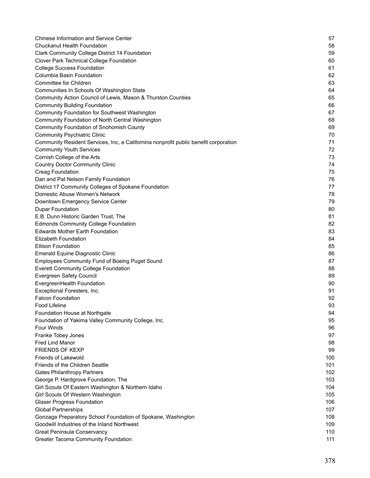| <b>Chinese Information and Service Center</b>                                        | 57  |
|--------------------------------------------------------------------------------------|-----|
| Chuckanut Health Foundation                                                          | 58  |
| <b>Clark Community College District 14 Foundation</b>                                | 59  |
| Clover Park Technical College Foundation                                             | 60  |
| <b>College Success Foundation</b>                                                    | 61  |
| Columbia Basin Foundation                                                            | 62  |
| Committee for Children                                                               | 63  |
| Communities In Schools Of Washington State                                           | 64  |
| Community Action Council of Lewis, Mason & Thurston Counties                         | 65  |
| <b>Community Building Foundation</b>                                                 | 66  |
| <b>Community Foundation for Southwest Washington</b>                                 | 67  |
| Community Foundation of North Central Washington                                     | 68  |
| <b>Community Foundation of Snohomish County</b>                                      | 69  |
| <b>Community Psychiatric Clinic</b>                                                  | 70  |
| Community Resident Services, Inc, a Californina nonprofit public benefit corporation | 71  |
| <b>Community Youth Services</b>                                                      | 72  |
| Cornish College of the Arts                                                          | 73  |
| <b>Country Doctor Community Clinic</b>                                               | 74  |
| <b>Creag Foundation</b>                                                              | 75  |
| Dan and Pat Nelson Family Foundation                                                 | 76  |
| District 17 Community Colleges of Spokane Foundation                                 | 77  |
| Domestic Abuse Women's Network                                                       | 78  |
| Downtown Emergency Service Center                                                    | 79  |
| <b>Dupar Foundation</b>                                                              | 80  |
| E.B. Dunn Historic Garden Trust, The                                                 | 81  |
| <b>Edmonds Community College Foundation</b>                                          | 82  |
| <b>Edwards Mother Earth Foundation</b>                                               | 83  |
| <b>Elizabeth Foundation</b>                                                          | 84  |
| <b>Ellison Foundation</b>                                                            | 85  |
| Emerald Equine Diagnostic Clinic                                                     | 86  |
| <b>Employees Community Fund of Boeing Puget Sound</b>                                | 87  |
| <b>Everett Community College Foundation</b>                                          | 88  |
| Evergreen Safety Council                                                             | 89  |
| EvergreenHealth Foundation                                                           | 90  |
| Exceptional Foresters, Inc.                                                          | 91  |
| <b>Falcon Foundation</b>                                                             | 92  |
| Food Lifeline                                                                        | 93  |
| Foundation House at Northgate                                                        | 94  |
| Foundation of Yakima Valley Community College, Inc.                                  | 95  |
| <b>Four Winds</b>                                                                    | 96  |
| Franke Tobey Jones                                                                   | 97  |
| <b>Fred Lind Manor</b>                                                               | 98  |
| <b>FRIENDS OF KEXP</b>                                                               | 99  |
| Friends of Lakewold                                                                  | 100 |
| Friends of the Children Seattle                                                      | 101 |
| <b>Gates Philanthropy Partners</b>                                                   | 102 |
| George P. Hardgrove Foundation, The                                                  | 103 |
| Girl Scouts Of Eastern Washington & Northern Idaho                                   | 104 |
| Girl Scouts Of Western Washington                                                    | 105 |
| <b>Glaser Progress Foundation</b>                                                    | 106 |
| <b>Global Partnerships</b>                                                           | 107 |
| Gonzaga Preparatory School Foundation of Spokane, Washington                         | 108 |
| Goodwill Industries of the Inland Northwest                                          | 109 |
| Great Peninsula Conservancy                                                          | 110 |
| <b>Greater Tacoma Community Foundation</b>                                           | 111 |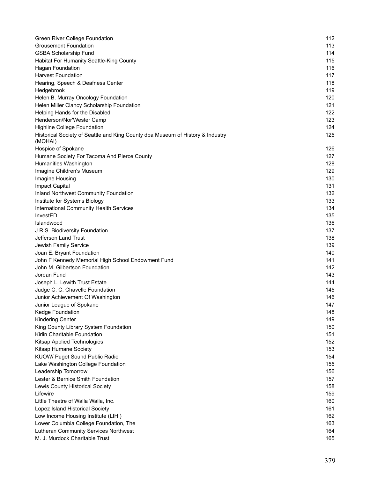| Green River College Foundation                                                            | 112 |
|-------------------------------------------------------------------------------------------|-----|
| <b>Grousemont Foundation</b>                                                              | 113 |
| <b>GSBA Scholarship Fund</b>                                                              | 114 |
| Habitat For Humanity Seattle-King County                                                  | 115 |
| Hagan Foundation                                                                          | 116 |
| <b>Harvest Foundation</b>                                                                 | 117 |
| Hearing, Speech & Deafness Center                                                         | 118 |
| Hedgebrook                                                                                | 119 |
| Helen B. Murray Oncology Foundation                                                       | 120 |
| Helen Miller Clancy Scholarship Foundation                                                | 121 |
| Helping Hands for the Disabled                                                            | 122 |
| Henderson/Nor'Wester Camp                                                                 | 123 |
| <b>Highline College Foundation</b>                                                        | 124 |
| Historical Society of Seattle and King County dba Museum of History & Industry<br>(MOHAI) | 125 |
| Hospice of Spokane                                                                        | 126 |
| Humane Society For Tacoma And Pierce County                                               | 127 |
| Humanities Washington                                                                     | 128 |
| Imagine Children's Museum                                                                 | 129 |
| Imagine Housing                                                                           | 130 |
| Impact Capital                                                                            | 131 |
| Inland Northwest Community Foundation                                                     | 132 |
| Institute for Systems Biology                                                             | 133 |
| International Community Health Services                                                   | 134 |
| InvestED                                                                                  | 135 |
| Islandwood                                                                                | 136 |
| J.R.S. Biodiversity Foundation                                                            | 137 |
| Jefferson Land Trust                                                                      | 138 |
| Jewish Family Service                                                                     | 139 |
| Joan E. Bryant Foundation                                                                 | 140 |
| John F Kennedy Memorial High School Endowment Fund                                        | 141 |
| John M. Gilbertson Foundation                                                             | 142 |
| Jordan Fund                                                                               | 143 |
| Joseph L. Lewith Trust Estate                                                             | 144 |
| Judge C. C. Chavelle Foundation                                                           | 145 |
| Junior Achievement Of Washington                                                          | 146 |
| Junior League of Spokane                                                                  | 147 |
| Kedge Foundation                                                                          | 148 |
| <b>Kindering Center</b>                                                                   | 149 |
| King County Library System Foundation                                                     | 150 |
| Kirlin Charitable Foundation                                                              | 151 |
| Kitsap Applied Technologies                                                               | 152 |
| Kitsap Humane Society                                                                     | 153 |
| KUOW/ Puget Sound Public Radio                                                            | 154 |
| Lake Washington College Foundation                                                        | 155 |
| Leadership Tomorrow                                                                       | 156 |
| Lester & Bernice Smith Foundation                                                         | 157 |
| Lewis County Historical Society                                                           | 158 |
| Lifewire                                                                                  | 159 |
| Little Theatre of Walla Walla, Inc.                                                       | 160 |
| Lopez Island Historical Society                                                           | 161 |
| Low Income Housing Institute (LIHI)                                                       | 162 |
| Lower Columbia College Foundation, The                                                    | 163 |
| Lutheran Community Services Northwest                                                     | 164 |
| M. J. Murdock Charitable Trust                                                            | 165 |
|                                                                                           |     |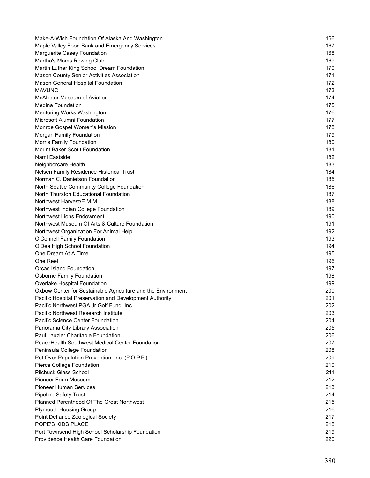| Make-A-Wish Foundation Of Alaska And Washington              | 166 |
|--------------------------------------------------------------|-----|
| Maple Valley Food Bank and Emergency Services                | 167 |
| Marguerite Casey Foundation                                  | 168 |
| Martha's Moms Rowing Club                                    | 169 |
| Martin Luther King School Dream Foundation                   | 170 |
| Mason County Senior Activities Association                   | 171 |
| Mason General Hospital Foundation                            | 172 |
| <b>MAVUNO</b>                                                | 173 |
| <b>McAllister Museum of Aviation</b>                         | 174 |
| <b>Medina Foundation</b>                                     | 175 |
| Mentoring Works Washington                                   | 176 |
| Microsoft Alumni Foundation                                  | 177 |
| Monroe Gospel Women's Mission                                | 178 |
| Morgan Family Foundation                                     | 179 |
| Morris Family Foundation                                     | 180 |
| <b>Mount Baker Scout Foundation</b>                          | 181 |
| Nami Eastside                                                | 182 |
| Neighborcare Health                                          | 183 |
| Nelsen Family Residence Historical Trust                     | 184 |
| Norman C. Danielson Foundation                               | 185 |
| North Seattle Community College Foundation                   | 186 |
| North Thurston Educational Foundation                        | 187 |
| Northwest Harvest/E.M.M.                                     | 188 |
| Northwest Indian College Foundation                          | 189 |
| Northwest Lions Endowment                                    | 190 |
| Northwest Museum Of Arts & Culture Foundation                | 191 |
| Northwest Organization For Animal Help                       | 192 |
| <b>O'Connell Family Foundation</b>                           | 193 |
| O'Dea High School Foundation                                 | 194 |
| One Dream At A Time                                          | 195 |
| One Reel                                                     | 196 |
| Orcas Island Foundation                                      | 197 |
| <b>Osborne Family Foundation</b>                             | 198 |
| Overlake Hospital Foundation                                 | 199 |
| Oxbow Center for Sustainable Agriculture and the Environment | 200 |
| Pacific Hospital Preservation and Development Authority      | 201 |
| Pacific Northwest PGA Jr Golf Fund, Inc.                     | 202 |
| Pacific Northwest Research Institute                         | 203 |
| Pacific Science Center Foundation                            | 204 |
| Panorama City Library Association                            | 205 |
| Paul Lauzier Charitable Foundation                           | 206 |
| PeaceHealth Southwest Medical Center Foundation              | 207 |
| Peninsula College Foundation                                 | 208 |
| Pet Over Population Prevention, Inc. (P.O.P.P.)              | 209 |
| Pierce College Foundation                                    | 210 |
| <b>Pilchuck Glass School</b>                                 | 211 |
| Pioneer Farm Museum                                          | 212 |
| <b>Pioneer Human Services</b>                                | 213 |
| <b>Pipeline Safety Trust</b>                                 | 214 |
| Planned Parenthood Of The Great Northwest                    | 215 |
| <b>Plymouth Housing Group</b>                                | 216 |
| Point Defiance Zoological Society                            | 217 |
| POPE'S KIDS PLACE                                            | 218 |
| Port Townsend High School Scholarship Foundation             | 219 |
| Providence Health Care Foundation                            | 220 |
|                                                              |     |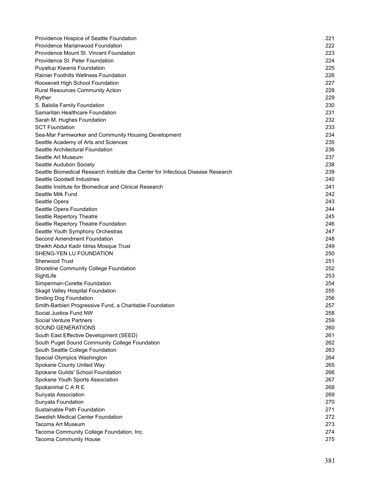| Providence Hospice of Seattle Foundation                                                                    | 221 |
|-------------------------------------------------------------------------------------------------------------|-----|
| Providence Marianwood Foundation                                                                            | 222 |
| Providence Mount St. Vincent Foundation                                                                     | 223 |
| Providence St. Peter Foundation                                                                             | 224 |
| <b>Puyallup Kiwanis Foundation</b>                                                                          | 225 |
| <b>Rainier Foothills Wellness Foundation</b>                                                                | 226 |
| Roosevelt High School Foundation                                                                            | 227 |
| <b>Rural Resources Community Action</b>                                                                     | 228 |
| Ryther                                                                                                      | 229 |
| S. Balolia Family Foundation                                                                                | 230 |
| Samaritan Healthcare Foundation                                                                             | 231 |
| Sarah M. Hughes Foundation                                                                                  | 232 |
| <b>SCT Foundation</b>                                                                                       | 233 |
| Sea-Mar Farmworker and Community Housing Development                                                        | 234 |
| Seattle Academy of Arts and Sciences                                                                        | 235 |
| Seattle Architectural Foundation                                                                            | 236 |
| Seattle Art Museum                                                                                          | 237 |
|                                                                                                             | 238 |
| Seattle Audubon Society<br>Seattle Biomedical Research Institute dba Center for Infectious Disease Research | 239 |
| Seattle Goodwill Industries                                                                                 | 240 |
| Seattle Institute for Biomedical and Clinical Research                                                      | 241 |
| Seattle Milk Fund                                                                                           |     |
|                                                                                                             | 242 |
| Seattle Opera                                                                                               | 243 |
| Seattle Opera Foundation                                                                                    | 244 |
| Seattle Repertory Theatre                                                                                   | 245 |
| Seattle Repertory Theatre Foundation                                                                        | 246 |
| Seattle Youth Symphony Orchestras                                                                           | 247 |
| Second Amendment Foundation                                                                                 | 248 |
| Sheikh Abdul Kadir Idriss Mosque Trust                                                                      | 249 |
| SHENG-YEN LU FOUNDATION                                                                                     | 250 |
| <b>Sherwood Trust</b>                                                                                       | 251 |
| Shoreline Community College Foundation                                                                      | 252 |
| SightLife                                                                                                   | 253 |
| Simperman-Corette Foundation                                                                                | 254 |
| <b>Skagit Valley Hospital Foundation</b>                                                                    | 255 |
| <b>Smiling Dog Foundation</b>                                                                               | 256 |
| Smith-Barbieri Progressive Fund, a Charitable Foundation                                                    | 257 |
| Social Justice Fund NW                                                                                      | 258 |
| <b>Social Venture Partners</b>                                                                              | 259 |
| <b>SOUND GENERATIONS</b>                                                                                    | 260 |
| South East Effective Development (SEED)                                                                     | 261 |
| South Puget Sound Community College Foundation                                                              | 262 |
| South Seattle College Foundation                                                                            | 263 |
| Special Olympics Washington                                                                                 | 264 |
| Spokane County United Way                                                                                   | 265 |
| Spokane Guilds' School Foundation                                                                           | 266 |
| Spokane Youth Sports Association                                                                            | 267 |
| Spokanimal C A R E                                                                                          | 268 |
| Sunyata Association                                                                                         | 269 |
| Sunyata Foundation                                                                                          | 270 |
| Sustainable Path Foundation                                                                                 | 271 |
| Swedish Medical Center Foundation                                                                           | 272 |
| Tacoma Art Museum                                                                                           | 273 |
| Tacoma Community College Foundation, Inc.                                                                   | 274 |
| Tacoma Community House                                                                                      | 275 |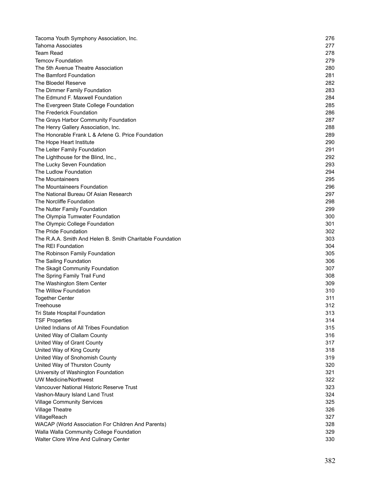| Tacoma Youth Symphony Association, Inc.                   | 276 |
|-----------------------------------------------------------|-----|
| <b>Tahoma Associates</b>                                  | 277 |
| <b>Team Read</b>                                          | 278 |
| <b>Temcov Foundation</b>                                  | 279 |
| The 5th Avenue Theatre Association                        | 280 |
| The Bamford Foundation                                    | 281 |
| The Bloedel Reserve                                       | 282 |
| The Dimmer Family Foundation                              | 283 |
| The Edmund F. Maxwell Foundation                          | 284 |
| The Evergreen State College Foundation                    | 285 |
| The Frederick Foundation                                  | 286 |
| The Grays Harbor Community Foundation                     | 287 |
| The Henry Gallery Association, Inc.                       | 288 |
| The Honorable Frank L & Arlene G. Price Foundation        | 289 |
| The Hope Heart Institute                                  | 290 |
| The Leiter Family Foundation                              | 291 |
| The Lighthouse for the Blind, Inc.,                       | 292 |
| The Lucky Seven Foundation                                | 293 |
| The Ludlow Foundation                                     | 294 |
| The Mountaineers                                          | 295 |
| The Mountaineers Foundation                               | 296 |
| The National Bureau Of Asian Research                     | 297 |
| The Norcliffe Foundation                                  | 298 |
| The Nutter Family Foundation                              | 299 |
| The Olympia Tumwater Foundation                           | 300 |
| The Olympic College Foundation                            | 301 |
| The Pride Foundation                                      | 302 |
| The R.A.A. Smith And Helen B. Smith Charitable Foundation | 303 |
| The REI Foundation                                        | 304 |
| The Robinson Family Foundation                            | 305 |
| The Sailing Foundation                                    | 306 |
|                                                           | 307 |
| The Skagit Community Foundation                           | 308 |
| The Spring Family Trail Fund                              | 309 |
| The Washington Stem Center<br>The Willow Foundation       | 310 |
| <b>Together Center</b>                                    | 311 |
|                                                           | 312 |
| Treehouse                                                 |     |
| Tri State Hospital Foundation                             | 313 |
| <b>TSF Properties</b>                                     | 314 |
| United Indians of All Tribes Foundation                   | 315 |
| United Way of Clallam County                              | 316 |
| United Way of Grant County                                | 317 |
| United Way of King County                                 | 318 |
| United Way of Snohomish County                            | 319 |
| United Way of Thurston County                             | 320 |
| University of Washington Foundation                       | 321 |
| <b>UW Medicine/Northwest</b>                              | 322 |
| Vancouver National Historic Reserve Trust                 | 323 |
| Vashon-Maury Island Land Trust                            | 324 |
| <b>Village Community Services</b>                         | 325 |
| <b>Village Theatre</b>                                    | 326 |
| VillageReach                                              | 327 |
| WACAP (World Association For Children And Parents)        | 328 |
| Walla Walla Community College Foundation                  | 329 |
| Walter Clore Wine And Culinary Center                     | 330 |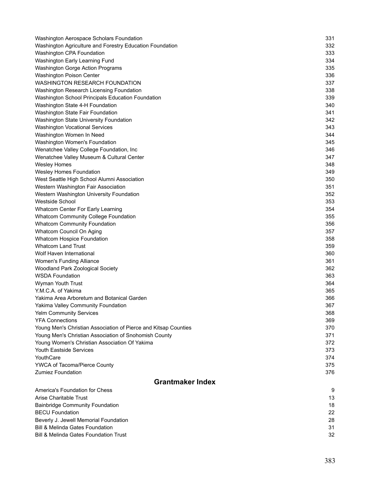| Washington Aerospace Scholars Foundation                        | 331 |
|-----------------------------------------------------------------|-----|
| Washington Agriculture and Forestry Education Foundation        | 332 |
| Washington CPA Foundation                                       | 333 |
| Washington Early Learning Fund                                  | 334 |
| Washington Gorge Action Programs                                | 335 |
| Washington Poison Center                                        | 336 |
| WASHINGTON RESEARCH FOUNDATION                                  | 337 |
| Washington Research Licensing Foundation                        | 338 |
| Washington School Principals Education Foundation               | 339 |
| Washington State 4-H Foundation                                 | 340 |
| Washington State Fair Foundation                                | 341 |
| Washington State University Foundation                          | 342 |
| <b>Washington Vocational Services</b>                           | 343 |
| Washington Women In Need                                        | 344 |
| Washington Women's Foundation                                   | 345 |
| Wenatchee Valley College Foundation, Inc                        | 346 |
| Wenatchee Valley Museum & Cultural Center                       | 347 |
| <b>Wesley Homes</b>                                             | 348 |
| Wesley Homes Foundation                                         | 349 |
| West Seattle High School Alumni Association                     | 350 |
| Western Washington Fair Association                             | 351 |
| Western Washington University Foundation                        | 352 |
| Westside School                                                 | 353 |
| Whatcom Center For Early Learning                               | 354 |
| <b>Whatcom Community College Foundation</b>                     | 355 |
| <b>Whatcom Community Foundation</b>                             | 356 |
| Whatcom Council On Aging                                        | 357 |
| Whatcom Hospice Foundation                                      | 358 |
| <b>Whatcom Land Trust</b>                                       | 359 |
| Wolf Haven International                                        | 360 |
| Women's Funding Alliance                                        | 361 |
| Woodland Park Zoological Society                                | 362 |
| <b>WSDA Foundation</b>                                          | 363 |
| Wyman Youth Trust                                               | 364 |
| Y.M.C.A. of Yakima                                              | 365 |
| Yakima Area Arboretum and Botanical Garden                      | 366 |
| Yakima Valley Community Foundation                              | 367 |
| <b>Yelm Community Services</b>                                  | 368 |
| <b>YFA Connections</b>                                          | 369 |
| Young Men's Christian Association of Pierce and Kitsap Counties | 370 |
| Young Men's Christian Association of Snohomish County           | 371 |
| Young Women's Christian Association Of Yakima                   | 372 |
| <b>Youth Eastside Services</b>                                  | 373 |
| YouthCare                                                       | 374 |
| YWCA of Tacoma/Pierce County                                    | 375 |
| <b>Zumiez Foundation</b>                                        | 376 |
|                                                                 |     |
| <b>Grantmaker Index</b>                                         |     |
| America's Foundation for Chess                                  | 9   |
| Arise Charitable Trust                                          | 13  |
| <b>Bainbridge Community Foundation</b>                          | 18  |
| <b>BECU Foundation</b>                                          | 22  |
| Beverly J. Jewell Memorial Foundation                           | 28  |
| <b>Bill &amp; Melinda Gates Foundation</b>                      | 31  |
| <b>Bill &amp; Melinda Gates Foundation Trust</b>                | 32  |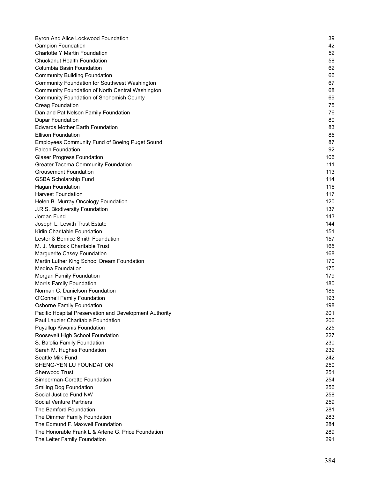| Byron And Alice Lockwood Foundation                     | 39  |
|---------------------------------------------------------|-----|
| <b>Campion Foundation</b>                               | 42  |
| Charlotte Y Martin Foundation                           | 52  |
| <b>Chuckanut Health Foundation</b>                      | 58  |
| <b>Columbia Basin Foundation</b>                        | 62  |
| <b>Community Building Foundation</b>                    | 66  |
| Community Foundation for Southwest Washington           | 67  |
| Community Foundation of North Central Washington        | 68  |
| <b>Community Foundation of Snohomish County</b>         | 69  |
| <b>Creag Foundation</b>                                 | 75  |
| Dan and Pat Nelson Family Foundation                    | 76  |
| <b>Dupar Foundation</b>                                 | 80  |
| <b>Edwards Mother Earth Foundation</b>                  | 83  |
| <b>Ellison Foundation</b>                               | 85  |
| <b>Employees Community Fund of Boeing Puget Sound</b>   | 87  |
| <b>Falcon Foundation</b>                                | 92  |
| <b>Glaser Progress Foundation</b>                       | 106 |
| <b>Greater Tacoma Community Foundation</b>              | 111 |
| <b>Grousemont Foundation</b>                            | 113 |
| <b>GSBA Scholarship Fund</b>                            | 114 |
| <b>Hagan Foundation</b>                                 | 116 |
| <b>Harvest Foundation</b>                               | 117 |
| Helen B. Murray Oncology Foundation                     | 120 |
| J.R.S. Biodiversity Foundation                          | 137 |
| Jordan Fund                                             | 143 |
| Joseph L. Lewith Trust Estate                           | 144 |
| Kirlin Charitable Foundation                            | 151 |
| Lester & Bernice Smith Foundation                       | 157 |
| M. J. Murdock Charitable Trust                          | 165 |
| Marguerite Casey Foundation                             | 168 |
| Martin Luther King School Dream Foundation              | 170 |
| <b>Medina Foundation</b>                                | 175 |
| Morgan Family Foundation                                | 179 |
| <b>Morris Family Foundation</b>                         | 180 |
| Norman C. Danielson Foundation                          | 185 |
| <b>O'Connell Family Foundation</b>                      | 193 |
| Osborne Family Foundation                               | 198 |
| Pacific Hospital Preservation and Development Authority | 201 |
| Paul Lauzier Charitable Foundation                      | 206 |
| Puyallup Kiwanis Foundation                             | 225 |
| Roosevelt High School Foundation                        | 227 |
| S. Balolia Family Foundation                            | 230 |
| Sarah M. Hughes Foundation                              | 232 |
| Seattle Milk Fund                                       | 242 |
| SHENG-YEN LU FOUNDATION                                 | 250 |
| <b>Sherwood Trust</b>                                   | 251 |
| Simperman-Corette Foundation                            | 254 |
| <b>Smiling Dog Foundation</b>                           | 256 |
| Social Justice Fund NW                                  | 258 |
| <b>Social Venture Partners</b>                          | 259 |
| The Bamford Foundation                                  | 281 |
| The Dimmer Family Foundation                            | 283 |
| The Edmund F. Maxwell Foundation                        | 284 |
| The Honorable Frank L & Arlene G. Price Foundation      | 289 |
| The Leiter Family Foundation                            | 291 |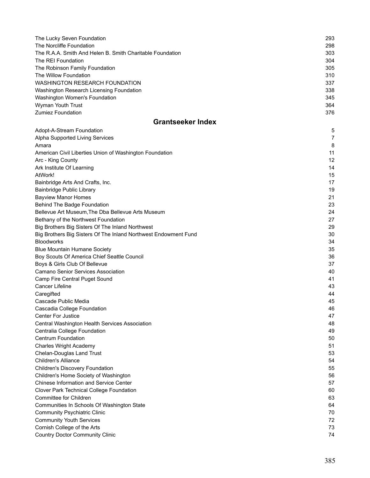| The Lucky Seven Foundation                                      | 293 |
|-----------------------------------------------------------------|-----|
| The Norcliffe Foundation                                        | 298 |
| The R.A.A. Smith And Helen B. Smith Charitable Foundation       | 303 |
| The REI Foundation                                              | 304 |
| The Robinson Family Foundation                                  | 305 |
| The Willow Foundation                                           | 310 |
| WASHINGTON RESEARCH FOUNDATION                                  | 337 |
| Washington Research Licensing Foundation                        | 338 |
| Washington Women's Foundation                                   | 345 |
| Wyman Youth Trust                                               | 364 |
| <b>Zumiez Foundation</b>                                        | 376 |
|                                                                 |     |
| <b>Grantseeker Index</b>                                        |     |
| Adopt-A-Stream Foundation                                       | 5   |
| Alpha Supported Living Services                                 | 7   |
| Amara                                                           | 8   |
| American Civil Liberties Union of Washington Foundation         | 11  |
| Arc - King County                                               | 12  |
| Ark Institute Of Learning                                       | 14  |
| AtWork!                                                         | 15  |
| Bainbridge Arts And Crafts, Inc.                                | 17  |
| Bainbridge Public Library                                       | 19  |
| <b>Bayview Manor Homes</b>                                      | 21  |
| Behind The Badge Foundation                                     | 23  |
| Bellevue Art Museum, The Dba Bellevue Arts Museum               | 24  |
|                                                                 | 27  |
| Bethany of the Northwest Foundation                             |     |
| Big Brothers Big Sisters Of The Inland Northwest                | 29  |
| Big Brothers Big Sisters Of The Inland Northwest Endowment Fund | 30  |
| <b>Bloodworks</b>                                               | 34  |
| <b>Blue Mountain Humane Society</b>                             | 35  |
| Boy Scouts Of America Chief Seattle Council                     | 36  |
| Boys & Girls Club Of Bellevue                                   | 37  |
| <b>Camano Senior Services Association</b>                       | 40  |
| Camp Fire Central Puget Sound                                   | 41  |
| <b>Cancer Lifeline</b>                                          | 43  |
| Caregifted                                                      | 44  |
| Cascade Public Media                                            | 45  |
| Cascadia College Foundation                                     | 46  |
| <b>Center For Justice</b>                                       | 47  |
| Central Washington Health Services Association                  | 48  |
| Centralia College Foundation                                    | 49  |
| <b>Centrum Foundation</b>                                       | 50  |
| <b>Charles Wright Academy</b>                                   | 51  |
|                                                                 | 53  |
| <b>Chelan-Douglas Land Trust</b><br><b>Children's Alliance</b>  | 54  |
|                                                                 |     |
| <b>Children's Discovery Foundation</b>                          | 55  |
| Children's Home Society of Washington                           | 56  |
| <b>Chinese Information and Service Center</b>                   | 57  |
| Clover Park Technical College Foundation                        | 60  |
| Committee for Children                                          | 63  |
| Communities In Schools Of Washington State                      | 64  |
| <b>Community Psychiatric Clinic</b>                             | 70  |
| <b>Community Youth Services</b>                                 | 72  |
| Cornish College of the Arts                                     | 73  |
| <b>Country Doctor Community Clinic</b>                          | 74  |
|                                                                 |     |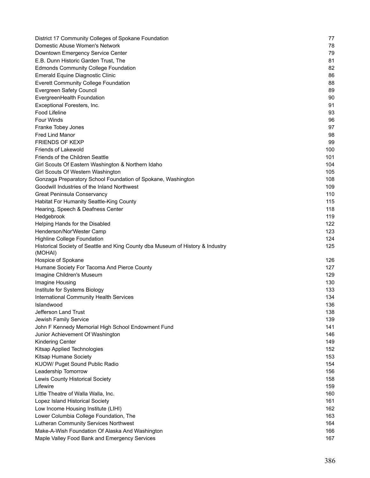| District 17 Community Colleges of Spokane Foundation                                      | 77  |
|-------------------------------------------------------------------------------------------|-----|
| Domestic Abuse Women's Network                                                            | 78  |
| Downtown Emergency Service Center                                                         | 79  |
| E.B. Dunn Historic Garden Trust, The                                                      | 81  |
| <b>Edmonds Community College Foundation</b>                                               | 82  |
| Emerald Equine Diagnostic Clinic                                                          | 86  |
| <b>Everett Community College Foundation</b>                                               | 88  |
| Evergreen Safety Council                                                                  | 89  |
| EvergreenHealth Foundation                                                                | 90  |
| Exceptional Foresters, Inc.                                                               | 91  |
| Food Lifeline                                                                             | 93  |
| <b>Four Winds</b>                                                                         | 96  |
| Franke Tobey Jones                                                                        | 97  |
| <b>Fred Lind Manor</b>                                                                    | 98  |
| <b>FRIENDS OF KEXP</b>                                                                    | 99  |
| Friends of Lakewold                                                                       | 100 |
| Friends of the Children Seattle                                                           | 101 |
| Girl Scouts Of Eastern Washington & Northern Idaho                                        | 104 |
| Girl Scouts Of Western Washington                                                         | 105 |
| Gonzaga Preparatory School Foundation of Spokane, Washington                              | 108 |
| Goodwill Industries of the Inland Northwest                                               | 109 |
| <b>Great Peninsula Conservancy</b>                                                        | 110 |
| Habitat For Humanity Seattle-King County                                                  | 115 |
| Hearing, Speech & Deafness Center                                                         | 118 |
| Hedgebrook                                                                                | 119 |
| Helping Hands for the Disabled                                                            | 122 |
| Henderson/Nor'Wester Camp                                                                 | 123 |
| <b>Highline College Foundation</b>                                                        | 124 |
| Historical Society of Seattle and King County dba Museum of History & Industry<br>(MOHAI) | 125 |
| Hospice of Spokane                                                                        | 126 |
| Humane Society For Tacoma And Pierce County                                               | 127 |
| Imagine Children's Museum                                                                 | 129 |
| Imagine Housing                                                                           | 130 |
| Institute for Systems Biology                                                             | 133 |
| International Community Health Services                                                   | 134 |
| Islandwood                                                                                | 136 |
| Jefferson Land Trust                                                                      | 138 |
| Jewish Family Service                                                                     | 139 |
| John F Kennedy Memorial High School Endowment Fund                                        | 141 |
| Junior Achievement Of Washington                                                          | 146 |
| <b>Kindering Center</b>                                                                   | 149 |
| Kitsap Applied Technologies                                                               | 152 |
| Kitsap Humane Society                                                                     | 153 |
| KUOW/ Puget Sound Public Radio                                                            | 154 |
| Leadership Tomorrow                                                                       | 156 |
| Lewis County Historical Society                                                           | 158 |
| Lifewire                                                                                  | 159 |
| Little Theatre of Walla Walla, Inc.                                                       | 160 |
| Lopez Island Historical Society                                                           | 161 |
| Low Income Housing Institute (LIHI)                                                       | 162 |
| Lower Columbia College Foundation, The                                                    | 163 |
| Lutheran Community Services Northwest                                                     | 164 |
| Make-A-Wish Foundation Of Alaska And Washington                                           | 166 |
| Maple Valley Food Bank and Emergency Services                                             | 167 |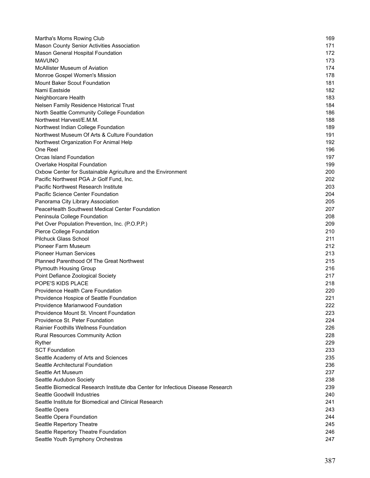| Martha's Moms Rowing Club                                                        | 169 |
|----------------------------------------------------------------------------------|-----|
| Mason County Senior Activities Association                                       | 171 |
| Mason General Hospital Foundation                                                | 172 |
| <b>MAVUNO</b>                                                                    | 173 |
| <b>McAllister Museum of Aviation</b>                                             | 174 |
| Monroe Gospel Women's Mission                                                    | 178 |
| <b>Mount Baker Scout Foundation</b>                                              | 181 |
| Nami Eastside                                                                    | 182 |
| Neighborcare Health                                                              | 183 |
| Nelsen Family Residence Historical Trust                                         | 184 |
| North Seattle Community College Foundation                                       | 186 |
| Northwest Harvest/E.M.M.                                                         | 188 |
| Northwest Indian College Foundation                                              | 189 |
| Northwest Museum Of Arts & Culture Foundation                                    | 191 |
| Northwest Organization For Animal Help                                           | 192 |
| One Reel                                                                         | 196 |
| Orcas Island Foundation                                                          | 197 |
| Overlake Hospital Foundation                                                     | 199 |
| Oxbow Center for Sustainable Agriculture and the Environment                     | 200 |
| Pacific Northwest PGA Jr Golf Fund, Inc.                                         | 202 |
| Pacific Northwest Research Institute                                             | 203 |
| Pacific Science Center Foundation                                                | 204 |
| Panorama City Library Association                                                | 205 |
| PeaceHealth Southwest Medical Center Foundation                                  | 207 |
| Peninsula College Foundation                                                     | 208 |
| Pet Over Population Prevention, Inc. (P.O.P.P.)                                  | 209 |
| Pierce College Foundation                                                        | 210 |
| <b>Pilchuck Glass School</b>                                                     | 211 |
| <b>Pioneer Farm Museum</b>                                                       | 212 |
| <b>Pioneer Human Services</b>                                                    | 213 |
| Planned Parenthood Of The Great Northwest                                        | 215 |
| <b>Plymouth Housing Group</b>                                                    | 216 |
| Point Defiance Zoological Society                                                | 217 |
| POPE'S KIDS PLACE                                                                | 218 |
| Providence Health Care Foundation                                                | 220 |
| Providence Hospice of Seattle Foundation                                         | 221 |
| Providence Marianwood Foundation                                                 | 222 |
| Providence Mount St. Vincent Foundation                                          | 223 |
| Providence St. Peter Foundation                                                  | 224 |
| <b>Rainier Foothills Wellness Foundation</b>                                     | 226 |
| <b>Rural Resources Community Action</b>                                          | 228 |
| Ryther                                                                           | 229 |
| <b>SCT Foundation</b>                                                            | 233 |
| Seattle Academy of Arts and Sciences                                             | 235 |
| Seattle Architectural Foundation                                                 | 236 |
| Seattle Art Museum                                                               | 237 |
| Seattle Audubon Society                                                          | 238 |
| Seattle Biomedical Research Institute dba Center for Infectious Disease Research | 239 |
| Seattle Goodwill Industries                                                      | 240 |
| Seattle Institute for Biomedical and Clinical Research                           | 241 |
| Seattle Opera                                                                    | 243 |
| Seattle Opera Foundation                                                         | 244 |
| Seattle Repertory Theatre                                                        | 245 |
| Seattle Repertory Theatre Foundation                                             | 246 |
| Seattle Youth Symphony Orchestras                                                | 247 |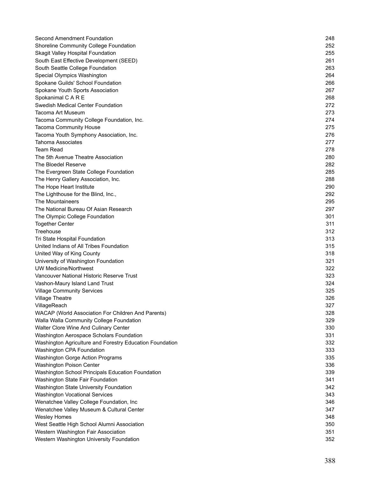| Second Amendment Foundation                              | 248 |
|----------------------------------------------------------|-----|
| Shoreline Community College Foundation                   | 252 |
| <b>Skagit Valley Hospital Foundation</b>                 | 255 |
| South East Effective Development (SEED)                  | 261 |
| South Seattle College Foundation                         | 263 |
| Special Olympics Washington                              | 264 |
| Spokane Guilds' School Foundation                        | 266 |
| Spokane Youth Sports Association                         | 267 |
| Spokanimal C A R E                                       | 268 |
| Swedish Medical Center Foundation                        | 272 |
| Tacoma Art Museum                                        | 273 |
| Tacoma Community College Foundation, Inc.                | 274 |
| <b>Tacoma Community House</b>                            | 275 |
| Tacoma Youth Symphony Association, Inc.                  | 276 |
| Tahoma Associates                                        | 277 |
| <b>Team Read</b>                                         | 278 |
| The 5th Avenue Theatre Association                       | 280 |
| The Bloedel Reserve                                      | 282 |
| The Evergreen State College Foundation                   | 285 |
| The Henry Gallery Association, Inc.                      | 288 |
| The Hope Heart Institute                                 | 290 |
| The Lighthouse for the Blind, Inc.,                      | 292 |
| The Mountaineers                                         | 295 |
| The National Bureau Of Asian Research                    | 297 |
| The Olympic College Foundation                           | 301 |
| <b>Together Center</b>                                   | 311 |
| Treehouse                                                | 312 |
| Tri State Hospital Foundation                            | 313 |
| United Indians of All Tribes Foundation                  | 315 |
| United Way of King County                                | 318 |
| University of Washington Foundation                      | 321 |
| <b>UW Medicine/Northwest</b>                             | 322 |
| Vancouver National Historic Reserve Trust                | 323 |
| Vashon-Maury Island Land Trust                           | 324 |
| <b>Village Community Services</b>                        | 325 |
| <b>Village Theatre</b>                                   | 326 |
| VillageReach                                             | 327 |
| WACAP (World Association For Children And Parents)       | 328 |
| Walla Walla Community College Foundation                 | 329 |
| Walter Clore Wine And Culinary Center                    | 330 |
| Washington Aerospace Scholars Foundation                 | 331 |
| Washington Agriculture and Forestry Education Foundation | 332 |
| Washington CPA Foundation                                | 333 |
| <b>Washington Gorge Action Programs</b>                  | 335 |
| Washington Poison Center                                 | 336 |
| Washington School Principals Education Foundation        | 339 |
| Washington State Fair Foundation                         | 341 |
| Washington State University Foundation                   | 342 |
| <b>Washington Vocational Services</b>                    | 343 |
| Wenatchee Valley College Foundation, Inc                 | 346 |
| Wenatchee Valley Museum & Cultural Center                | 347 |
| <b>Wesley Homes</b>                                      | 348 |
| West Seattle High School Alumni Association              | 350 |
| Western Washington Fair Association                      | 351 |
| Western Washington University Foundation                 | 352 |
|                                                          |     |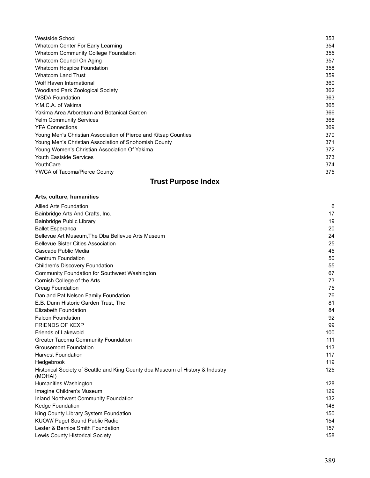| Westside School                                                 | 353 |
|-----------------------------------------------------------------|-----|
| Whatcom Center For Early Learning                               | 354 |
| <b>Whatcom Community College Foundation</b>                     | 355 |
| Whatcom Council On Aging                                        | 357 |
| Whatcom Hospice Foundation                                      | 358 |
| <b>Whatcom Land Trust</b>                                       | 359 |
| Wolf Haven International                                        | 360 |
| <b>Woodland Park Zoological Society</b>                         | 362 |
| <b>WSDA Foundation</b>                                          | 363 |
| Y.M.C.A. of Yakima                                              | 365 |
| Yakima Area Arboretum and Botanical Garden                      | 366 |
| <b>Yelm Community Services</b>                                  | 368 |
| <b>YFA Connections</b>                                          | 369 |
| Young Men's Christian Association of Pierce and Kitsap Counties | 370 |
| Young Men's Christian Association of Snohomish County           | 371 |
| Young Women's Christian Association Of Yakima                   | 372 |
| <b>Youth Eastside Services</b>                                  | 373 |
| YouthCare                                                       | 374 |
| <b>YWCA of Tacoma/Pierce County</b>                             | 375 |

# **Trust Purpose Index**

| Arts, culture, humanities                                                                 |     |
|-------------------------------------------------------------------------------------------|-----|
| <b>Allied Arts Foundation</b>                                                             | 6   |
| Bainbridge Arts And Crafts, Inc.                                                          | 17  |
| <b>Bainbridge Public Library</b>                                                          | 19  |
| <b>Ballet Esperanca</b>                                                                   | 20  |
| Bellevue Art Museum, The Dba Bellevue Arts Museum                                         | 24  |
| <b>Bellevue Sister Cities Association</b>                                                 | 25  |
| Cascade Public Media                                                                      | 45  |
| <b>Centrum Foundation</b>                                                                 | 50  |
| <b>Children's Discovery Foundation</b>                                                    | 55  |
| Community Foundation for Southwest Washington                                             | 67  |
| Cornish College of the Arts                                                               | 73  |
| <b>Creag Foundation</b>                                                                   | 75  |
| Dan and Pat Nelson Family Foundation                                                      | 76  |
| E.B. Dunn Historic Garden Trust, The                                                      | 81  |
| Elizabeth Foundation                                                                      | 84  |
| <b>Falcon Foundation</b>                                                                  | 92  |
| <b>FRIENDS OF KEXP</b>                                                                    | 99  |
| Friends of Lakewold                                                                       | 100 |
| <b>Greater Tacoma Community Foundation</b>                                                | 111 |
| <b>Grousemont Foundation</b>                                                              | 113 |
| <b>Harvest Foundation</b>                                                                 | 117 |
| Hedgebrook                                                                                | 119 |
| Historical Society of Seattle and King County dba Museum of History & Industry<br>(MOHAI) | 125 |
| Humanities Washington                                                                     | 128 |
| Imagine Children's Museum                                                                 | 129 |
| Inland Northwest Community Foundation                                                     | 132 |
| Kedge Foundation                                                                          | 148 |
| King County Library System Foundation                                                     | 150 |
| KUOW/ Puget Sound Public Radio                                                            | 154 |
| Lester & Bernice Smith Foundation                                                         | 157 |
| Lewis County Historical Society                                                           | 158 |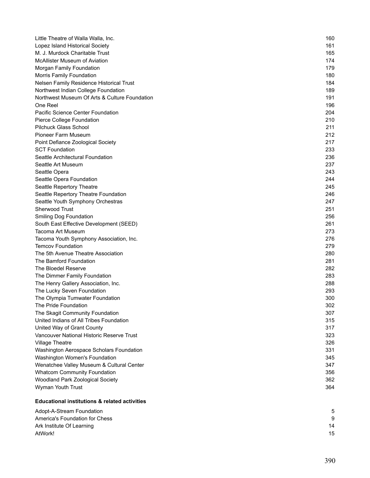| Little Theatre of Walla Walla, Inc.                      | 160 |
|----------------------------------------------------------|-----|
| Lopez Island Historical Society                          | 161 |
| M. J. Murdock Charitable Trust                           | 165 |
| McAllister Museum of Aviation                            | 174 |
| Morgan Family Foundation                                 | 179 |
| Morris Family Foundation                                 | 180 |
| Nelsen Family Residence Historical Trust                 | 184 |
| Northwest Indian College Foundation                      | 189 |
| Northwest Museum Of Arts & Culture Foundation            | 191 |
| One Reel                                                 | 196 |
| Pacific Science Center Foundation                        | 204 |
| Pierce College Foundation                                | 210 |
| <b>Pilchuck Glass School</b>                             | 211 |
| Pioneer Farm Museum                                      | 212 |
| Point Defiance Zoological Society                        | 217 |
| <b>SCT Foundation</b>                                    | 233 |
| Seattle Architectural Foundation                         | 236 |
| Seattle Art Museum                                       | 237 |
| Seattle Opera                                            | 243 |
| Seattle Opera Foundation                                 | 244 |
| Seattle Repertory Theatre                                | 245 |
| Seattle Repertory Theatre Foundation                     | 246 |
| Seattle Youth Symphony Orchestras                        | 247 |
| Sherwood Trust                                           | 251 |
| Smiling Dog Foundation                                   | 256 |
| South East Effective Development (SEED)                  | 261 |
| Tacoma Art Museum                                        | 273 |
| Tacoma Youth Symphony Association, Inc.                  | 276 |
| <b>Temcov Foundation</b>                                 | 279 |
| The 5th Avenue Theatre Association                       | 280 |
| The Bamford Foundation                                   | 281 |
| The Bloedel Reserve                                      | 282 |
| The Dimmer Family Foundation                             | 283 |
| The Henry Gallery Association, Inc.                      | 288 |
| The Lucky Seven Foundation                               | 293 |
| The Olympia Tumwater Foundation                          | 300 |
| The Pride Foundation                                     | 302 |
| The Skagit Community Foundation                          | 307 |
| United Indians of All Tribes Foundation                  | 315 |
| United Way of Grant County                               | 317 |
| Vancouver National Historic Reserve Trust                | 323 |
| <b>Village Theatre</b>                                   | 326 |
| Washington Aerospace Scholars Foundation                 | 331 |
| Washington Women's Foundation                            | 345 |
| Wenatchee Valley Museum & Cultural Center                | 347 |
| <b>Whatcom Community Foundation</b>                      | 356 |
| Woodland Park Zoological Society                         | 362 |
| Wyman Youth Trust                                        | 364 |
| <b>Educational institutions &amp; related activities</b> |     |
|                                                          |     |
| Adopt-A-Stream Foundation                                | 5   |

America's Foundation for Chess 9 Ark Institute Of Learning 14 AtWork! 15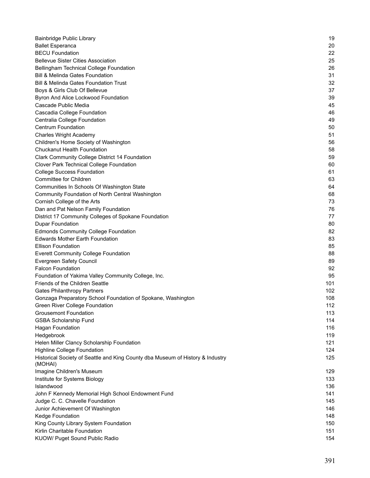| Bainbridge Public Library                                                                 | 19  |
|-------------------------------------------------------------------------------------------|-----|
| <b>Ballet Esperanca</b>                                                                   | 20  |
| <b>BECU Foundation</b>                                                                    | 22  |
| <b>Bellevue Sister Cities Association</b>                                                 | 25  |
| Bellingham Technical College Foundation                                                   | 26  |
| Bill & Melinda Gates Foundation                                                           | 31  |
| <b>Bill &amp; Melinda Gates Foundation Trust</b>                                          | 32  |
| Boys & Girls Club Of Bellevue                                                             | 37  |
| Byron And Alice Lockwood Foundation                                                       | 39  |
| Cascade Public Media                                                                      | 45  |
| Cascadia College Foundation                                                               | 46  |
| Centralia College Foundation                                                              | 49  |
| <b>Centrum Foundation</b>                                                                 | 50  |
| <b>Charles Wright Academy</b>                                                             | 51  |
| Children's Home Society of Washington                                                     | 56  |
| <b>Chuckanut Health Foundation</b>                                                        | 58  |
| Clark Community College District 14 Foundation                                            | 59  |
| Clover Park Technical College Foundation                                                  | 60  |
| <b>College Success Foundation</b>                                                         | 61  |
| <b>Committee for Children</b>                                                             | 63  |
| Communities In Schools Of Washington State                                                | 64  |
| Community Foundation of North Central Washington                                          | 68  |
| Cornish College of the Arts                                                               | 73  |
| Dan and Pat Nelson Family Foundation                                                      | 76  |
| District 17 Community Colleges of Spokane Foundation                                      | 77  |
| <b>Dupar Foundation</b>                                                                   | 80  |
| <b>Edmonds Community College Foundation</b>                                               | 82  |
| <b>Edwards Mother Earth Foundation</b>                                                    | 83  |
| <b>Ellison Foundation</b>                                                                 | 85  |
| <b>Everett Community College Foundation</b>                                               | 88  |
| Evergreen Safety Council                                                                  | 89  |
| <b>Falcon Foundation</b>                                                                  | 92  |
|                                                                                           | 95  |
| Foundation of Yakima Valley Community College, Inc.<br>Friends of the Children Seattle    | 101 |
|                                                                                           | 102 |
| <b>Gates Philanthropy Partners</b>                                                        |     |
| Gonzaga Preparatory School Foundation of Spokane, Washington                              | 108 |
| Green River College Foundation                                                            | 112 |
| <b>Grousemont Foundation</b>                                                              | 113 |
| <b>GSBA Scholarship Fund</b>                                                              | 114 |
| <b>Hagan Foundation</b>                                                                   | 116 |
| Hedgebrook                                                                                | 119 |
| Helen Miller Clancy Scholarship Foundation                                                | 121 |
| <b>Highline College Foundation</b>                                                        | 124 |
| Historical Society of Seattle and King County dba Museum of History & Industry<br>(MOHAI) | 125 |
| Imagine Children's Museum                                                                 | 129 |
| Institute for Systems Biology                                                             | 133 |
| Islandwood                                                                                | 136 |
| John F Kennedy Memorial High School Endowment Fund                                        | 141 |
| Judge C. C. Chavelle Foundation                                                           | 145 |
| Junior Achievement Of Washington                                                          | 146 |
| Kedge Foundation                                                                          | 148 |
| King County Library System Foundation                                                     | 150 |
| Kirlin Charitable Foundation                                                              | 151 |
| KUOW/ Puget Sound Public Radio                                                            | 154 |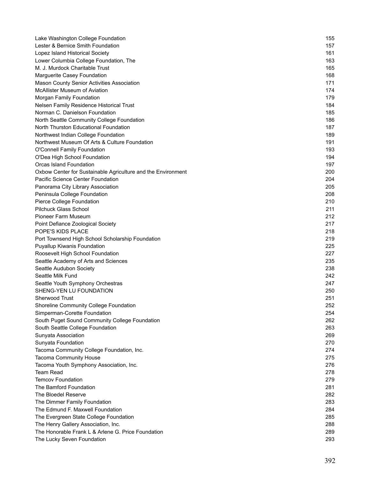| Lake Washington College Foundation                           | 155 |
|--------------------------------------------------------------|-----|
| Lester & Bernice Smith Foundation                            | 157 |
| Lopez Island Historical Society                              | 161 |
| Lower Columbia College Foundation, The                       | 163 |
| M. J. Murdock Charitable Trust                               | 165 |
| Marguerite Casey Foundation                                  | 168 |
| Mason County Senior Activities Association                   | 171 |
| <b>McAllister Museum of Aviation</b>                         | 174 |
| Morgan Family Foundation                                     | 179 |
| Nelsen Family Residence Historical Trust                     | 184 |
| Norman C. Danielson Foundation                               | 185 |
| North Seattle Community College Foundation                   | 186 |
| North Thurston Educational Foundation                        | 187 |
| Northwest Indian College Foundation                          | 189 |
| Northwest Museum Of Arts & Culture Foundation                | 191 |
| <b>O'Connell Family Foundation</b>                           | 193 |
| O'Dea High School Foundation                                 | 194 |
| <b>Orcas Island Foundation</b>                               | 197 |
| Oxbow Center for Sustainable Agriculture and the Environment | 200 |
| Pacific Science Center Foundation                            | 204 |
| Panorama City Library Association                            | 205 |
| Peninsula College Foundation                                 | 208 |
| Pierce College Foundation                                    | 210 |
| Pilchuck Glass School                                        | 211 |
| <b>Pioneer Farm Museum</b>                                   | 212 |
| Point Defiance Zoological Society                            | 217 |
| POPE'S KIDS PLACE                                            | 218 |
| Port Townsend High School Scholarship Foundation             | 219 |
| Puyallup Kiwanis Foundation                                  | 225 |
| Roosevelt High School Foundation                             | 227 |
| Seattle Academy of Arts and Sciences                         | 235 |
| Seattle Audubon Society                                      | 238 |
| Seattle Milk Fund                                            | 242 |
| Seattle Youth Symphony Orchestras                            | 247 |
| SHENG-YEN LU FOUNDATION                                      | 250 |
| <b>Sherwood Trust</b>                                        | 251 |
| Shoreline Community College Foundation                       | 252 |
| Simperman-Corette Foundation                                 | 254 |
| South Puget Sound Community College Foundation               | 262 |
| South Seattle College Foundation                             | 263 |
| Sunyata Association                                          | 269 |
| Sunyata Foundation                                           | 270 |
| Tacoma Community College Foundation, Inc.                    | 274 |
| <b>Tacoma Community House</b>                                | 275 |
| Tacoma Youth Symphony Association, Inc.                      | 276 |
| <b>Team Read</b>                                             | 278 |
| <b>Temcov Foundation</b>                                     | 279 |
| The Bamford Foundation                                       | 281 |
| The Bloedel Reserve                                          | 282 |
| The Dimmer Family Foundation                                 | 283 |
| The Edmund F. Maxwell Foundation                             | 284 |
| The Evergreen State College Foundation                       | 285 |
| The Henry Gallery Association, Inc.                          | 288 |
| The Honorable Frank L & Arlene G. Price Foundation           | 289 |
| The Lucky Seven Foundation                                   | 293 |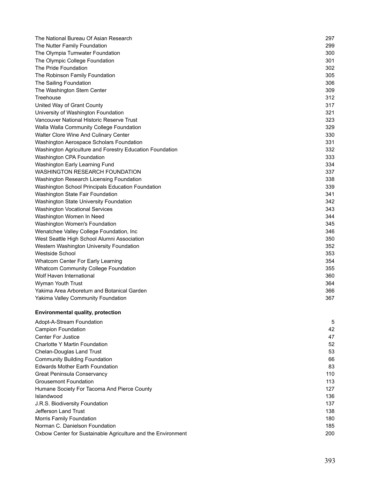| The National Bureau Of Asian Research                    | 297 |
|----------------------------------------------------------|-----|
| The Nutter Family Foundation                             | 299 |
| The Olympia Tumwater Foundation                          | 300 |
| The Olympic College Foundation                           | 301 |
| The Pride Foundation                                     | 302 |
| The Robinson Family Foundation                           | 305 |
| The Sailing Foundation                                   | 306 |
| The Washington Stem Center                               | 309 |
| Treehouse                                                | 312 |
| United Way of Grant County                               | 317 |
| University of Washington Foundation                      | 321 |
| Vancouver National Historic Reserve Trust                | 323 |
| Walla Walla Community College Foundation                 | 329 |
| Walter Clore Wine And Culinary Center                    | 330 |
| Washington Aerospace Scholars Foundation                 | 331 |
| Washington Agriculture and Forestry Education Foundation | 332 |
| Washington CPA Foundation                                | 333 |
| Washington Early Learning Fund                           | 334 |
| <b>WASHINGTON RESEARCH FOUNDATION</b>                    | 337 |
| Washington Research Licensing Foundation                 | 338 |
| Washington School Principals Education Foundation        | 339 |
| Washington State Fair Foundation                         | 341 |
| Washington State University Foundation                   | 342 |
| <b>Washington Vocational Services</b>                    | 343 |
| Washington Women In Need                                 | 344 |
| Washington Women's Foundation                            | 345 |
| Wenatchee Valley College Foundation, Inc                 | 346 |
| West Seattle High School Alumni Association              | 350 |
| Western Washington University Foundation                 | 352 |
| <b>Westside School</b>                                   | 353 |
| Whatcom Center For Early Learning                        | 354 |
| <b>Whatcom Community College Foundation</b>              | 355 |
| Wolf Haven International                                 | 360 |
| Wyman Youth Trust                                        | 364 |
| Yakima Area Arboretum and Botanical Garden               | 366 |
| Yakima Valley Community Foundation                       | 367 |
|                                                          |     |

### **Environmental quality, protection**

| Adopt-A-Stream Foundation                                    | 5   |
|--------------------------------------------------------------|-----|
| <b>Campion Foundation</b>                                    | 42  |
| <b>Center For Justice</b>                                    | 47  |
| Charlotte Y Martin Foundation                                | 52  |
| Chelan-Douglas Land Trust                                    | 53  |
| <b>Community Building Foundation</b>                         | 66  |
| <b>Edwards Mother Earth Foundation</b>                       | 83  |
| <b>Great Peninsula Conservancy</b>                           | 110 |
| <b>Grousemont Foundation</b>                                 | 113 |
| Humane Society For Tacoma And Pierce County                  | 127 |
| Islandwood                                                   | 136 |
| J.R.S. Biodiversity Foundation                               | 137 |
| Jefferson Land Trust                                         | 138 |
| Morris Family Foundation                                     | 180 |
| Norman C. Danielson Foundation                               | 185 |
| Oxbow Center for Sustainable Agriculture and the Environment | 200 |
|                                                              |     |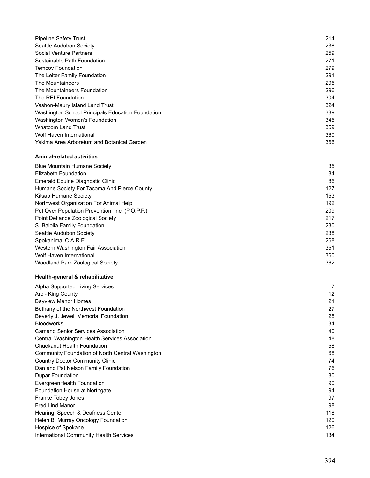| <b>Pipeline Safety Trust</b>                      | 214 |
|---------------------------------------------------|-----|
| Seattle Audubon Society                           | 238 |
| Social Venture Partners                           | 259 |
| Sustainable Path Foundation                       | 271 |
| <b>Temcov Foundation</b>                          | 279 |
| The Leiter Family Foundation                      | 291 |
| The Mountaineers                                  | 295 |
| The Mountaineers Foundation                       | 296 |
| The REI Foundation                                | 304 |
| Vashon-Maury Island Land Trust                    | 324 |
| Washington School Principals Education Foundation | 339 |
| Washington Women's Foundation                     | 345 |
| <b>Whatcom Land Trust</b>                         | 359 |
| Wolf Haven International                          | 360 |
| Yakima Area Arboretum and Botanical Garden        | 366 |

#### **Animal-related activities**

| <b>Blue Mountain Humane Society</b>             | 35  |
|-------------------------------------------------|-----|
| Elizabeth Foundation                            | 84  |
| Emerald Equine Diagnostic Clinic                | 86  |
| Humane Society For Tacoma And Pierce County     | 127 |
| Kitsap Humane Society                           | 153 |
| Northwest Organization For Animal Help          | 192 |
| Pet Over Population Prevention, Inc. (P.O.P.P.) | 209 |
| Point Defiance Zoological Society               | 217 |
| S. Balolia Family Foundation                    | 230 |
| Seattle Audubon Society                         | 238 |
| Spokanimal C A R E                              | 268 |
| Western Washington Fair Association             | 351 |
| Wolf Haven International                        | 360 |
| Woodland Park Zoological Society                | 362 |

### **Health-general & rehabilitative**

| Alpha Supported Living Services                  | 7   |
|--------------------------------------------------|-----|
| Arc - King County                                | 12  |
| <b>Bayview Manor Homes</b>                       | 21  |
| Bethany of the Northwest Foundation              | 27  |
| Beverly J. Jewell Memorial Foundation            | 28  |
| <b>Bloodworks</b>                                | 34  |
| Camano Senior Services Association               | 40  |
| Central Washington Health Services Association   | 48  |
| Chuckanut Health Foundation                      | 58  |
| Community Foundation of North Central Washington | 68  |
| <b>Country Doctor Community Clinic</b>           | 74  |
| Dan and Pat Nelson Family Foundation             | 76  |
| Dupar Foundation                                 | 80  |
| EvergreenHealth Foundation                       | 90  |
| Foundation House at Northgate                    | 94  |
| Franke Tobey Jones                               | 97  |
| <b>Fred Lind Manor</b>                           | 98  |
| Hearing, Speech & Deafness Center                | 118 |
| Helen B. Murray Oncology Foundation              | 120 |
| Hospice of Spokane                               | 126 |
| International Community Health Services          | 134 |
|                                                  |     |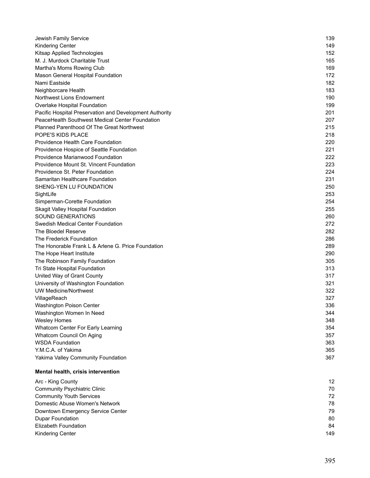| Jewish Family Service                                   | 139 |
|---------------------------------------------------------|-----|
| <b>Kindering Center</b>                                 | 149 |
| Kitsap Applied Technologies                             | 152 |
| M. J. Murdock Charitable Trust                          | 165 |
| Martha's Moms Rowing Club                               | 169 |
| Mason General Hospital Foundation                       | 172 |
| Nami Eastside                                           | 182 |
| Neighborcare Health                                     | 183 |
| Northwest Lions Endowment                               | 190 |
| Overlake Hospital Foundation                            | 199 |
| Pacific Hospital Preservation and Development Authority | 201 |
| PeaceHealth Southwest Medical Center Foundation         | 207 |
| <b>Planned Parenthood Of The Great Northwest</b>        | 215 |
| POPE'S KIDS PLACE                                       | 218 |
| Providence Health Care Foundation                       | 220 |
| Providence Hospice of Seattle Foundation                | 221 |
| Providence Marianwood Foundation                        | 222 |
| Providence Mount St. Vincent Foundation                 | 223 |
| Providence St. Peter Foundation                         | 224 |
| Samaritan Healthcare Foundation                         | 231 |
| SHENG-YEN LU FOUNDATION                                 | 250 |
| SightLife                                               | 253 |
| Simperman-Corette Foundation                            | 254 |
| Skagit Valley Hospital Foundation                       | 255 |
| <b>SOUND GENERATIONS</b>                                | 260 |
| Swedish Medical Center Foundation                       | 272 |
| The Bloedel Reserve                                     | 282 |
| The Frederick Foundation                                | 286 |
| The Honorable Frank L & Arlene G. Price Foundation      | 289 |
| The Hope Heart Institute                                | 290 |
| The Robinson Family Foundation                          | 305 |
| Tri State Hospital Foundation                           | 313 |
| United Way of Grant County                              | 317 |
| University of Washington Foundation                     | 321 |
| <b>UW Medicine/Northwest</b>                            | 322 |
| VillageReach                                            | 327 |
| Washington Poison Center                                | 336 |
| Washington Women In Need                                | 344 |
| <b>Wesley Homes</b>                                     | 348 |
| Whatcom Center For Early Learning                       | 354 |
| Whatcom Council On Aging                                | 357 |
| <b>WSDA Foundation</b>                                  | 363 |
| Y.M.C.A. of Yakima                                      | 365 |
| Yakima Valley Community Foundation                      | 367 |
| Mental health, crisis intervention                      |     |
| Arc - King County                                       | 12  |
| <b>Community Psychiatric Clinic</b>                     | 70  |
| <b>Community Youth Services</b>                         | 72  |
| Domestic Abuse Women's Network                          | 78  |
| Downtown Emergency Service Center                       | 79  |
| <b>Dupar Foundation</b>                                 | 80  |
| Elizabeth Foundation                                    | 84  |

Kindering Center 149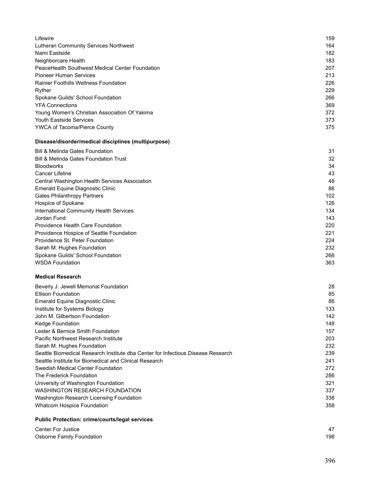| Lifewire                                        | 159 |
|-------------------------------------------------|-----|
| Lutheran Community Services Northwest           | 164 |
| Nami Eastside                                   | 182 |
| Neighborcare Health                             | 183 |
| PeaceHealth Southwest Medical Center Foundation | 207 |
| <b>Pioneer Human Services</b>                   | 213 |
| <b>Rainier Foothills Wellness Foundation</b>    | 226 |
| Ryther                                          | 229 |
| Spokane Guilds' School Foundation               | 266 |
| <b>YFA Connections</b>                          | 369 |
| Young Women's Christian Association Of Yakima   | 372 |
| <b>Youth Eastside Services</b>                  | 373 |
| <b>YWCA of Tacoma/Pierce County</b>             | 375 |

# **Disease/disorder/medical disciplines (multipurpose)**

| <b>Bill &amp; Melinda Gates Foundation</b>       | 31  |
|--------------------------------------------------|-----|
| <b>Bill &amp; Melinda Gates Foundation Trust</b> | 32  |
| <b>Bloodworks</b>                                | 34  |
| Cancer Lifeline                                  | 43  |
| Central Washington Health Services Association   | 48  |
| Emerald Equine Diagnostic Clinic                 | 86  |
| <b>Gates Philanthropy Partners</b>               | 102 |
| Hospice of Spokane                               | 126 |
| <b>International Community Health Services</b>   | 134 |
| Jordan Fund                                      | 143 |
| <b>Providence Health Care Foundation</b>         | 220 |
| Providence Hospice of Seattle Foundation         | 221 |
| Providence St. Peter Foundation                  | 224 |
| Sarah M. Hughes Foundation                       | 232 |
| Spokane Guilds' School Foundation                | 266 |
| <b>WSDA Foundation</b>                           | 363 |

#### **Medical Research**

| Beverly J. Jewell Memorial Foundation                                            | 28  |
|----------------------------------------------------------------------------------|-----|
| <b>Ellison Foundation</b>                                                        | 85  |
| Emerald Equine Diagnostic Clinic                                                 | 86  |
| Institute for Systems Biology                                                    | 133 |
| John M. Gilbertson Foundation                                                    | 142 |
| Kedge Foundation                                                                 | 148 |
| Lester & Bernice Smith Foundation                                                | 157 |
| Pacific Northwest Research Institute                                             | 203 |
| Sarah M. Hughes Foundation                                                       | 232 |
| Seattle Biomedical Research Institute dba Center for Infectious Disease Research | 239 |
| Seattle Institute for Biomedical and Clinical Research                           | 241 |
| Swedish Medical Center Foundation                                                | 272 |
| The Frederick Foundation                                                         | 286 |
| University of Washington Foundation                                              | 321 |
| WASHINGTON RESEARCH FOUNDATION                                                   | 337 |
| Washington Research Licensing Foundation                                         | 338 |
| Whatcom Hospice Foundation                                                       | 358 |

### **Public Protection: crime/courts/legal services**

| <b>Center For Justice</b> |     |
|---------------------------|-----|
| Osborne Family Foundation | 198 |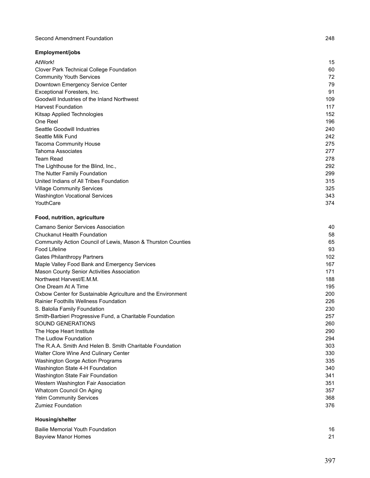#### Second Amendment Foundation 248

# **Employment/jobs**

| AtWork!                                     | 15  |
|---------------------------------------------|-----|
| Clover Park Technical College Foundation    | 60  |
| <b>Community Youth Services</b>             | 72  |
| Downtown Emergency Service Center           | 79  |
| Exceptional Foresters, Inc.                 | 91  |
| Goodwill Industries of the Inland Northwest | 109 |
| <b>Harvest Foundation</b>                   | 117 |
| Kitsap Applied Technologies                 | 152 |
| One Reel                                    | 196 |
| Seattle Goodwill Industries                 | 240 |
| Seattle Milk Fund                           | 242 |
| <b>Tacoma Community House</b>               | 275 |
| <b>Tahoma Associates</b>                    | 277 |
| <b>Team Read</b>                            | 278 |
| The Lighthouse for the Blind, Inc.,         | 292 |
| The Nutter Family Foundation                | 299 |
| United Indians of All Tribes Foundation     | 315 |
| <b>Village Community Services</b>           | 325 |
| Washington Vocational Services              | 343 |
| YouthCare                                   | 374 |

# **Food, nutrition, agriculture**

| Camano Senior Services Association                           | 40  |
|--------------------------------------------------------------|-----|
| <b>Chuckanut Health Foundation</b>                           | 58  |
| Community Action Council of Lewis, Mason & Thurston Counties | 65  |
| Food Lifeline                                                | 93  |
| <b>Gates Philanthropy Partners</b>                           | 102 |
| Maple Valley Food Bank and Emergency Services                | 167 |
| <b>Mason County Senior Activities Association</b>            | 171 |
| Northwest Harvest/E.M.M.                                     | 188 |
| One Dream At A Time                                          | 195 |
| Oxbow Center for Sustainable Agriculture and the Environment | 200 |
| <b>Rainier Foothills Wellness Foundation</b>                 | 226 |
| S. Balolia Family Foundation                                 | 230 |
| Smith-Barbieri Progressive Fund, a Charitable Foundation     | 257 |
| <b>SOUND GENERATIONS</b>                                     | 260 |
| The Hope Heart Institute                                     | 290 |
| The Ludlow Foundation                                        | 294 |
| The R.A.A. Smith And Helen B. Smith Charitable Foundation    | 303 |
| Walter Clore Wine And Culinary Center                        | 330 |
| Washington Gorge Action Programs                             | 335 |
| Washington State 4-H Foundation                              | 340 |
| Washington State Fair Foundation                             | 341 |
| Western Washington Fair Association                          | 351 |
| Whatcom Council On Aging                                     | 357 |
| <b>Yelm Community Services</b>                               | 368 |
| <b>Zumiez Foundation</b>                                     | 376 |
|                                                              |     |

### **Housing/shelter**

| <b>Bailie Memorial Youth Foundation</b> | 16         |
|-----------------------------------------|------------|
| <b>Bayview Manor Homes</b>              | $^{\circ}$ |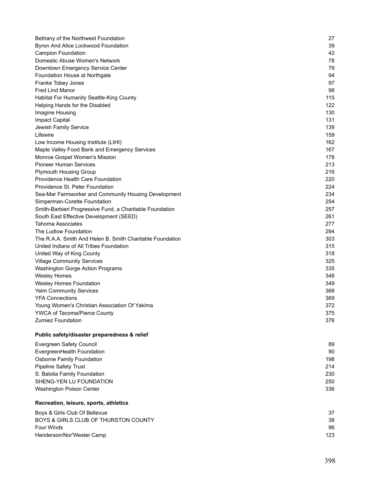| Bethany of the Northwest Foundation                       | 27  |
|-----------------------------------------------------------|-----|
| Byron And Alice Lockwood Foundation                       | 39  |
| <b>Campion Foundation</b>                                 | 42  |
| Domestic Abuse Women's Network                            | 78  |
| Downtown Emergency Service Center                         | 79  |
| Foundation House at Northgate                             | 94  |
| Franke Tobey Jones                                        | 97  |
| Fred Lind Manor                                           | 98  |
| Habitat For Humanity Seattle-King County                  | 115 |
| Helping Hands for the Disabled                            | 122 |
| Imagine Housing                                           | 130 |
| <b>Impact Capital</b>                                     | 131 |
| Jewish Family Service                                     | 139 |
| Lifewire                                                  | 159 |
| Low Income Housing Institute (LIHI)                       | 162 |
| Maple Valley Food Bank and Emergency Services             | 167 |
| Monroe Gospel Women's Mission                             | 178 |
| <b>Pioneer Human Services</b>                             | 213 |
| <b>Plymouth Housing Group</b>                             | 216 |
| Providence Health Care Foundation                         | 220 |
| Providence St. Peter Foundation                           | 224 |
| Sea-Mar Farmworker and Community Housing Development      | 234 |
| Simperman-Corette Foundation                              | 254 |
| Smith-Barbieri Progressive Fund, a Charitable Foundation  | 257 |
| South East Effective Development (SEED)                   | 261 |
| Tahoma Associates                                         | 277 |
| The Ludlow Foundation                                     | 294 |
| The R.A.A. Smith And Helen B. Smith Charitable Foundation | 303 |
| United Indians of All Tribes Foundation                   | 315 |
| United Way of King County                                 | 318 |
| <b>Village Community Services</b>                         | 325 |
| Washington Gorge Action Programs                          | 335 |
| <b>Wesley Homes</b>                                       | 348 |
| Wesley Homes Foundation                                   | 349 |
| <b>Yelm Community Services</b>                            | 368 |
| <b>YFA Connections</b>                                    | 369 |
| Young Women's Christian Association Of Yakima             | 372 |
| YWCA of Tacoma/Pierce County                              | 375 |
| <b>Zumiez Foundation</b>                                  | 376 |
| Public safety/disaster preparedness & relief              |     |
| Evergreen Safety Council                                  | 89  |
| EvergreenHealth Foundation                                | 90  |
| Osborne Family Foundation                                 | 198 |
| <b>Pipeline Safety Trust</b>                              | 214 |
| S. Balolia Family Foundation                              | 230 |
| SHENG-YEN LU FOUNDATION                                   | 250 |
| Washington Poison Center                                  | 336 |
| Recreation, leisure, sports, athletics                    |     |
| Boys & Girls Club Of Bellevue                             | 37  |
| BOYS & GIRLS CLUB OF THURSTON COUNTY                      | 38  |
| <b>Four Winds</b>                                         | 96  |
| Henderson/Nor'Wester Camp                                 | 123 |
|                                                           |     |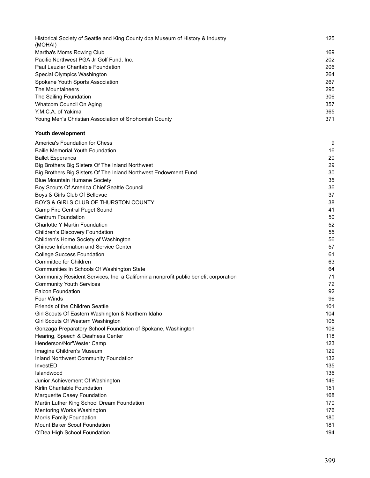| Historical Society of Seattle and King County dba Museum of History & Industry | 125 |
|--------------------------------------------------------------------------------|-----|
| (MOHAI)                                                                        |     |
| Martha's Moms Rowing Club                                                      | 169 |
| Pacific Northwest PGA Jr Golf Fund, Inc.                                       | 202 |
| Paul Lauzier Charitable Foundation                                             | 206 |
| Special Olympics Washington                                                    | 264 |
| Spokane Youth Sports Association                                               | 267 |
| The Mountaineers                                                               | 295 |
| The Sailing Foundation                                                         | 306 |
| Whatcom Council On Aging                                                       | 357 |
| Y.M.C.A. of Yakima                                                             | 365 |
| Young Men's Christian Association of Snohomish County                          | 371 |
|                                                                                |     |

#### **Youth development**

| America's Foundation for Chess                                                       | 9   |
|--------------------------------------------------------------------------------------|-----|
| <b>Bailie Memorial Youth Foundation</b>                                              | 16  |
| <b>Ballet Esperanca</b>                                                              | 20  |
| Big Brothers Big Sisters Of The Inland Northwest                                     | 29  |
| Big Brothers Big Sisters Of The Inland Northwest Endowment Fund                      | 30  |
| <b>Blue Mountain Humane Society</b>                                                  | 35  |
| Boy Scouts Of America Chief Seattle Council                                          | 36  |
| Boys & Girls Club Of Bellevue                                                        | 37  |
| BOYS & GIRLS CLUB OF THURSTON COUNTY                                                 | 38  |
| Camp Fire Central Puget Sound                                                        | 41  |
| <b>Centrum Foundation</b>                                                            | 50  |
| Charlotte Y Martin Foundation                                                        | 52  |
| <b>Children's Discovery Foundation</b>                                               | 55  |
| Children's Home Society of Washington                                                | 56  |
| <b>Chinese Information and Service Center</b>                                        | 57  |
| <b>College Success Foundation</b>                                                    | 61  |
| Committee for Children                                                               | 63  |
| Communities In Schools Of Washington State                                           | 64  |
| Community Resident Services, Inc, a Californina nonprofit public benefit corporation | 71  |
| <b>Community Youth Services</b>                                                      | 72  |
| <b>Falcon Foundation</b>                                                             | 92  |
| <b>Four Winds</b>                                                                    | 96  |
| <b>Friends of the Children Seattle</b>                                               | 101 |
| Girl Scouts Of Eastern Washington & Northern Idaho                                   | 104 |
| Girl Scouts Of Western Washington                                                    | 105 |
| Gonzaga Preparatory School Foundation of Spokane, Washington                         | 108 |
| Hearing, Speech & Deafness Center                                                    | 118 |
| Henderson/Nor'Wester Camp                                                            | 123 |
| Imagine Children's Museum                                                            | 129 |
| Inland Northwest Community Foundation                                                | 132 |
| InvestED                                                                             | 135 |
| Islandwood                                                                           | 136 |
| Junior Achievement Of Washington                                                     | 146 |
| Kirlin Charitable Foundation                                                         | 151 |
| Marguerite Casey Foundation                                                          | 168 |
| Martin Luther King School Dream Foundation                                           | 170 |
| Mentoring Works Washington                                                           | 176 |
| Morris Family Foundation                                                             | 180 |
| Mount Baker Scout Foundation                                                         | 181 |
| O'Dea High School Foundation                                                         | 194 |
|                                                                                      |     |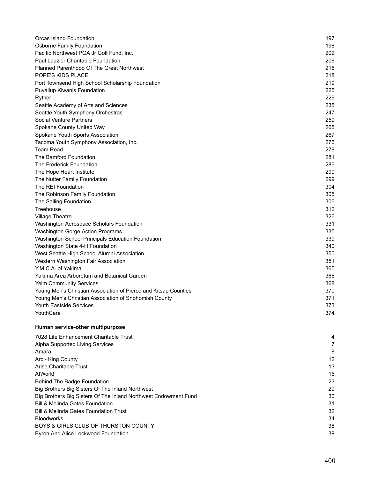| Orcas Island Foundation                                         | 197 |
|-----------------------------------------------------------------|-----|
| <b>Osborne Family Foundation</b>                                | 198 |
| Pacific Northwest PGA Jr Golf Fund, Inc.                        | 202 |
| Paul Lauzier Charitable Foundation                              | 206 |
| <b>Planned Parenthood Of The Great Northwest</b>                | 215 |
| POPE'S KIDS PLACE                                               | 218 |
| Port Townsend High School Scholarship Foundation                | 219 |
| <b>Puyallup Kiwanis Foundation</b>                              | 225 |
| Ryther                                                          | 229 |
| Seattle Academy of Arts and Sciences                            | 235 |
| Seattle Youth Symphony Orchestras                               | 247 |
| Social Venture Partners                                         | 259 |
| Spokane County United Way                                       | 265 |
| Spokane Youth Sports Association                                | 267 |
| Tacoma Youth Symphony Association, Inc.                         | 276 |
| <b>Team Read</b>                                                | 278 |
| The Bamford Foundation                                          | 281 |
| The Frederick Foundation                                        | 286 |
| The Hope Heart Institute                                        | 290 |
| The Nutter Family Foundation                                    | 299 |
| The REI Foundation                                              | 304 |
| The Robinson Family Foundation                                  | 305 |
| The Sailing Foundation                                          | 306 |
| Treehouse                                                       | 312 |
| <b>Village Theatre</b>                                          | 326 |
| Washington Aerospace Scholars Foundation                        | 331 |
| Washington Gorge Action Programs                                | 335 |
| Washington School Principals Education Foundation               | 339 |
| Washington State 4-H Foundation                                 | 340 |
| West Seattle High School Alumni Association                     | 350 |
| Western Washington Fair Association                             | 351 |
| Y.M.C.A. of Yakima                                              | 365 |
| Yakima Area Arboretum and Botanical Garden                      | 366 |
| <b>Yelm Community Services</b>                                  | 368 |
| Young Men's Christian Association of Pierce and Kitsap Counties | 370 |
| Young Men's Christian Association of Snohomish County           | 371 |
| Youth Eastside Services                                         | 373 |
| YouthCare                                                       | 374 |
| Human service-other multipurpose                                |     |

| 7028 Life Enhancement Charitable Trust                          | 4  |
|-----------------------------------------------------------------|----|
| Alpha Supported Living Services                                 |    |
| Amara                                                           | 8  |
| Arc - King County                                               | 12 |
| Arise Charitable Trust                                          | 13 |
| AtWork!                                                         | 15 |
| <b>Behind The Badge Foundation</b>                              | 23 |
| Big Brothers Big Sisters Of The Inland Northwest                | 29 |
| Big Brothers Big Sisters Of The Inland Northwest Endowment Fund | 30 |
| <b>Bill &amp; Melinda Gates Foundation</b>                      | 31 |
| <b>Bill &amp; Melinda Gates Foundation Trust</b>                | 32 |
| <b>Bloodworks</b>                                               | 34 |
| BOYS & GIRLS CLUB OF THURSTON COUNTY                            | 38 |
| Byron And Alice Lockwood Foundation                             | 39 |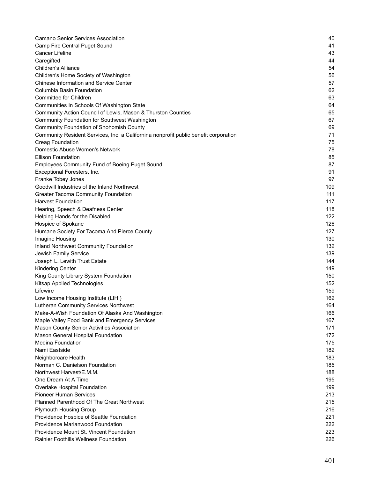| <b>Camano Senior Services Association</b>                                            | 40  |
|--------------------------------------------------------------------------------------|-----|
| Camp Fire Central Puget Sound                                                        | 41  |
| <b>Cancer Lifeline</b>                                                               | 43  |
| Caregifted                                                                           | 44  |
| <b>Children's Alliance</b>                                                           | 54  |
| Children's Home Society of Washington                                                | 56  |
| <b>Chinese Information and Service Center</b>                                        | 57  |
| <b>Columbia Basin Foundation</b>                                                     | 62  |
| Committee for Children                                                               | 63  |
| Communities In Schools Of Washington State                                           | 64  |
| Community Action Council of Lewis, Mason & Thurston Counties                         | 65  |
| Community Foundation for Southwest Washington                                        | 67  |
| <b>Community Foundation of Snohomish County</b>                                      | 69  |
| Community Resident Services, Inc, a Californina nonprofit public benefit corporation | 71  |
| <b>Creag Foundation</b>                                                              | 75  |
| Domestic Abuse Women's Network                                                       | 78  |
| <b>Ellison Foundation</b>                                                            | 85  |
| <b>Employees Community Fund of Boeing Puget Sound</b>                                | 87  |
| Exceptional Foresters, Inc.                                                          | 91  |
| Franke Tobey Jones                                                                   | 97  |
| Goodwill Industries of the Inland Northwest                                          | 109 |
| <b>Greater Tacoma Community Foundation</b>                                           | 111 |
| <b>Harvest Foundation</b>                                                            | 117 |
| Hearing, Speech & Deafness Center                                                    | 118 |
| Helping Hands for the Disabled                                                       | 122 |
| Hospice of Spokane                                                                   | 126 |
| Humane Society For Tacoma And Pierce County                                          | 127 |
| Imagine Housing                                                                      | 130 |
| <b>Inland Northwest Community Foundation</b>                                         | 132 |
| Jewish Family Service                                                                | 139 |
| Joseph L. Lewith Trust Estate                                                        | 144 |
| <b>Kindering Center</b>                                                              | 149 |
| King County Library System Foundation                                                | 150 |
| Kitsap Applied Technologies                                                          | 152 |
| Lifewire                                                                             | 159 |
| Low Income Housing Institute (LIHI)                                                  | 162 |
| Lutheran Community Services Northwest                                                | 164 |
| Make-A-Wish Foundation Of Alaska And Washington                                      | 166 |
| Maple Valley Food Bank and Emergency Services                                        | 167 |
| Mason County Senior Activities Association                                           | 171 |
| Mason General Hospital Foundation                                                    | 172 |
| <b>Medina Foundation</b>                                                             | 175 |
| Nami Eastside                                                                        | 182 |
| Neighborcare Health                                                                  | 183 |
| Norman C. Danielson Foundation                                                       | 185 |
| Northwest Harvest/E.M.M.                                                             | 188 |
| One Dream At A Time                                                                  | 195 |
| Overlake Hospital Foundation                                                         | 199 |
| <b>Pioneer Human Services</b>                                                        | 213 |
| <b>Planned Parenthood Of The Great Northwest</b>                                     | 215 |
| <b>Plymouth Housing Group</b>                                                        | 216 |
| Providence Hospice of Seattle Foundation                                             | 221 |
| Providence Marianwood Foundation                                                     | 222 |
| Providence Mount St. Vincent Foundation                                              | 223 |
| Rainier Foothills Wellness Foundation                                                | 226 |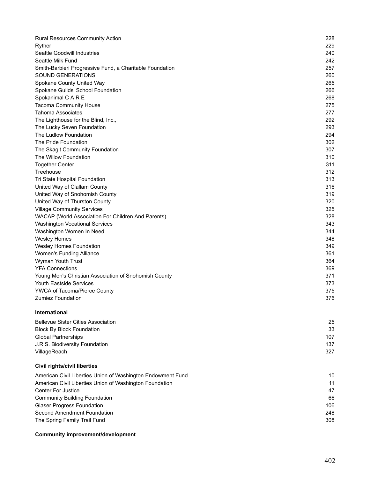| <b>Rural Resources Community Action</b>                     | 228 |
|-------------------------------------------------------------|-----|
| Ryther                                                      | 229 |
| <b>Seattle Goodwill Industries</b>                          | 240 |
| Seattle Milk Fund                                           | 242 |
| Smith-Barbieri Progressive Fund, a Charitable Foundation    | 257 |
| SOUND GENERATIONS                                           | 260 |
| Spokane County United Way                                   | 265 |
| Spokane Guilds' School Foundation                           | 266 |
| Spokanimal C A R E                                          | 268 |
| Tacoma Community House                                      | 275 |
| Tahoma Associates                                           | 277 |
| The Lighthouse for the Blind, Inc.,                         | 292 |
| The Lucky Seven Foundation                                  | 293 |
| The Ludlow Foundation                                       | 294 |
| The Pride Foundation                                        | 302 |
| The Skagit Community Foundation                             | 307 |
| The Willow Foundation                                       | 310 |
| <b>Together Center</b>                                      | 311 |
| Treehouse                                                   | 312 |
| Tri State Hospital Foundation                               | 313 |
| United Way of Clallam County                                | 316 |
| United Way of Snohomish County                              | 319 |
| United Way of Thurston County                               | 320 |
| <b>Village Community Services</b>                           | 325 |
| WACAP (World Association For Children And Parents)          | 328 |
| <b>Washington Vocational Services</b>                       | 343 |
| Washington Women In Need                                    | 344 |
| <b>Wesley Homes</b>                                         | 348 |
| Wesley Homes Foundation                                     | 349 |
| Women's Funding Alliance                                    | 361 |
| Wyman Youth Trust                                           | 364 |
| <b>YFA Connections</b>                                      | 369 |
| Young Men's Christian Association of Snohomish County       | 371 |
| <b>Youth Eastside Services</b>                              | 373 |
| YWCA of Tacoma/Pierce County                                | 375 |
| <b>Zumiez Foundation</b>                                    | 376 |
| <b>International</b>                                        |     |
| <b>Bellevue Sister Cities Association</b>                   | 25  |
| <b>Block By Block Foundation</b>                            | 33  |
| <b>Global Partnerships</b>                                  | 107 |
| J.R.S. Biodiversity Foundation                              | 137 |
| VillageReach                                                | 327 |
| <b>Civil rights/civil liberties</b>                         |     |
| American Civil Liberties Union of Washington Endowment Fund | 10  |
| American Civil Liberties Union of Washington Foundation     | 11  |
| <b>Center For Justice</b>                                   | 47  |
| <b>Community Building Foundation</b>                        | 66  |
| <b>Glaser Progress Foundation</b>                           | 106 |
| Second Amendment Foundation                                 | 248 |
| The Spring Family Trail Fund                                | 308 |
|                                                             |     |
| <b>Community improvement/development</b>                    |     |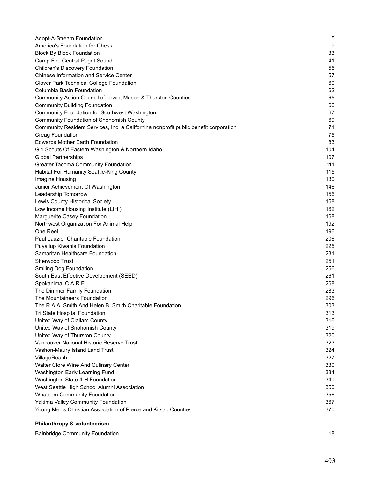| Adopt-A-Stream Foundation                                                            | 5   |
|--------------------------------------------------------------------------------------|-----|
| America's Foundation for Chess                                                       | 9   |
| <b>Block By Block Foundation</b>                                                     | 33  |
| Camp Fire Central Puget Sound                                                        | 41  |
| <b>Children's Discovery Foundation</b>                                               | 55  |
| Chinese Information and Service Center                                               | 57  |
| <b>Clover Park Technical College Foundation</b>                                      | 60  |
| Columbia Basin Foundation                                                            | 62  |
| Community Action Council of Lewis, Mason & Thurston Counties                         | 65  |
| <b>Community Building Foundation</b>                                                 | 66  |
| <b>Community Foundation for Southwest Washington</b>                                 | 67  |
| <b>Community Foundation of Snohomish County</b>                                      | 69  |
| Community Resident Services, Inc, a Californina nonprofit public benefit corporation | 71  |
| <b>Creag Foundation</b>                                                              | 75  |
| <b>Edwards Mother Earth Foundation</b>                                               | 83  |
| Girl Scouts Of Eastern Washington & Northern Idaho                                   | 104 |
| <b>Global Partnerships</b>                                                           | 107 |
| <b>Greater Tacoma Community Foundation</b>                                           | 111 |
| Habitat For Humanity Seattle-King County                                             | 115 |
| Imagine Housing                                                                      | 130 |
| Junior Achievement Of Washington                                                     | 146 |
| Leadership Tomorrow                                                                  | 156 |
| Lewis County Historical Society                                                      | 158 |
| Low Income Housing Institute (LIHI)                                                  | 162 |
| Marguerite Casey Foundation                                                          | 168 |
| Northwest Organization For Animal Help                                               | 192 |
| One Reel                                                                             | 196 |
| Paul Lauzier Charitable Foundation                                                   | 206 |
| <b>Puyallup Kiwanis Foundation</b>                                                   | 225 |
| Samaritan Healthcare Foundation                                                      | 231 |
| Sherwood Trust                                                                       | 251 |
| <b>Smiling Dog Foundation</b>                                                        | 256 |
| South East Effective Development (SEED)                                              | 261 |
| Spokanimal C A R E                                                                   | 268 |
| The Dimmer Family Foundation                                                         | 283 |
| The Mountaineers Foundation                                                          | 296 |
| The R.A.A. Smith And Helen B. Smith Charitable Foundation                            | 303 |
| Tri State Hospital Foundation                                                        | 313 |
| United Way of Clallam County                                                         | 316 |
| United Way of Snohomish County                                                       | 319 |
| United Way of Thurston County                                                        | 320 |
| Vancouver National Historic Reserve Trust                                            | 323 |
| Vashon-Maury Island Land Trust                                                       | 324 |
| VillageReach                                                                         | 327 |
| Walter Clore Wine And Culinary Center                                                | 330 |
| Washington Early Learning Fund                                                       | 334 |
| Washington State 4-H Foundation                                                      | 340 |
| West Seattle High School Alumni Association                                          | 350 |
| <b>Whatcom Community Foundation</b>                                                  | 356 |
| Yakima Valley Community Foundation                                                   | 367 |
| Young Men's Christian Association of Pierce and Kitsap Counties                      | 370 |
|                                                                                      |     |

# **Philanthropy & volunteerism**

| <b>Bainbridge Community Foundation</b> |  |
|----------------------------------------|--|
|                                        |  |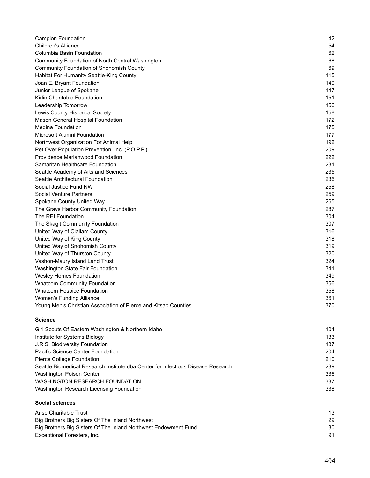| <b>Campion Foundation</b>                                                        | 42  |
|----------------------------------------------------------------------------------|-----|
| <b>Children's Alliance</b>                                                       | 54  |
| Columbia Basin Foundation                                                        | 62  |
| Community Foundation of North Central Washington                                 | 68  |
| <b>Community Foundation of Snohomish County</b>                                  | 69  |
| Habitat For Humanity Seattle-King County                                         | 115 |
| Joan E. Bryant Foundation                                                        | 140 |
| Junior League of Spokane                                                         | 147 |
| Kirlin Charitable Foundation                                                     | 151 |
| Leadership Tomorrow                                                              | 156 |
| Lewis County Historical Society                                                  | 158 |
| Mason General Hospital Foundation                                                | 172 |
| <b>Medina Foundation</b>                                                         | 175 |
| Microsoft Alumni Foundation                                                      | 177 |
| Northwest Organization For Animal Help                                           | 192 |
| Pet Over Population Prevention, Inc. (P.O.P.P.)                                  | 209 |
| Providence Marianwood Foundation                                                 | 222 |
| Samaritan Healthcare Foundation                                                  | 231 |
| Seattle Academy of Arts and Sciences                                             | 235 |
| Seattle Architectural Foundation                                                 | 236 |
| Social Justice Fund NW                                                           | 258 |
| Social Venture Partners                                                          | 259 |
| Spokane County United Way                                                        | 265 |
| The Grays Harbor Community Foundation                                            | 287 |
| The REI Foundation                                                               | 304 |
| The Skagit Community Foundation                                                  | 307 |
| United Way of Clallam County                                                     | 316 |
| United Way of King County                                                        | 318 |
| United Way of Snohomish County                                                   | 319 |
| United Way of Thurston County                                                    | 320 |
| Vashon-Maury Island Land Trust                                                   | 324 |
| Washington State Fair Foundation                                                 | 341 |
| <b>Wesley Homes Foundation</b>                                                   | 349 |
| <b>Whatcom Community Foundation</b>                                              | 356 |
| Whatcom Hospice Foundation                                                       | 358 |
| <b>Women's Funding Alliance</b>                                                  | 361 |
| Young Men's Christian Association of Pierce and Kitsap Counties                  | 370 |
| <b>Science</b>                                                                   |     |
| Girl Scouts Of Eastern Washington & Northern Idaho                               | 104 |
| Institute for Systems Biology                                                    | 133 |
| J.R.S. Biodiversity Foundation                                                   | 137 |
| Pacific Science Center Foundation                                                | 204 |
| Pierce College Foundation                                                        | 210 |
| Seattle Biomedical Research Institute dba Center for Infectious Disease Research | 239 |
| Washington Poison Center                                                         | 336 |
| <b>WASHINGTON RESEARCH FOUNDATION</b>                                            | 337 |
| Washington Research Licensing Foundation                                         | 338 |
| <b>Social sciences</b>                                                           |     |
| Arise Charitable Trust                                                           | 13  |
| Big Brothers Big Sisters Of The Inland Northwest                                 | 29  |
|                                                                                  |     |

| Big Brothers Big Sisters Of The Inland Northwest                | 29 |
|-----------------------------------------------------------------|----|
| Big Brothers Big Sisters Of The Inland Northwest Endowment Fund | 30 |
| Exceptional Foresters. Inc.                                     |    |